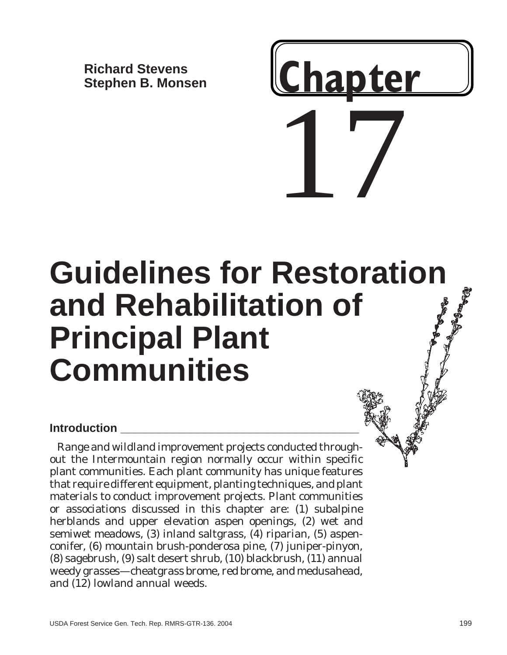**Richard Stevens Stephen B. Monsen**

# 17 **Chapter**

# **Guidelines for Restoration and Rehabilitation of Principal Plant Communities**

# **Introduction \_\_\_\_\_\_\_\_\_\_\_\_\_\_\_\_\_\_\_\_\_\_\_\_\_\_\_\_\_\_\_\_\_\_\_\_\_**

Range and wildland improvement projects conducted throughout the Intermountain region normally occur within specific plant communities. Each plant community has unique features that require different equipment, planting techniques, and plant materials to conduct improvement projects. Plant communities or associations discussed in this chapter are: (1) subalpine herblands and upper elevation aspen openings, (2) wet and semiwet meadows, (3) inland saltgrass, (4) riparian, (5) aspenconifer, (6) mountain brush-ponderosa pine, (7) juniper-pinyon, (8) sagebrush, (9) salt desert shrub, (10) blackbrush, (11) annual weedy grasses—cheatgrass brome, red brome, and medusahead, and (12) lowland annual weeds.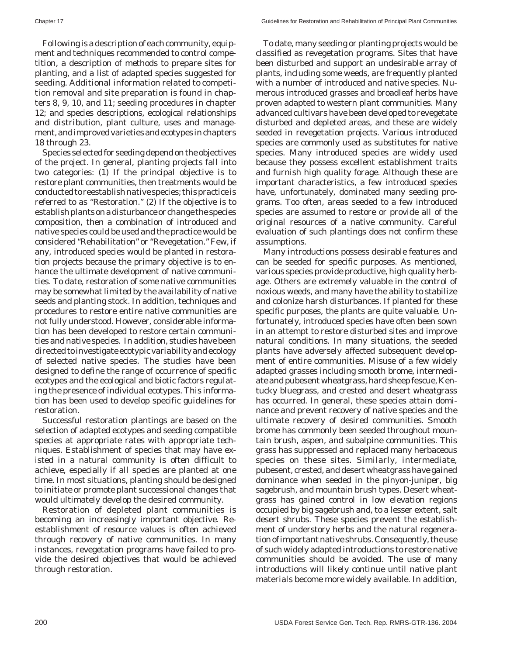Following is a description of each community, equipment and techniques recommended to control competition, a description of methods to prepare sites for planting, and a list of adapted species suggested for seeding. Additional information related to competition removal and site preparation is found in chapters 8, 9, 10, and 11; seeding procedures in chapter 12; and species descriptions, ecological relationships and distribution, plant culture, uses and management, and improved varieties and ecotypes in chapters 18 through 23.

Species selected for seeding depend on the objectives of the project. In general, planting projects fall into two categories: (1) If the principal objective is to restore plant communities, then treatments would be conducted to reestablish native species; this practice is referred to as "Restoration." (2) If the objective is to establish plants on a disturbance or change the species composition, then a combination of introduced and native species could be used and the practice would be considered "Rehabilitation" or "Revegetation." Few, if any, introduced species would be planted in restoration projects because the primary objective is to enhance the ultimate development of native communities. To date, restoration of some native communities may be somewhat limited by the availability of native seeds and planting stock. In addition, techniques and procedures to restore entire native communities are not fully understood. However, considerable information has been developed to restore certain communities and native species. In addition, studies have been directed to investigate ecotypic variability and ecology of selected native species. The studies have been designed to define the range of occurrence of specific ecotypes and the ecological and biotic factors regulating the presence of individual ecotypes. This information has been used to develop specific guidelines for restoration.

Successful restoration plantings are based on the selection of adapted ecotypes and seeding compatible species at appropriate rates with appropriate techniques. Establishment of species that may have existed in a natural community is often difficult to achieve, especially if all species are planted at one time. In most situations, planting should be designed to initiate or promote plant successional changes that would ultimately develop the desired community.

Restoration of depleted plant communities is becoming an increasingly important objective. Reestablishment of resource values is often achieved through recovery of native communities. In many instances, revegetation programs have failed to provide the desired objectives that would be achieved through restoration.

To date, many seeding or planting projects would be classified as revegetation programs. Sites that have been disturbed and support an undesirable array of plants, including some weeds, are frequently planted with a number of introduced and native species. Numerous introduced grasses and broadleaf herbs have proven adapted to western plant communities. Many advanced cultivars have been developed to revegetate disturbed and depleted areas, and these are widely seeded in revegetation projects. Various introduced species are commonly used as substitutes for native species. Many introduced species are widely used because they possess excellent establishment traits and furnish high quality forage. Although these are important characteristics, a few introduced species have, unfortunately, dominated many seeding programs. Too often, areas seeded to a few introduced species are assumed to restore or provide all of the original resources of a native community. Careful evaluation of such plantings does not confirm these assumptions.

Many introductions possess desirable features and can be seeded for specific purposes. As mentioned, various species provide productive, high quality herbage. Others are extremely valuable in the control of noxious weeds, and many have the ability to stabilize and colonize harsh disturbances. If planted for these specific purposes, the plants are quite valuable. Unfortunately, introduced species have often been sown in an attempt to restore disturbed sites and improve natural conditions. In many situations, the seeded plants have adversely affected subsequent development of entire communities. Misuse of a few widely adapted grasses including smooth brome, intermediate and pubesent wheatgrass, hard sheep fescue, Kentucky bluegrass, and crested and desert wheatgrass has occurred. In general, these species attain dominance and prevent recovery of native species and the ultimate recovery of desired communities. Smooth brome has commonly been seeded throughout mountain brush, aspen, and subalpine communities. This grass has suppressed and replaced many herbaceous species on these sites. Similarly, intermediate, pubesent, crested, and desert wheatgrass have gained dominance when seeded in the pinyon-juniper, big sagebrush, and mountain brush types. Desert wheatgrass has gained control in low elevation regions occupied by big sagebrush and, to a lesser extent, salt desert shrubs. These species prevent the establishment of understory herbs and the natural regeneration of important native shrubs. Consequently, the use of such widely adapted introductions to restore native communities should be avoided. The use of many introductions will likely continue until native plant materials become more widely available. In addition,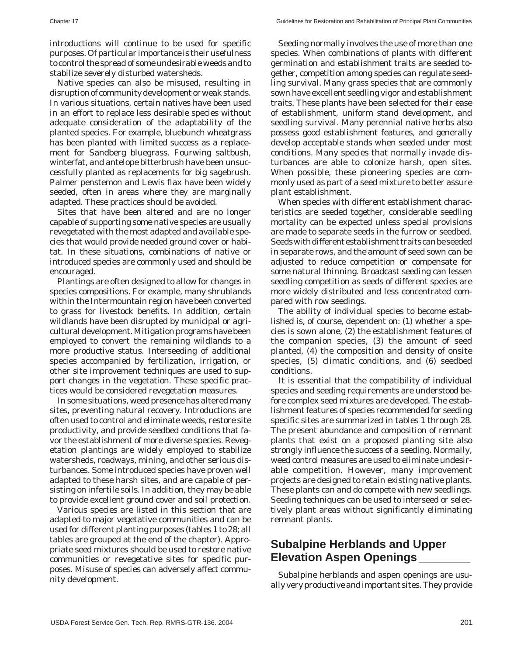introductions will continue to be used for specific purposes. Of particular importance is their usefulness to control the spread of some undesirable weeds and to stabilize severely disturbed watersheds.

Native species can also be misused, resulting in disruption of community development or weak stands. In various situations, certain natives have been used in an effort to replace less desirable species without adequate consideration of the adaptability of the planted species. For example, bluebunch wheatgrass has been planted with limited success as a replacement for Sandberg bluegrass. Fourwing saltbush, winterfat, and antelope bitterbrush have been unsuccessfully planted as replacements for big sagebrush. Palmer penstemon and Lewis flax have been widely seeded, often in areas where they are marginally adapted. These practices should be avoided.

Sites that have been altered and are no longer capable of supporting some native species are usually revegetated with the most adapted and available species that would provide needed ground cover or habitat. In these situations, combinations of native or introduced species are commonly used and should be encouraged.

Plantings are often designed to allow for changes in species compositions. For example, many shrublands within the Intermountain region have been converted to grass for livestock benefits. In addition, certain wildlands have been disrupted by municipal or agricultural development. Mitigation programs have been employed to convert the remaining wildlands to a more productive status. Interseeding of additional species accompanied by fertilization, irrigation, or other site improvement techniques are used to support changes in the vegetation. These specific practices would be considered revegetation measures.

In some situations, weed presence has altered many sites, preventing natural recovery. Introductions are often used to control and eliminate weeds, restore site productivity, and provide seedbed conditions that favor the establishment of more diverse species. Revegetation plantings are widely employed to stabilize watersheds, roadways, mining, and other serious disturbances. Some introduced species have proven well adapted to these harsh sites, and are capable of persisting on infertile soils. In addition, they may be able to provide excellent ground cover and soil protection.

Various species are listed in this section that are adapted to major vegetative communities and can be used for different planting purposes (tables 1 to 28; all tables are grouped at the end of the chapter). Appropriate seed mixtures should be used to restore native communities or revegetative sites for specific purposes. Misuse of species can adversely affect community development.

Seeding normally involves the use of more than one species. When combinations of plants with different germination and establishment traits are seeded together, competition among species can regulate seedling survival. Many grass species that are commonly sown have excellent seedling vigor and establishment traits. These plants have been selected for their ease of establishment, uniform stand development, and seedling survival. Many perennial native herbs also possess good establishment features, and generally develop acceptable stands when seeded under most conditions. Many species that normally invade disturbances are able to colonize harsh, open sites. When possible, these pioneering species are commonly used as part of a seed mixture to better assure plant establishment.

When species with different establishment characteristics are seeded together, considerable seedling mortality can be expected unless special provisions are made to separate seeds in the furrow or seedbed. Seeds with different establishment traits can be seeded in separate rows, and the amount of seed sown can be adjusted to reduce competition or compensate for some natural thinning. Broadcast seeding can lessen seedling competition as seeds of different species are more widely distributed and less concentrated compared with row seedings.

The ability of individual species to become established is, of course, dependent on: (1) whether a species is sown alone, (2) the establishment features of the companion species, (3) the amount of seed planted, (4) the composition and density of onsite species, (5) climatic conditions, and (6) seedbed conditions.

It is essential that the compatibility of individual species and seeding requirements are understood before complex seed mixtures are developed. The establishment features of species recommended for seeding specific sites are summarized in tables 1 through 28. The present abundance and composition of remnant plants that exist on a proposed planting site also strongly influence the success of a seeding. Normally, weed control measures are used to eliminate undesirable competition. However, many improvement projects are designed to retain existing native plants. These plants can and do compete with new seedlings. Seeding techniques can be used to interseed or selectively plant areas without significantly eliminating remnant plants.

# **Subalpine Herblands and Upper Elevation Aspen Openings \_\_\_\_\_\_\_\_**

Subalpine herblands and aspen openings are usually very productive and important sites. They provide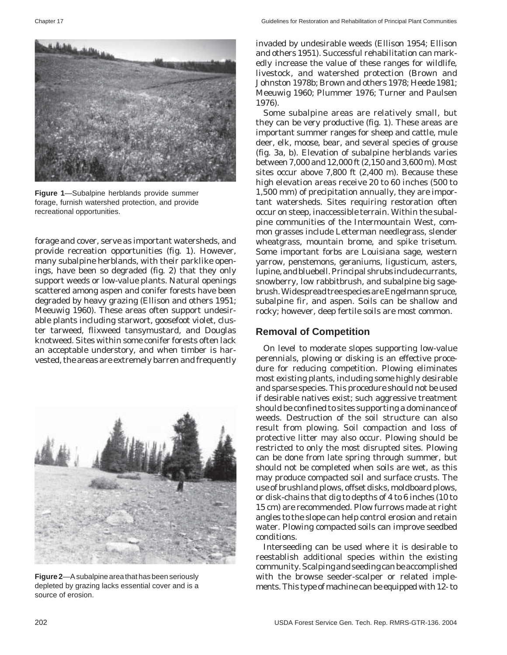

**Figure 1**—Subalpine herblands provide summer forage, furnish watershed protection, and provide recreational opportunities.

forage and cover, serve as important watersheds, and provide recreation opportunities (fig. 1). However, many subalpine herblands, with their parklike openings, have been so degraded (fig. 2) that they only support weeds or low-value plants. Natural openings scattered among aspen and conifer forests have been degraded by heavy grazing (Ellison and others 1951; Meeuwig 1960). These areas often support undesirable plants including starwort, goosefoot violet, cluster tarweed, flixweed tansymustard, and Douglas knotweed. Sites within some conifer forests often lack an acceptable understory, and when timber is harvested, the areas are extremely barren and frequently



**Figure 2**—A subalpine area that has been seriously depleted by grazing lacks essential cover and is a source of erosion.

invaded by undesirable weeds (Ellison 1954; Ellison and others 1951). Successful rehabilitation can markedly increase the value of these ranges for wildlife, livestock, and watershed protection (Brown and Johnston 1978b; Brown and others 1978; Heede 1981; Meeuwig 1960; Plummer 1976; Turner and Paulsen 1976).

Some subalpine areas are relatively small, but they can be very productive (fig. 1). These areas are important summer ranges for sheep and cattle, mule deer, elk, moose, bear, and several species of grouse (fig. 3a, b). Elevation of subalpine herblands varies between 7,000 and 12,000 ft (2,150 and 3,600 m). Most sites occur above 7,800 ft (2,400 m). Because these high elevation areas receive 20 to 60 inches (500 to 1,500 mm) of precipitation annually, they are important watersheds. Sites requiring restoration often occur on steep, inaccessible terrain. Within the subalpine communities of the Intermountain West, common grasses include Letterman needlegrass, slender wheatgrass, mountain brome, and spike trisetum. Some important forbs are Louisiana sage, western yarrow, penstemons, geraniums, ligusticum, asters, lupine, and bluebell. Principal shrubs include currants, snowberry, low rabbitbrush, and subalpine big sagebrush. Widespread tree species are Engelmann spruce, subalpine fir, and aspen. Soils can be shallow and rocky; however, deep fertile soils are most common.

#### **Removal of Competition**

On level to moderate slopes supporting low-value perennials, plowing or disking is an effective procedure for reducing competition. Plowing eliminates most existing plants, including some highly desirable and sparse species. This procedure should not be used if desirable natives exist; such aggressive treatment should be confined to sites supporting a dominance of weeds. Destruction of the soil structure can also result from plowing. Soil compaction and loss of protective litter may also occur. Plowing should be restricted to only the most disrupted sites. Plowing can be done from late spring through summer, but should not be completed when soils are wet, as this may produce compacted soil and surface crusts. The use of brushland plows, offset disks, moldboard plows, or disk-chains that dig to depths of 4 to 6 inches (10 to 15 cm) are recommended. Plow furrows made at right angles to the slope can help control erosion and retain water. Plowing compacted soils can improve seedbed conditions.

Interseeding can be used where it is desirable to reestablish additional species within the existing community. Scalping and seeding can be accomplished with the browse seeder-scalper or related implements. This type of machine can be equipped with 12- to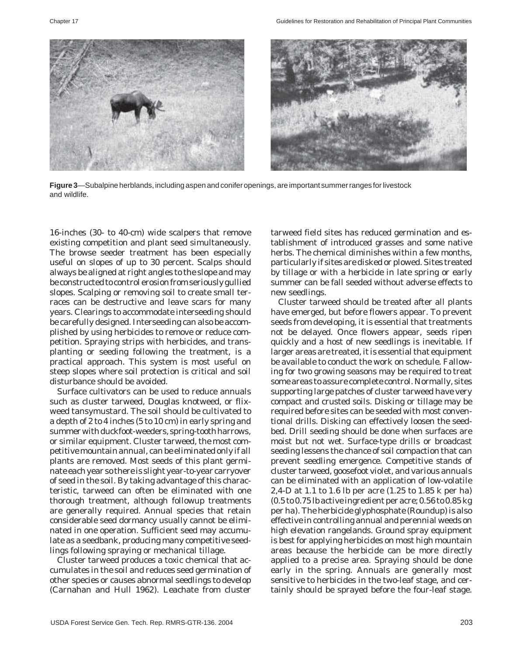

**Figure 3**—Subalpine herblands, including aspen and conifer openings, are important summer ranges for livestock and wildlife.

16-inches (30- to 40-cm) wide scalpers that remove existing competition and plant seed simultaneously. The browse seeder treatment has been especially useful on slopes of up to 30 percent. Scalps should always be aligned at right angles to the slope and may be constructed to control erosion from seriously gullied slopes. Scalping or removing soil to create small terraces can be destructive and leave scars for many years. Clearings to accommodate interseeding should be carefully designed. Interseeding can also be accomplished by using herbicides to remove or reduce competition. Spraying strips with herbicides, and transplanting or seeding following the treatment, is a practical approach. This system is most useful on steep slopes where soil protection is critical and soil disturbance should be avoided.

Surface cultivators can be used to reduce annuals such as cluster tarweed, Douglas knotweed, or flixweed tansymustard. The soil should be cultivated to a depth of 2 to 4 inches (5 to 10 cm) in early spring and summer with duckfoot-weeders, spring-tooth harrows, or similar equipment. Cluster tarweed, the most competitive mountain annual, can be eliminated only if all plants are removed. Most seeds of this plant germinate each year so there is slight year-to-year carryover of seed in the soil. By taking advantage of this characteristic, tarweed can often be eliminated with one thorough treatment, although followup treatments are generally required. Annual species that retain considerable seed dormancy usually cannot be eliminated in one operation. Sufficient seed may accumulate as a seedbank, producing many competitive seedlings following spraying or mechanical tillage.

Cluster tarweed produces a toxic chemical that accumulates in the soil and reduces seed germination of other species or causes abnormal seedlings to develop (Carnahan and Hull 1962). Leachate from cluster

tarweed field sites has reduced germination and establishment of introduced grasses and some native herbs. The chemical diminishes within a few months, particularly if sites are disked or plowed. Sites treated by tillage or with a herbicide in late spring or early summer can be fall seeded without adverse effects to new seedlings.

Cluster tarweed should be treated after all plants have emerged, but before flowers appear. To prevent seeds from developing, it is essential that treatments not be delayed. Once flowers appear, seeds ripen quickly and a host of new seedlings is inevitable. If larger areas are treated, it is essential that equipment be available to conduct the work on schedule. Fallowing for two growing seasons may be required to treat some areas to assure complete control. Normally, sites supporting large patches of cluster tarweed have very compact and crusted soils. Disking or tillage may be required before sites can be seeded with most conventional drills. Disking can effectively loosen the seedbed. Drill seeding should be done when surfaces are moist but not wet. Surface-type drills or broadcast seeding lessens the chance of soil compaction that can prevent seedling emergence. Competitive stands of cluster tarweed, goosefoot violet, and various annuals can be eliminated with an application of low-volatile 2,4-D at 1.1 to 1.6 lb per acre (1.25 to 1.85 k per ha) (0.5 to 0.75 lb active ingredient per acre; 0.56 to 0.85 kg per ha). The herbicide glyphosphate (Roundup) is also effective in controlling annual and perennial weeds on high elevation rangelands. Ground spray equipment is best for applying herbicides on most high mountain areas because the herbicide can be more directly applied to a precise area. Spraying should be done early in the spring. Annuals are generally most sensitive to herbicides in the two-leaf stage, and certainly should be sprayed before the four-leaf stage.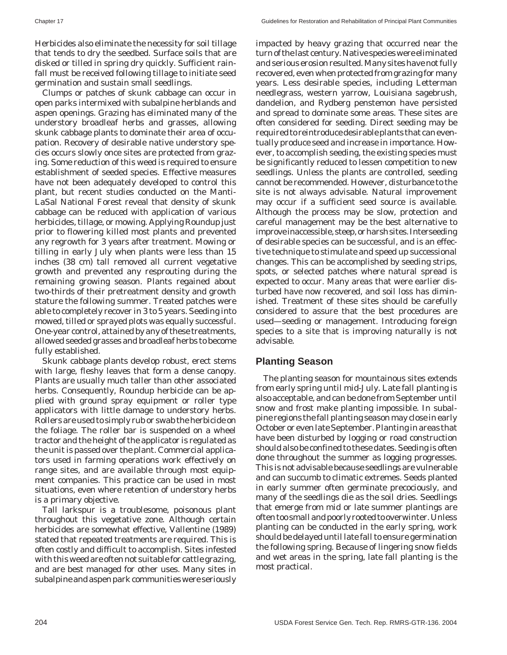Herbicides also eliminate the necessity for soil tillage that tends to dry the seedbed. Surface soils that are disked or tilled in spring dry quickly. Sufficient rainfall must be received following tillage to initiate seed germination and sustain small seedlings.

Clumps or patches of skunk cabbage can occur in open parks intermixed with subalpine herblands and aspen openings. Grazing has eliminated many of the understory broadleaf herbs and grasses, allowing skunk cabbage plants to dominate their area of occupation. Recovery of desirable native understory species occurs slowly once sites are protected from grazing. Some reduction of this weed is required to ensure establishment of seeded species. Effective measures have not been adequately developed to control this plant, but recent studies conducted on the Manti-LaSal National Forest reveal that density of skunk cabbage can be reduced with application of various herbicides, tillage, or mowing. Applying Roundup just prior to flowering killed most plants and prevented any regrowth for 3 years after treatment. Mowing or tilling in early July when plants were less than 15 inches (38 cm) tall removed all current vegetative growth and prevented any resprouting during the remaining growing season. Plants regained about two-thirds of their pretreatment density and growth stature the following summer. Treated patches were able to completely recover in 3 to 5 years. Seeding into mowed, tilled or sprayed plots was equally successful. One-year control, attained by any of these treatments, allowed seeded grasses and broadleaf herbs to become fully established.

Skunk cabbage plants develop robust, erect stems with large, fleshy leaves that form a dense canopy. Plants are usually much taller than other associated herbs. Consequently, Roundup herbicide can be applied with ground spray equipment or roller type applicators with little damage to understory herbs. Rollers are used to simply rub or swab the herbicide on the foliage. The roller bar is suspended on a wheel tractor and the height of the applicator is regulated as the unit is passed over the plant. Commercial applicators used in farming operations work effectively on range sites, and are available through most equipment companies. This practice can be used in most situations, even where retention of understory herbs is a primary objective.

Tall larkspur is a troublesome, poisonous plant throughout this vegetative zone. Although certain herbicides are somewhat effective, Vallentine (1989) stated that repeated treatments are required. This is often costly and difficult to accomplish. Sites infested with this weed are often not suitable for cattle grazing, and are best managed for other uses. Many sites in subalpine and aspen park communities were seriously impacted by heavy grazing that occurred near the turn of the last century. Native species were eliminated and serious erosion resulted. Many sites have not fully recovered, even when protected from grazing for many years. Less desirable species, including Letterman needlegrass, western yarrow, Louisiana sagebrush, dandelion, and Rydberg penstemon have persisted and spread to dominate some areas. These sites are often considered for seeding. Direct seeding may be required to reintroduce desirable plants that can eventually produce seed and increase in importance. However, to accomplish seeding, the existing species must be significantly reduced to lessen competition to new seedlings. Unless the plants are controlled, seeding cannot be recommended. However, disturbance to the site is not always advisable. Natural improvement may occur if a sufficient seed source is available. Although the process may be slow, protection and careful management may be the best alternative to improve inaccessible, steep, or harsh sites. Interseeding of desirable species can be successful, and is an effective technique to stimulate and speed up successional changes. This can be accomplished by seeding strips, spots, or selected patches where natural spread is expected to occur. Many areas that were earlier disturbed have now recovered, and soil loss has diminished. Treatment of these sites should be carefully considered to assure that the best procedures are used—seeding or management. Introducing foreign species to a site that is improving naturally is not advisable.

# **Planting Season**

The planting season for mountainous sites extends from early spring until mid-July. Late fall planting is also acceptable, and can be done from September until snow and frost make planting impossible. In subalpine regions the fall planting season may close in early October or even late September. Planting in areas that have been disturbed by logging or road construction should also be confined to these dates. Seeding is often done throughout the summer as logging progresses. This is not advisable because seedlings are vulnerable and can succumb to climatic extremes. Seeds planted in early summer often germinate precociously, and many of the seedlings die as the soil dries. Seedlings that emerge from mid or late summer plantings are often too small and poorly rooted to overwinter. Unless planting can be conducted in the early spring, work should be delayed until late fall to ensure germination the following spring. Because of lingering snow fields and wet areas in the spring, late fall planting is the most practical.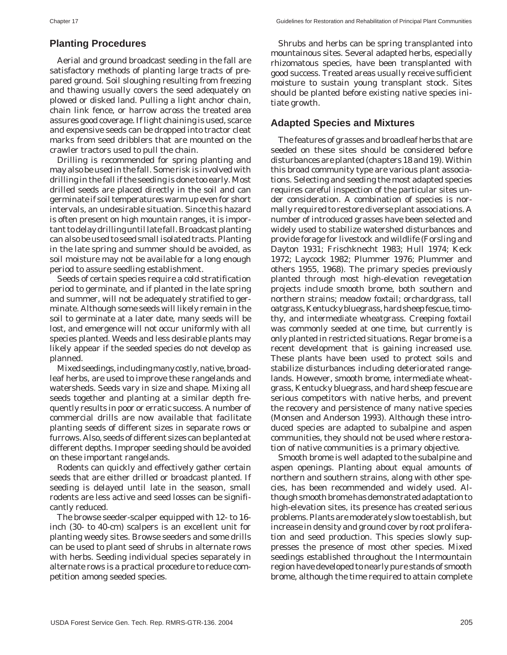#### **Planting Procedures**

Aerial and ground broadcast seeding in the fall are satisfactory methods of planting large tracts of prepared ground. Soil sloughing resulting from freezing and thawing usually covers the seed adequately on plowed or disked land. Pulling a light anchor chain, chain link fence, or harrow across the treated area assures good coverage. If light chaining is used, scarce and expensive seeds can be dropped into tractor cleat marks from seed dribblers that are mounted on the crawler tractors used to pull the chain.

Drilling is recommended for spring planting and may also be used in the fall. Some risk is involved with drilling in the fall if the seeding is done too early. Most drilled seeds are placed directly in the soil and can germinate if soil temperatures warm up even for short intervals, an undesirable situation. Since this hazard is often present on high mountain ranges, it is important to delay drilling until late fall. Broadcast planting can also be used to seed small isolated tracts. Planting in the late spring and summer should be avoided, as soil moisture may not be available for a long enough period to assure seedling establishment.

Seeds of certain species require a cold stratification period to germinate, and if planted in the late spring and summer, will not be adequately stratified to germinate. Although some seeds will likely remain in the soil to germinate at a later date, many seeds will be lost, and emergence will not occur uniformly with all species planted. Weeds and less desirable plants may likely appear if the seeded species do not develop as planned.

Mixed seedings, including many costly, native, broadleaf herbs, are used to improve these rangelands and watersheds. Seeds vary in size and shape. Mixing all seeds together and planting at a similar depth frequently results in poor or erratic success. A number of commercial drills are now available that facilitate planting seeds of different sizes in separate rows or furrows. Also, seeds of different sizes can be planted at different depths. Improper seeding should be avoided on these important rangelands.

Rodents can quickly and effectively gather certain seeds that are either drilled or broadcast planted. If seeding is delayed until late in the season, small rodents are less active and seed losses can be significantly reduced.

The browse seeder-scalper equipped with 12- to 16 inch (30- to 40-cm) scalpers is an excellent unit for planting weedy sites. Browse seeders and some drills can be used to plant seed of shrubs in alternate rows with herbs. Seeding individual species separately in alternate rows is a practical procedure to reduce competition among seeded species.

Shrubs and herbs can be spring transplanted into mountainous sites. Several adapted herbs, especially rhizomatous species, have been transplanted with good success. Treated areas usually receive sufficient moisture to sustain young transplant stock. Sites should be planted before existing native species initiate growth.

#### **Adapted Species and Mixtures**

The features of grasses and broadleaf herbs that are seeded on these sites should be considered before disturbances are planted (chapters 18 and 19). Within this broad community type are various plant associations. Selecting and seeding the most adapted species requires careful inspection of the particular sites under consideration. A combination of species is normally required to restore diverse plant associations. A number of introduced grasses have been selected and widely used to stabilize watershed disturbances and provide forage for livestock and wildlife (Forsling and Dayton 1931; Frischknecht 1983; Hull 1974; Keck 1972; Laycock 1982; Plummer 1976; Plummer and others 1955, 1968). The primary species previously planted through most high-elevation revegetation projects include smooth brome, both southern and northern strains; meadow foxtail; orchardgrass, tall oatgrass, Kentucky bluegrass, hard sheep fescue, timothy, and intermediate wheatgrass. Creeping foxtail was commonly seeded at one time, but currently is only planted in restricted situations. Regar brome is a recent development that is gaining increased use. These plants have been used to protect soils and stabilize disturbances including deteriorated rangelands. However, smooth brome, intermediate wheatgrass, Kentucky bluegrass, and hard sheep fescue are serious competitors with native herbs, and prevent the recovery and persistence of many native species (Monsen and Anderson 1993). Although these introduced species are adapted to subalpine and aspen communities, they should not be used where restoration of native communities is a primary objective.

Smooth brome is well adapted to the subalpine and aspen openings. Planting about equal amounts of northern and southern strains, along with other species, has been recommended and widely used. Although smooth brome has demonstrated adaptation to high-elevation sites, its presence has created serious problems. Plants are moderately slow to establish, but increase in density and ground cover by root proliferation and seed production. This species slowly suppresses the presence of most other species. Mixed seedings established throughout the Intermountain region have developed to nearly pure stands of smooth brome, although the time required to attain complete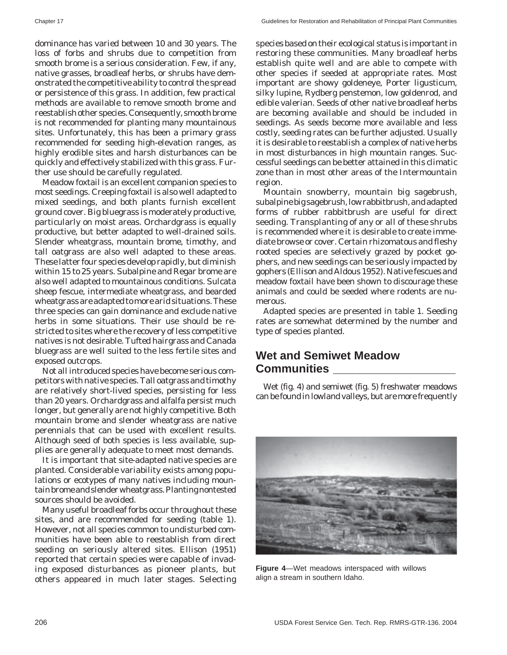dominance has varied between 10 and 30 years. The loss of forbs and shrubs due to competition from smooth brome is a serious consideration. Few, if any, native grasses, broadleaf herbs, or shrubs have demonstrated the competitive ability to control the spread or persistence of this grass. In addition, few practical methods are available to remove smooth brome and reestablish other species. Consequently, smooth brome is not recommended for planting many mountainous sites. Unfortunately, this has been a primary grass recommended for seeding high-elevation ranges, as highly erodible sites and harsh disturbances can be quickly and effectively stabilized with this grass. Further use should be carefully regulated.

Meadow foxtail is an excellent companion species to most seedings. Creeping foxtail is also well adapted to mixed seedings, and both plants furnish excellent ground cover. Big bluegrass is moderately productive, particularly on moist areas. Orchardgrass is equally productive, but better adapted to well-drained soils. Slender wheatgrass, mountain brome, timothy, and tall oatgrass are also well adapted to these areas. These latter four species develop rapidly, but diminish within 15 to 25 years. Subalpine and Regar brome are also well adapted to mountainous conditions. Sulcata sheep fescue, intermediate wheatgrass, and bearded wheatgrass are adapted to more arid situations. These three species can gain dominance and exclude native herbs in some situations. Their use should be restricted to sites where the recovery of less competitive natives is not desirable. Tufted hairgrass and Canada bluegrass are well suited to the less fertile sites and exposed outcrops.

Not all introduced species have become serious competitors with native species. Tall oatgrass and timothy are relatively short-lived species, persisting for less than 20 years. Orchardgrass and alfalfa persist much longer, but generally are not highly competitive. Both mountain brome and slender wheatgrass are native perennials that can be used with excellent results. Although seed of both species is less available, supplies are generally adequate to meet most demands.

It is important that site-adapted native species are planted. Considerable variability exists among populations or ecotypes of many natives including mountain brome and slender wheatgrass. Planting nontested sources should be avoided.

Many useful broadleaf forbs occur throughout these sites, and are recommended for seeding (table 1). However, not all species common to undisturbed communities have been able to reestablish from direct seeding on seriously altered sites. Ellison (1951) reported that certain species were capable of invading exposed disturbances as pioneer plants, but others appeared in much later stages. Selecting species based on their ecological status is important in restoring these communities. Many broadleaf herbs establish quite well and are able to compete with other species if seeded at appropriate rates. Most important are showy goldeneye, Porter ligusticum, silky lupine, Rydberg penstemon, low goldenrod, and edible valerian. Seeds of other native broadleaf herbs are becoming available and should be included in seedings. As seeds become more available and less costly, seeding rates can be further adjusted. Usually it is desirable to reestablish a complex of native herbs in most disturbances in high mountain ranges. Successful seedings can be better attained in this climatic zone than in most other areas of the Intermountain region.

Mountain snowberry, mountain big sagebrush, subalpine big sagebrush, low rabbitbrush, and adapted forms of rubber rabbitbrush are useful for direct seeding. Transplanting of any or all of these shrubs is recommended where it is desirable to create immediate browse or cover. Certain rhizomatous and fleshy rooted species are selectively grazed by pocket gophers, and new seedings can be seriously impacted by gophers (Ellison and Aldous 1952). Native fescues and meadow foxtail have been shown to discourage these animals and could be seeded where rodents are numerous.

Adapted species are presented in table 1. Seeding rates are somewhat determined by the number and type of species planted.

# **Wet and Semiwet Meadow Communities \_\_\_\_\_\_\_\_\_\_\_\_\_\_\_\_\_\_\_**

Wet (fig. 4) and semiwet (fig. 5) freshwater meadows can be found in lowland valleys, but are more frequently



**Figure 4**—Wet meadows interspaced with willows align a stream in southern Idaho.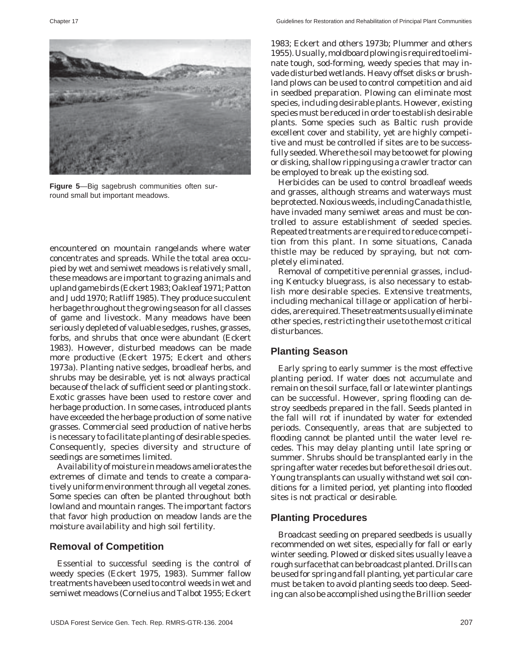

**Figure 5**—Big sagebrush communities often surround small but important meadows.

encountered on mountain rangelands where water concentrates and spreads. While the total area occupied by wet and semiwet meadows is relatively small, these meadows are important to grazing animals and upland game birds (Eckert 1983; Oakleaf 1971; Patton and Judd 1970; Ratliff 1985). They produce succulent herbage throughout the growing season for all classes of game and livestock. Many meadows have been seriously depleted of valuable sedges, rushes, grasses, forbs, and shrubs that once were abundant (Eckert 1983). However, disturbed meadows can be made more productive (Eckert 1975; Eckert and others 1973a). Planting native sedges, broadleaf herbs, and shrubs may be desirable, yet is not always practical because of the lack of sufficient seed or planting stock. Exotic grasses have been used to restore cover and herbage production. In some cases, introduced plants have exceeded the herbage production of some native grasses. Commercial seed production of native herbs is necessary to facilitate planting of desirable species. Consequently, species diversity and structure of seedings are sometimes limited.

Availability of moisture in meadows ameliorates the extremes of climate and tends to create a comparatively uniform environment through all vegetal zones. Some species can often be planted throughout both lowland and mountain ranges. The important factors that favor high production on meadow lands are the moisture availability and high soil fertility.

#### **Removal of Competition**

Essential to successful seeding is the control of weedy species (Eckert 1975, 1983). Summer fallow treatments have been used to control weeds in wet and semiwet meadows (Cornelius and Talbot 1955; Eckert

1983; Eckert and others 1973b; Plummer and others 1955). Usually, moldboard plowing is required to eliminate tough, sod-forming, weedy species that may invade disturbed wetlands. Heavy offset disks or brushland plows can be used to control competition and aid in seedbed preparation. Plowing can eliminate most species, including desirable plants. However, existing species must be reduced in order to establish desirable plants. Some species such as Baltic rush provide excellent cover and stability, yet are highly competitive and must be controlled if sites are to be successfully seeded. Where the soil may be too wet for plowing or disking, shallow ripping using a crawler tractor can be employed to break up the existing sod.

Herbicides can be used to control broadleaf weeds and grasses, although streams and waterways must be protected. Noxious weeds, including Canada thistle, have invaded many semiwet areas and must be controlled to assure establishment of seeded species. Repeated treatments are required to reduce competition from this plant. In some situations, Canada thistle may be reduced by spraying, but not completely eliminated.

Removal of competitive perennial grasses, including Kentucky bluegrass, is also necessary to establish more desirable species. Extensive treatments, including mechanical tillage or application of herbicides, are required. These treatments usually eliminate other species, restricting their use to the most critical disturbances.

#### **Planting Season**

Early spring to early summer is the most effective planting period. If water does not accumulate and remain on the soil surface, fall or late winter plantings can be successful. However, spring flooding can destroy seedbeds prepared in the fall. Seeds planted in the fall will rot if inundated by water for extended periods. Consequently, areas that are subjected to flooding cannot be planted until the water level recedes. This may delay planting until late spring or summer. Shrubs should be transplanted early in the spring after water recedes but before the soil dries out. Young transplants can usually withstand wet soil conditions for a limited period, yet planting into flooded sites is not practical or desirable.

#### **Planting Procedures**

Broadcast seeding on prepared seedbeds is usually recommended on wet sites, especially for fall or early winter seeding. Plowed or disked sites usually leave a rough surface that can be broadcast planted. Drills can be used for spring and fall planting, yet particular care must be taken to avoid planting seeds too deep. Seeding can also be accomplished using the Brillion seeder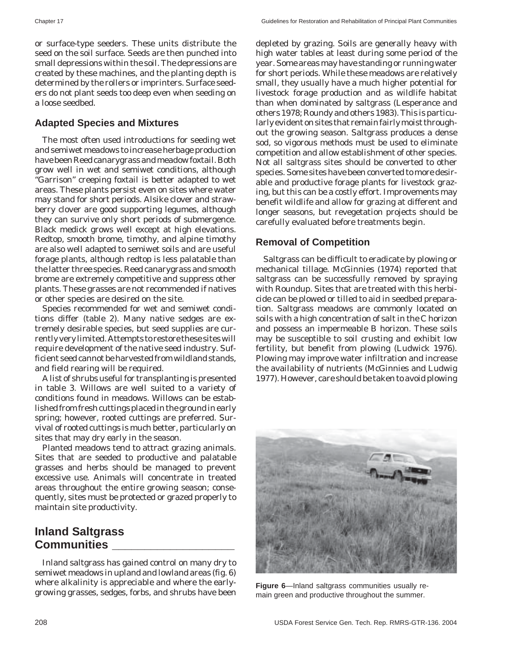or surface-type seeders. These units distribute the seed on the soil surface. Seeds are then punched into small depressions within the soil. The depressions are created by these machines, and the planting depth is determined by the rollers or imprinters. Surface seeders do not plant seeds too deep even when seeding on a loose seedbed.

# **Adapted Species and Mixtures**

The most often used introductions for seeding wet and semiwet meadows to increase herbage production have been Reed canarygrass and meadow foxtail. Both grow well in wet and semiwet conditions, although "Garrison" creeping foxtail is better adapted to wet areas. These plants persist even on sites where water may stand for short periods. Alsike clover and strawberry clover are good supporting legumes, although they can survive only short periods of submergence. Black medick grows well except at high elevations. Redtop, smooth brome, timothy, and alpine timothy are also well adapted to semiwet soils and are useful forage plants, although redtop is less palatable than the latter three species. Reed canarygrass and smooth brome are extremely competitive and suppress other plants. These grasses are not recommended if natives or other species are desired on the site.

Species recommended for wet and semiwet conditions differ (table 2). Many native sedges are extremely desirable species, but seed supplies are currently very limited. Attempts to restore these sites will require development of the native seed industry. Sufficient seed cannot be harvested from wildland stands, and field rearing will be required.

A list of shrubs useful for transplanting is presented in table 3. Willows are well suited to a variety of conditions found in meadows. Willows can be established from fresh cuttings placed in the ground in early spring; however, rooted cuttings are preferred. Survival of rooted cuttings is much better, particularly on sites that may dry early in the season.

Planted meadows tend to attract grazing animals. Sites that are seeded to productive and palatable grasses and herbs should be managed to prevent excessive use. Animals will concentrate in treated areas throughout the entire growing season; consequently, sites must be protected or grazed properly to maintain site productivity.

# **Inland Saltgrass Communities \_\_\_\_\_\_\_\_\_\_\_\_\_\_\_\_\_\_\_**

Inland saltgrass has gained control on many dry to semiwet meadows in upland and lowland areas (fig. 6) where alkalinity is appreciable and where the earlygrowing grasses, sedges, forbs, and shrubs have been

depleted by grazing. Soils are generally heavy with high water tables at least during some period of the year. Some areas may have standing or running water for short periods. While these meadows are relatively small, they usually have a much higher potential for livestock forage production and as wildlife habitat than when dominated by saltgrass (Lesperance and others 1978; Roundy and others 1983). This is particularly evident on sites that remain fairly moist throughout the growing season. Saltgrass produces a dense sod, so vigorous methods must be used to eliminate competition and allow establishment of other species. Not all saltgrass sites should be converted to other species. Some sites have been converted to more desirable and productive forage plants for livestock grazing, but this can be a costly effort. Improvements may benefit wildlife and allow for grazing at different and longer seasons, but revegetation projects should be carefully evaluated before treatments begin.

# **Removal of Competition**

Saltgrass can be difficult to eradicate by plowing or mechanical tillage. McGinnies (1974) reported that saltgrass can be successfully removed by spraying with Roundup. Sites that are treated with this herbicide can be plowed or tilled to aid in seedbed preparation. Saltgrass meadows are commonly located on soils with a high concentration of salt in the C horizon and possess an impermeable B horizon. These soils may be susceptible to soil crusting and exhibit low fertility, but benefit from plowing (Ludwick 1976). Plowing may improve water infiltration and increase the availability of nutrients (McGinnies and Ludwig 1977). However, care should be taken to avoid plowing



**Figure 6**—Inland saltgrass communities usually remain green and productive throughout the summer.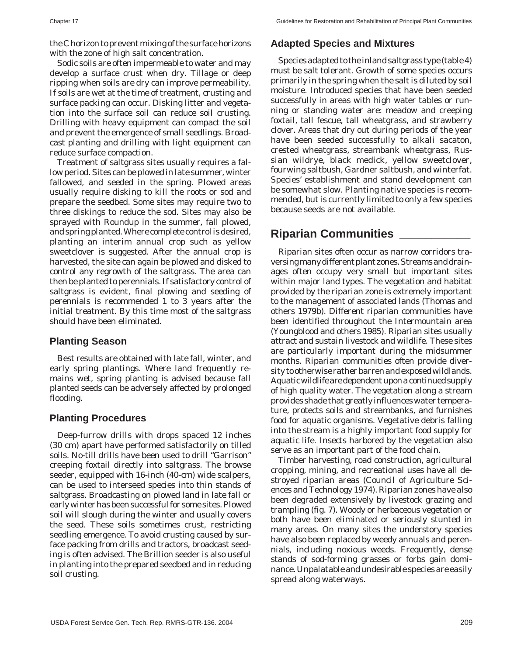the C horizon to prevent mixing of the surface horizons with the zone of high salt concentration.

Sodic soils are often impermeable to water and may develop a surface crust when dry. Tillage or deep ripping when soils are dry can improve permeability. If soils are wet at the time of treatment, crusting and surface packing can occur. Disking litter and vegetation into the surface soil can reduce soil crusting. Drilling with heavy equipment can compact the soil and prevent the emergence of small seedlings. Broadcast planting and drilling with light equipment can reduce surface compaction.

Treatment of saltgrass sites usually requires a fallow period. Sites can be plowed in late summer, winter fallowed, and seeded in the spring. Plowed areas usually require disking to kill the roots or sod and prepare the seedbed. Some sites may require two to three diskings to reduce the sod. Sites may also be sprayed with Roundup in the summer, fall plowed, and spring planted. Where complete control is desired, planting an interim annual crop such as yellow sweetclover is suggested. After the annual crop is harvested, the site can again be plowed and disked to control any regrowth of the saltgrass. The area can then be planted to perennials. If satisfactory control of saltgrass is evident, final plowing and seeding of perennials is recommended 1 to 3 years after the initial treatment. By this time most of the saltgrass should have been eliminated.

#### **Planting Season**

Best results are obtained with late fall, winter, and early spring plantings. Where land frequently remains wet, spring planting is advised because fall planted seeds can be adversely affected by prolonged flooding.

#### **Planting Procedures**

Deep-furrow drills with drops spaced 12 inches (30 cm) apart have performed satisfactorily on tilled soils. No-till drills have been used to drill "Garrison" creeping foxtail directly into saltgrass. The browse seeder, equipped with 16-inch (40-cm) wide scalpers, can be used to interseed species into thin stands of saltgrass. Broadcasting on plowed land in late fall or early winter has been successful for some sites. Plowed soil will slough during the winter and usually covers the seed. These soils sometimes crust, restricting seedling emergence. To avoid crusting caused by surface packing from drills and tractors, broadcast seeding is often advised. The Brillion seeder is also useful in planting into the prepared seedbed and in reducing soil crusting.

#### **Adapted Species and Mixtures**

Species adapted to the inland saltgrass type (table 4) must be salt tolerant. Growth of some species occurs primarily in the spring when the salt is diluted by soil moisture. Introduced species that have been seeded successfully in areas with high water tables or running or standing water are: meadow and creeping foxtail, tall fescue, tall wheatgrass, and strawberry clover. Areas that dry out during periods of the year have been seeded successfully to alkali sacaton, crested wheatgrass, streambank wheatgrass, Russian wildrye, black medick, yellow sweetclover, fourwing saltbush, Gardner saltbush, and winterfat. Species' establishment and stand development can be somewhat slow. Planting native species is recommended, but is currently limited to only a few species because seeds are not available.

# **Riparian Communities \_\_\_\_\_\_\_\_\_\_\_**

Riparian sites often occur as narrow corridors traversing many different plant zones. Streams and drainages often occupy very small but important sites within major land types. The vegetation and habitat provided by the riparian zone is extremely important to the management of associated lands (Thomas and others 1979b). Different riparian communities have been identified throughout the Intermountain area (Youngblood and others 1985). Riparian sites usually attract and sustain livestock and wildlife. These sites are particularly important during the midsummer months. Riparian communities often provide diversity to otherwise rather barren and exposed wildlands. Aquatic wildlife are dependent upon a continued supply of high quality water. The vegetation along a stream provides shade that greatly influences water temperature, protects soils and streambanks, and furnishes food for aquatic organisms. Vegetative debris falling into the stream is a highly important food supply for aquatic life. Insects harbored by the vegetation also serve as an important part of the food chain.

Timber harvesting, road construction, agricultural cropping, mining, and recreational uses have all destroyed riparian areas (Council of Agriculture Sciences and Technology 1974). Riparian zones have also been degraded extensively by livestock grazing and trampling (fig. 7). Woody or herbaceous vegetation or both have been eliminated or seriously stunted in many areas. On many sites the understory species have also been replaced by weedy annuals and perennials, including noxious weeds. Frequently, dense stands of sod-forming grasses or forbs gain dominance. Unpalatable and undesirable species are easily spread along waterways.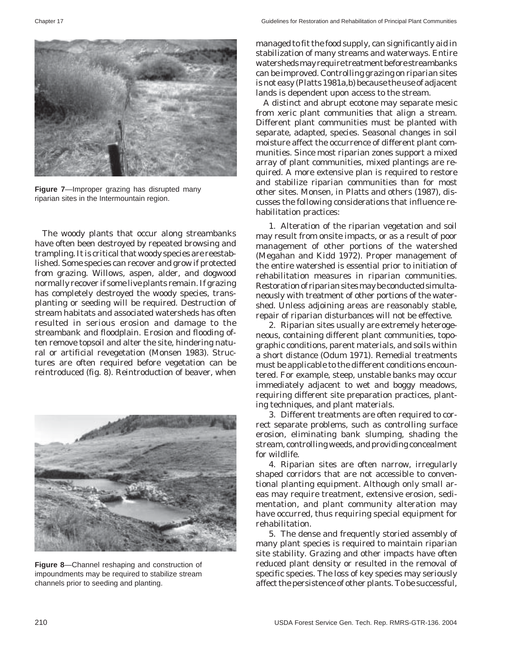

**Figure 7**—Improper grazing has disrupted many riparian sites in the Intermountain region.

The woody plants that occur along streambanks have often been destroyed by repeated browsing and trampling. It is critical that woody species are reestablished. Some species can recover and grow if protected from grazing. Willows, aspen, alder, and dogwood normally recover if some live plants remain. If grazing has completely destroyed the woody species, transplanting or seeding will be required. Destruction of stream habitats and associated watersheds has often resulted in serious erosion and damage to the streambank and floodplain. Erosion and flooding often remove topsoil and alter the site, hindering natural or artificial revegetation (Monsen 1983). Structures are often required before vegetation can be reintroduced (fig. 8). Reintroduction of beaver, when



**Figure 8**—Channel reshaping and construction of impoundments may be required to stabilize stream channels prior to seeding and planting.

managed to fit the food supply, can significantly aid in stabilization of many streams and waterways. Entire watersheds may require treatment before streambanks can be improved. Controlling grazing on riparian sites is not easy (Platts 1981a,b) because the use of adjacent lands is dependent upon access to the stream.

A distinct and abrupt ecotone may separate mesic from xeric plant communities that align a stream. Different plant communities must be planted with separate, adapted, species. Seasonal changes in soil moisture affect the occurrence of different plant communities. Since most riparian zones support a mixed array of plant communities, mixed plantings are required. A more extensive plan is required to restore and stabilize riparian communities than for most other sites. Monsen, in Platts and others (1987), discusses the following considerations that influence rehabilitation practices:

1. Alteration of the riparian vegetation and soil may result from onsite impacts, or as a result of poor management of other portions of the watershed (Megahan and Kidd 1972). Proper management of the entire watershed is essential prior to initiation of rehabilitation measures in riparian communities. Restoration of riparian sites may be conducted simultaneously with treatment of other portions of the watershed. Unless adjoining areas are reasonably stable, repair of riparian disturbances will not be effective.

2. Riparian sites usually are extremely heterogeneous, containing different plant communities, topographic conditions, parent materials, and soils within a short distance (Odum 1971). Remedial treatments must be applicable to the different conditions encountered. For example, steep, unstable banks may occur immediately adjacent to wet and boggy meadows, requiring different site preparation practices, planting techniques, and plant materials.

3. Different treatments are often required to correct separate problems, such as controlling surface erosion, eliminating bank slumping, shading the stream, controlling weeds, and providing concealment for wildlife.

4. Riparian sites are often narrow, irregularly shaped corridors that are not accessible to conventional planting equipment. Although only small areas may require treatment, extensive erosion, sedimentation, and plant community alteration may have occurred, thus requiring special equipment for rehabilitation.

5. The dense and frequently storied assembly of many plant species is required to maintain riparian site stability. Grazing and other impacts have often reduced plant density or resulted in the removal of specific species. The loss of key species may seriously affect the persistence of other plants. To be successful,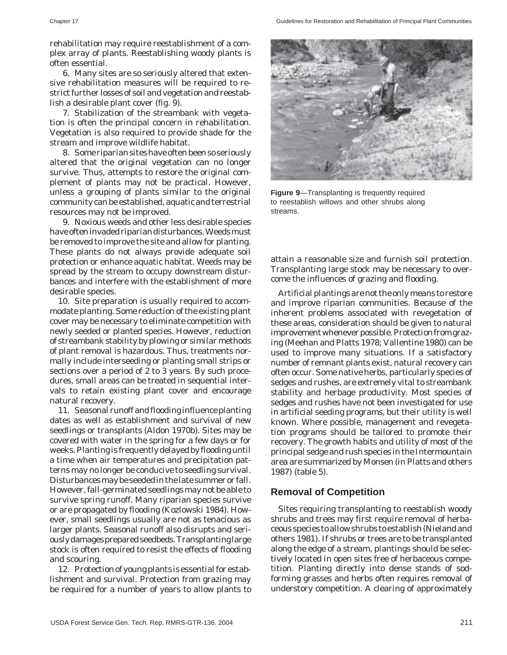rehabilitation may require reestablishment of a complex array of plants. Reestablishing woody plants is often essential.

6. Many sites are so seriously altered that extensive rehabilitation measures will be required to restrict further losses of soil and vegetation and reestablish a desirable plant cover (fig. 9).

7. Stabilization of the streambank with vegetation is often the principal concern in rehabilitation. Vegetation is also required to provide shade for the stream and improve wildlife habitat.

8. Some riparian sites have often been so seriously altered that the original vegetation can no longer survive. Thus, attempts to restore the original complement of plants may not be practical. However, unless a grouping of plants similar to the original community can be established, aquatic and terrestrial resources may not be improved.

9. Noxious weeds and other less desirable species have often invaded riparian disturbances. Weeds must be removed to improve the site and allow for planting. These plants do not always provide adequate soil protection or enhance aquatic habitat. Weeds may be spread by the stream to occupy downstream disturbances and interfere with the establishment of more desirable species.

10. Site preparation is usually required to accommodate planting. Some reduction of the existing plant cover may be necessary to eliminate competition with newly seeded or planted species. However, reduction of streambank stability by plowing or similar methods of plant removal is hazardous. Thus, treatments normally include interseeding or planting small strips or sections over a period of 2 to 3 years. By such procedures, small areas can be treated in sequential intervals to retain existing plant cover and encourage natural recovery.

11. Seasonal runoff and flooding influence planting dates as well as establishment and survival of new seedlings or transplants (Aldon 1970b). Sites may be covered with water in the spring for a few days or for weeks. Planting is frequently delayed by flooding until a time when air temperatures and precipitation patterns may no longer be conducive to seedling survival. Disturbances may be seeded in the late summer or fall. However, fall-germinated seedlings may not be able to survive spring runoff. Many riparian species survive or are propagated by flooding (Kozlowski 1984). However, small seedlings usually are not as tenacious as larger plants. Seasonal runoff also disrupts and seriously damages prepared seedbeds. Transplanting large stock is often required to resist the effects of flooding and scouring.

12. Protection of young plants is essential for establishment and survival. Protection from grazing may be required for a number of years to allow plants to



**Figure 9**—Transplanting is frequently required to reestablish willows and other shrubs along streams.

attain a reasonable size and furnish soil protection. Transplanting large stock may be necessary to overcome the influences of grazing and flooding.

Artificial plantings are not the only means to restore and improve riparian communities. Because of the inherent problems associated with revegetation of these areas, consideration should be given to natural improvement whenever possible. Protection from grazing (Meehan and Platts 1978; Vallentine 1980) can be used to improve many situations. If a satisfactory number of remnant plants exist, natural recovery can often occur. Some native herbs, particularly species of sedges and rushes, are extremely vital to streambank stability and herbage productivity. Most species of sedges and rushes have not been investigated for use in artificial seeding programs, but their utility is well known. Where possible, management and revegetation programs should be tailored to promote their recovery. The growth habits and utility of most of the principal sedge and rush species in the Intermountain area are summarized by Monsen (in Platts and others 1987) (table 5).

#### **Removal of Competition**

Sites requiring transplanting to reestablish woody shrubs and trees may first require removal of herbaceous species to allow shrubs to establish (Nieland and others 1981). If shrubs or trees are to be transplanted along the edge of a stream, plantings should be selectively located in open sites free of herbaceous competition. Planting directly into dense stands of sodforming grasses and herbs often requires removal of understory competition. A clearing of approximately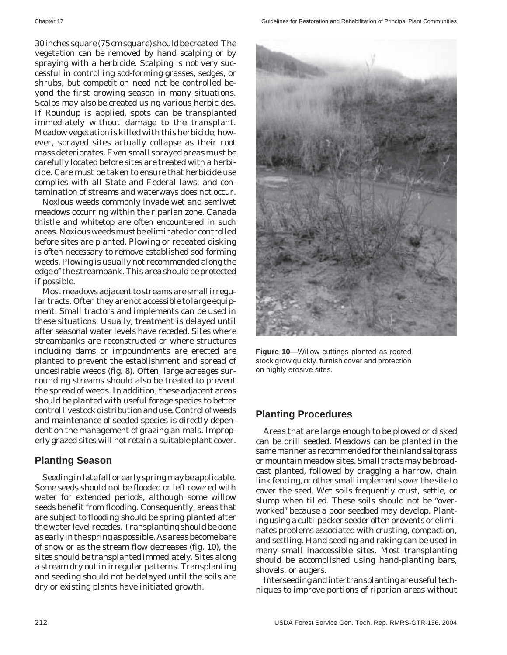30 inches square (75 cm square) should be created. The vegetation can be removed by hand scalping or by spraying with a herbicide. Scalping is not very successful in controlling sod-forming grasses, sedges, or shrubs, but competition need not be controlled beyond the first growing season in many situations. Scalps may also be created using various herbicides. If Roundup is applied, spots can be transplanted immediately without damage to the transplant. Meadow vegetation is killed with this herbicide; however, sprayed sites actually collapse as their root mass deteriorates. Even small sprayed areas must be carefully located before sites are treated with a herbicide. Care must be taken to ensure that herbicide use complies with all State and Federal laws, and contamination of streams and waterways does not occur.

Noxious weeds commonly invade wet and semiwet meadows occurring within the riparian zone. Canada thistle and whitetop are often encountered in such areas. Noxious weeds must be eliminated or controlled before sites are planted. Plowing or repeated disking is often necessary to remove established sod forming weeds. Plowing is usually not recommended along the edge of the streambank. This area should be protected if possible.

Most meadows adjacent to streams are small irregular tracts. Often they are not accessible to large equipment. Small tractors and implements can be used in these situations. Usually, treatment is delayed until after seasonal water levels have receded. Sites where streambanks are reconstructed or where structures including dams or impoundments are erected are planted to prevent the establishment and spread of undesirable weeds (fig. 8). Often, large acreages surrounding streams should also be treated to prevent the spread of weeds. In addition, these adjacent areas should be planted with useful forage species to better control livestock distribution and use. Control of weeds and maintenance of seeded species is directly dependent on the management of grazing animals. Improperly grazed sites will not retain a suitable plant cover.

#### **Planting Season**

Seeding in late fall or early spring may be applicable. Some seeds should not be flooded or left covered with water for extended periods, although some willow seeds benefit from flooding. Consequently, areas that are subject to flooding should be spring planted after the water level recedes. Transplanting should be done as early in the spring as possible. As areas become bare of snow or as the stream flow decreases (fig. 10), the sites should be transplanted immediately. Sites along a stream dry out in irregular patterns. Transplanting and seeding should not be delayed until the soils are dry or existing plants have initiated growth.



**Figure 10**—Willow cuttings planted as rooted stock grow quickly, furnish cover and protection on highly erosive sites.

#### **Planting Procedures**

Areas that are large enough to be plowed or disked can be drill seeded. Meadows can be planted in the same manner as recommended for the inland saltgrass or mountain meadow sites. Small tracts may be broadcast planted, followed by dragging a harrow, chain link fencing, or other small implements over the site to cover the seed. Wet soils frequently crust, settle, or slump when tilled. These soils should not be "overworked" because a poor seedbed may develop. Planting using a culti-packer seeder often prevents or eliminates problems associated with crusting, compaction, and settling. Hand seeding and raking can be used in many small inaccessible sites. Most transplanting should be accomplished using hand-planting bars, shovels, or augers.

Interseeding and intertransplanting are useful techniques to improve portions of riparian areas without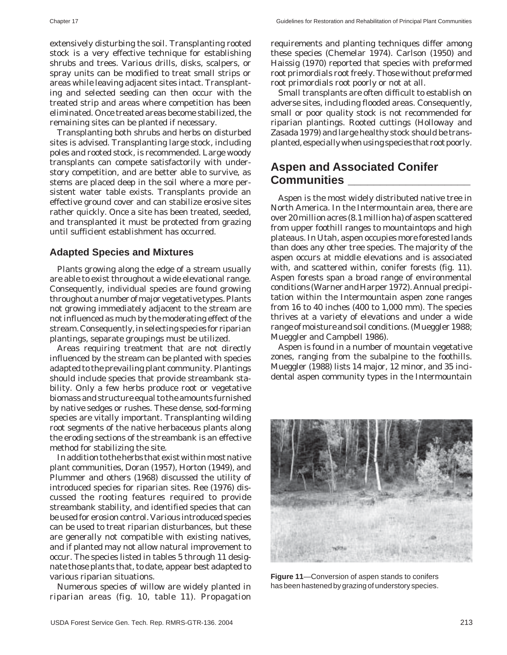Chapter 17 Guidelines for Restoration and Rehabilitation of Principal Plant Communities

extensively disturbing the soil. Transplanting rooted stock is a very effective technique for establishing shrubs and trees. Various drills, disks, scalpers, or spray units can be modified to treat small strips or areas while leaving adjacent sites intact. Transplanting and selected seeding can then occur with the treated strip and areas where competition has been eliminated. Once treated areas become stabilized, the remaining sites can be planted if necessary.

Transplanting both shrubs and herbs on disturbed sites is advised. Transplanting large stock, including poles and rooted stock, is recommended. Large woody transplants can compete satisfactorily with understory competition, and are better able to survive, as stems are placed deep in the soil where a more persistent water table exists. Transplants provide an effective ground cover and can stabilize erosive sites rather quickly. Once a site has been treated, seeded, and transplanted it must be protected from grazing until sufficient establishment has occurred.

#### **Adapted Species and Mixtures**

Plants growing along the edge of a stream usually are able to exist throughout a wide elevational range. Consequently, individual species are found growing throughout a number of major vegetative types. Plants not growing immediately adjacent to the stream are not influenced as much by the moderating effect of the stream. Consequently, in selecting species for riparian plantings, separate groupings must be utilized.

Areas requiring treatment that are not directly influenced by the stream can be planted with species adapted to the prevailing plant community. Plantings should include species that provide streambank stability. Only a few herbs produce root or vegetative biomass and structure equal to the amounts furnished by native sedges or rushes. These dense, sod-forming species are vitally important. Transplanting wilding root segments of the native herbaceous plants along the eroding sections of the streambank is an effective method for stabilizing the site.

In addition to the herbs that exist within most native plant communities, Doran (1957), Horton (1949), and Plummer and others (1968) discussed the utility of introduced species for riparian sites. Ree (1976) discussed the rooting features required to provide streambank stability, and identified species that can be used for erosion control. Various introduced species can be used to treat riparian disturbances, but these are generally not compatible with existing natives, and if planted may not allow natural improvement to occur. The species listed in tables 5 through 11 designate those plants that, to date, appear best adapted to various riparian situations.

Numerous species of willow are widely planted in riparian areas (fig. 10, table 11). Propagation requirements and planting techniques differ among these species (Chemelar 1974). Carlson (1950) and Haissig (1970) reported that species with preformed root primordials root freely. Those without preformed root primordials root poorly or not at all.

Small transplants are often difficult to establish on adverse sites, including flooded areas. Consequently, small or poor quality stock is not recommended for riparian plantings. Rooted cuttings (Holloway and Zasada 1979) and large healthy stock should be transplanted, especially when using species that root poorly.

# **Aspen and Associated Conifer Communities \_\_\_\_\_\_\_\_\_\_\_\_\_\_\_\_\_\_\_**

Aspen is the most widely distributed native tree in North America. In the Intermountain area, there are over 20 million acres (8.1 million ha) of aspen scattered from upper foothill ranges to mountaintops and high plateaus. In Utah, aspen occupies more forested lands than does any other tree species. The majority of the aspen occurs at middle elevations and is associated with, and scattered within, conifer forests (fig. 11). Aspen forests span a broad range of environmental conditions (Warner and Harper 1972). Annual precipitation within the Intermountain aspen zone ranges from 16 to 40 inches (400 to 1,000 mm). The species thrives at a variety of elevations and under a wide range of moisture and soil conditions. (Mueggler 1988; Mueggler and Campbell 1986).

Aspen is found in a number of mountain vegetative zones, ranging from the subalpine to the foothills. Mueggler (1988) lists 14 major, 12 minor, and 35 incidental aspen community types in the Intermountain



**Figure 11**—Conversion of aspen stands to conifers has been hastened by grazing of understory species.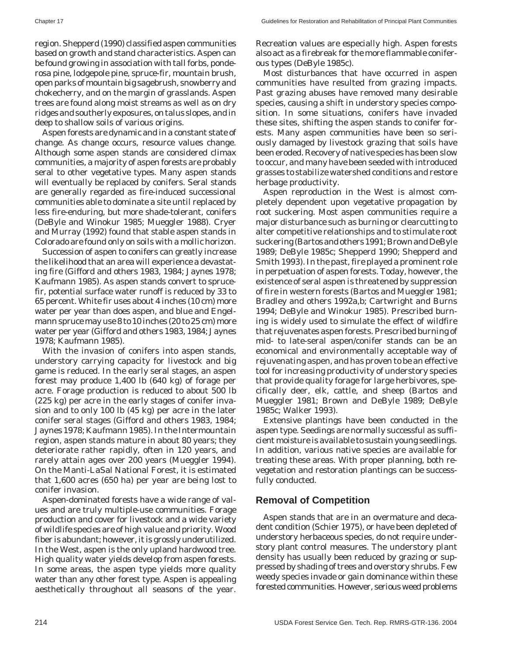region. Shepperd (1990) classified aspen communities based on growth and stand characteristics. Aspen can be found growing in association with tall forbs, ponderosa pine, lodgepole pine, spruce-fir, mountain brush, open parks of mountain big sagebrush, snowberry and chokecherry, and on the margin of grasslands. Aspen trees are found along moist streams as well as on dry ridges and southerly exposures, on talus slopes, and in deep to shallow soils of various origins.

Aspen forests are dynamic and in a constant state of change. As change occurs, resource values change. Although some aspen stands are considered climax communities, a majority of aspen forests are probably seral to other vegetative types. Many aspen stands will eventually be replaced by conifers. Seral stands are generally regarded as fire-induced successional communities able to dominate a site until replaced by less fire-enduring, but more shade-tolerant, conifers (DeByle and Winokur 1985; Mueggler 1988). Cryer and Murray (1992) found that stable aspen stands in Colorado are found only on soils with a mollic horizon.

Succession of aspen to conifers can greatly increase the likelihood that an area will experience a devastating fire (Gifford and others 1983, 1984; Jaynes 1978; Kaufmann 1985). As aspen stands convert to sprucefir, potential surface water runoff is reduced by 33 to 65 percent. White fir uses about 4 inches (10 cm) more water per year than does aspen, and blue and Engelmann spruce may use 8 to 10 inches (20 to 25 cm) more water per year (Gifford and others 1983, 1984; Jaynes 1978; Kaufmann 1985).

With the invasion of conifers into aspen stands, understory carrying capacity for livestock and big game is reduced. In the early seral stages, an aspen forest may produce 1,400 lb (640 kg) of forage per acre. Forage production is reduced to about 500 lb (225 kg) per acre in the early stages of conifer invasion and to only 100 lb (45 kg) per acre in the later conifer seral stages (Gifford and others 1983, 1984; Jaynes 1978; Kaufmann 1985). In the Intermountain region, aspen stands mature in about 80 years; they deteriorate rather rapidly, often in 120 years, and rarely attain ages over 200 years (Mueggler 1994). On the Manti-LaSal National Forest, it is estimated that 1,600 acres (650 ha) per year are being lost to conifer invasion.

Aspen-dominated forests have a wide range of values and are truly multiple-use communities. Forage production and cover for livestock and a wide variety of wildlife species are of high value and priority. Wood fiber is abundant; however, it is grossly underutilized. In the West, aspen is the only upland hardwood tree. High quality water yields develop from aspen forests. In some areas, the aspen type yields more quality water than any other forest type. Aspen is appealing aesthetically throughout all seasons of the year.

Recreation values are especially high. Aspen forests also act as a firebreak for the more flammable coniferous types (DeByle 1985c).

Most disturbances that have occurred in aspen communities have resulted from grazing impacts. Past grazing abuses have removed many desirable species, causing a shift in understory species composition. In some situations, conifers have invaded these sites, shifting the aspen stands to conifer forests. Many aspen communities have been so seriously damaged by livestock grazing that soils have been eroded. Recovery of native species has been slow to occur, and many have been seeded with introduced grasses to stabilize watershed conditions and restore herbage productivity.

Aspen reproduction in the West is almost completely dependent upon vegetative propagation by root suckering. Most aspen communities require a major disturbance such as burning or clearcutting to alter competitive relationships and to stimulate root suckering (Bartos and others 1991; Brown and DeByle 1989; DeByle 1985c; Shepperd 1990; Shepperd and Smith 1993). In the past, fire played a prominent role in perpetuation of aspen forests. Today, however, the existence of seral aspen is threatened by suppression of fire in western forests (Bartos and Mueggler 1981; Bradley and others 1992a,b; Cartwright and Burns 1994; DeByle and Winokur 1985). Prescribed burning is widely used to simulate the effect of wildfire that rejuvenates aspen forests. Prescribed burning of mid- to late-seral aspen/conifer stands can be an economical and environmentally acceptable way of rejuvenating aspen, and has proven to be an effective tool for increasing productivity of understory species that provide quality forage for large herbivores, specifically deer, elk, cattle, and sheep (Bartos and Mueggler 1981; Brown and DeByle 1989; DeByle 1985c; Walker 1993).

Extensive plantings have been conducted in the aspen type. Seedings are normally successful as sufficient moisture is available to sustain young seedlings. In addition, various native species are available for treating these areas. With proper planning, both revegetation and restoration plantings can be successfully conducted.

# **Removal of Competition**

Aspen stands that are in an overmature and decadent condition (Schier 1975), or have been depleted of understory herbaceous species, do not require understory plant control measures. The understory plant density has usually been reduced by grazing or suppressed by shading of trees and overstory shrubs. Few weedy species invade or gain dominance within these forested communities. However, serious weed problems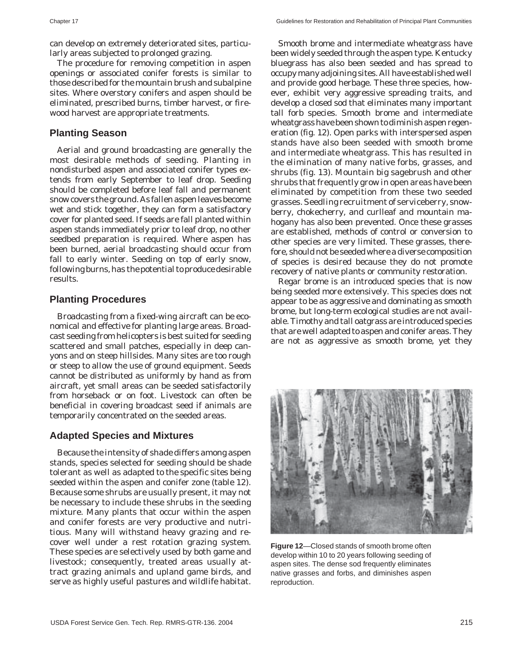can develop on extremely deteriorated sites, particularly areas subjected to prolonged grazing.

The procedure for removing competition in aspen openings or associated conifer forests is similar to those described for the mountain brush and subalpine sites. Where overstory conifers and aspen should be eliminated, prescribed burns, timber harvest, or firewood harvest are appropriate treatments.

#### **Planting Season**

Aerial and ground broadcasting are generally the most desirable methods of seeding. Planting in nondisturbed aspen and associated conifer types extends from early September to leaf drop. Seeding should be completed before leaf fall and permanent snow covers the ground. As fallen aspen leaves become wet and stick together, they can form a satisfactory cover for planted seed. If seeds are fall planted within aspen stands immediately prior to leaf drop, no other seedbed preparation is required. Where aspen has been burned, aerial broadcasting should occur from fall to early winter. Seeding on top of early snow, following burns, has the potential to produce desirable results.

#### **Planting Procedures**

Broadcasting from a fixed-wing aircraft can be economical and effective for planting large areas. Broadcast seeding from helicopters is best suited for seeding scattered and small patches, especially in deep canyons and on steep hillsides. Many sites are too rough or steep to allow the use of ground equipment. Seeds cannot be distributed as uniformly by hand as from aircraft, yet small areas can be seeded satisfactorily from horseback or on foot. Livestock can often be beneficial in covering broadcast seed if animals are temporarily concentrated on the seeded areas.

#### **Adapted Species and Mixtures**

Because the intensity of shade differs among aspen stands, species selected for seeding should be shade tolerant as well as adapted to the specific sites being seeded within the aspen and conifer zone (table 12). Because some shrubs are usually present, it may not be necessary to include these shrubs in the seeding mixture. Many plants that occur within the aspen and conifer forests are very productive and nutritious. Many will withstand heavy grazing and recover well under a rest rotation grazing system. These species are selectively used by both game and livestock; consequently, treated areas usually attract grazing animals and upland game birds, and serve as highly useful pastures and wildlife habitat.

Smooth brome and intermediate wheatgrass have been widely seeded through the aspen type. Kentucky bluegrass has also been seeded and has spread to occupy many adjoining sites. All have established well and provide good herbage. These three species, however, exhibit very aggressive spreading traits, and develop a closed sod that eliminates many important tall forb species. Smooth brome and intermediate wheatgrass have been shown to diminish aspen regeneration (fig. 12). Open parks with interspersed aspen stands have also been seeded with smooth brome and intermediate wheatgrass. This has resulted in the elimination of many native forbs, grasses, and shrubs (fig. 13). Mountain big sagebrush and other shrubs that frequently grow in open areas have been eliminated by competition from these two seeded grasses. Seedling recruitment of serviceberry, snowberry, chokecherry, and curlleaf and mountain mahogany has also been prevented. Once these grasses are established, methods of control or conversion to other species are very limited. These grasses, therefore, should not be seeded where a diverse composition of species is desired because they do not promote recovery of native plants or community restoration.

Regar brome is an introduced species that is now being seeded more extensively. This species does not appear to be as aggressive and dominating as smooth brome, but long-term ecological studies are not available. Timothy and tall oatgrass are introduced species that are well adapted to aspen and conifer areas. They are not as aggressive as smooth brome, yet they



**Figure 12**—Closed stands of smooth brome often develop within 10 to 20 years following seeding of aspen sites. The dense sod frequently eliminates native grasses and forbs, and diminishes aspen reproduction.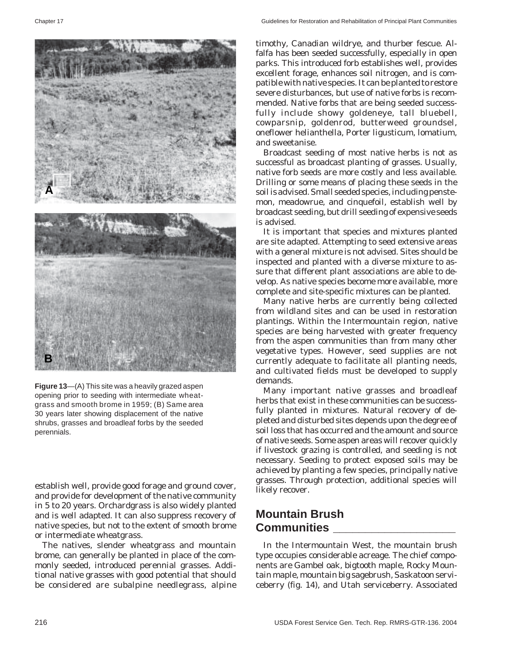

**Figure 13**—(A) This site was a heavily grazed aspen opening prior to seeding with intermediate wheatgrass and smooth brome in 1959; (B) Same area 30 years later showing displacement of the native shrubs, grasses and broadleaf forbs by the seeded perennials.

establish well, provide good forage and ground cover, and provide for development of the native community in 5 to 20 years. Orchardgrass is also widely planted and is well adapted. It can also suppress recovery of native species, but not to the extent of smooth brome or intermediate wheatgrass.

The natives, slender wheatgrass and mountain brome, can generally be planted in place of the commonly seeded, introduced perennial grasses. Additional native grasses with good potential that should be considered are subalpine needlegrass, alpine

timothy, Canadian wildrye, and thurber fescue. Alfalfa has been seeded successfully, especially in open parks. This introduced forb establishes well, provides excellent forage, enhances soil nitrogen, and is compatible with native species. It can be planted to restore severe disturbances, but use of native forbs is recommended. Native forbs that are being seeded successfully include showy goldeneye, tall bluebell, cowparsnip, goldenrod, butterweed groundsel, oneflower helianthella, Porter ligusticum, lomatium, and sweetanise.

Broadcast seeding of most native herbs is not as successful as broadcast planting of grasses. Usually, native forb seeds are more costly and less available. Drilling or some means of placing these seeds in the soil is advised. Small seeded species, including penstemon, meadowrue, and cinquefoil, establish well by broadcast seeding, but drill seeding of expensive seeds is advised.

It is important that species and mixtures planted are site adapted. Attempting to seed extensive areas with a general mixture is not advised. Sites should be inspected and planted with a diverse mixture to assure that different plant associations are able to develop. As native species become more available, more complete and site-specific mixtures can be planted.

Many native herbs are currently being collected from wildland sites and can be used in restoration plantings. Within the Intermountain region, native species are being harvested with greater frequency from the aspen communities than from many other vegetative types. However, seed supplies are not currently adequate to facilitate all planting needs, and cultivated fields must be developed to supply demands.

Many important native grasses and broadleaf herbs that exist in these communities can be successfully planted in mixtures. Natural recovery of depleted and disturbed sites depends upon the degree of soil loss that has occurred and the amount and source of native seeds. Some aspen areas will recover quickly if livestock grazing is controlled, and seeding is not necessary. Seeding to protect exposed soils may be achieved by planting a few species, principally native grasses. Through protection, additional species will likely recover.

# **Mountain Brush Communities \_\_\_\_\_\_\_\_\_\_\_\_\_\_\_\_\_\_\_**

In the Intermountain West, the mountain brush type occupies considerable acreage. The chief components are Gambel oak, bigtooth maple, Rocky Mountain maple, mountain big sagebrush, Saskatoon serviceberry (fig. 14), and Utah serviceberry. Associated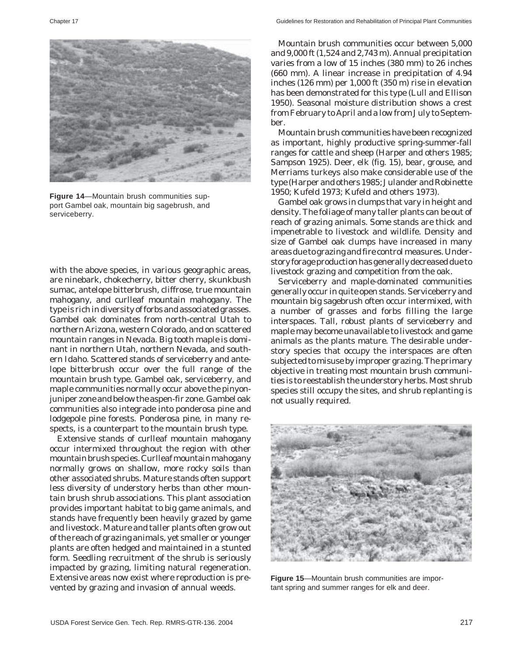

**Figure 14**—Mountain brush communities support Gambel oak, mountain big sagebrush, and serviceberry.

with the above species, in various geographic areas, are ninebark, chokecherry, bitter cherry, skunkbush sumac, antelope bitterbrush, cliffrose, true mountain mahogany, and curlleaf mountain mahogany. The type is rich in diversity of forbs and associated grasses. Gambel oak dominates from north-central Utah to northern Arizona, western Colorado, and on scattered mountain ranges in Nevada. Big tooth maple is dominant in northern Utah, northern Nevada, and southern Idaho. Scattered stands of serviceberry and antelope bitterbrush occur over the full range of the mountain brush type. Gambel oak, serviceberry, and maple communities normally occur above the pinyonjuniper zone and below the aspen-fir zone. Gambel oak communities also integrade into ponderosa pine and lodgepole pine forests. Ponderosa pine, in many respects, is a counterpart to the mountain brush type.

Extensive stands of curlleaf mountain mahogany occur intermixed throughout the region with other mountain brush species. Curlleaf mountain mahogany normally grows on shallow, more rocky soils than other associated shrubs. Mature stands often support less diversity of understory herbs than other mountain brush shrub associations. This plant association provides important habitat to big game animals, and stands have frequently been heavily grazed by game and livestock. Mature and taller plants often grow out of the reach of grazing animals, yet smaller or younger plants are often hedged and maintained in a stunted form. Seedling recruitment of the shrub is seriously impacted by grazing, limiting natural regeneration. Extensive areas now exist where reproduction is prevented by grazing and invasion of annual weeds.

Mountain brush communities occur between 5,000 and 9,000 ft (1,524 and 2,743 m). Annual precipitation varies from a low of 15 inches (380 mm) to 26 inches (660 mm). A linear increase in precipitation of 4.94 inches (126 mm) per 1,000 ft (350 m) rise in elevation has been demonstrated for this type (Lull and Ellison 1950). Seasonal moisture distribution shows a crest from February to April and a low from July to September.

Mountain brush communities have been recognized as important, highly productive spring-summer-fall ranges for cattle and sheep (Harper and others 1985; Sampson 1925). Deer, elk (fig. 15), bear, grouse, and Merriams turkeys also make considerable use of the type (Harper and others 1985; Julander and Robinette 1950; Kufeld 1973; Kufeld and others 1973).

Gambel oak grows in clumps that vary in height and density. The foliage of many taller plants can be out of reach of grazing animals. Some stands are thick and impenetrable to livestock and wildlife. Density and size of Gambel oak clumps have increased in many areas due to grazing and fire control measures. Understory forage production has generally decreased due to livestock grazing and competition from the oak.

Serviceberry and maple-dominated communities generally occur in quite open stands. Serviceberry and mountain big sagebrush often occur intermixed, with a number of grasses and forbs filling the large interspaces. Tall, robust plants of serviceberry and maple may become unavailable to livestock and game animals as the plants mature. The desirable understory species that occupy the interspaces are often subjected to misuse by improper grazing. The primary objective in treating most mountain brush communities is to reestablish the understory herbs. Most shrub species still occupy the sites, and shrub replanting is not usually required.



**Figure 15**—Mountain brush communities are important spring and summer ranges for elk and deer.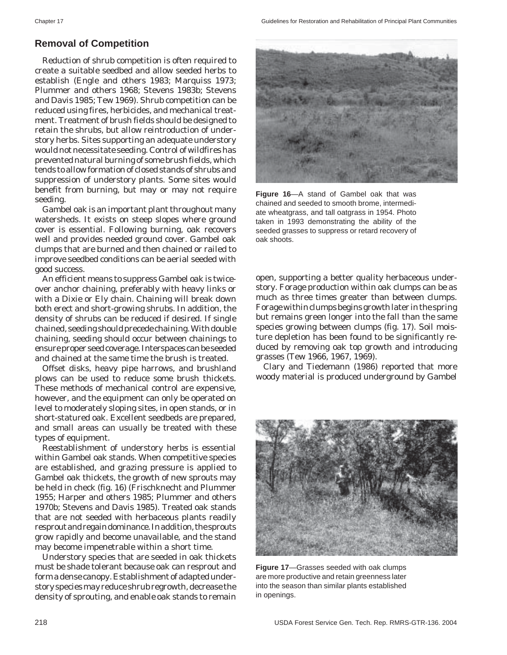# **Removal of Competition**

Reduction of shrub competition is often required to create a suitable seedbed and allow seeded herbs to establish (Engle and others 1983; Marquiss 1973; Plummer and others 1968; Stevens 1983b; Stevens and Davis 1985; Tew 1969). Shrub competition can be reduced using fires, herbicides, and mechanical treatment. Treatment of brush fields should be designed to retain the shrubs, but allow reintroduction of understory herbs. Sites supporting an adequate understory would not necessitate seeding. Control of wildfires has prevented natural burning of some brush fields, which tends to allow formation of closed stands of shrubs and suppression of understory plants. Some sites would benefit from burning, but may or may not require seeding.

Gambel oak is an important plant throughout many watersheds. It exists on steep slopes where ground cover is essential. Following burning, oak recovers well and provides needed ground cover. Gambel oak clumps that are burned and then chained or railed to improve seedbed conditions can be aerial seeded with good success.

An efficient means to suppress Gambel oak is twiceover anchor chaining, preferably with heavy links or with a Dixie or Ely chain. Chaining will break down both erect and short-growing shrubs. In addition, the density of shrubs can be reduced if desired. If single chained, seeding should precede chaining. With double chaining, seeding should occur between chainings to ensure proper seed coverage. Interspaces can be seeded and chained at the same time the brush is treated.

Offset disks, heavy pipe harrows, and brushland plows can be used to reduce some brush thickets. These methods of mechanical control are expensive, however, and the equipment can only be operated on level to moderately sloping sites, in open stands, or in short-statured oak. Excellent seedbeds are prepared, and small areas can usually be treated with these types of equipment.

Reestablishment of understory herbs is essential within Gambel oak stands. When competitive species are established, and grazing pressure is applied to Gambel oak thickets, the growth of new sprouts may be held in check (fig. 16) (Frischknecht and Plummer 1955; Harper and others 1985; Plummer and others 1970b; Stevens and Davis 1985). Treated oak stands that are not seeded with herbaceous plants readily resprout and regain dominance. In addition, the sprouts grow rapidly and become unavailable, and the stand may become impenetrable within a short time.

Understory species that are seeded in oak thickets must be shade tolerant because oak can resprout and form a dense canopy. Establishment of adapted understory species may reduce shrub regrowth, decrease the density of sprouting, and enable oak stands to remain



**Figure 16**—A stand of Gambel oak that was chained and seeded to smooth brome, intermediate wheatgrass, and tall oatgrass in 1954. Photo taken in 1993 demonstrating the ability of the seeded grasses to suppress or retard recovery of oak shoots.

open, supporting a better quality herbaceous understory. Forage production within oak clumps can be as much as three times greater than between clumps. Forage within clumps begins growth later in the spring but remains green longer into the fall than the same species growing between clumps (fig. 17). Soil moisture depletion has been found to be significantly reduced by removing oak top growth and introducing grasses (Tew 1966, 1967, 1969).

Clary and Tiedemann (1986) reported that more woody material is produced underground by Gambel



**Figure 17**—Grasses seeded with oak clumps are more productive and retain greenness later into the season than similar plants established in openings.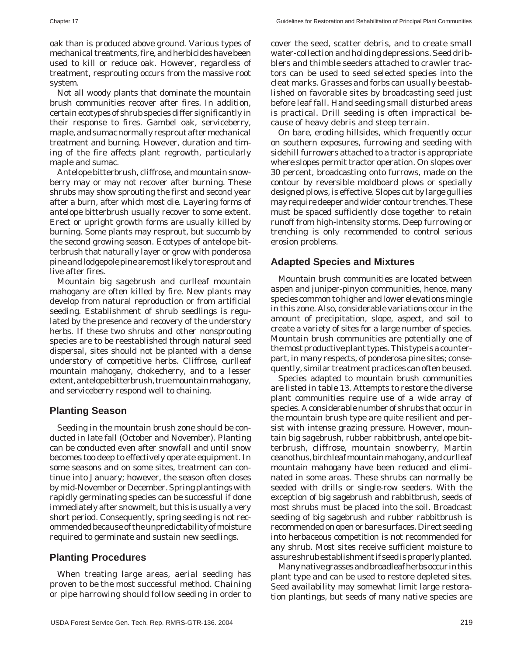oak than is produced above ground. Various types of mechanical treatments, fire, and herbicides have been used to kill or reduce oak. However, regardless of treatment, resprouting occurs from the massive root system.

Not all woody plants that dominate the mountain brush communities recover after fires. In addition, certain ecotypes of shrub species differ significantly in their response to fires. Gambel oak, serviceberry, maple, and sumac normally resprout after mechanical treatment and burning. However, duration and timing of the fire affects plant regrowth, particularly maple and sumac.

Antelope bitterbrush, cliffrose, and mountain snowberry may or may not recover after burning. These shrubs may show sprouting the first and second year after a burn, after which most die. Layering forms of antelope bitterbrush usually recover to some extent. Erect or upright growth forms are usually killed by burning. Some plants may resprout, but succumb by the second growing season. Ecotypes of antelope bitterbrush that naturally layer or grow with ponderosa pine and lodgepole pine are most likely to resprout and live after fires.

Mountain big sagebrush and curlleaf mountain mahogany are often killed by fire. New plants may develop from natural reproduction or from artificial seeding. Establishment of shrub seedlings is regulated by the presence and recovery of the understory herbs. If these two shrubs and other nonsprouting species are to be reestablished through natural seed dispersal, sites should not be planted with a dense understory of competitive herbs. Cliffrose, curlleaf mountain mahogany, chokecherry, and to a lesser extent, antelope bitterbrush, true mountain mahogany, and serviceberry respond well to chaining.

#### **Planting Season**

Seeding in the mountain brush zone should be conducted in late fall (October and November). Planting can be conducted even after snowfall and until snow becomes too deep to effectively operate equipment. In some seasons and on some sites, treatment can continue into January; however, the season often closes by mid-November or December. Spring plantings with rapidly germinating species can be successful if done immediately after snowmelt, but this is usually a very short period. Consequently, spring seeding is not recommended because of the unpredictability of moisture required to germinate and sustain new seedlings.

#### **Planting Procedures**

When treating large areas, aerial seeding has proven to be the most successful method. Chaining or pipe harrowing should follow seeding in order to cover the seed, scatter debris, and to create small water-collection and holding depressions. Seed dribblers and thimble seeders attached to crawler tractors can be used to seed selected species into the cleat marks. Grasses and forbs can usually be established on favorable sites by broadcasting seed just before leaf fall. Hand seeding small disturbed areas is practical. Drill seeding is often impractical because of heavy debris and steep terrain.

On bare, eroding hillsides, which frequently occur on southern exposures, furrowing and seeding with sidehill furrowers attached to a tractor is appropriate where slopes permit tractor operation. On slopes over 30 percent, broadcasting onto furrows, made on the contour by reversible moldboard plows or specially designed plows, is effective. Slopes cut by large gullies may require deeper and wider contour trenches. These must be spaced sufficiently close together to retain runoff from high-intensity storms. Deep furrowing or trenching is only recommended to control serious erosion problems.

#### **Adapted Species and Mixtures**

Mountain brush communities are located between aspen and juniper-pinyon communities, hence, many species common to higher and lower elevations mingle in this zone. Also, considerable variations occur in the amount of precipitation, slope, aspect, and soil to create a variety of sites for a large number of species. Mountain brush communities are potentially one of the most productive plant types. This type is a counterpart, in many respects, of ponderosa pine sites; consequently, similar treatment practices can often be used.

Species adapted to mountain brush communities are listed in table 13. Attempts to restore the diverse plant communities require use of a wide array of species. A considerable number of shrubs that occur in the mountain brush type are quite resilient and persist with intense grazing pressure. However, mountain big sagebrush, rubber rabbitbrush, antelope bitterbrush, cliffrose, mountain snowberry, Martin ceanothus, birchleaf mountain mahogany, and curlleaf mountain mahogany have been reduced and eliminated in some areas. These shrubs can normally be seeded with drills or single-row seeders. With the exception of big sagebrush and rabbitbrush, seeds of most shrubs must be placed into the soil. Broadcast seeding of big sagebrush and rubber rabbitbrush is recommended on open or bare surfaces. Direct seeding into herbaceous competition is not recommended for any shrub. Most sites receive sufficient moisture to assure shrub establishment if seed is properly planted.

Many native grasses and broadleaf herbs occur in this plant type and can be used to restore depleted sites. Seed availability may somewhat limit large restoration plantings, but seeds of many native species are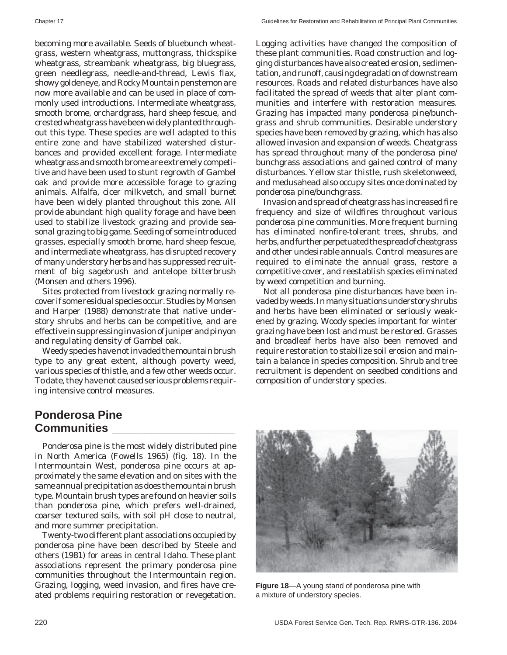becoming more available. Seeds of bluebunch wheatgrass, western wheatgrass, muttongrass, thickspike wheatgrass, streambank wheatgrass, big bluegrass, green needlegrass, needle-and-thread, Lewis flax, showy goldeneye, and Rocky Mountain penstemon are now more available and can be used in place of commonly used introductions. Intermediate wheatgrass, smooth brome, orchardgrass, hard sheep fescue, and crested wheatgrass have been widely planted throughout this type. These species are well adapted to this entire zone and have stabilized watershed disturbances and provided excellent forage. Intermediate wheatgrass and smooth brome are extremely competitive and have been used to stunt regrowth of Gambel oak and provide more accessible forage to grazing animals. Alfalfa, cicer milkvetch, and small burnet have been widely planted throughout this zone. All provide abundant high quality forage and have been used to stabilize livestock grazing and provide seasonal grazing to big game. Seeding of some introduced grasses, especially smooth brome, hard sheep fescue, and intermediate wheatgrass, has disrupted recovery of many understory herbs and has suppressed recruitment of big sagebrush and antelope bitterbrush (Monsen and others 1996).

Sites protected from livestock grazing normally recover if some residual species occur. Studies by Monsen and Harper (1988) demonstrate that native understory shrubs and herbs can be competitive, and are effective in suppressing invasion of juniper and pinyon and regulating density of Gambel oak.

Weedy species have not invaded the mountain brush type to any great extent, although poverty weed, various species of thistle, and a few other weeds occur. To date, they have not caused serious problems requiring intensive control measures.

Logging activities have changed the composition of these plant communities. Road construction and logging disturbances have also created erosion, sedimentation, and runoff, causing degradation of downstream resources. Roads and related disturbances have also facilitated the spread of weeds that alter plant communities and interfere with restoration measures. Grazing has impacted many ponderosa pine/bunchgrass and shrub communities. Desirable understory species have been removed by grazing, which has also allowed invasion and expansion of weeds. Cheatgrass has spread throughout many of the ponderosa pine/ bunchgrass associations and gained control of many disturbances. Yellow star thistle, rush skeletonweed, and medusahead also occupy sites once dominated by ponderosa pine/bunchgrass.

Invasion and spread of cheatgrass has increased fire frequency and size of wildfires throughout various ponderosa pine communities. More frequent burning has eliminated nonfire-tolerant trees, shrubs, and herbs, and further perpetuated the spread of cheatgrass and other undesirable annuals. Control measures are required to eliminate the annual grass, restore a competitive cover, and reestablish species eliminated by weed competition and burning.

Not all ponderosa pine disturbances have been invaded by weeds. In many situations understory shrubs and herbs have been eliminated or seriously weakened by grazing. Woody species important for winter grazing have been lost and must be restored. Grasses and broadleaf herbs have also been removed and require restoration to stabilize soil erosion and maintain a balance in species composition. Shrub and tree recruitment is dependent on seedbed conditions and composition of understory species.

# **Ponderosa Pine Communities \_\_\_\_\_\_\_\_\_\_\_\_\_\_\_\_\_\_\_**

Ponderosa pine is the most widely distributed pine in North America (Fowells 1965) (fig. 18). In the Intermountain West, ponderosa pine occurs at approximately the same elevation and on sites with the same annual precipitation as does the mountain brush type. Mountain brush types are found on heavier soils than ponderosa pine, which prefers well-drained, coarser textured soils, with soil pH close to neutral, and more summer precipitation.

Twenty-two different plant associations occupied by ponderosa pine have been described by Steele and others (1981) for areas in central Idaho. These plant associations represent the primary ponderosa pine communities throughout the Intermountain region. Grazing, logging, weed invasion, and fires have created problems requiring restoration or revegetation.



**Figure 18**—A young stand of ponderosa pine with a mixture of understory species.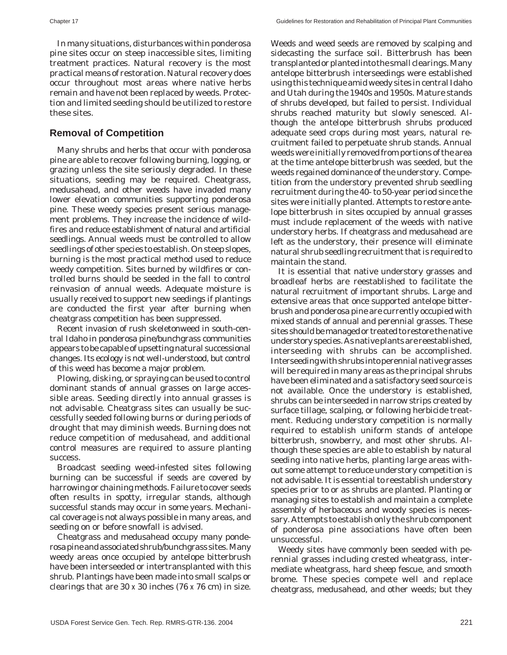In many situations, disturbances within ponderosa pine sites occur on steep inaccessible sites, limiting treatment practices. Natural recovery is the most practical means of restoration. Natural recovery does occur throughout most areas where native herbs remain and have not been replaced by weeds. Protection and limited seeding should be utilized to restore these sites.

#### **Removal of Competition**

Many shrubs and herbs that occur with ponderosa pine are able to recover following burning, logging, or grazing unless the site seriously degraded. In these situations, seeding may be required. Cheatgrass, medusahead, and other weeds have invaded many lower elevation communities supporting ponderosa pine. These weedy species present serious management problems. They increase the incidence of wildfires and reduce establishment of natural and artificial seedlings. Annual weeds must be controlled to allow seedlings of other species to establish. On steep slopes, burning is the most practical method used to reduce weedy competition. Sites burned by wildfires or controlled burns should be seeded in the fall to control reinvasion of annual weeds. Adequate moisture is usually received to support new seedings if plantings are conducted the first year after burning when cheatgrass competition has been suppressed.

Recent invasion of rush skeletonweed in south-central Idaho in ponderosa pine/bunchgrass communities appears to be capable of upsetting natural successional changes. Its ecology is not well-understood, but control of this weed has become a major problem.

Plowing, disking, or spraying can be used to control dominant stands of annual grasses on large accessible areas. Seeding directly into annual grasses is not advisable. Cheatgrass sites can usually be successfully seeded following burns or during periods of drought that may diminish weeds. Burning does not reduce competition of medusahead, and additional control measures are required to assure planting success.

Broadcast seeding weed-infested sites following burning can be successful if seeds are covered by harrowing or chaining methods. Failure to cover seeds often results in spotty, irregular stands, although successful stands may occur in some years. Mechanical coverage is not always possible in many areas, and seeding on or before snowfall is advised.

Cheatgrass and medusahead occupy many ponderosa pine and associated shrub/bunchgrass sites. Many weedy areas once occupied by antelope bitterbrush have been interseeded or intertransplanted with this shrub. Plantings have been made into small scalps or clearings that are 30 x 30 inches (76 x 76 cm) in size. Weeds and weed seeds are removed by scalping and sidecasting the surface soil. Bitterbrush has been transplanted or planted into the small clearings. Many antelope bitterbrush interseedings were established using this technique amid weedy sites in central Idaho and Utah during the 1940s and 1950s. Mature stands of shrubs developed, but failed to persist. Individual shrubs reached maturity but slowly senesced. Although the antelope bitterbrush shrubs produced adequate seed crops during most years, natural recruitment failed to perpetuate shrub stands. Annual weeds were initially removed from portions of the area at the time antelope bitterbrush was seeded, but the weeds regained dominance of the understory. Competition from the understory prevented shrub seedling recruitment during the 40- to 50-year period since the sites were initially planted. Attempts to restore antelope bitterbrush in sites occupied by annual grasses must include replacement of the weeds with native understory herbs. If cheatgrass and medusahead are left as the understory, their presence will eliminate natural shrub seedling recruitment that is required to maintain the stand.

It is essential that native understory grasses and broadleaf herbs are reestablished to facilitate the natural recruitment of important shrubs. Large and extensive areas that once supported antelope bitterbrush and ponderosa pine are currently occupied with mixed stands of annual and perennial grasses. These sites should be managed or treated to restore the native understory species. As native plants are reestablished, interseeding with shrubs can be accomplished. Interseeding with shrubs into perennial native grasses will be required in many areas as the principal shrubs have been eliminated and a satisfactory seed source is not available. Once the understory is established, shrubs can be interseeded in narrow strips created by surface tillage, scalping, or following herbicide treatment. Reducing understory competition is normally required to establish uniform stands of antelope bitterbrush, snowberry, and most other shrubs. Although these species are able to establish by natural seeding into native herbs, planting large areas without some attempt to reduce understory competition is not advisable. It is essential to reestablish understory species prior to or as shrubs are planted. Planting or managing sites to establish and maintain a complete assembly of herbaceous and woody species is necessary. Attempts to establish only the shrub component of ponderosa pine associations have often been unsuccessful.

Weedy sites have commonly been seeded with perennial grasses including crested wheatgrass, intermediate wheatgrass, hard sheep fescue, and smooth brome. These species compete well and replace cheatgrass, medusahead, and other weeds; but they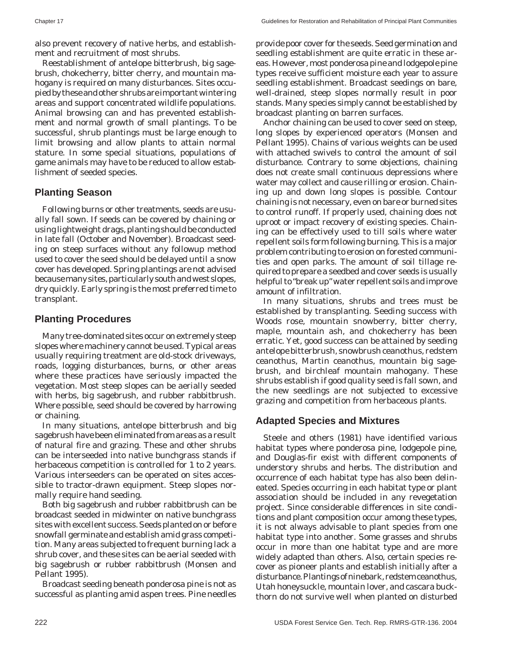also prevent recovery of native herbs, and establishment and recruitment of most shrubs.

Reestablishment of antelope bitterbrush, big sagebrush, chokecherry, bitter cherry, and mountain mahogany is required on many disturbances. Sites occupied by these and other shrubs are important wintering areas and support concentrated wildlife populations. Animal browsing can and has prevented establishment and normal growth of small plantings. To be successful, shrub plantings must be large enough to limit browsing and allow plants to attain normal stature. In some special situations, populations of game animals may have to be reduced to allow establishment of seeded species.

# **Planting Season**

Following burns or other treatments, seeds are usually fall sown. If seeds can be covered by chaining or using lightweight drags, planting should be conducted in late fall (October and November). Broadcast seeding on steep surfaces without any followup method used to cover the seed should be delayed until a snow cover has developed. Spring plantings are not advised because many sites, particularly south and west slopes, dry quickly. Early spring is the most preferred time to transplant.

#### **Planting Procedures**

Many tree-dominated sites occur on extremely steep slopes where machinery cannot be used. Typical areas usually requiring treatment are old-stock driveways, roads, logging disturbances, burns, or other areas where these practices have seriously impacted the vegetation. Most steep slopes can be aerially seeded with herbs, big sagebrush, and rubber rabbitbrush. Where possible, seed should be covered by harrowing or chaining.

In many situations, antelope bitterbrush and big sagebrush have been eliminated from areas as a result of natural fire and grazing. These and other shrubs can be interseeded into native bunchgrass stands if herbaceous competition is controlled for 1 to 2 years. Various interseeders can be operated on sites accessible to tractor-drawn equipment. Steep slopes normally require hand seeding.

Both big sagebrush and rubber rabbitbrush can be broadcast seeded in midwinter on native bunchgrass sites with excellent success. Seeds planted on or before snowfall germinate and establish amid grass competition. Many areas subjected to frequent burning lack a shrub cover, and these sites can be aerial seeded with big sagebrush or rubber rabbitbrush (Monsen and Pellant 1995).

Broadcast seeding beneath ponderosa pine is not as successful as planting amid aspen trees. Pine needles

provide poor cover for the seeds. Seed germination and seedling establishment are quite erratic in these areas. However, most ponderosa pine and lodgepole pine types receive sufficient moisture each year to assure seedling establishment. Broadcast seedings on bare, well-drained, steep slopes normally result in poor stands. Many species simply cannot be established by broadcast planting on barren surfaces.

Anchor chaining can be used to cover seed on steep, long slopes by experienced operators (Monsen and Pellant 1995). Chains of various weights can be used with attached swivels to control the amount of soil disturbance. Contrary to some objections, chaining does not create small continuous depressions where water may collect and cause rilling or erosion. Chaining up and down long slopes is possible. Contour chaining is not necessary, even on bare or burned sites to control runoff. If properly used, chaining does not uproot or impact recovery of existing species. Chaining can be effectively used to till soils where water repellent soils form following burning. This is a major problem contributing to erosion on forested communities and open parks. The amount of soil tillage required to prepare a seedbed and cover seeds is usually helpful to "break up" water repellent soils and improve amount of infiltration.

In many situations, shrubs and trees must be established by transplanting. Seeding success with Woods rose, mountain snowberry, bitter cherry, maple, mountain ash, and chokecherry has been erratic. Yet, good success can be attained by seeding antelope bitterbrush, snowbrush ceanothus, redstem ceanothus, Martin ceanothus, mountain big sagebrush, and birchleaf mountain mahogany. These shrubs establish if good quality seed is fall sown, and the new seedlings are not subjected to excessive grazing and competition from herbaceous plants.

#### **Adapted Species and Mixtures**

Steele and others (1981) have identified various habitat types where ponderosa pine, lodgepole pine, and Douglas-fir exist with different components of understory shrubs and herbs. The distribution and occurrence of each habitat type has also been delineated. Species occurring in each habitat type or plant association should be included in any revegetation project. Since considerable differences in site conditions and plant composition occur among these types, it is not always advisable to plant species from one habitat type into another. Some grasses and shrubs occur in more than one habitat type and are more widely adapted than others. Also, certain species recover as pioneer plants and establish initially after a disturbance. Plantings of ninebark, redstem ceanothus, Utah honeysuckle, mountain lover, and cascara buckthorn do not survive well when planted on disturbed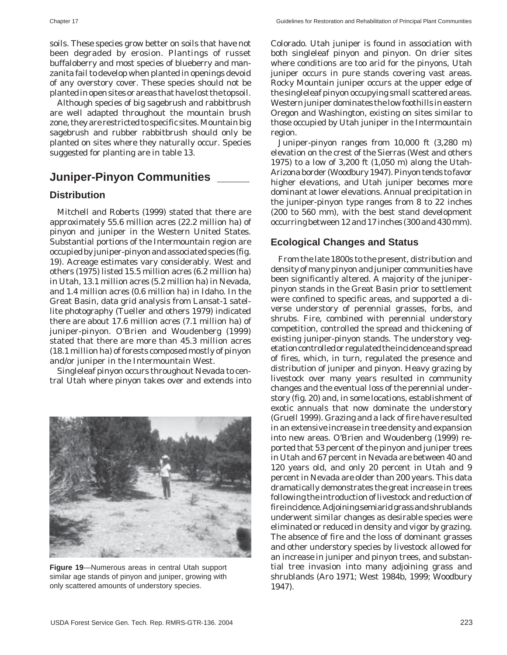soils. These species grow better on soils that have not been degraded by erosion. Plantings of russet buffaloberry and most species of blueberry and manzanita fail to develop when planted in openings devoid of any overstory cover. These species should not be planted in open sites or areas that have lost the topsoil.

Although species of big sagebrush and rabbitbrush are well adapted throughout the mountain brush zone, they are restricted to specific sites. Mountain big sagebrush and rubber rabbitbrush should only be planted on sites where they naturally occur. Species suggested for planting are in table 13.

# **Juniper-Pinyon Communities \_\_\_\_\_**

#### **Distribution**

Mitchell and Roberts (1999) stated that there are approximately 55.6 million acres (22.2 million ha) of pinyon and juniper in the Western United States. Substantial portions of the Intermountain region are occupied by juniper-pinyon and associated species (fig. 19). Acreage estimates vary considerably. West and others (1975) listed 15.5 million acres (6.2 million ha) in Utah, 13.1 million acres (5.2 million ha) in Nevada, and 1.4 million acres (0.6 million ha) in Idaho. In the Great Basin, data grid analysis from Lansat-1 satellite photography (Tueller and others 1979) indicated there are about 17.6 million acres (7.1 million ha) of juniper-pinyon. O'Brien and Woudenberg (1999) stated that there are more than 45.3 million acres (18.1 million ha) of forests composed mostly of pinyon and/or juniper in the Intermountain West.

Singleleaf pinyon occurs throughout Nevada to central Utah where pinyon takes over and extends into



**Figure 19**—Numerous areas in central Utah support similar age stands of pinyon and juniper, growing with only scattered amounts of understory species.

Colorado. Utah juniper is found in association with both singleleaf pinyon and pinyon. On drier sites where conditions are too arid for the pinyons, Utah juniper occurs in pure stands covering vast areas. Rocky Mountain juniper occurs at the upper edge of the singleleaf pinyon occupying small scattered areas. Western juniper dominates the low foothills in eastern Oregon and Washington, existing on sites similar to those occupied by Utah juniper in the Intermountain region.

Juniper-pinyon ranges from 10,000 ft (3,280 m) elevation on the crest of the Sierras (West and others 1975) to a low of 3,200 ft (1,050 m) along the Utah-Arizona border (Woodbury 1947). Pinyon tends to favor higher elevations, and Utah juniper becomes more dominant at lower elevations. Annual precipitation in the juniper-pinyon type ranges from 8 to 22 inches (200 to 560 mm), with the best stand development occurring between 12 and 17 inches (300 and 430 mm).

#### **Ecological Changes and Status**

From the late 1800s to the present, distribution and density of many pinyon and juniper communities have been significantly altered. A majority of the juniperpinyon stands in the Great Basin prior to settlement were confined to specific areas, and supported a diverse understory of perennial grasses, forbs, and shrubs. Fire, combined with perennial understory competition, controlled the spread and thickening of existing juniper-pinyon stands. The understory vegetation controlled or regulated the incidence and spread of fires, which, in turn, regulated the presence and distribution of juniper and pinyon. Heavy grazing by livestock over many years resulted in community changes and the eventual loss of the perennial understory (fig. 20) and, in some locations, establishment of exotic annuals that now dominate the understory (Gruell 1999). Grazing and a lack of fire have resulted in an extensive increase in tree density and expansion into new areas. O'Brien and Woudenberg (1999) reported that 53 percent of the pinyon and juniper trees in Utah and 67 percent in Nevada are between 40 and 120 years old, and only 20 percent in Utah and 9 percent in Nevada are older than 200 years. This data dramatically demonstrates the great increase in trees following the introduction of livestock and reduction of fire incidence. Adjoining semiarid grass and shrublands underwent similar changes as desirable species were eliminated or reduced in density and vigor by grazing. The absence of fire and the loss of dominant grasses and other understory species by livestock allowed for an increase in juniper and pinyon trees, and substantial tree invasion into many adjoining grass and shrublands (Aro 1971; West 1984b, 1999; Woodbury 1947).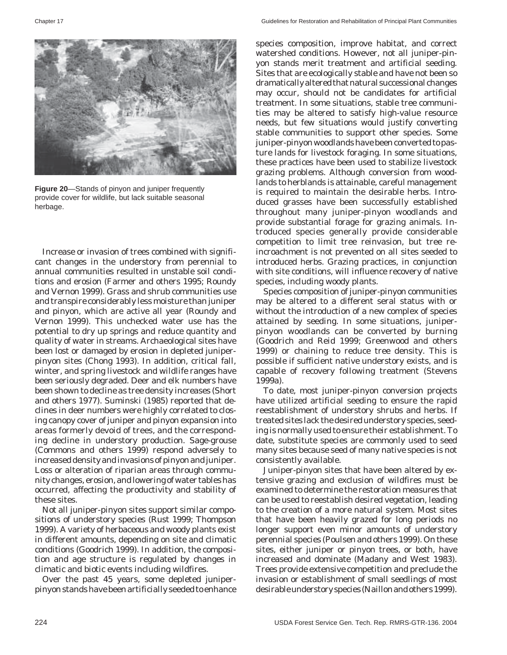

**Figure 20**—Stands of pinyon and juniper frequently provide cover for wildlife, but lack suitable seasonal herbage.

Increase or invasion of trees combined with significant changes in the understory from perennial to annual communities resulted in unstable soil conditions and erosion (Farmer and others 1995; Roundy and Vernon 1999). Grass and shrub communities use and transpire considerably less moisture than juniper and pinyon, which are active all year (Roundy and Vernon 1999). This unchecked water use has the potential to dry up springs and reduce quantity and quality of water in streams. Archaeological sites have been lost or damaged by erosion in depleted juniperpinyon sites (Chong 1993). In addition, critical fall, winter, and spring livestock and wildlife ranges have been seriously degraded. Deer and elk numbers have been shown to decline as tree density increases (Short and others 1977). Suminski (1985) reported that declines in deer numbers were highly correlated to closing canopy cover of juniper and pinyon expansion into areas formerly devoid of trees, and the corresponding decline in understory production. Sage-grouse (Commons and others 1999) respond adversely to increased density and invasions of pinyon and juniper. Loss or alteration of riparian areas through community changes, erosion, and lowering of water tables has occurred, affecting the productivity and stability of these sites.

Not all juniper-pinyon sites support similar compositions of understory species (Rust 1999; Thompson 1999). A variety of herbaceous and woody plants exist in different amounts, depending on site and climatic conditions (Goodrich 1999). In addition, the composition and age structure is regulated by changes in climatic and biotic events including wildfires.

Over the past 45 years, some depleted juniperpinyon stands have been artificially seeded to enhance species composition, improve habitat, and correct watershed conditions. However, not all juniper-pinyon stands merit treatment and artificial seeding. Sites that are ecologically stable and have not been so dramatically altered that natural successional changes may occur, should not be candidates for artificial treatment. In some situations, stable tree communities may be altered to satisfy high-value resource needs, but few situations would justify converting stable communities to support other species. Some juniper-pinyon woodlands have been converted to pasture lands for livestock foraging. In some situations, these practices have been used to stabilize livestock grazing problems. Although conversion from woodlands to herblands is attainable, careful management is required to maintain the desirable herbs. Introduced grasses have been successfully established throughout many juniper-pinyon woodlands and provide substantial forage for grazing animals. Introduced species generally provide considerable competition to limit tree reinvasion, but tree reincroachment is not prevented on all sites seeded to introduced herbs. Grazing practices, in conjunction with site conditions, will influence recovery of native species, including woody plants.

Species composition of juniper-pinyon communities may be altered to a different seral status with or without the introduction of a new complex of species attained by seeding. In some situations, juniperpinyon woodlands can be converted by burning (Goodrich and Reid 1999; Greenwood and others 1999) or chaining to reduce tree density. This is possible if sufficient native understory exists, and is capable of recovery following treatment (Stevens 1999a).

To date, most juniper-pinyon conversion projects have utilized artificial seeding to ensure the rapid reestablishment of understory shrubs and herbs. If treated sites lack the desired understory species, seeding is normally used to ensure their establishment. To date, substitute species are commonly used to seed many sites because seed of many native species is not consistently available.

Juniper-pinyon sites that have been altered by extensive grazing and exclusion of wildfires must be examined to determine the restoration measures that can be used to reestablish desired vegetation, leading to the creation of a more natural system. Most sites that have been heavily grazed for long periods no longer support even minor amounts of understory perennial species (Poulsen and others 1999). On these sites, either juniper or pinyon trees, or both, have increased and dominate (Madany and West 1983). Trees provide extensive competition and preclude the invasion or establishment of small seedlings of most desirable understory species (Naillon and others 1999).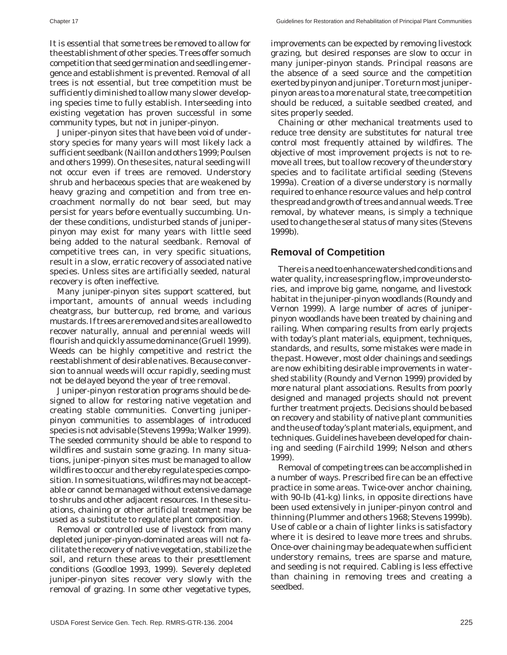It is essential that some trees be removed to allow for the establishment of other species. Trees offer so much competition that seed germination and seedling emergence and establishment is prevented. Removal of all trees is not essential, but tree competition must be sufficiently diminished to allow many slower developing species time to fully establish. Interseeding into existing vegetation has proven successful in some community types, but not in juniper-pinyon.

Juniper-pinyon sites that have been void of understory species for many years will most likely lack a sufficient seedbank (Naillon and others 1999; Poulsen and others 1999). On these sites, natural seeding will not occur even if trees are removed. Understory shrub and herbaceous species that are weakened by heavy grazing and competition and from tree encroachment normally do not bear seed, but may persist for years before eventually succumbing. Under these conditions, undisturbed stands of juniperpinyon may exist for many years with little seed being added to the natural seedbank. Removal of competitive trees can, in very specific situations, result in a slow, erratic recovery of associated native species. Unless sites are artificially seeded, natural recovery is often ineffective.

Many juniper-pinyon sites support scattered, but important, amounts of annual weeds including cheatgrass, bur buttercup, red brome, and various mustards. If trees are removed and sites are allowed to recover naturally, annual and perennial weeds will flourish and quickly assume dominance (Gruell 1999). Weeds can be highly competitive and restrict the reestablishment of desirable natives. Because conversion to annual weeds will occur rapidly, seeding must not be delayed beyond the year of tree removal.

Juniper-pinyon restoration programs should be designed to allow for restoring native vegetation and creating stable communities. Converting juniperpinyon communities to assemblages of introduced species is not advisable (Stevens 1999a; Walker 1999). The seeded community should be able to respond to wildfires and sustain some grazing. In many situations, juniper-pinyon sites must be managed to allow wildfires to occur and thereby regulate species composition. In some situations, wildfires may not be acceptable or cannot be managed without extensive damage to shrubs and other adjacent resources. In these situations, chaining or other artificial treatment may be used as a substitute to regulate plant composition.

Removal or controlled use of livestock from many depleted juniper-pinyon-dominated areas will not facilitate the recovery of native vegetation, stabilize the soil, and return these areas to their presettlement conditions (Goodloe 1993, 1999). Severely depleted juniper-pinyon sites recover very slowly with the removal of grazing. In some other vegetative types, improvements can be expected by removing livestock grazing, but desired responses are slow to occur in many juniper-pinyon stands. Principal reasons are the absence of a seed source and the competition exerted by pinyon and juniper. To return most juniperpinyon areas to a more natural state, tree competition should be reduced, a suitable seedbed created, and sites properly seeded.

Chaining or other mechanical treatments used to reduce tree density are substitutes for natural tree control most frequently attained by wildfires. The objective of most improvement projects is not to remove all trees, but to allow recovery of the understory species and to facilitate artificial seeding (Stevens 1999a). Creation of a diverse understory is normally required to enhance resource values and help control the spread and growth of trees and annual weeds. Tree removal, by whatever means, is simply a technique used to change the seral status of many sites (Stevens 1999b).

#### **Removal of Competition**

There is a need to enhance watershed conditions and water quality, increase spring flow, improve understories, and improve big game, nongame, and livestock habitat in the juniper-pinyon woodlands (Roundy and Vernon 1999). A large number of acres of juniperpinyon woodlands have been treated by chaining and railing. When comparing results from early projects with today's plant materials, equipment, techniques, standards, and results, some mistakes were made in the past. However, most older chainings and seedings are now exhibiting desirable improvements in watershed stability (Roundy and Vernon 1999) provided by more natural plant associations. Results from poorly designed and managed projects should not prevent further treatment projects. Decisions should be based on recovery and stability of native plant communities and the use of today's plant materials, equipment, and techniques. Guidelines have been developed for chaining and seeding (Fairchild 1999; Nelson and others 1999).

Removal of competing trees can be accomplished in a number of ways. Prescribed fire can be an effective practice in some areas. Twice-over anchor chaining, with 90-lb (41-kg) links, in opposite directions have been used extensively in juniper-pinyon control and thinning (Plummer and others 1968; Stevens 1999b). Use of cable or a chain of lighter links is satisfactory where it is desired to leave more trees and shrubs. Once-over chaining may be adequate when sufficient understory remains, trees are sparse and mature, and seeding is not required. Cabling is less effective than chaining in removing trees and creating a seedbed.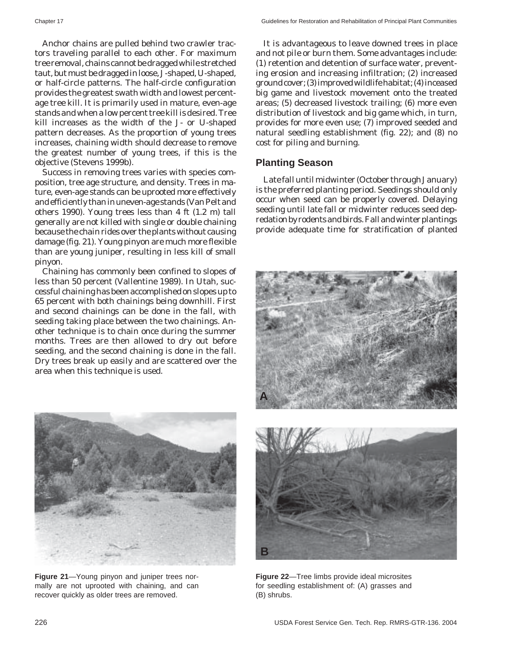Anchor chains are pulled behind two crawler tractors traveling parallel to each other. For maximum tree removal, chains cannot be dragged while stretched taut, but must be dragged in loose, J-shaped, U-shaped, or half-circle patterns. The half-circle configuration provides the greatest swath width and lowest percentage tree kill. It is primarily used in mature, even-age stands and when a low percent tree kill is desired. Tree kill increases as the width of the J- or U-shaped pattern decreases. As the proportion of young trees increases, chaining width should decrease to remove the greatest number of young trees, if this is the objective (Stevens 1999b).

Success in removing trees varies with species composition, tree age structure, and density. Trees in mature, even-age stands can be uprooted more effectively and efficiently than in uneven-age stands (Van Pelt and others 1990). Young trees less than 4 ft (1.2 m) tall generally are not killed with single or double chaining because the chain rides over the plants without causing damage (fig. 21). Young pinyon are much more flexible than are young juniper, resulting in less kill of small pinyon.

Chaining has commonly been confined to slopes of less than 50 percent (Vallentine 1989). In Utah, successful chaining has been accomplished on slopes up to 65 percent with both chainings being downhill. First and second chainings can be done in the fall, with seeding taking place between the two chainings. Another technique is to chain once during the summer months. Trees are then allowed to dry out before seeding, and the second chaining is done in the fall. Dry trees break up easily and are scattered over the area when this technique is used.

It is advantageous to leave downed trees in place and not pile or burn them. Some advantages include: (1) retention and detention of surface water, preventing erosion and increasing infiltration; (2) increased ground cover; (3) improved wildlife habitat; (4) inceased big game and livestock movement onto the treated areas; (5) decreased livestock trailing; (6) more even distribution of livestock and big game which, in turn, provides for more even use; (7) improved seeded and natural seedling establishment (fig. 22); and (8) no cost for piling and burning.

#### **Planting Season**

Late fall until midwinter (October through January) is the preferred planting period. Seedings should only occur when seed can be properly covered. Delaying seeding until late fall or midwinter reduces seed depredation by rodents and birds. Fall and winter plantings provide adequate time for stratification of planted





**Figure 21**—Young pinyon and juniper trees normally are not uprooted with chaining, and can recover quickly as older trees are removed.



**Figure 22**—Tree limbs provide ideal microsites for seedling establishment of: (A) grasses and (B) shrubs.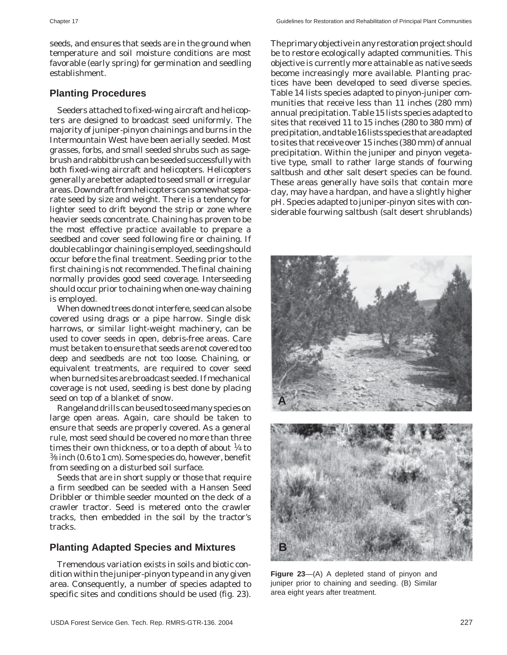seeds, and ensures that seeds are in the ground when temperature and soil moisture conditions are most favorable (early spring) for germination and seedling establishment.

#### **Planting Procedures**

Seeders attached to fixed-wing aircraft and helicopters are designed to broadcast seed uniformly. The majority of juniper-pinyon chainings and burns in the Intermountain West have been aerially seeded. Most grasses, forbs, and small seeded shrubs such as sagebrush and rabbitbrush can be seeded successfully with both fixed-wing aircraft and helicopters. Helicopters generally are better adapted to seed small or irregular areas. Downdraft from helicopters can somewhat separate seed by size and weight. There is a tendency for lighter seed to drift beyond the strip or zone where heavier seeds concentrate. Chaining has proven to be the most effective practice available to prepare a seedbed and cover seed following fire or chaining. If double cabling or chaining is employed, seeding should occur before the final treatment. Seeding prior to the first chaining is not recommended. The final chaining normally provides good seed coverage. Interseeding should occur prior to chaining when one-way chaining is employed.

When downed trees do not interfere, seed can also be covered using drags or a pipe harrow. Single disk harrows, or similar light-weight machinery, can be used to cover seeds in open, debris-free areas. Care must be taken to ensure that seeds are not covered too deep and seedbeds are not too loose. Chaining, or equivalent treatments, are required to cover seed when burned sites are broadcast seeded. If mechanical coverage is not used, seeding is best done by placing seed on top of a blanket of snow.

Rangeland drills can be used to seed many species on large open areas. Again, care should be taken to ensure that seeds are properly covered. As a general rule, most seed should be covered no more than three times their own thickness, or to a depth of about  $\frac{1}{4}$  to 3⁄8 inch (0.6 to 1 cm). Some species do, however, benefit from seeding on a disturbed soil surface.

Seeds that are in short supply or those that require a firm seedbed can be seeded with a Hansen Seed Dribbler or thimble seeder mounted on the deck of a crawler tractor. Seed is metered onto the crawler tracks, then embedded in the soil by the tractor's tracks.

#### **Planting Adapted Species and Mixtures**

Tremendous variation exists in soils and biotic condition within the juniper-pinyon type and in any given area. Consequently, a number of species adapted to specific sites and conditions should be used (fig. 23).

The primary objective in any restoration project should be to restore ecologically adapted communities. This objective is currently more attainable as native seeds become increasingly more available. Planting practices have been developed to seed diverse species. Table 14 lists species adapted to pinyon-juniper communities that receive less than 11 inches (280 mm) annual precipitation. Table 15 lists species adapted to sites that received 11 to 15 inches (280 to 380 mm) of precipitation, and table 16 lists species that are adapted to sites that receive over 15 inches (380 mm) of annual precipitation. Within the juniper and pinyon vegetative type, small to rather large stands of fourwing saltbush and other salt desert species can be found. These areas generally have soils that contain more clay, may have a hardpan, and have a slightly higher pH. Species adapted to juniper-pinyon sites with considerable fourwing saltbush (salt desert shrublands)



**Figure 23**—(A) A depleted stand of pinyon and juniper prior to chaining and seeding. (B) Similar area eight years after treatment.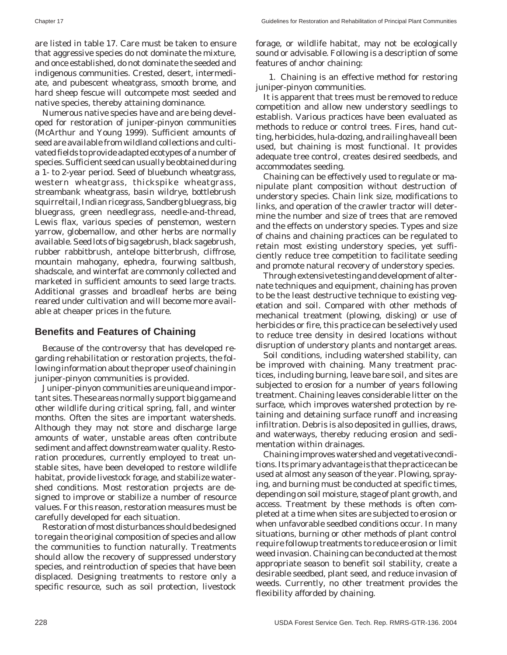are listed in table 17. Care must be taken to ensure that aggressive species do not dominate the mixture, and once established, do not dominate the seeded and indigenous communities. Crested, desert, intermediate, and pubescent wheatgrass, smooth brome, and hard sheep fescue will outcompete most seeded and native species, thereby attaining dominance.

Numerous native species have and are being developed for restoration of juniper-pinyon communities (McArthur and Young 1999). Sufficient amounts of seed are available from wildland collections and cultivated fields to provide adapted ecotypes of a number of species. Sufficient seed can usually be obtained during a 1- to 2-year period. Seed of bluebunch wheatgrass, western wheatgrass, thickspike wheatgrass, streambank wheatgrass, basin wildrye, bottlebrush squirreltail, Indian ricegrass, Sandberg bluegrass, big bluegrass, green needlegrass, needle-and-thread, Lewis flax, various species of penstemon, western yarrow, globemallow, and other herbs are normally available. Seed lots of big sagebrush, black sagebrush, rubber rabbitbrush, antelope bitterbrush, cliffrose, mountain mahogany, ephedra, fourwing saltbush, shadscale, and winterfat are commonly collected and marketed in sufficient amounts to seed large tracts. Additional grasses and broadleaf herbs are being reared under cultivation and will become more available at cheaper prices in the future.

#### **Benefits and Features of Chaining**

Because of the controversy that has developed regarding rehabilitation or restoration projects, the following information about the proper use of chaining in juniper-pinyon communities is provided.

Juniper-pinyon communities are unique and important sites. These areas normally support big game and other wildlife during critical spring, fall, and winter months. Often the sites are important watersheds. Although they may not store and discharge large amounts of water, unstable areas often contribute sediment and affect downstream water quality. Restoration procedures, currently employed to treat unstable sites, have been developed to restore wildlife habitat, provide livestock forage, and stabilize watershed conditions. Most restoration projects are designed to improve or stabilize a number of resource values. For this reason, restoration measures must be carefully developed for each situation.

Restoration of most disturbances should be designed to regain the original composition of species and allow the communities to function naturally. Treatments should allow the recovery of suppressed understory species, and reintroduction of species that have been displaced. Designing treatments to restore only a specific resource, such as soil protection, livestock

forage, or wildlife habitat, may not be ecologically sound or advisable. Following is a description of some features of anchor chaining:

1. Chaining is an effective method for restoring juniper-pinyon communities.

It is apparent that trees must be removed to reduce competition and allow new understory seedlings to establish. Various practices have been evaluated as methods to reduce or control trees. Fires, hand cutting, herbicides, hula-dozing, and railing have all been used, but chaining is most functional. It provides adequate tree control, creates desired seedbeds, and accommodates seeding.

Chaining can be effectively used to regulate or manipulate plant composition without destruction of understory species. Chain link size, modifications to links, and operation of the crawler tractor will determine the number and size of trees that are removed and the effects on understory species. Types and size of chains and chaining practices can be regulated to retain most existing understory species, yet sufficiently reduce tree competition to facilitate seeding and promote natural recovery of understory species.

Through extensive testing and development of alternate techniques and equipment, chaining has proven to be the least destructive technique to existing vegetation and soil. Compared with other methods of mechanical treatment (plowing, disking) or use of herbicides or fire, this practice can be selectively used to reduce tree density in desired locations without disruption of understory plants and nontarget areas.

Soil conditions, including watershed stability, can be improved with chaining. Many treatment practices, including burning, leave bare soil, and sites are subjected to erosion for a number of years following treatment. Chaining leaves considerable litter on the surface, which improves watershed protection by retaining and detaining surface runoff and increasing infiltration. Debris is also deposited in gullies, draws, and waterways, thereby reducing erosion and sedimentation within drainages.

Chaining improves watershed and vegetative conditions. Its primary advantage is that the practice can be used at almost any season of the year. Plowing, spraying, and burning must be conducted at specific times, depending on soil moisture, stage of plant growth, and access. Treatment by these methods is often completed at a time when sites are subjected to erosion or when unfavorable seedbed conditions occur. In many situations, burning or other methods of plant control require followup treatments to reduce erosion or limit weed invasion. Chaining can be conducted at the most appropriate season to benefit soil stability, create a desirable seedbed, plant seed, and reduce invasion of weeds. Currently, no other treatment provides the flexibility afforded by chaining.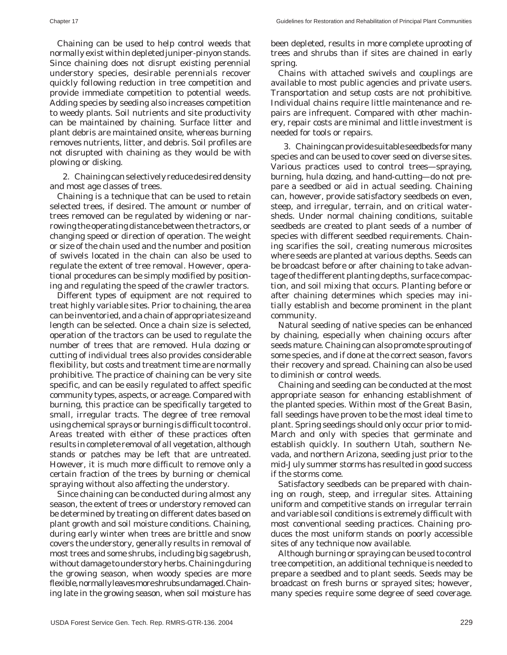Chaining can be used to help control weeds that normally exist within depleted juniper-pinyon stands. Since chaining does not disrupt existing perennial understory species, desirable perennials recover quickly following reduction in tree competition and provide immediate competition to potential weeds. Adding species by seeding also increases competition to weedy plants. Soil nutrients and site productivity can be maintained by chaining. Surface litter and plant debris are maintained onsite, whereas burning removes nutrients, litter, and debris. Soil profiles are not disrupted with chaining as they would be with plowing or disking.

2. Chaining can selectively reduce desired density and most age classes of trees.

Chaining is a technique that can be used to retain selected trees, if desired. The amount or number of trees removed can be regulated by widening or narrowing the operating distance between the tractors, or changing speed or direction of operation. The weight or size of the chain used and the number and position of swivels located in the chain can also be used to regulate the extent of tree removal. However, operational procedures can be simply modified by positioning and regulating the speed of the crawler tractors.

Different types of equipment are not required to treat highly variable sites. Prior to chaining, the area can be inventoried, and a chain of appropriate size and length can be selected. Once a chain size is selected, operation of the tractors can be used to regulate the number of trees that are removed. Hula dozing or cutting of individual trees also provides considerable flexibility, but costs and treatment time are normally prohibitive. The practice of chaining can be very site specific, and can be easily regulated to affect specific community types, aspects, or acreage. Compared with burning, this practice can be specifically targeted to small, irregular tracts. The degree of tree removal using chemical sprays or burning is difficult to control. Areas treated with either of these practices often results in complete removal of all vegetation, although stands or patches may be left that are untreated. However, it is much more difficult to remove only a certain fraction of the trees by burning or chemical spraying without also affecting the understory.

Since chaining can be conducted during almost any season, the extent of trees or understory removed can be determined by treating on different dates based on plant growth and soil moisture conditions. Chaining, during early winter when trees are brittle and snow covers the understory, generally results in removal of most trees and some shrubs, including big sagebrush, without damage to understory herbs. Chaining during the growing season, when woody species are more flexible, normally leaves more shrubs undamaged. Chaining late in the growing season, when soil moisture has been depleted, results in more complete uprooting of trees and shrubs than if sites are chained in early spring.

Chains with attached swivels and couplings are available to most public agencies and private users. Transportation and setup costs are not prohibitive. Individual chains require little maintenance and repairs are infrequent. Compared with other machinery, repair costs are minimal and little investment is needed for tools or repairs.

3. Chaining can provide suitable seedbeds for many species and can be used to cover seed on diverse sites. Various practices used to control trees—spraying, burning, hula dozing, and hand-cutting—do not prepare a seedbed or aid in actual seeding. Chaining can, however, provide satisfactory seedbeds on even, steep, and irregular, terrain, and on critical watersheds. Under normal chaining conditions, suitable seedbeds are created to plant seeds of a number of species with different seedbed requirements. Chaining scarifies the soil, creating numerous microsites where seeds are planted at various depths. Seeds can be broadcast before or after chaining to take advantage of the different planting depths, surface compaction, and soil mixing that occurs. Planting before or after chaining determines which species may initially establish and become prominent in the plant community.

Natural seeding of native species can be enhanced by chaining, especially when chaining occurs after seeds mature. Chaining can also promote sprouting of some species, and if done at the correct season, favors their recovery and spread. Chaining can also be used to diminish or control weeds.

Chaining and seeding can be conducted at the most appropriate season for enhancing establishment of the planted species. Within most of the Great Basin, fall seedings have proven to be the most ideal time to plant. Spring seedings should only occur prior to mid-March and only with species that germinate and establish quickly. In southern Utah, southern Nevada, and northern Arizona, seeding just prior to the mid-July summer storms has resulted in good success if the storms come.

Satisfactory seedbeds can be prepared with chaining on rough, steep, and irregular sites. Attaining uniform and competitive stands on irregular terrain and variable soil conditions is extremely difficult with most conventional seeding practices. Chaining produces the most uniform stands on poorly accessible sites of any technique now available.

Although burning or spraying can be used to control tree competition, an additional technique is needed to prepare a seedbed and to plant seeds. Seeds may be broadcast on fresh burns or sprayed sites; however, many species require some degree of seed coverage.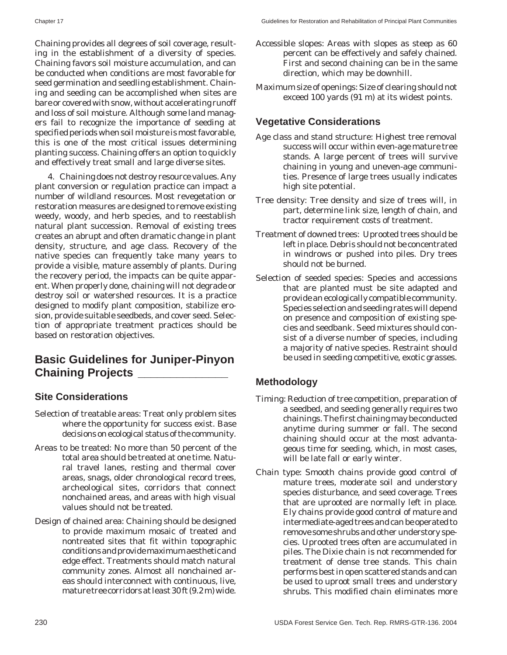Chaining provides all degrees of soil coverage, resulting in the establishment of a diversity of species. Chaining favors soil moisture accumulation, and can be conducted when conditions are most favorable for seed germination and seedling establishment. Chaining and seeding can be accomplished when sites are bare or covered with snow, without accelerating runoff and loss of soil moisture. Although some land managers fail to recognize the importance of seeding at specified periods when soil moisture is most favorable, this is one of the most critical issues determining planting success. Chaining offers an option to quickly and effectively treat small and large diverse sites.

4. Chaining does not destroy resource values. Any plant conversion or regulation practice can impact a number of wildland resources. Most revegetation or restoration measures are designed to remove existing weedy, woody, and herb species, and to reestablish natural plant succession. Removal of existing trees creates an abrupt and often dramatic change in plant density, structure, and age class. Recovery of the native species can frequently take many years to provide a visible, mature assembly of plants. During the recovery period, the impacts can be quite apparent. When properly done, chaining will not degrade or destroy soil or watershed resources. It is a practice designed to modify plant composition, stabilize erosion, provide suitable seedbeds, and cover seed. Selection of appropriate treatment practices should be based on restoration objectives.

# **Basic Guidelines for Juniper-Pinyon Chaining Projects \_\_\_\_\_\_\_\_\_\_\_\_\_\_**

#### **Site Considerations**

- Selection of treatable areas: Treat only problem sites where the opportunity for success exist. Base decisions on ecological status of the community.
- Areas to be treated: No more than 50 percent of the total area should be treated at one time. Natural travel lanes, resting and thermal cover areas, snags, older chronological record trees, archeological sites, corridors that connect nonchained areas, and areas with high visual values should not be treated.
- Design of chained area: Chaining should be designed to provide maximum mosaic of treated and nontreated sites that fit within topographic conditions and provide maximum aesthetic and edge effect. Treatments should match natural community zones. Almost all nonchained areas should interconnect with continuous, live, mature tree corridors at least 30 ft (9.2 m) wide.
- Accessible slopes: Areas with slopes as steep as 60 percent can be effectively and safely chained. First and second chaining can be in the same direction, which may be downhill.
- Maximum size of openings: Size of clearing should not exceed 100 yards (91 m) at its widest points.

# **Vegetative Considerations**

- Age class and stand structure: Highest tree removal success will occur within even-age mature tree stands. A large percent of trees will survive chaining in young and uneven-age communities. Presence of large trees usually indicates high site potential.
- Tree density: Tree density and size of trees will, in part, determine link size, length of chain, and tractor requirement costs of treatment.
- Treatment of downed trees: Uprooted trees should be left in place. Debris should not be concentrated in windrows or pushed into piles. Dry trees should not be burned.
- Selection of seeded species: Species and accessions that are planted must be site adapted and provide an ecologically compatible community. Species selection and seeding rates will depend on presence and composition of existing species and seedbank. Seed mixtures should consist of a diverse number of species, including a majority of native species. Restraint should be used in seeding competitive, exotic grasses.

# **Methodology**

- Timing: Reduction of tree competition, preparation of a seedbed, and seeding generally requires two chainings. The first chaining may be conducted anytime during summer or fall. The second chaining should occur at the most advantageous time for seeding, which, in most cases, will be late fall or early winter.
- Chain type: Smooth chains provide good control of mature trees, moderate soil and understory species disturbance, and seed coverage. Trees that are uprooted are normally left in place. Ely chains provide good control of mature and intermediate-aged trees and can be operated to remove some shrubs and other understory species. Uprooted trees often are accumulated in piles. The Dixie chain is not recommended for treatment of dense tree stands. This chain performs best in open scattered stands and can be used to uproot small trees and understory shrubs. This modified chain eliminates more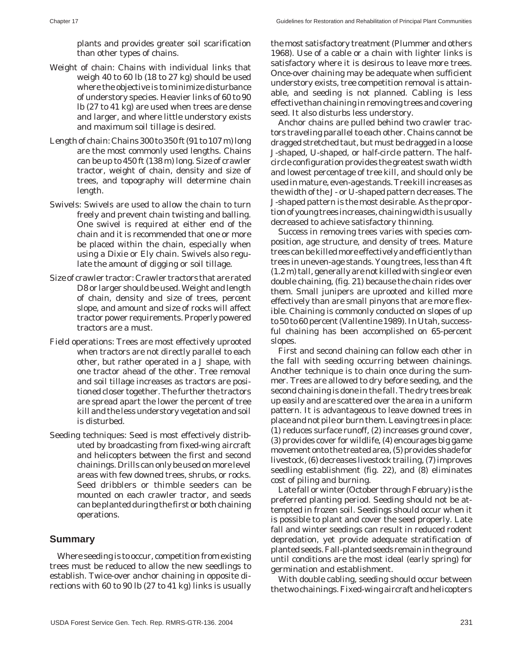plants and provides greater soil scarification than other types of chains.

- Weight of chain: Chains with individual links that weigh 40 to 60 lb (18 to 27 kg) should be used where the objective is to minimize disturbance of understory species. Heavier links of 60 to 90 lb (27 to 41 kg) are used when trees are dense and larger, and where little understory exists and maximum soil tillage is desired.
- Length of chain: Chains 300 to 350 ft (91 to 107 m) long are the most commonly used lengths. Chains can be up to 450 ft (138 m) long. Size of crawler tractor, weight of chain, density and size of trees, and topography will determine chain length.
- Swivels: Swivels are used to allow the chain to turn freely and prevent chain twisting and balling. One swivel is required at either end of the chain and it is recommended that one or more be placed within the chain, especially when using a Dixie or Ely chain. Swivels also regulate the amount of digging or soil tillage.
- Size of crawler tractor: Crawler tractors that are rated D8 or larger should be used. Weight and length of chain, density and size of trees, percent slope, and amount and size of rocks will affect tractor power requirements. Properly powered tractors are a must.
- Field operations: Trees are most effectively uprooted when tractors are not directly parallel to each other, but rather operated in a J shape, with one tractor ahead of the other. Tree removal and soil tillage increases as tractors are positioned closer together. The further the tractors are spread apart the lower the percent of tree kill and the less understory vegetation and soil is disturbed.
- Seeding techniques: Seed is most effectively distributed by broadcasting from fixed-wing aircraft and helicopters between the first and second chainings. Drills can only be used on more level areas with few downed trees, shrubs, or rocks. Seed dribblers or thimble seeders can be mounted on each crawler tractor, and seeds can be planted during the first or both chaining operations.

#### **Summary**

Where seeding is to occur, competition from existing trees must be reduced to allow the new seedlings to establish. Twice-over anchor chaining in opposite directions with 60 to 90 lb (27 to 41 kg) links is usually

the most satisfactory treatment (Plummer and others 1968). Use of a cable or a chain with lighter links is satisfactory where it is desirous to leave more trees. Once-over chaining may be adequate when sufficient understory exists, tree competition removal is attainable, and seeding is not planned. Cabling is less effective than chaining in removing trees and covering seed. It also disturbs less understory.

Anchor chains are pulled behind two crawler tractors traveling parallel to each other. Chains cannot be dragged stretched taut, but must be dragged in a loose J-shaped, U-shaped, or half-circle pattern. The halfcircle configuration provides the greatest swath width and lowest percentage of tree kill, and should only be used in mature, even-age stands. Tree kill increases as the width of the J- or U-shaped pattern decreases. The J-shaped pattern is the most desirable. As the proportion of young trees increases, chaining width is usually decreased to achieve satisfactory thinning.

Success in removing trees varies with species composition, age structure, and density of trees. Mature trees can be killed more effectively and efficiently than trees in uneven-age stands. Young trees, less than 4 ft (1.2 m) tall, generally are not killed with single or even double chaining, (fig. 21) because the chain rides over them. Small junipers are uprooted and killed more effectively than are small pinyons that are more flexible. Chaining is commonly conducted on slopes of up to 50 to 60 percent (Vallentine 1989). In Utah, successful chaining has been accomplished on 65-percent slopes.

First and second chaining can follow each other in the fall with seeding occurring between chainings. Another technique is to chain once during the summer. Trees are allowed to dry before seeding, and the second chaining is done in the fall. The dry trees break up easily and are scattered over the area in a uniform pattern. It is advantageous to leave downed trees in place and not pile or burn them. Leaving trees in place: (1) reduces surface runoff, (2) increases ground cover, (3) provides cover for wildlife, (4) encourages big game movement onto the treated area, (5) provides shade for livestock, (6) decreases livestock trailing, (7) improves seedling establishment (fig. 22), and (8) eliminates cost of piling and burning.

Late fall or winter (October through February) is the preferred planting period. Seeding should not be attempted in frozen soil. Seedings should occur when it is possible to plant and cover the seed properly. Late fall and winter seedings can result in reduced rodent depredation, yet provide adequate stratification of planted seeds. Fall-planted seeds remain in the ground until conditions are the most ideal (early spring) for germination and establishment.

With double cabling, seeding should occur between the two chainings. Fixed-wing aircraft and helicopters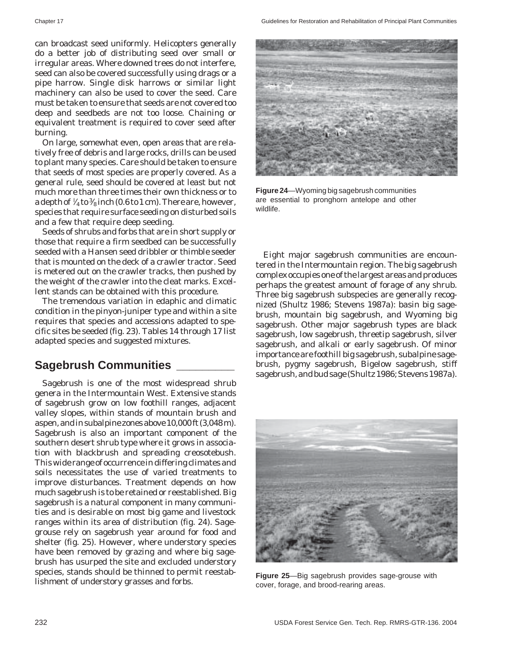can broadcast seed uniformly. Helicopters generally do a better job of distributing seed over small or irregular areas. Where downed trees do not interfere, seed can also be covered successfully using drags or a pipe harrow. Single disk harrows or similar light machinery can also be used to cover the seed. Care must be taken to ensure that seeds are not covered too deep and seedbeds are not too loose. Chaining or equivalent treatment is required to cover seed after burning.

On large, somewhat even, open areas that are relatively free of debris and large rocks, drills can be used to plant many species. Care should be taken to ensure that seeds of most species are properly covered. As a general rule, seed should be covered at least but not much more than three times their own thickness or to a depth of  $\frac{1}{4}$  to  $\frac{3}{8}$  inch (0.6 to 1 cm). There are, however, species that require surface seeding on disturbed soils and a few that require deep seeding.

Seeds of shrubs and forbs that are in short supply or those that require a firm seedbed can be successfully seeded with a Hansen seed dribbler or thimble seeder that is mounted on the deck of a crawler tractor. Seed is metered out on the crawler tracks, then pushed by the weight of the crawler into the cleat marks. Excellent stands can be obtained with this procedure.

The tremendous variation in edaphic and climatic condition in the pinyon-juniper type and within a site requires that species and accessions adapted to specific sites be seeded (fig. 23). Tables 14 through 17 list adapted species and suggested mixtures.

# **Sagebrush Communities \_\_\_\_\_\_\_\_\_**

Sagebrush is one of the most widespread shrub genera in the Intermountain West. Extensive stands of sagebrush grow on low foothill ranges, adjacent valley slopes, within stands of mountain brush and aspen, and in subalpine zones above 10,000 ft (3,048 m). Sagebrush is also an important component of the southern desert shrub type where it grows in association with blackbrush and spreading creosotebush. This wide range of occurrence in differing climates and soils necessitates the use of varied treatments to improve disturbances. Treatment depends on how much sagebrush is to be retained or reestablished. Big sagebrush is a natural component in many communities and is desirable on most big game and livestock ranges within its area of distribution (fig. 24). Sagegrouse rely on sagebrush year around for food and shelter (fig. 25). However, where understory species have been removed by grazing and where big sagebrush has usurped the site and excluded understory species, stands should be thinned to permit reestablishment of understory grasses and forbs.



**Figure 24**—Wyoming big sagebrush communities are essential to pronghorn antelope and other wildlife.

Eight major sagebrush communities are encountered in the Intermountain region. The big sagebrush complex occupies one of the largest areas and produces perhaps the greatest amount of forage of any shrub. Three big sagebrush subspecies are generally recognized (Shultz 1986; Stevens 1987a): basin big sagebrush, mountain big sagebrush, and Wyoming big sagebrush. Other major sagebrush types are black sagebrush, low sagebrush, threetip sagebrush, silver sagebrush, and alkali or early sagebrush. Of minor importance are foothill big sagebrush, subalpine sagebrush, pygmy sagebrush, Bigelow sagebrush, stiff sagebrush, and bud sage (Shultz 1986; Stevens 1987a).



**Figure 25**—Big sagebrush provides sage-grouse with cover, forage, and brood-rearing areas.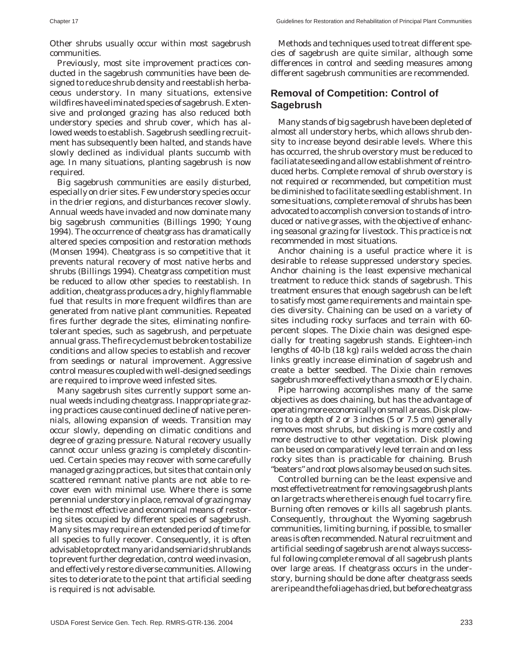Other shrubs usually occur within most sagebrush communities.

Previously, most site improvement practices conducted in the sagebrush communities have been designed to reduce shrub density and reestablish herbaceous understory. In many situations, extensive wildfires have eliminated species of sagebrush. Extensive and prolonged grazing has also reduced both understory species and shrub cover, which has allowed weeds to establish. Sagebrush seedling recruitment has subsequently been halted, and stands have slowly declined as individual plants succumb with age. In many situations, planting sagebrush is now required.

Big sagebrush communities are easily disturbed, especially on drier sites. Few understory species occur in the drier regions, and disturbances recover slowly. Annual weeds have invaded and now dominate many big sagebrush communities (Billings 1990; Young 1994). The occurrence of cheatgrass has dramatically altered species composition and restoration methods (Monsen 1994). Cheatgrass is so competitive that it prevents natural recovery of most native herbs and shrubs (Billings 1994). Cheatgrass competition must be reduced to allow other species to reestablish. In addition, cheatgrass produces a dry, highly flammable fuel that results in more frequent wildfires than are generated from native plant communities. Repeated fires further degrade the sites, eliminating nonfiretolerant species, such as sagebrush, and perpetuate annual grass. The fire cycle must be broken to stabilize conditions and allow species to establish and recover from seedings or natural improvement. Aggressive control measures coupled with well-designed seedings are required to improve weed infested sites.

Many sagebrush sites currently support some annual weeds including cheatgrass. Inappropriate grazing practices cause continued decline of native perennials, allowing expansion of weeds. Transition may occur slowly, depending on climatic conditions and degree of grazing pressure. Natural recovery usually cannot occur unless grazing is completely discontinued. Certain species may recover with some carefully managed grazing practices, but sites that contain only scattered remnant native plants are not able to recover even with minimal use. Where there is some perennial understory in place, removal of grazing may be the most effective and economical means of restoring sites occupied by different species of sagebrush. Many sites may require an extended period of time for all species to fully recover. Consequently, it is often advisable to protect many arid and semiarid shrublands to prevent further degredation, control weed invasion, and effectively restore diverse communities. Allowing sites to deteriorate to the point that artificial seeding is required is not advisable.

Methods and techniques used to treat different species of sagebrush are quite similar, although some differences in control and seeding measures among different sagebrush communities are recommended.

#### **Removal of Competition: Control of Sagebrush**

Many stands of big sagebrush have been depleted of almost all understory herbs, which allows shrub density to increase beyond desirable levels. Where this has occurred, the shrub overstory must be reduced to faciliatate seeding and allow establishment of reintroduced herbs. Complete removal of shrub overstory is not required or recommended, but competition must be diminished to facilitate seedling establishment. In some situations, complete removal of shrubs has been advocated to accomplish conversion to stands of introduced or native grasses, with the objective of enhancing seasonal grazing for livestock. This practice is not recommended in most situations.

Anchor chaining is a useful practice where it is desirable to release suppressed understory species. Anchor chaining is the least expensive mechanical treatment to reduce thick stands of sagebrush. This treatment ensures that enough sagebrush can be left to satisfy most game requirements and maintain species diversity. Chaining can be used on a variety of sites including rocky surfaces and terrain with 60 percent slopes. The Dixie chain was designed especially for treating sagebrush stands. Eighteen-inch lengths of 40-lb (18 kg) rails welded across the chain links greatly increase elimination of sagebrush and create a better seedbed. The Dixie chain removes sagebrush more effectively than a smooth or Ely chain.

Pipe harrowing accomplishes many of the same objectives as does chaining, but has the advantage of operating more economically on small areas. Disk plowing to a depth of 2 or 3 inches (5 or 7.5 cm) generally removes most shrubs, but disking is more costly and more destructive to other vegetation. Disk plowing can be used on comparatively level terrain and on less rocky sites than is practicable for chaining. Brush "beaters" and root plows also may be used on such sites.

Controlled burning can be the least expensive and most effective treatment for removing sagebrush plants on large tracts where there is enough fuel to carry fire. Burning often removes or kills all sagebrush plants. Consequently, throughout the Wyoming sagebrush communities, limiting burning, if possible, to smaller areas is often recommended. Natural recruitment and artificial seeding of sagebrush are not always successful following complete removal of all sagebrush plants over large areas. If cheatgrass occurs in the understory, burning should be done after cheatgrass seeds are ripe and the foliage has dried, but before cheatgrass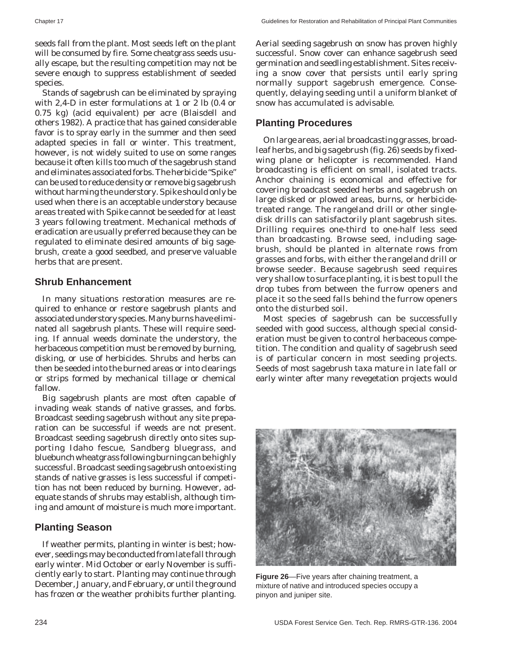seeds fall from the plant. Most seeds left on the plant will be consumed by fire. Some cheatgrass seeds usually escape, but the resulting competition may not be severe enough to suppress establishment of seeded species.

Stands of sagebrush can be eliminated by spraying with 2,4-D in ester formulations at 1 or 2 lb (0.4 or 0.75 kg) (acid equivalent) per acre (Blaisdell and others 1982). A practice that has gained considerable favor is to spray early in the summer and then seed adapted species in fall or winter. This treatment, however, is not widely suited to use on some ranges because it often kills too much of the sagebrush stand and eliminates associated forbs. The herbicide "Spike" can be used to reduce density or remove big sagebrush without harming the understory. Spike should only be used when there is an acceptable understory because areas treated with Spike cannot be seeded for at least 3 years following treatment. Mechanical methods of eradication are usually preferred because they can be regulated to eliminate desired amounts of big sagebrush, create a good seedbed, and preserve valuable herbs that are present.

#### **Shrub Enhancement**

In many situations restoration measures are required to enhance or restore sagebrush plants and associated understory species. Many burns have eliminated all sagebrush plants. These will require seeding. If annual weeds dominate the understory, the herbaceous competition must be removed by burning, disking, or use of herbicides. Shrubs and herbs can then be seeded into the burned areas or into clearings or strips formed by mechanical tillage or chemical fallow.

Big sagebrush plants are most often capable of invading weak stands of native grasses, and forbs. Broadcast seeding sagebrush without any site preparation can be successful if weeds are not present. Broadcast seeding sagebrush directly onto sites supporting Idaho fescue, Sandberg bluegrass, and bluebunch wheatgrass following burning can be highly successful. Broadcast seeding sagebrush onto existing stands of native grasses is less successful if competition has not been reduced by burning. However, adequate stands of shrubs may establish, although timing and amount of moisture is much more important.

#### **Planting Season**

If weather permits, planting in winter is best; however, seedings may be conducted from late fall through early winter. Mid October or early November is sufficiently early to start. Planting may continue through December, January, and February, or until the ground has frozen or the weather prohibits further planting.

Aerial seeding sagebrush on snow has proven highly successful. Snow cover can enhance sagebrush seed germination and seedling establishment. Sites receiving a snow cover that persists until early spring normally support sagebrush emergence. Consequently, delaying seeding until a uniform blanket of snow has accumulated is advisable.

#### **Planting Procedures**

On large areas, aerial broadcasting grasses, broadleaf herbs, and big sagebrush (fig. 26) seeds by fixedwing plane or helicopter is recommended. Hand broadcasting is efficient on small, isolated tracts. Anchor chaining is economical and effective for covering broadcast seeded herbs and sagebrush on large disked or plowed areas, burns, or herbicidetreated range. The rangeland drill or other singledisk drills can satisfactorily plant sagebrush sites. Drilling requires one-third to one-half less seed than broadcasting. Browse seed, including sagebrush, should be planted in alternate rows from grasses and forbs, with either the rangeland drill or browse seeder. Because sagebrush seed requires very shallow to surface planting, it is best to pull the drop tubes from between the furrow openers and place it so the seed falls behind the furrow openers onto the disturbed soil.

Most species of sagebrush can be successfully seeded with good success, although special consideration must be given to control herbaceous competition. The condition and quality of sagebrush seed is of particular concern in most seeding projects. Seeds of most sagebrush taxa mature in late fall or early winter after many revegetation projects would



**Figure 26**—Five years after chaining treatment, a mixture of native and introduced species occupy a pinyon and juniper site.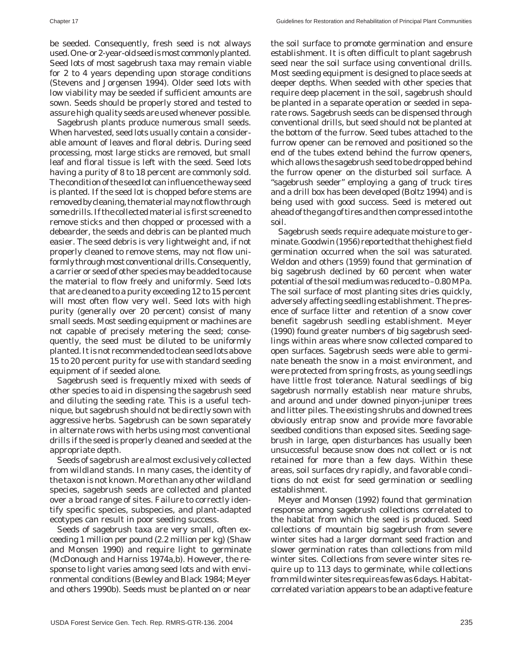be seeded. Consequently, fresh seed is not always used. One- or 2-year-old seed is most commonly planted. Seed lots of most sagebrush taxa may remain viable for 2 to 4 years depending upon storage conditions (Stevens and Jorgensen 1994). Older seed lots with low viability may be seeded if sufficient amounts are sown. Seeds should be properly stored and tested to assure high quality seeds are used whenever possible.

Sagebrush plants produce numerous small seeds. When harvested, seed lots usually contain a considerable amount of leaves and floral debris. During seed processing, most large sticks are removed, but small leaf and floral tissue is left with the seed. Seed lots having a purity of 8 to 18 percent are commonly sold. The condition of the seed lot can influence the way seed is planted. If the seed lot is chopped before stems are removed by cleaning, the material may not flow through some drills. If the collected material is first screened to remove sticks and then chopped or processed with a debearder, the seeds and debris can be planted much easier. The seed debris is very lightweight and, if not properly cleaned to remove stems, may not flow uniformly through most conventional drills. Consequently, a carrier or seed of other species may be added to cause the material to flow freely and uniformly. Seed lots that are cleaned to a purity exceeding 12 to 15 percent will most often flow very well. Seed lots with high purity (generally over 20 percent) consist of many small seeds. Most seeding equipment or machines are not capable of precisely metering the seed; consequently, the seed must be diluted to be uniformly planted. It is not recommended to clean seed lots above 15 to 20 percent purity for use with standard seeding equipment of if seeded alone.

Sagebrush seed is frequently mixed with seeds of other species to aid in dispensing the sagebrush seed and diluting the seeding rate. This is a useful technique, but sagebrush should not be directly sown with aggressive herbs. Sagebrush can be sown separately in alternate rows with herbs using most conventional drills if the seed is properly cleaned and seeded at the appropriate depth.

Seeds of sagebrush are almost exclusively collected from wildland stands. In many cases, the identity of the taxon is not known. More than any other wildland species, sagebrush seeds are collected and planted over a broad range of sites. Failure to correctly identify specific species, subspecies, and plant-adapted ecotypes can result in poor seeding success.

Seeds of sagebrush taxa are very small, often exceeding 1 million per pound (2.2 million per kg) (Shaw and Monsen 1990) and require light to germinate (McDonough and Harniss 1974a,b). However, the response to light varies among seed lots and with environmental conditions (Bewley and Black 1984; Meyer and others 1990b). Seeds must be planted on or near the soil surface to promote germination and ensure establishment. It is often difficult to plant sagebrush seed near the soil surface using conventional drills. Most seeding equipment is designed to place seeds at deeper depths. When seeded with other species that require deep placement in the soil, sagebrush should be planted in a separate operation or seeded in separate rows. Sagebrush seeds can be dispensed through conventional drills, but seed should not be planted at the bottom of the furrow. Seed tubes attached to the furrow opener can be removed and positioned so the end of the tubes extend behind the furrow openers, which allows the sagebrush seed to be dropped behind the furrow opener on the disturbed soil surface. A "sagebrush seeder" employing a gang of truck tires and a drill box has been developed (Boltz 1994) and is being used with good success. Seed is metered out ahead of the gang of tires and then compressed into the soil.

Sagebrush seeds require adequate moisture to germinate. Goodwin (1956) reported that the highest field germination occurred when the soil was saturated. Weldon and others (1959) found that germination of big sagebrush declined by 60 percent when water potential of the soil medium was reduced to –0.80 MPa. The soil surface of most planting sites dries quickly, adversely affecting seedling establishment. The presence of surface litter and retention of a snow cover benefit sagebrush seedling establishment. Meyer (1990) found greater numbers of big sagebrush seedlings within areas where snow collected compared to open surfaces. Sagebrush seeds were able to germinate beneath the snow in a moist environment, and were protected from spring frosts, as young seedlings have little frost tolerance. Natural seedlings of big sagebrush normally establish near mature shrubs, and around and under downed pinyon-juniper trees and litter piles. The existing shrubs and downed trees obviously entrap snow and provide more favorable seedbed conditions than exposed sites. Seeding sagebrush in large, open disturbances has usually been unsuccessful because snow does not collect or is not retained for more than a few days. Within these areas, soil surfaces dry rapidly, and favorable conditions do not exist for seed germination or seedling establishment.

Meyer and Monsen (1992) found that germination response among sagebrush collections correlated to the habitat from which the seed is produced. Seed collections of mountain big sagebrush from severe winter sites had a larger dormant seed fraction and slower germination rates than collections from mild winter sites. Collections from severe winter sites require up to 113 days to germinate, while collections from mild winter sites require as few as 6 days. Habitatcorrelated variation appears to be an adaptive feature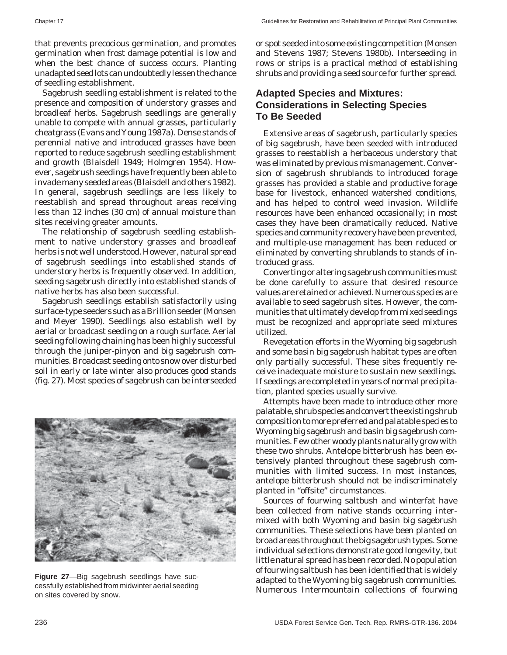that prevents precocious germination, and promotes germination when frost damage potential is low and when the best chance of success occurs. Planting unadapted seed lots can undoubtedly lessen the chance of seedling establishment.

Sagebrush seedling establishment is related to the presence and composition of understory grasses and broadleaf herbs. Sagebrush seedlings are generally unable to compete with annual grasses, particularly cheatgrass (Evans and Young 1987a). Dense stands of perennial native and introduced grasses have been reported to reduce sagebrush seedling establishment and growth (Blaisdell 1949; Holmgren 1954). However, sagebrush seedings have frequently been able to invade many seeded areas (Blaisdell and others 1982). In general, sagebrush seedlings are less likely to reestablish and spread throughout areas receiving less than 12 inches (30 cm) of annual moisture than sites receiving greater amounts.

The relationship of sagebrush seedling establishment to native understory grasses and broadleaf herbs is not well understood. However, natural spread of sagebrush seedlings into established stands of understory herbs is frequently observed. In addition, seeding sagebrush directly into established stands of native herbs has also been successful.

Sagebrush seedlings establish satisfactorily using surface-type seeders such as a Brillion seeder (Monsen and Meyer 1990). Seedlings also establish well by aerial or broadcast seeding on a rough surface. Aerial seeding following chaining has been highly successful through the juniper-pinyon and big sagebrush communities. Broadcast seeding onto snow over disturbed soil in early or late winter also produces good stands (fig. 27). Most species of sagebrush can be interseeded



**Figure 27**—Big sagebrush seedlings have successfully established from midwinter aerial seeding on sites covered by snow.

or spot seeded into some existing competition (Monsen and Stevens 1987; Stevens 1980b). Interseeding in rows or strips is a practical method of establishing shrubs and providing a seed source for further spread.

#### **Adapted Species and Mixtures: Considerations in Selecting Species To Be Seeded**

Extensive areas of sagebrush, particularly species of big sagebrush, have been seeded with introduced grasses to reestablish a herbaceous understory that was eliminated by previous mismanagement. Conversion of sagebrush shrublands to introduced forage grasses has provided a stable and productive forage base for livestock, enhanced watershed conditions, and has helped to control weed invasion. Wildlife resources have been enhanced occasionally; in most cases they have been dramatically reduced. Native species and community recovery have been prevented, and multiple-use management has been reduced or eliminated by converting shrublands to stands of introduced grass.

Converting or altering sagebrush communities must be done carefully to assure that desired resource values are retained or achieved. Numerous species are available to seed sagebrush sites. However, the communities that ultimately develop from mixed seedings must be recognized and appropriate seed mixtures utilized.

Revegetation efforts in the Wyoming big sagebrush and some basin big sagebrush habitat types are often only partially successful. These sites frequently receive inadequate moisture to sustain new seedlings. If seedings are completed in years of normal precipitation, planted species usually survive.

Attempts have been made to introduce other more palatable, shrub species and convert the existing shrub composition to more preferred and palatable species to Wyoming big sagebrush and basin big sagebrush communities. Few other woody plants naturally grow with these two shrubs. Antelope bitterbrush has been extensively planted throughout these sagebrush communities with limited success. In most instances, antelope bitterbrush should not be indiscriminately planted in "offsite" circumstances.

Sources of fourwing saltbush and winterfat have been collected from native stands occurring intermixed with both Wyoming and basin big sagebrush communities. These selections have been planted on broad areas throughout the big sagebrush types. Some individual selections demonstrate good longevity, but little natural spread has been recorded. No population of fourwing saltbush has been identified that is widely adapted to the Wyoming big sagebrush communities. Numerous Intermountain collections of fourwing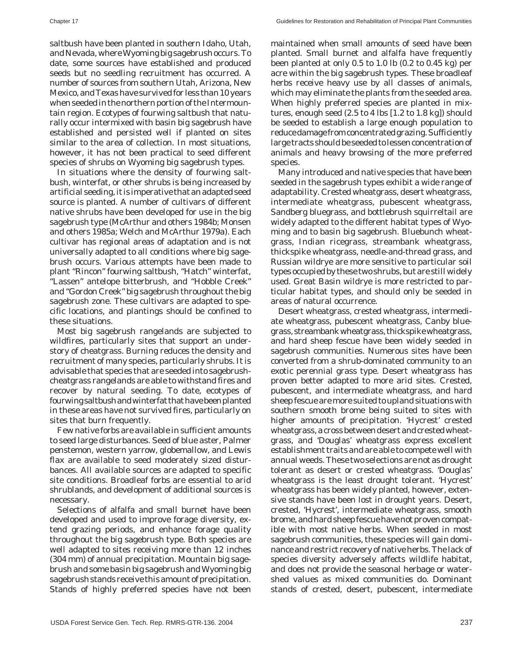saltbush have been planted in southern Idaho, Utah, and Nevada, where Wyoming big sagebrush occurs. To date, some sources have established and produced seeds but no seedling recruitment has occurred. A number of sources from southern Utah, Arizona, New Mexico, and Texas have survived for less than 10 years when seeded in the northern portion of the Intermountain region. Ecotypes of fourwing saltbush that naturally occur intermixed with basin big sagebrush have established and persisted well if planted on sites similar to the area of collection. In most situations, however, it has not been practical to seed different species of shrubs on Wyoming big sagebrush types.

In situations where the density of fourwing saltbush, winterfat, or other shrubs is being increased by artificial seeding, it is imperative that an adapted seed source is planted. A number of cultivars of different native shrubs have been developed for use in the big sagebrush type (McArthur and others 1984b; Monsen and others 1985a; Welch and McArthur 1979a). Each cultivar has regional areas of adaptation and is not universally adapted to all conditions where big sagebrush occurs. Various attempts have been made to plant "Rincon" fourwing saltbush, "Hatch" winterfat, "Lassen" antelope bitterbrush, and "Hobble Creek" and "Gordon Creek" big sagebrush throughout the big sagebrush zone. These cultivars are adapted to specific locations, and plantings should be confined to these situations.

Most big sagebrush rangelands are subjected to wildfires, particularly sites that support an understory of cheatgrass. Burning reduces the density and recruitment of many species, particularly shrubs. It is advisable that species that are seeded into sagebrushcheatgrass rangelands are able to withstand fires and recover by natural seeding. To date, ecotypes of fourwing saltbush and winterfat that have been planted in these areas have not survived fires, particularly on sites that burn frequently.

Few native forbs are available in sufficient amounts to seed large disturbances. Seed of blue aster, Palmer penstemon, western yarrow, globemallow, and Lewis flax are available to seed moderately sized disturbances. All available sources are adapted to specific site conditions. Broadleaf forbs are essential to arid shrublands, and development of additional sources is necessary.

Selections of alfalfa and small burnet have been developed and used to improve forage diversity, extend grazing periods, and enhance forage quality throughout the big sagebrush type. Both species are well adapted to sites receiving more than 12 inches (304 mm) of annual precipitation. Mountain big sagebrush and some basin big sagebrush and Wyoming big sagebrush stands receive this amount of precipitation. Stands of highly preferred species have not been

maintained when small amounts of seed have been planted. Small burnet and alfalfa have frequently been planted at only 0.5 to 1.0 lb (0.2 to 0.45 kg) per acre within the big sagebrush types. These broadleaf herbs receive heavy use by all classes of animals, which may eliminate the plants from the seeded area. When highly preferred species are planted in mixtures, enough seed (2.5 to 4 lbs [1.2 to 1.8 kg]) should be seeded to establish a large enough population to reduce damage from concentrated grazing. Sufficiently large tracts should be seeded to lessen concentration of animals and heavy browsing of the more preferred species.

Many introduced and native species that have been seeded in the sagebrush types exhibit a wide range of adaptability. Crested wheatgrass, desert wheatgrass, intermediate wheatgrass, pubescent wheatgrass, Sandberg bluegrass, and bottlebrush squirreltail are widely adapted to the different habitat types of Wyoming and to basin big sagebrush. Bluebunch wheatgrass, Indian ricegrass, streambank wheatgrass, thickspike wheatgrass, needle-and-thread grass, and Russian wildrye are more sensitive to particular soil types occupied by these two shrubs, but are still widely used. Great Basin wildrye is more restricted to particular habitat types, and should only be seeded in areas of natural occurrence.

Desert wheatgrass, crested wheatgrass, intermediate wheatgrass, pubescent wheatgrass, Canby bluegrass, streambank wheatgrass, thickspike wheatgrass, and hard sheep fescue have been widely seeded in sagebrush communities. Numerous sites have been converted from a shrub-dominated community to an exotic perennial grass type. Desert wheatgrass has proven better adapted to more arid sites. Crested, pubescent, and intermediate wheatgrass, and hard sheep fescue are more suited to upland situations with southern smooth brome being suited to sites with higher amounts of precipitation. 'Hycrest' crested wheatgrass, a cross between desert and crested wheatgrass, and 'Douglas' wheatgrass express excellent establishment traits and are able to compete well with annual weeds. These two selections are not as drought tolerant as desert or crested wheatgrass. 'Douglas' wheatgrass is the least drought tolerant. 'Hycrest' wheatgrass has been widely planted, however, extensive stands have been lost in drought years. Desert, crested, 'Hycrest', intermediate wheatgrass, smooth brome, and hard sheep fescue have not proven compatible with most native herbs. When seeded in most sagebrush communities, these species will gain dominance and restrict recovery of native herbs. The lack of species diversity adversely affects wildlife habitat, and does not provide the seasonal herbage or watershed values as mixed communities do. Dominant stands of crested, desert, pubescent, intermediate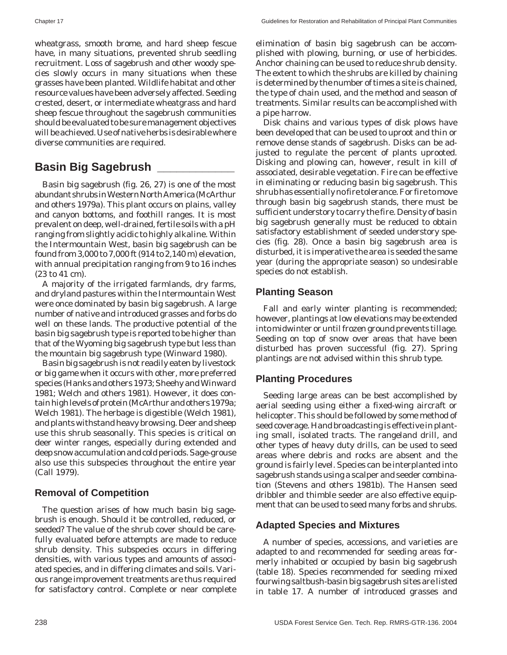wheatgrass, smooth brome, and hard sheep fescue have, in many situations, prevented shrub seedling recruitment. Loss of sagebrush and other woody species slowly occurs in many situations when these grasses have been planted. Wildlife habitat and other resource values have been adversely affected. Seeding crested, desert, or intermediate wheatgrass and hard sheep fescue throughout the sagebrush communities should be evaluated to be sure management objectives will be achieved. Use of native herbs is desirable where diverse communities are required.

## **Basin Big Sagebrush \_\_\_\_\_\_\_\_\_\_\_\_**

Basin big sagebrush (fig. 26, 27) is one of the most abundant shrubs in Western North America (McArthur and others 1979a). This plant occurs on plains, valley and canyon bottoms, and foothill ranges. It is most prevalent on deep, well-drained, fertile soils with a pH ranging from slightly acidic to highly alkaline. Within the Intermountain West, basin big sagebrush can be found from 3,000 to 7,000 ft (914 to 2,140 m) elevation, with annual precipitation ranging from 9 to 16 inches (23 to 41 cm).

A majority of the irrigated farmlands, dry farms, and dryland pastures within the Intermountain West were once dominated by basin big sagebrush. A large number of native and introduced grasses and forbs do well on these lands. The productive potential of the basin big sagebrush type is reported to be higher than that of the Wyoming big sagebrush type but less than the mountain big sagebrush type (Winward 1980).

Basin big sagebrush is not readily eaten by livestock or big game when it occurs with other, more preferred species (Hanks and others 1973; Sheehy and Winward 1981; Welch and others 1981). However, it does contain high levels of protein (McArthur and others 1979a; Welch 1981). The herbage is digestible (Welch 1981), and plants withstand heavy browsing. Deer and sheep use this shrub seasonally. This species is critical on deer winter ranges, especially during extended and deep snow accumulation and cold periods. Sage-grouse also use this subspecies throughout the entire year (Call 1979).

#### **Removal of Competition**

The question arises of how much basin big sagebrush is enough. Should it be controlled, reduced, or seeded? The value of the shrub cover should be carefully evaluated before attempts are made to reduce shrub density. This subspecies occurs in differing densities, with various types and amounts of associated species, and in differing climates and soils. Various range improvement treatments are thus required for satisfactory control. Complete or near complete

elimination of basin big sagebrush can be accomplished with plowing, burning, or use of herbicides. Anchor chaining can be used to reduce shrub density. The extent to which the shrubs are killed by chaining is determined by the number of times a site is chained, the type of chain used, and the method and season of treatments. Similar results can be accomplished with a pipe harrow.

Disk chains and various types of disk plows have been developed that can be used to uproot and thin or remove dense stands of sagebrush. Disks can be adjusted to regulate the percent of plants uprooted. Disking and plowing can, however, result in kill of associated, desirable vegetation. Fire can be effective in eliminating or reducing basin big sagebrush. This shrub has essentially no fire tolerance. For fire to move through basin big sagebrush stands, there must be sufficient understory to carry the fire. Density of basin big sagebrush generally must be reduced to obtain satisfactory establishment of seeded understory species (fig. 28). Once a basin big sagebrush area is disturbed, it is imperative the area is seeded the same year (during the appropriate season) so undesirable species do not establish.

#### **Planting Season**

Fall and early winter planting is recommended; however, plantings at low elevations may be extended into midwinter or until frozen ground prevents tillage. Seeding on top of snow over areas that have been disturbed has proven successful (fig. 27). Spring plantings are not advised within this shrub type.

#### **Planting Procedures**

Seeding large areas can be best accomplished by aerial seeding using either a fixed-wing aircraft or helicopter. This should be followed by some method of seed coverage. Hand broadcasting is effective in planting small, isolated tracts. The rangeland drill, and other types of heavy duty drills, can be used to seed areas where debris and rocks are absent and the ground is fairly level. Species can be interplanted into sagebrush stands using a scalper and seeder combination (Stevens and others 1981b). The Hansen seed dribbler and thimble seeder are also effective equipment that can be used to seed many forbs and shrubs.

#### **Adapted Species and Mixtures**

A number of species, accessions, and varieties are adapted to and recommended for seeding areas formerly inhabited or occupied by basin big sagebrush (table 18). Species recommended for seeding mixed fourwing saltbush-basin big sagebrush sites are listed in table 17. A number of introduced grasses and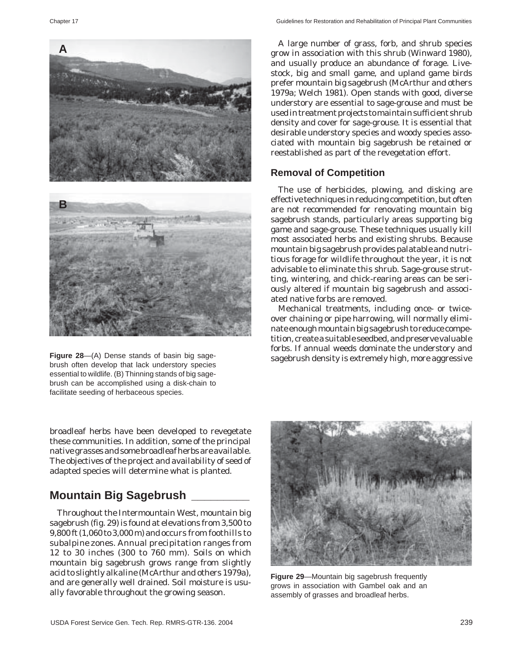

brush often develop that lack understory species essential to wildlife. (B) Thinning stands of big sagebrush can be accomplished using a disk-chain to facilitate seeding of herbaceous species.

broadleaf herbs have been developed to revegetate these communities. In addition, some of the principal native grasses and some broadleaf herbs are available. The objectives of the project and availability of seed of adapted species will determine what is planted.

## **Mountain Big Sagebrush \_\_\_\_\_\_\_\_\_**

Throughout the Intermountain West, mountain big sagebrush (fig. 29) is found at elevations from 3,500 to 9,800 ft (1,060 to 3,000 m) and occurs from foothills to subalpine zones. Annual precipitation ranges from 12 to 30 inches (300 to 760 mm). Soils on which mountain big sagebrush grows range from slightly acid to slightly alkaline (McArthur and others 1979a), and are generally well drained. Soil moisture is usually favorable throughout the growing season.

A large number of grass, forb, and shrub species grow in association with this shrub (Winward 1980), and usually produce an abundance of forage. Livestock, big and small game, and upland game birds prefer mountain big sagebrush (McArthur and others 1979a; Welch 1981). Open stands with good, diverse understory are essential to sage-grouse and must be used in treatment projects to maintain sufficient shrub density and cover for sage-grouse. It is essential that desirable understory species and woody species associated with mountain big sagebrush be retained or reestablished as part of the revegetation effort.

#### **Removal of Competition**

The use of herbicides, plowing, and disking are effective techniques in reducing competition, but often are not recommended for renovating mountain big sagebrush stands, particularly areas supporting big game and sage-grouse. These techniques usually kill most associated herbs and existing shrubs. Because mountain big sagebrush provides palatable and nutritious forage for wildlife throughout the year, it is not advisable to eliminate this shrub. Sage-grouse strutting, wintering, and chick-rearing areas can be seriously altered if mountain big sagebrush and associated native forbs are removed.

Mechanical treatments, including once- or twiceover chaining or pipe harrowing, will normally eliminate enough mountain big sagebrush to reduce competition, create a suitable seedbed, and preserve valuable forbs. If annual weeds dominate the understory and Figure 28-(A) Dense stands of basin big sage-<br>
sagebrush density is extremely high, more aggressive



**Figure 29**—Mountain big sagebrush frequently grows in association with Gambel oak and an assembly of grasses and broadleaf herbs.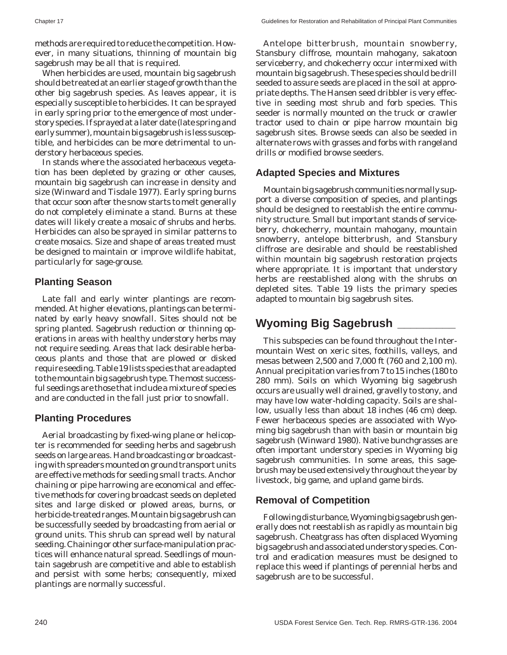methods are required to reduce the competition. However, in many situations, thinning of mountain big sagebrush may be all that is required.

When herbicides are used, mountain big sagebrush should be treated at an earlier stage of growth than the other big sagebrush species. As leaves appear, it is especially susceptible to herbicides. It can be sprayed in early spring prior to the emergence of most understory species. If sprayed at a later date (late spring and early summer), mountain big sagebrush is less susceptible, and herbicides can be more detrimental to understory herbaceous species.

In stands where the associated herbaceous vegetation has been depleted by grazing or other causes, mountain big sagebrush can increase in density and size (Winward and Tisdale 1977). Early spring burns that occur soon after the snow starts to melt generally do not completely eliminate a stand. Burns at these dates will likely create a mosaic of shrubs and herbs. Herbicides can also be sprayed in similar patterns to create mosaics. Size and shape of areas treated must be designed to maintain or improve wildlife habitat, particularly for sage-grouse.

#### **Planting Season**

Late fall and early winter plantings are recommended. At higher elevations, plantings can be terminated by early heavy snowfall. Sites should not be spring planted. Sagebrush reduction or thinning operations in areas with healthy understory herbs may not require seeding. Areas that lack desirable herbaceous plants and those that are plowed or disked require seeding. Table 19 lists species that are adapted to the mountain big sagebrush type. The most successful seedings are those that include a mixture of species and are conducted in the fall just prior to snowfall.

#### **Planting Procedures**

Aerial broadcasting by fixed-wing plane or helicopter is recommended for seeding herbs and sagebrush seeds on large areas. Hand broadcasting or broadcasting with spreaders mounted on ground transport units are effective methods for seeding small tracts. Anchor chaining or pipe harrowing are economical and effective methods for covering broadcast seeds on depleted sites and large disked or plowed areas, burns, or herbicide-treated ranges. Mountain big sagebrush can be successfully seeded by broadcasting from aerial or ground units. This shrub can spread well by natural seeding. Chaining or other surface-manipulation practices will enhance natural spread. Seedlings of mountain sagebrush are competitive and able to establish and persist with some herbs; consequently, mixed plantings are normally successful.

Antelope bitterbrush, mountain snowberry, Stansbury cliffrose, mountain mahogany, sakatoon serviceberry, and chokecherry occur intermixed with mountain big sagebrush. These species should be drill seeded to assure seeds are placed in the soil at appropriate depths. The Hansen seed dribbler is very effective in seeding most shrub and forb species. This seeder is normally mounted on the truck or crawler tractor used to chain or pipe harrow mountain big sagebrush sites. Browse seeds can also be seeded in alternate rows with grasses and forbs with rangeland drills or modified browse seeders.

#### **Adapted Species and Mixtures**

Mountain big sagebrush communities normally support a diverse composition of species, and plantings should be designed to reestablish the entire community structure. Small but important stands of serviceberry, chokecherry, mountain mahogany, mountain snowberry, antelope bitterbrush, and Stansbury cliffrose are desirable and should be reestablished within mountain big sagebrush restoration projects where appropriate. It is important that understory herbs are reestablished along with the shrubs on depleted sites. Table 19 lists the primary species adapted to mountain big sagebrush sites.

## **Wyoming Big Sagebrush \_\_\_\_\_\_\_\_\_**

This subspecies can be found throughout the Intermountain West on xeric sites, foothills, valleys, and mesas between 2,500 and 7,000 ft (760 and 2,100 m). Annual precipitation varies from 7 to 15 inches (180 to 280 mm). Soils on which Wyoming big sagebrush occurs are usually well drained, gravelly to stony, and may have low water-holding capacity. Soils are shallow, usually less than about 18 inches (46 cm) deep. Fewer herbaceous species are associated with Wyoming big sagebrush than with basin or mountain big sagebrush (Winward 1980). Native bunchgrasses are often important understory species in Wyoming big sagebrush communities. In some areas, this sagebrush may be used extensively throughout the year by livestock, big game, and upland game birds.

#### **Removal of Competition**

Following disturbance, Wyoming big sagebrush generally does not reestablish as rapidly as mountain big sagebrush. Cheatgrass has often displaced Wyoming big sagebrush and associated understory species. Control and eradication measures must be designed to replace this weed if plantings of perennial herbs and sagebrush are to be successful.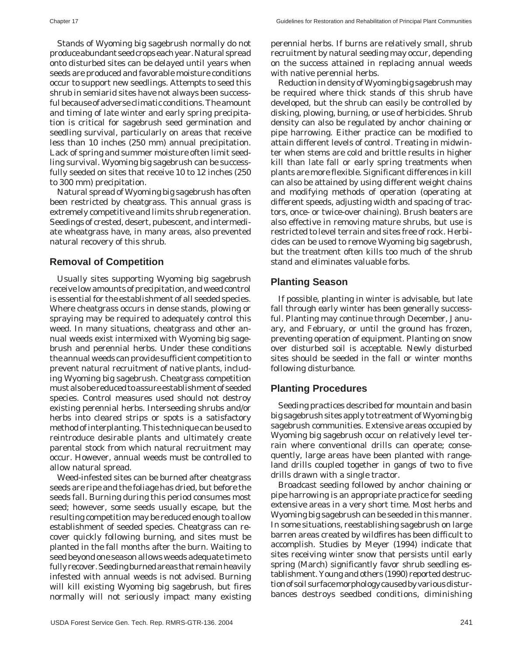Stands of Wyoming big sagebrush normally do not produce abundant seed crops each year. Natural spread onto disturbed sites can be delayed until years when seeds are produced and favorable moisture conditions occur to support new seedlings. Attempts to seed this shrub in semiarid sites have not always been successful because of adverse climatic conditions. The amount and timing of late winter and early spring precipitation is critical for sagebrush seed germination and seedling survival, particularly on areas that receive less than 10 inches (250 mm) annual precipitation. Lack of spring and summer moisture often limit seedling survival. Wyoming big sagebrush can be successfully seeded on sites that receive 10 to 12 inches (250 to 300 mm) precipitation.

Natural spread of Wyoming big sagebrush has often been restricted by cheatgrass. This annual grass is extremely competitive and limits shrub regeneration. Seedings of crested, desert, pubescent, and intermediate wheatgrass have, in many areas, also prevented natural recovery of this shrub.

#### **Removal of Competition**

Usually sites supporting Wyoming big sagebrush receive low amounts of precipitation, and weed control is essential for the establishment of all seeded species. Where cheatgrass occurs in dense stands, plowing or spraying may be required to adequately control this weed. In many situations, cheatgrass and other annual weeds exist intermixed with Wyoming big sagebrush and perennial herbs. Under these conditions the annual weeds can provide sufficient competition to prevent natural recruitment of native plants, including Wyoming big sagebrush. Cheatgrass competition must also be reduced to assure establishment of seeded species. Control measures used should not destroy existing perennial herbs. Interseeding shrubs and/or herbs into cleared strips or spots is a satisfactory method of interplanting. This technique can be used to reintroduce desirable plants and ultimately create parental stock from which natural recruitment may occur. However, annual weeds must be controlled to allow natural spread.

Weed-infested sites can be burned after cheatgrass seeds are ripe and the foliage has dried, but before the seeds fall. Burning during this period consumes most seed; however, some seeds usually escape, but the resulting competition may be reduced enough to allow establishment of seeded species. Cheatgrass can recover quickly following burning, and sites must be planted in the fall months after the burn. Waiting to seed beyond one season allows weeds adequate time to fully recover. Seeding burned areas that remain heavily infested with annual weeds is not advised. Burning will kill existing Wyoming big sagebrush, but fires normally will not seriously impact many existing perennial herbs. If burns are relatively small, shrub recruitment by natural seeding may occur, depending on the success attained in replacing annual weeds with native perennial herbs.

Reduction in density of Wyoming big sagebrush may be required where thick stands of this shrub have developed, but the shrub can easily be controlled by disking, plowing, burning, or use of herbicides. Shrub density can also be regulated by anchor chaining or pipe harrowing. Either practice can be modified to attain different levels of control. Treating in midwinter when stems are cold and brittle results in higher kill than late fall or early spring treatments when plants are more flexible. Significant differences in kill can also be attained by using different weight chains and modifying methods of operation (operating at different speeds, adjusting width and spacing of tractors, once- or twice-over chaining). Brush beaters are also effective in removing mature shrubs, but use is restricted to level terrain and sites free of rock. Herbicides can be used to remove Wyoming big sagebrush, but the treatment often kills too much of the shrub stand and eliminates valuable forbs.

#### **Planting Season**

If possible, planting in winter is advisable, but late fall through early winter has been generally successful. Planting may continue through December, January, and February, or until the ground has frozen, preventing operation of equipment. Planting on snow over disturbed soil is acceptable. Newly disturbed sites should be seeded in the fall or winter months following disturbance.

#### **Planting Procedures**

Seeding practices described for mountain and basin big sagebrush sites apply to treatment of Wyoming big sagebrush communities. Extensive areas occupied by Wyoming big sagebrush occur on relatively level terrain where conventional drills can operate; consequently, large areas have been planted with rangeland drills coupled together in gangs of two to five drills drawn with a single tractor.

Broadcast seeding followed by anchor chaining or pipe harrowing is an appropriate practice for seeding extensive areas in a very short time. Most herbs and Wyoming big sagebrush can be seeded in this manner. In some situations, reestablishing sagebrush on large barren areas created by wildfires has been difficult to accomplish. Studies by Meyer (1994) indicate that sites receiving winter snow that persists until early spring (March) significantly favor shrub seedling establishment. Young and others (1990) reported destruction of soil surface morphology caused by various disturbances destroys seedbed conditions, diminishing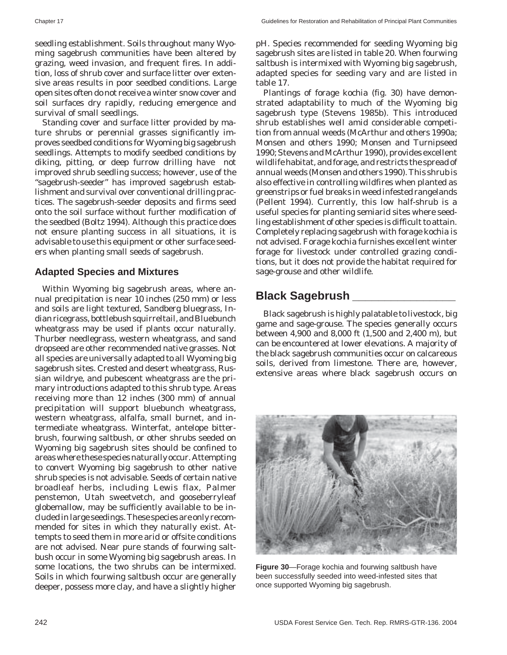seedling establishment. Soils throughout many Wyoming sagebrush communities have been altered by grazing, weed invasion, and frequent fires. In addition, loss of shrub cover and surface litter over extensive areas results in poor seedbed conditions. Large open sites often do not receive a winter snow cover and soil surfaces dry rapidly, reducing emergence and survival of small seedlings.

Standing cover and surface litter provided by mature shrubs or perennial grasses significantly improves seedbed conditions for Wyoming big sagebrush seedlings. Attempts to modify seedbed conditions by diking, pitting, or deep furrow drilling have not improved shrub seedling success; however, use of the "sagebrush-seeder" has improved sagebrush establishment and survival over conventional drilling practices. The sagebrush-seeder deposits and firms seed onto the soil surface without further modification of the seedbed (Boltz 1994). Although this practice does not ensure planting success in all situations, it is advisable to use this equipment or other surface seeders when planting small seeds of sagebrush.

#### **Adapted Species and Mixtures**

Within Wyoming big sagebrush areas, where annual precipitation is near 10 inches (250 mm) or less and soils are light textured, Sandberg bluegrass, Indian ricegrass, bottlebush squirreltail, and Bluebunch wheatgrass may be used if plants occur naturally. Thurber needlegrass, western wheatgrass, and sand dropseed are other recommended native grasses. Not all species are universally adapted to all Wyoming big sagebrush sites. Crested and desert wheatgrass, Russian wildrye, and pubescent wheatgrass are the primary introductions adapted to this shrub type. Areas receiving more than 12 inches (300 mm) of annual precipitation will support bluebunch wheatgrass, western wheatgrass, alfalfa, small burnet, and intermediate wheatgrass. Winterfat, antelope bitterbrush, fourwing saltbush, or other shrubs seeded on Wyoming big sagebrush sites should be confined to areas where these species naturally occur. Attempting to convert Wyoming big sagebrush to other native shrub species is not advisable. Seeds of certain native broadleaf herbs, including Lewis flax, Palmer penstemon, Utah sweetvetch, and gooseberryleaf globemallow, may be sufficiently available to be included in large seedings. These species are only recommended for sites in which they naturally exist. Attempts to seed them in more arid or offsite conditions are not advised. Near pure stands of fourwing saltbush occur in some Wyoming big sagebrush areas. In some locations, the two shrubs can be intermixed. Soils in which fourwing saltbush occur are generally deeper, possess more clay, and have a slightly higher

pH. Species recommended for seeding Wyoming big sagebrush sites are listed in table 20. When fourwing saltbush is intermixed with Wyoming big sagebrush, adapted species for seeding vary and are listed in table 17.

Plantings of forage kochia (fig. 30) have demonstrated adaptability to much of the Wyoming big sagebrush type (Stevens 1985b). This introduced shrub establishes well amid considerable competition from annual weeds (McArthur and others 1990a; Monsen and others 1990; Monsen and Turnipseed 1990; Stevens and McArthur 1990), provides excellent wildlife habitat, and forage, and restricts the spread of annual weeds (Monsen and others 1990). This shrub is also effective in controlling wildfires when planted as greenstrips or fuel breaks in weed infested rangelands (Pellent 1994). Currently, this low half-shrub is a useful species for planting semiarid sites where seedling establishment of other species is difficult to attain. Completely replacing sagebrush with forage kochia is not advised. Forage kochia furnishes excellent winter forage for livestock under controlled grazing conditions, but it does not provide the habitat required for sage-grouse and other wildlife.

## **Black Sagebrush \_\_\_\_\_\_\_\_\_\_\_\_\_\_\_\_**

Black sagebrush is highly palatable to livestock, big game and sage-grouse. The species generally occurs between 4,900 and 8,000 ft (1,500 and 2,400 m), but can be encountered at lower elevations. A majority of the black sagebrush communities occur on calcareous soils, derived from limestone. There are, however, extensive areas where black sagebrush occurs on



**Figure 30**—Forage kochia and fourwing saltbush have been successfully seeded into weed-infested sites that once supported Wyoming big sagebrush.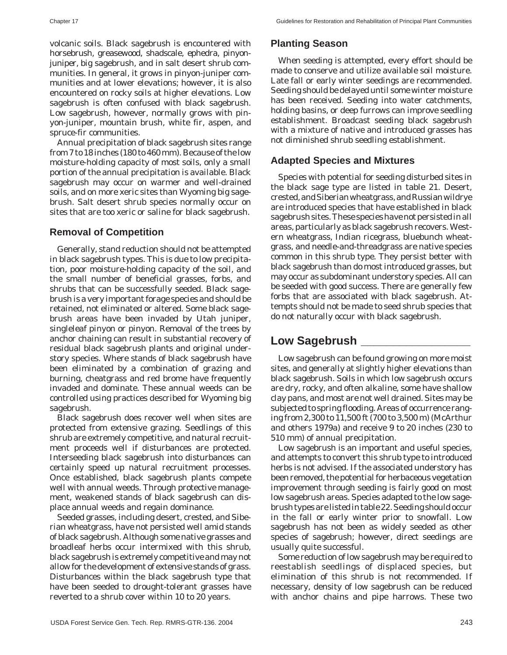volcanic soils. Black sagebrush is encountered with horsebrush, greasewood, shadscale, ephedra, pinyonjuniper, big sagebrush, and in salt desert shrub communities. In general, it grows in pinyon-juniper communities and at lower elevations; however, it is also encountered on rocky soils at higher elevations. Low sagebrush is often confused with black sagebrush. Low sagebrush, however, normally grows with pinyon-juniper, mountain brush, white fir, aspen, and spruce-fir communities.

Annual precipitation of black sagebrush sites range from 7 to 18 inches (180 to 460 mm). Because of the low moisture-holding capacity of most soils, only a small portion of the annual precipitation is available. Black sagebrush may occur on warmer and well-drained soils, and on more xeric sites than Wyoming big sagebrush. Salt desert shrub species normally occur on sites that are too xeric or saline for black sagebrush.

#### **Removal of Competition**

Generally, stand reduction should not be attempted in black sagebrush types. This is due to low precipitation, poor moisture-holding capacity of the soil, and the small number of beneficial grasses, forbs, and shrubs that can be successfully seeded. Black sagebrush is a very important forage species and should be retained, not eliminated or altered. Some black sagebrush areas have been invaded by Utah juniper, singleleaf pinyon or pinyon. Removal of the trees by anchor chaining can result in substantial recovery of residual black sagebrush plants and original understory species. Where stands of black sagebrush have been eliminated by a combination of grazing and burning, cheatgrass and red brome have frequently invaded and dominate. These annual weeds can be controlled using practices described for Wyoming big sagebrush.

Black sagebrush does recover well when sites are protected from extensive grazing. Seedlings of this shrub are extremely competitive, and natural recruitment proceeds well if disturbances are protected. Interseeding black sagebrush into disturbances can certainly speed up natural recruitment processes. Once established, black sagebrush plants compete well with annual weeds. Through protective management, weakened stands of black sagebrush can displace annual weeds and regain dominance.

Seeded grasses, including desert, crested, and Siberian wheatgrass, have not persisted well amid stands of black sagebrush. Although some native grasses and broadleaf herbs occur intermixed with this shrub, black sagebrush is extremely competitive and may not allow for the development of extensive stands of grass. Disturbances within the black sagebrush type that have been seeded to drought-tolerant grasses have reverted to a shrub cover within 10 to 20 years.

## **Planting Season**

When seeding is attempted, every effort should be made to conserve and utilize available soil moisture. Late fall or early winter seedings are recommended. Seeding should be delayed until some winter moisture has been received. Seeding into water catchments, holding basins, or deep furrows can improve seedling establishment. Broadcast seeding black sagebrush with a mixture of native and introduced grasses has not diminished shrub seedling establishment.

### **Adapted Species and Mixtures**

Species with potential for seeding disturbed sites in the black sage type are listed in table 21. Desert, crested, and Siberian wheatgrass, and Russian wildrye are introduced species that have established in black sagebrush sites. These species have not persisted in all areas, particularly as black sagebrush recovers. Western wheatgrass, Indian ricegrass, bluebunch wheatgrass, and needle-and-threadgrass are native species common in this shrub type. They persist better with black sagebrush than do most introduced grasses, but may occur as subdominant understory species. All can be seeded with good success. There are generally few forbs that are associated with black sagebrush. Attempts should not be made to seed shrub species that do not naturally occur with black sagebrush.

## **Low Sagebrush \_\_\_\_\_\_\_\_\_\_\_\_\_\_\_\_\_**

Low sagebrush can be found growing on more moist sites, and generally at slightly higher elevations than black sagebrush. Soils in which low sagebrush occurs are dry, rocky, and often alkaline, some have shallow clay pans, and most are not well drained. Sites may be subjected to spring flooding. Areas of occurrence ranging from 2,300 to 11,500 ft (700 to 3,500 m) (McArthur and others 1979a) and receive 9 to 20 inches (230 to 510 mm) of annual precipitation.

Low sagebrush is an important and useful species, and attempts to convert this shrub type to introduced herbs is not advised. If the associated understory has been removed, the potential for herbaceous vegetation improvement through seeding is fairly good on most low sagebrush areas. Species adapted to the low sagebrush types are listed in table 22. Seeding should occur in the fall or early winter prior to snowfall. Low sagebrush has not been as widely seeded as other species of sagebrush; however, direct seedings are usually quite successful.

Some reduction of low sagebrush may be required to reestablish seedlings of displaced species, but elimination of this shrub is not recommended. If necessary, density of low sagebrush can be reduced with anchor chains and pipe harrows. These two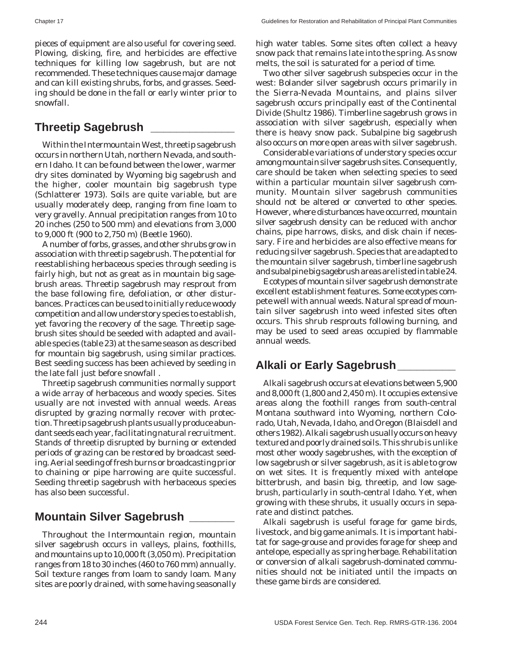pieces of equipment are also useful for covering seed. Plowing, disking, fire, and herbicides are effective techniques for killing low sagebrush, but are not recommended. These techniques cause major damage and can kill existing shrubs, forbs, and grasses. Seeding should be done in the fall or early winter prior to snowfall.

## **Threetip Sagebrush \_\_\_\_\_\_\_\_\_\_\_\_\_**

Within the Intermountain West, threetip sagebrush occurs in northern Utah, northern Nevada, and southern Idaho. It can be found between the lower, warmer dry sites dominated by Wyoming big sagebrush and the higher, cooler mountain big sagebrush type (Schlatterer 1973). Soils are quite variable, but are usually moderately deep, ranging from fine loam to very gravelly. Annual precipitation ranges from 10 to 20 inches (250 to 500 mm) and elevations from 3,000 to 9,000 ft (900 to 2,750 m) (Beetle 1960).

A number of forbs, grasses, and other shrubs grow in association with threetip sagebrush. The potential for reestablishing herbaceous species through seeding is fairly high, but not as great as in mountain big sagebrush areas. Threetip sagebrush may resprout from the base following fire, defoliation, or other disturbances. Practices can be used to initially reduce woody competition and allow understory species to establish, yet favoring the recovery of the sage. Threetip sagebrush sites should be seeded with adapted and available species (table 23) at the same season as described for mountain big sagebrush, using similar practices. Best seeding success has been achieved by seeding in the late fall just before snowfall .

Threetip sagebrush communities normally support a wide array of herbaceous and woody species. Sites usually are not invested with annual weeds. Areas disrupted by grazing normally recover with protection. Threetip sagebrush plants usually produce abundant seeds each year, facilitating natural recruitment. Stands of threetip disrupted by burning or extended periods of grazing can be restored by broadcast seeding. Aerial seeding of fresh burns or broadcasting prior to chaining or pipe harrowing are quite successful. Seeding threetip sagebrush with herbaceous species has also been successful.

## **Mountain Silver Sagebrush \_\_\_\_\_\_\_**

Throughout the Intermountain region, mountain silver sagebrush occurs in valleys, plains, foothills, and mountains up to 10,000 ft (3,050 m). Precipitation ranges from 18 to 30 inches (460 to 760 mm) annually. Soil texture ranges from loam to sandy loam. Many sites are poorly drained, with some having seasonally high water tables. Some sites often collect a heavy snow pack that remains late into the spring. As snow melts, the soil is saturated for a period of time.

Two other silver sagebrush subspecies occur in the west: Bolander silver sagebrush occurs primarily in the Sierra-Nevada Mountains, and plains silver sagebrush occurs principally east of the Continental Divide (Shultz 1986). Timberline sagebrush grows in association with silver sagebrush, especially when there is heavy snow pack. Subalpine big sagebrush also occurs on more open areas with silver sagebrush.

Considerable variations of understory species occur among mountain silver sagebrush sites. Consequently, care should be taken when selecting species to seed within a particular mountain silver sagebrush community. Mountain silver sagebrush communities should not be altered or converted to other species. However, where disturbances have occurred, mountain silver sagebrush density can be reduced with anchor chains, pipe harrows, disks, and disk chain if necessary. Fire and herbicides are also effective means for reducing silver sagebrush. Species that are adapted to the mountain silver sagebrush, timberline sagebrush and subalpine big sagebrush areas are listed in table 24.

Ecotypes of mountain silver sagebrush demonstrate excellent establishment features. Some ecotypes compete well with annual weeds. Natural spread of mountain silver sagebrush into weed infested sites often occurs. This shrub resprouts following burning, and may be used to seed areas occupied by flammable annual weeds.

# **Alkali or Early Sagebrush\_\_\_\_\_\_\_\_\_**

Alkali sagebrush occurs at elevations between 5,900 and 8,000 ft (1,800 and 2,450 m). It occupies extensive areas along the foothill ranges from south-central Montana southward into Wyoming, northern Colorado, Utah, Nevada, Idaho, and Oregon (Blaisdell and others 1982). Alkali sagebrush usually occurs on heavy textured and poorly drained soils. This shrub is unlike most other woody sagebrushes, with the exception of low sagebrush or silver sagebrush, as it is able to grow on wet sites. It is frequently mixed with antelope bitterbrush, and basin big, threetip, and low sagebrush, particularly in south-central Idaho. Yet, when growing with these shrubs, it usually occurs in separate and distinct patches.

Alkali sagebrush is useful forage for game birds, livestock, and big game animals. It is important habitat for sage-grouse and provides forage for sheep and antelope, especially as spring herbage. Rehabilitation or conversion of alkali sagebrush-dominated communities should not be initiated until the impacts on these game birds are considered.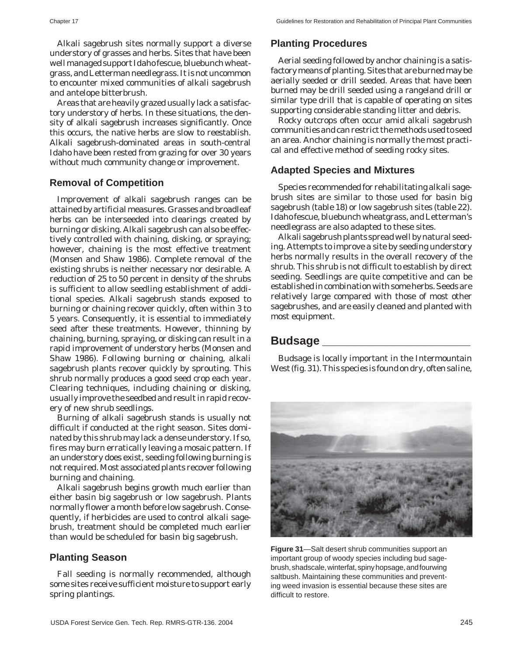Alkali sagebrush sites normally support a diverse understory of grasses and herbs. Sites that have been well managed support Idaho fescue, bluebunch wheatgrass, and Letterman needlegrass. It is not uncommon to encounter mixed communities of alkali sagebrush and antelope bitterbrush.

Areas that are heavily grazed usually lack a satisfactory understory of herbs. In these situations, the density of alkali sagebrush increases significantly. Once this occurs, the native herbs are slow to reestablish. Alkali sagebrush-dominated areas in south-central Idaho have been rested from grazing for over 30 years without much community change or improvement.

#### **Removal of Competition**

Improvement of alkali sagebrush ranges can be attained by artificial measures. Grasses and broadleaf herbs can be interseeded into clearings created by burning or disking. Alkali sagebrush can also be effectively controlled with chaining, disking, or spraying; however, chaining is the most effective treatment (Monsen and Shaw 1986). Complete removal of the existing shrubs is neither necessary nor desirable. A reduction of 25 to 50 percent in density of the shrubs is sufficient to allow seedling establishment of additional species. Alkali sagebrush stands exposed to burning or chaining recover quickly, often within 3 to 5 years. Consequently, it is essential to immediately seed after these treatments. However, thinning by chaining, burning, spraying, or disking can result in a rapid improvement of understory herbs (Monsen and Shaw 1986). Following burning or chaining, alkali sagebrush plants recover quickly by sprouting. This shrub normally produces a good seed crop each year. Clearing techniques, including chaining or disking, usually improve the seedbed and result in rapid recovery of new shrub seedlings.

Burning of alkali sagebrush stands is usually not difficult if conducted at the right season. Sites dominated by this shrub may lack a dense understory. If so, fires may burn erratically leaving a mosaic pattern. If an understory does exist, seeding following burning is not required. Most associated plants recover following burning and chaining.

Alkali sagebrush begins growth much earlier than either basin big sagebrush or low sagebrush. Plants normally flower a month before low sagebrush. Consequently, if herbicides are used to control alkali sagebrush, treatment should be completed much earlier than would be scheduled for basin big sagebrush.

#### **Planting Season**

Fall seeding is normally recommended, although some sites receive sufficient moisture to support early spring plantings.

#### **Planting Procedures**

Aerial seeding followed by anchor chaining is a satisfactory means of planting. Sites that are burned may be aerially seeded or drill seeded. Areas that have been burned may be drill seeded using a rangeland drill or similar type drill that is capable of operating on sites supporting considerable standing litter and debris.

Rocky outcrops often occur amid alkali sagebrush communities and can restrict the methods used to seed an area. Anchor chaining is normally the most practical and effective method of seeding rocky sites.

#### **Adapted Species and Mixtures**

Species recommended for rehabilitating alkali sagebrush sites are similar to those used for basin big sagebrush (table 18) or low sagebrush sites (table 22). Idaho fescue, bluebunch wheatgrass, and Letterman's needlegrass are also adapted to these sites.

Alkali sagebrush plants spread well by natural seeding. Attempts to improve a site by seeding understory herbs normally results in the overall recovery of the shrub. This shrub is not difficult to establish by direct seeding. Seedlings are quite competitive and can be established in combination with some herbs. Seeds are relatively large compared with those of most other sagebrushes, and are easily cleaned and planted with most equipment.

## **Budsage \_\_\_\_\_\_\_\_\_\_\_\_\_\_\_\_\_\_\_\_\_\_\_**

Budsage is locally important in the Intermountain West (fig. 31). This species is found on dry, often saline,



**Figure 31**—Salt desert shrub communities support an important group of woody species including bud sagebrush, shadscale, winterfat, spiny hopsage, and fourwing saltbush. Maintaining these communities and preventing weed invasion is essential because these sites are difficult to restore.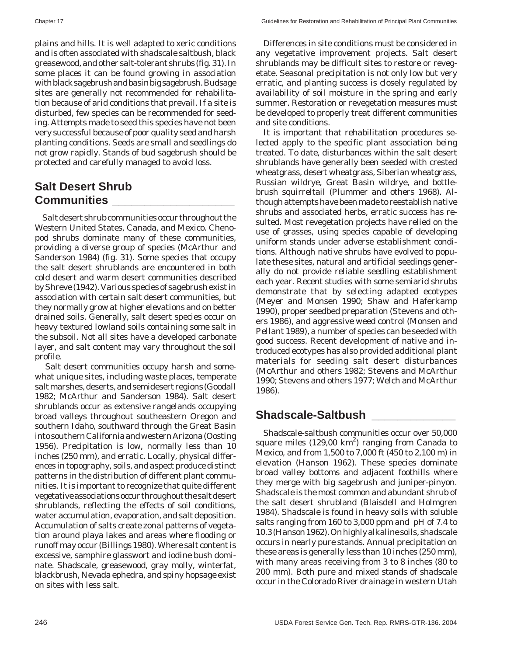plains and hills. It is well adapted to xeric conditions and is often associated with shadscale saltbush, black greasewood, and other salt-tolerant shrubs (fig. 31). In some places it can be found growing in association with black sagebrush and basin big sagebrush. Budsage sites are generally not recommended for rehabilitation because of arid conditions that prevail. If a site is disturbed, few species can be recommended for seeding. Attempts made to seed this species have not been very successful because of poor quality seed and harsh planting conditions. Seeds are small and seedlings do not grow rapidly. Stands of bud sagebrush should be protected and carefully managed to avoid loss.

## **Salt Desert Shrub Communities \_\_\_\_\_\_\_\_\_\_\_\_\_\_\_\_\_\_\_**

Salt desert shrub communities occur throughout the Western United States, Canada, and Mexico. Chenopod shrubs dominate many of these communities, providing a diverse group of species (McArthur and Sanderson 1984) (fig. 31). Some species that occupy the salt desert shrublands are encountered in both cold desert and warm desert communities described by Shreve (1942). Various species of sagebrush exist in association with certain salt desert communities, but they normally grow at higher elevations and on better drained soils. Generally, salt desert species occur on heavy textured lowland soils containing some salt in the subsoil. Not all sites have a developed carbonate layer, and salt content may vary throughout the soil profile.

Salt desert communities occupy harsh and somewhat unique sites, including waste places, temperate salt marshes, deserts, and semidesert regions (Goodall 1982; McArthur and Sanderson 1984). Salt desert shrublands occur as extensive rangelands occupying broad valleys throughout southeastern Oregon and southern Idaho, southward through the Great Basin into southern California and western Arizona (Oosting 1956). Precipitation is low, normally less than 10 inches (250 mm), and erratic. Locally, physical differences in topography, soils, and aspect produce distinct patterns in the distribution of different plant communities. It is important to recognize that quite different vegetative associations occur throughout the salt desert shrublands, reflecting the effects of soil conditions, water accumulation, evaporation, and salt deposition. Accumulation of salts create zonal patterns of vegetation around playa lakes and areas where flooding or runoff may occur (Billings 1980). Where salt content is excessive, samphire glasswort and iodine bush dominate. Shadscale, greasewood, gray molly, winterfat, blackbrush, Nevada ephedra, and spiny hopsage exist on sites with less salt.

Differences in site conditions must be considered in any vegetative improvement projects. Salt desert shrublands may be difficult sites to restore or revegetate. Seasonal precipitation is not only low but very erratic, and planting success is closely regulated by availability of soil moisture in the spring and early summer. Restoration or revegetation measures must be developed to properly treat different communities and site conditions.

It is important that rehabilitation procedures selected apply to the specific plant association being treated. To date, disturbances within the salt desert shrublands have generally been seeded with crested wheatgrass, desert wheatgrass, Siberian wheatgrass, Russian wildrye, Great Basin wildrye, and bottlebrush squirreltail (Plummer and others 1968). Although attempts have been made to reestablish native shrubs and associated herbs, erratic success has resulted. Most revegetation projects have relied on the use of grasses, using species capable of developing uniform stands under adverse establishment conditions. Although native shrubs have evolved to populate these sites, natural and artificial seedings generally do not provide reliable seedling establishment each year. Recent studies with some semiarid shrubs demonstrate that by selecting adapted ecotypes (Meyer and Monsen 1990; Shaw and Haferkamp 1990), proper seedbed preparation (Stevens and others 1986), and aggressive weed control (Monsen and Pellant 1989), a number of species can be seeded with good success. Recent development of native and introduced ecotypes has also provided additional plant materials for seeding salt desert disturbances (McArthur and others 1982; Stevens and McArthur 1990; Stevens and others 1977; Welch and McArthur 1986).

## **Shadscale-Saltbush \_\_\_\_\_\_\_\_\_\_\_\_\_**

Shadscale-saltbush communities occur over 50,000 square miles (129,00  $\text{km}^2$ ) ranging from Canada to Mexico, and from 1,500 to 7,000 ft (450 to 2,100 m) in elevation (Hanson 1962). These species dominate broad valley bottoms and adjacent foothills where they merge with big sagebrush and juniper-pinyon. Shadscale is the most common and abundant shrub of the salt desert shrubland (Blaisdell and Holmgren 1984). Shadscale is found in heavy soils with soluble salts ranging from 160 to 3,000 ppm and pH of 7.4 to 10.3 (Hanson 1962). On highly alkaline soils, shadscale occurs in nearly pure stands. Annual precipitation on these areas is generally less than 10 inches (250 mm), with many areas receiving from 3 to 8 inches (80 to 200 mm). Both pure and mixed stands of shadscale occur in the Colorado River drainage in western Utah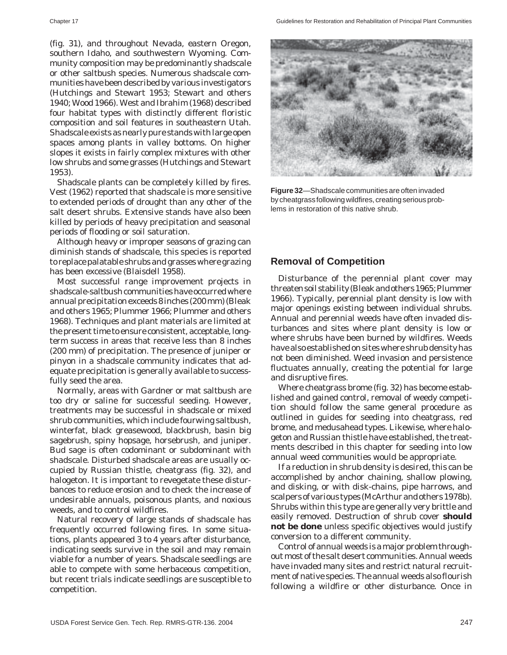(fig. 31), and throughout Nevada, eastern Oregon, southern Idaho, and southwestern Wyoming. Community composition may be predominantly shadscale or other saltbush species. Numerous shadscale communities have been described by various investigators (Hutchings and Stewart 1953; Stewart and others 1940; Wood 1966). West and Ibrahim (1968) described four habitat types with distinctly different floristic composition and soil features in southeastern Utah. Shadscale exists as nearly pure stands with large open spaces among plants in valley bottoms. On higher slopes it exists in fairly complex mixtures with other low shrubs and some grasses (Hutchings and Stewart 1953).

Shadscale plants can be completely killed by fires. Vest (1962) reported that shadscale is more sensitive to extended periods of drought than any other of the salt desert shrubs. Extensive stands have also been killed by periods of heavy precipitation and seasonal periods of flooding or soil saturation.

Although heavy or improper seasons of grazing can diminish stands of shadscale, this species is reported to replace palatable shrubs and grasses where grazing has been excessive (Blaisdell 1958).

Most successful range improvement projects in shadscale-saltbush communities have occurred where annual precipitation exceeds 8 inches (200 mm) (Bleak and others 1965; Plummer 1966; Plummer and others 1968). Techniques and plant materials are limited at the present time to ensure consistent, acceptable, longterm success in areas that receive less than 8 inches (200 mm) of precipitation. The presence of juniper or pinyon in a shadscale community indicates that adequate precipitation is generally available to successfully seed the area.

Normally, areas with Gardner or mat saltbush are too dry or saline for successful seeding. However, treatments may be successful in shadscale or mixed shrub communities, which include fourwing saltbush, winterfat, black greasewood, blackbrush, basin big sagebrush, spiny hopsage, horsebrush, and juniper. Bud sage is often codominant or subdominant with shadscale. Disturbed shadscale areas are usually occupied by Russian thistle, cheatgrass (fig. 32), and halogeton. It is important to revegetate these disturbances to reduce erosion and to check the increase of undesirable annuals, poisonous plants, and noxious weeds, and to control wildfires.

Natural recovery of large stands of shadscale has frequently occurred following fires. In some situations, plants appeared 3 to 4 years after disturbance, indicating seeds survive in the soil and may remain viable for a number of years. Shadscale seedlings are able to compete with some herbaceous competition, but recent trials indicate seedlings are susceptible to competition.



**Figure 32**—Shadscale communities are often invaded by cheatgrass following wildfires, creating serious problems in restoration of this native shrub.

#### **Removal of Competition**

Disturbance of the perennial plant cover may threaten soil stability (Bleak and others 1965; Plummer 1966). Typically, perennial plant density is low with major openings existing between individual shrubs. Annual and perennial weeds have often invaded disturbances and sites where plant density is low or where shrubs have been burned by wildfires. Weeds have also established on sites where shrub density has not been diminished. Weed invasion and persistence fluctuates annually, creating the potential for large and disruptive fires.

Where cheatgrass brome (fig. 32) has become established and gained control, removal of weedy competition should follow the same general procedure as outlined in guides for seeding into cheatgrass, red brome, and medusahead types. Likewise, where halogeton and Russian thistle have established, the treatments described in this chapter for seeding into low annual weed communities would be appropriate.

If a reduction in shrub density is desired, this can be accomplished by anchor chaining, shallow plowing, and disking, or with disk-chains, pipe harrows, and scalpers of various types (McArthur and others 1978b). Shrubs within this type are generally very brittle and easily removed. Destruction of shrub cover **should not be done** unless specific objectives would justify conversion to a different community.

Control of annual weeds is a major problem throughout most of the salt desert communities. Annual weeds have invaded many sites and restrict natural recruitment of native species. The annual weeds also flourish following a wildfire or other disturbance. Once in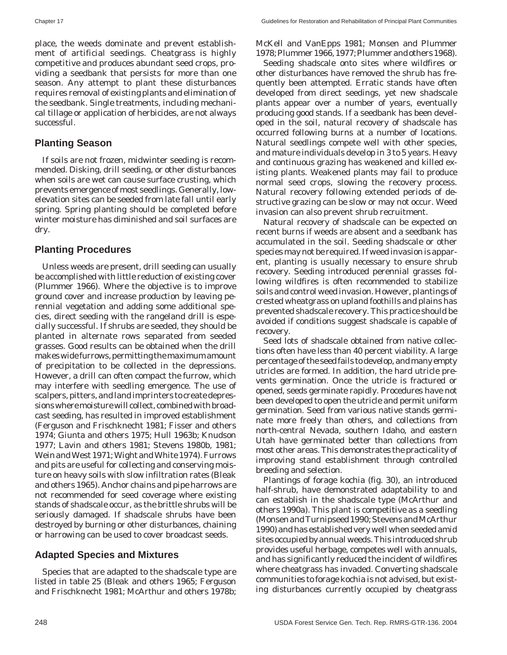place, the weeds dominate and prevent establishment of artificial seedings. Cheatgrass is highly competitive and produces abundant seed crops, providing a seedbank that persists for more than one season. Any attempt to plant these disturbances requires removal of existing plants and elimination of the seedbank. Single treatments, including mechanical tillage or application of herbicides, are not always successful.

#### **Planting Season**

If soils are not frozen, midwinter seeding is recommended. Disking, drill seeding, or other disturbances when soils are wet can cause surface crusting, which prevents emergence of most seedlings. Generally, lowelevation sites can be seeded from late fall until early spring. Spring planting should be completed before winter moisture has diminished and soil surfaces are dry.

#### **Planting Procedures**

Unless weeds are present, drill seeding can usually be accomplished with little reduction of existing cover (Plummer 1966). Where the objective is to improve ground cover and increase production by leaving perennial vegetation and adding some additional species, direct seeding with the rangeland drill is especially successful. If shrubs are seeded, they should be planted in alternate rows separated from seeded grasses. Good results can be obtained when the drill makes wide furrows, permitting the maximum amount of precipitation to be collected in the depressions. However, a drill can often compact the furrow, which may interfere with seedling emergence. The use of scalpers, pitters, and land imprinters to create depressions where moisture will collect, combined with broadcast seeding, has resulted in improved establishment (Ferguson and Frischknecht 1981; Fisser and others 1974; Giunta and others 1975; Hull 1963b; Knudson 1977; Lavin and others 1981; Stevens 1980b, 1981; Wein and West 1971; Wight and White 1974). Furrows and pits are useful for collecting and conserving moisture on heavy soils with slow infiltration rates (Bleak and others 1965). Anchor chains and pipe harrows are not recommended for seed coverage where existing stands of shadscale occur, as the brittle shrubs will be seriously damaged. If shadscale shrubs have been destroyed by burning or other disturbances, chaining or harrowing can be used to cover broadcast seeds.

#### **Adapted Species and Mixtures**

Species that are adapted to the shadscale type are listed in table 25 (Bleak and others 1965; Ferguson and Frischknecht 1981; McArthur and others 1978b; McKell and VanEpps 1981; Monsen and Plummer 1978; Plummer 1966, 1977; Plummer and others 1968).

Seeding shadscale onto sites where wildfires or other disturbances have removed the shrub has frequently been attempted. Erratic stands have often developed from direct seedings, yet new shadscale plants appear over a number of years, eventually producing good stands. If a seedbank has been developed in the soil, natural recovery of shadscale has occurred following burns at a number of locations. Natural seedlings compete well with other species, and mature individuals develop in 3 to 5 years. Heavy and continuous grazing has weakened and killed existing plants. Weakened plants may fail to produce normal seed crops, slowing the recovery process. Natural recovery following extended periods of destructive grazing can be slow or may not occur. Weed invasion can also prevent shrub recruitment.

Natural recovery of shadscale can be expected on recent burns if weeds are absent and a seedbank has accumulated in the soil. Seeding shadscale or other species may not be required. If weed invasion is apparent, planting is usually necessary to ensure shrub recovery. Seeding introduced perennial grasses following wildfires is often recommended to stabilize soils and control weed invasion. However, plantings of crested wheatgrass on upland foothills and plains has prevented shadscale recovery. This practice should be avoided if conditions suggest shadscale is capable of recovery.

Seed lots of shadscale obtained from native collections often have less than 40 percent viability. A large percentage of the seed fails to develop, and many empty utricles are formed. In addition, the hard utricle prevents germination. Once the utricle is fractured or opened, seeds germinate rapidly. Procedures have not been developed to open the utricle and permit uniform germination. Seed from various native stands germinate more freely than others, and collections from north-central Nevada, southern Idaho, and eastern Utah have germinated better than collections from most other areas. This demonstrates the practicality of improving stand establishment through controlled breeding and selection.

Plantings of forage kochia (fig. 30), an introduced half-shrub, have demonstrated adaptability to and can establish in the shadscale type (McArthur and others 1990a). This plant is competitive as a seedling (Monsen and Turnipseed 1990; Stevens and McArthur 1990) and has established very well when seeded amid sites occupied by annual weeds. This introduced shrub provides useful herbage, competes well with annuals, and has significantly reduced the incident of wildfires where cheatgrass has invaded. Converting shadscale communities to forage kochia is not advised, but existing disturbances currently occupied by cheatgrass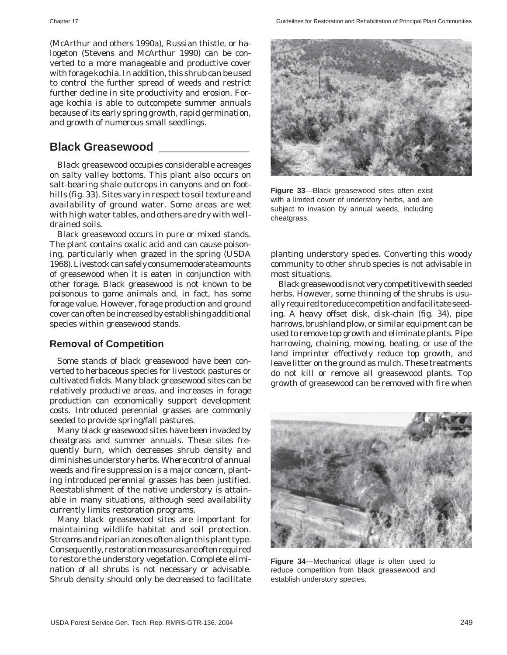(McArthur and others 1990a), Russian thistle, or halogeton (Stevens and McArthur 1990) can be converted to a more manageable and productive cover with forage kochia. In addition, this shrub can be used to control the further spread of weeds and restrict further decline in site productivity and erosion. Forage kochia is able to outcompete summer annuals because of its early spring growth, rapid germination, and growth of numerous small seedlings.

### **Black Greasewood \_\_\_\_\_\_\_\_\_\_\_\_\_\_**

Black greasewood occupies considerable acreages on salty valley bottoms. This plant also occurs on salt-bearing shale outcrops in canyons and on foothills (fig. 33). Sites vary in respect to soil texture and availability of ground water. Some areas are wet with high water tables, and others are dry with welldrained soils.

Black greasewood occurs in pure or mixed stands. The plant contains oxalic acid and can cause poisoning, particularly when grazed in the spring (USDA 1968). Livestock can safely consume moderate amounts of greasewood when it is eaten in conjunction with other forage. Black greasewood is not known to be poisonous to game animals and, in fact, has some forage value. However, forage production and ground cover can often be increased by establishing additional species within greasewood stands.

#### **Removal of Competition**

Some stands of black greasewood have been converted to herbaceous species for livestock pastures or cultivated fields. Many black greasewood sites can be relatively productive areas, and increases in forage production can economically support development costs. Introduced perennial grasses are commonly seeded to provide spring/fall pastures.

Many black greasewood sites have been invaded by cheatgrass and summer annuals. These sites frequently burn, which decreases shrub density and diminishes understory herbs. Where control of annual weeds and fire suppression is a major concern, planting introduced perennial grasses has been justified. Reestablishment of the native understory is attainable in many situations, although seed availability currently limits restoration programs.

Many black greasewood sites are important for maintaining wildlife habitat and soil protection. Streams and riparian zones often align this plant type. Consequently, restoration measures are often required to restore the understory vegetation. Complete elimination of all shrubs is not necessary or advisable. Shrub density should only be decreased to facilitate



**Figure 33**—Black greasewood sites often exist with a limited cover of understory herbs, and are subject to invasion by annual weeds, including cheatgrass.

planting understory species. Converting this woody community to other shrub species is not advisable in most situations.

Black greasewood is not very competitive with seeded herbs. However, some thinning of the shrubs is usually required to reduce competition and facilitate seeding. A heavy offset disk, disk-chain (fig. 34), pipe harrows, brushland plow, or similar equipment can be used to remove top growth and eliminate plants. Pipe harrowing, chaining, mowing, beating, or use of the land imprinter effectively reduce top growth, and leave litter on the ground as mulch. These treatments do not kill or remove all greasewood plants. Top growth of greasewood can be removed with fire when



**Figure 34**—Mechanical tillage is often used to reduce competition from black greasewood and establish understory species.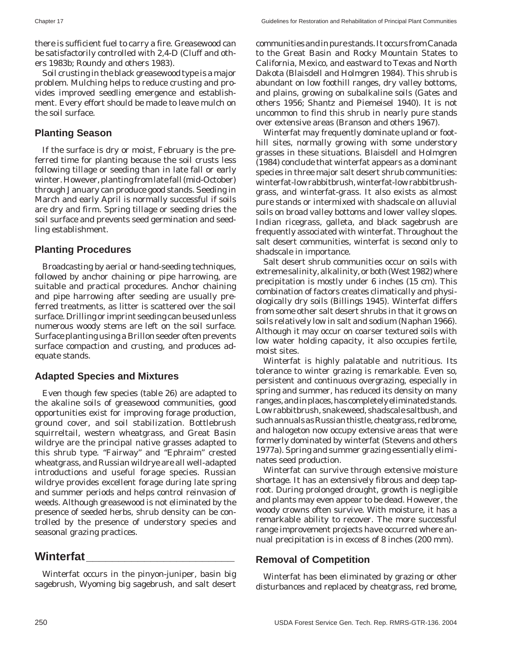there is sufficient fuel to carry a fire. Greasewood can be satisfactorily controlled with 2,4-D (Cluff and others 1983b; Roundy and others 1983).

Soil crusting in the black greasewood type is a major problem. Mulching helps to reduce crusting and provides improved seedling emergence and establishment. Every effort should be made to leave mulch on the soil surface.

#### **Planting Season**

If the surface is dry or moist, February is the preferred time for planting because the soil crusts less following tillage or seeding than in late fall or early winter. However, planting from late fall (mid-October) through January can produce good stands. Seeding in March and early April is normally successful if soils are dry and firm. Spring tillage or seeding dries the soil surface and prevents seed germination and seedling establishment.

#### **Planting Procedures**

Broadcasting by aerial or hand-seeding techniques, followed by anchor chaining or pipe harrowing, are suitable and practical procedures. Anchor chaining and pipe harrowing after seeding are usually preferred treatments, as litter is scattered over the soil surface. Drilling or imprint seeding can be used unless numerous woody stems are left on the soil surface. Surface planting using a Brillon seeder often prevents surface compaction and crusting, and produces adequate stands.

#### **Adapted Species and Mixtures**

Even though few species (table 26) are adapted to the akaline soils of greasewood communities, good opportunities exist for improving forage production, ground cover, and soil stabilization. Bottlebrush squirreltail, western wheatgrass, and Great Basin wildrye are the principal native grasses adapted to this shrub type. "Fairway" and "Ephraim" crested wheatgrass, and Russian wildrye are all well-adapted introductions and useful forage species. Russian wildrye provides excellent forage during late spring and summer periods and helps control reinvasion of weeds. Although greasewood is not eliminated by the presence of seeded herbs, shrub density can be controlled by the presence of understory species and seasonal grazing practices.

# **Winterfat\_\_\_\_\_\_\_\_\_\_\_\_\_\_\_\_\_\_\_\_\_\_\_**

Winterfat occurs in the pinyon-juniper, basin big sagebrush, Wyoming big sagebrush, and salt desert communities and in pure stands. It occurs from Canada to the Great Basin and Rocky Mountain States to California, Mexico, and eastward to Texas and North Dakota (Blaisdell and Holmgren 1984). This shrub is abundant on low foothill ranges, dry valley bottoms, and plains, growing on subalkaline soils (Gates and others 1956; Shantz and Piemeisel 1940). It is not uncommon to find this shrub in nearly pure stands over extensive areas (Branson and others 1967).

Winterfat may frequently dominate upland or foothill sites, normally growing with some understory grasses in these situations. Blaisdell and Holmgren (1984) conclude that winterfat appears as a dominant species in three major salt desert shrub communities: winterfat-low rabbitbrush, winterfat-low rabbitbrushgrass, and winterfat-grass. It also exists as almost pure stands or intermixed with shadscale on alluvial soils on broad valley bottoms and lower valley slopes. Indian ricegrass, galleta, and black sagebrush are frequently associated with winterfat. Throughout the salt desert communities, winterfat is second only to shadscale in importance.

Salt desert shrub communities occur on soils with extreme salinity, alkalinity, or both (West 1982) where precipitation is mostly under 6 inches (15 cm). This combination of factors creates climatically and physiologically dry soils (Billings 1945). Winterfat differs from some other salt desert shrubs in that it grows on soils relatively low in salt and sodium (Naphan 1966). Although it may occur on coarser textured soils with low water holding capacity, it also occupies fertile, moist sites.

Winterfat is highly palatable and nutritious. Its tolerance to winter grazing is remarkable. Even so, persistent and continuous overgrazing, especially in spring and summer, has reduced its density on many ranges, and in places, has completely eliminated stands. Low rabbitbrush, snakeweed, shadscale saltbush, and such annuals as Russian thistle, cheatgrass, red brome, and halogeton now occupy extensive areas that were formerly dominated by winterfat (Stevens and others 1977a). Spring and summer grazing essentially eliminates seed production.

Winterfat can survive through extensive moisture shortage. It has an extensively fibrous and deep taproot. During prolonged drought, growth is negligible and plants may even appear to be dead. However, the woody crowns often survive. With moisture, it has a remarkable ability to recover. The more successful range improvement projects have occurred where annual precipitation is in excess of 8 inches (200 mm).

#### **Removal of Competition**

Winterfat has been eliminated by grazing or other disturbances and replaced by cheatgrass, red brome,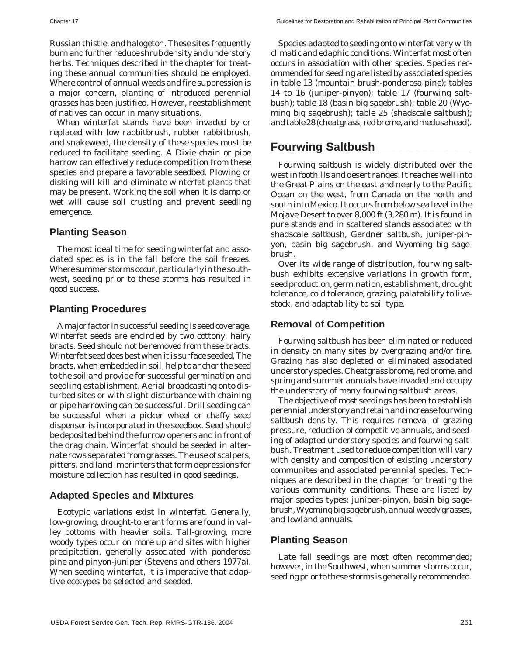Russian thistle, and halogeton. These sites frequently burn and further reduce shrub density and understory herbs. Techniques described in the chapter for treating these annual communities should be employed. Where control of annual weeds and fire suppression is a major concern, planting of introduced perennial grasses has been justified. However, reestablishment of natives can occur in many situations.

When winterfat stands have been invaded by or replaced with low rabbitbrush, rubber rabbitbrush, and snakeweed, the density of these species must be reduced to facilitate seeding. A Dixie chain or pipe harrow can effectively reduce competition from these species and prepare a favorable seedbed. Plowing or disking will kill and eliminate winterfat plants that may be present. Working the soil when it is damp or wet will cause soil crusting and prevent seedling emergence.

#### **Planting Season**

The most ideal time for seeding winterfat and associated species is in the fall before the soil freezes. Where summer storms occur, particularly in the southwest, seeding prior to these storms has resulted in good success.

#### **Planting Procedures**

A major factor in successful seeding is seed coverage. Winterfat seeds are encircled by two cottony, hairy bracts. Seed should not be removed from these bracts. Winterfat seed does best when it is surface seeded. The bracts, when embedded in soil, help to anchor the seed to the soil and provide for successful germination and seedling establishment. Aerial broadcasting onto disturbed sites or with slight disturbance with chaining or pipe harrowing can be successful. Drill seeding can be successful when a picker wheel or chaffy seed dispenser is incorporated in the seedbox. Seed should be deposited behind the furrow openers and in front of the drag chain. Winterfat should be seeded in alternate rows separated from grasses. The use of scalpers, pitters, and land imprinters that form depressions for moisture collection has resulted in good seedings.

#### **Adapted Species and Mixtures**

Ecotypic variations exist in winterfat. Generally, low-growing, drought-tolerant forms are found in valley bottoms with heavier soils. Tall-growing, more woody types occur on more upland sites with higher precipitation, generally associated with ponderosa pine and pinyon-juniper (Stevens and others 1977a). When seeding winterfat, it is imperative that adaptive ecotypes be selected and seeded.

Species adapted to seeding onto winterfat vary with climatic and edaphic conditions. Winterfat most often occurs in association with other species. Species recommended for seeding are listed by associated species in table 13 (mountain brush-ponderosa pine); tables 14 to 16 (juniper-pinyon); table 17 (fourwing saltbush); table 18 (basin big sagebrush); table 20 (Wyoming big sagebrush); table 25 (shadscale saltbush); and table 28 (cheatgrass, red brome, and medusahead).

### **Fourwing Saltbush \_\_\_\_\_\_\_\_\_\_\_\_\_\_**

Fourwing saltbush is widely distributed over the west in foothills and desert ranges. It reaches well into the Great Plains on the east and nearly to the Pacific Ocean on the west, from Canada on the north and south into Mexico. It occurs from below sea level in the Mojave Desert to over 8,000 ft (3,280 m). It is found in pure stands and in scattered stands associated with shadscale saltbush, Gardner saltbush, juniper-pinyon, basin big sagebrush, and Wyoming big sagebrush.

Over its wide range of distribution, fourwing saltbush exhibits extensive variations in growth form, seed production, germination, establishment, drought tolerance, cold tolerance, grazing, palatability to livestock, and adaptability to soil type.

#### **Removal of Competition**

Fourwing saltbush has been eliminated or reduced in density on many sites by overgrazing and/or fire. Grazing has also depleted or eliminated associated understory species. Cheatgrass brome, red brome, and spring and summer annuals have invaded and occupy the understory of many fourwing saltbush areas.

The objective of most seedings has been to establish perennial understory and retain and increase fourwing saltbush density. This requires removal of grazing pressure, reduction of competitive annuals, and seeding of adapted understory species and fourwing saltbush. Treatment used to reduce competition will vary with density and composition of existing understory communites and associated perennial species. Techniques are described in the chapter for treating the various community conditions. These are listed by major species types: juniper-pinyon, basin big sagebrush, Wyoming big sagebrush, annual weedy grasses, and lowland annuals.

#### **Planting Season**

Late fall seedings are most often recommended; however, in the Southwest, when summer storms occur, seeding prior to these storms is generally recommended.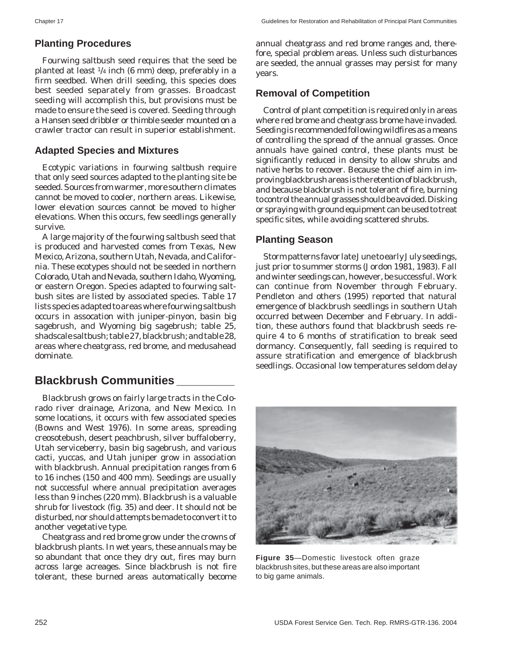#### **Planting Procedures**

Fourwing saltbush seed requires that the seed be planted at least 1/4 inch (6 mm) deep, preferably in a firm seedbed. When drill seeding, this species does best seeded separately from grasses. Broadcast seeding will accomplish this, but provisions must be made to ensure the seed is covered. Seeding through a Hansen seed dribbler or thimble seeder mounted on a crawler tractor can result in superior establishment.

#### **Adapted Species and Mixtures**

Ecotypic variations in fourwing saltbush require that only seed sources adapted to the planting site be seeded. Sources from warmer, more southern climates cannot be moved to cooler, northern areas. Likewise, lower elevation sources cannot be moved to higher elevations. When this occurs, few seedlings generally survive.

A large majority of the fourwing saltbush seed that is produced and harvested comes from Texas, New Mexico, Arizona, southern Utah, Nevada, and California. These ecotypes should not be seeded in northern Colorado, Utah and Nevada, southern Idaho, Wyoming, or eastern Oregon. Species adapted to fourwing saltbush sites are listed by associated species. Table 17 lists species adapted to areas where fourwing saltbush occurs in assocation with juniper-pinyon, basin big sagebrush, and Wyoming big sagebrush; table 25, shadscale saltbush; table 27, blackbrush; and table 28, areas where cheatgrass, red brome, and medusahead dominate.

## **Blackbrush Communities \_\_\_\_\_\_\_\_\_**

Blackbrush grows on fairly large tracts in the Colorado river drainage, Arizona, and New Mexico. In some locations, it occurs with few associated species (Bowns and West 1976). In some areas, spreading creosotebush, desert peachbrush, silver buffaloberry, Utah serviceberry, basin big sagebrush, and various cacti, yuccas, and Utah juniper grow in association with blackbrush. Annual precipitation ranges from 6 to 16 inches (150 and 400 mm). Seedings are usually not successful where annual precipitation averages less than 9 inches (220 mm). Blackbrush is a valuable shrub for livestock (fig. 35) and deer. It should not be disturbed, nor should attempts be made to convert it to another vegetative type.

Cheatgrass and red brome grow under the crowns of blackbrush plants. In wet years, these annuals may be so abundant that once they dry out, fires may burn across large acreages. Since blackbrush is not fire tolerant, these burned areas automatically become

annual cheatgrass and red brome ranges and, therefore, special problem areas. Unless such disturbances are seeded, the annual grasses may persist for many years.

#### **Removal of Competition**

Control of plant competition is required only in areas where red brome and cheatgrass brome have invaded. Seeding is recommended following wildfires as a means of controlling the spread of the annual grasses. Once annuals have gained control, these plants must be significantly reduced in density to allow shrubs and native herbs to recover. Because the chief aim in improving blackbrush areas is the retention of blackbrush, and because blackbrush is not tolerant of fire, burning to control the annual grasses should be avoided. Disking or spraying with ground equipment can be used to treat specific sites, while avoiding scattered shrubs.

### **Planting Season**

Storm patterns favor late June to early July seedings, just prior to summer storms (Jordon 1981, 1983). Fall and winter seedings can, however, be successful. Work can continue from November through February. Pendleton and others (1995) reported that natural emergence of blackbrush seedlings in southern Utah occurred between December and February. In addition, these authors found that blackbrush seeds require 4 to 6 months of stratification to break seed dormancy. Consequently, fall seeding is required to assure stratification and emergence of blackbrush seedlings. Occasional low temperatures seldom delay



**Figure 35**—Domestic livestock often graze blackbrush sites, but these areas are also important to big game animals.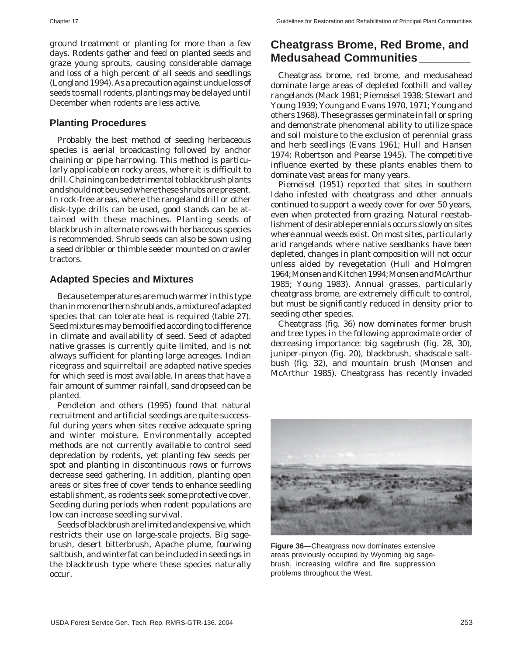ground treatment or planting for more than a few days. Rodents gather and feed on planted seeds and graze young sprouts, causing considerable damage and loss of a high percent of all seeds and seedlings (Longland 1994). As a precaution against undue loss of seeds to small rodents, plantings may be delayed until December when rodents are less active.

#### **Planting Procedures**

Probably the best method of seeding herbaceous species is aerial broadcasting followed by anchor chaining or pipe harrowing. This method is particularly applicable on rocky areas, where it is difficult to drill. Chaining can be detrimental to blackbrush plants and should not be used where these shrubs are present. In rock-free areas, where the rangeland drill or other disk-type drills can be used, good stands can be attained with these machines. Planting seeds of blackbrush in alternate rows with herbaceous species is recommended. Shrub seeds can also be sown using a seed dribbler or thimble seeder mounted on crawler tractors.

#### **Adapted Species and Mixtures**

Because temperatures are much warmer in this type than in more northern shrublands, a mixture of adapted species that can tolerate heat is required (table 27). Seed mixtures may be modified according to difference in climate and availability of seed. Seed of adapted native grasses is currently quite limited, and is not always sufficient for planting large acreages. Indian ricegrass and squirreltail are adapted native species for which seed is most available. In areas that have a fair amount of summer rainfall, sand dropseed can be planted.

Pendleton and others (1995) found that natural recruitment and artificial seedings are quite successful during years when sites receive adequate spring and winter moisture. Environmentally accepted methods are not currently available to control seed depredation by rodents, yet planting few seeds per spot and planting in discontinuous rows or furrows decrease seed gathering. In addition, planting open areas or sites free of cover tends to enhance seedling establishment, as rodents seek some protective cover. Seeding during periods when rodent populations are low can increase seedling survival.

Seeds of blackbrush are limited and expensive, which restricts their use on large-scale projects. Big sagebrush, desert bitterbrush, Apache plume, fourwing saltbush, and winterfat can be included in seedings in the blackbrush type where these species naturally occur.

# **Cheatgrass Brome, Red Brome, and Medusahead Communities\_\_\_\_\_\_\_\_**

Cheatgrass brome, red brome, and medusahead dominate large areas of depleted foothill and valley rangelands (Mack 1981; Piemeisel 1938; Stewart and Young 1939; Young and Evans 1970, 1971; Young and others 1968). These grasses germinate in fall or spring and demonstrate phenomenal ability to utilize space and soil moisture to the exclusion of perennial grass and herb seedlings (Evans 1961; Hull and Hansen 1974; Robertson and Pearse 1945). The competitive influence exerted by these plants enables them to dominate vast areas for many years.

Piemeisel (1951) reported that sites in southern Idaho infested with cheatgrass and other annuals continued to support a weedy cover for over 50 years, even when protected from grazing. Natural reestablishment of desirable perennials occurs slowly on sites where annual weeds exist. On most sites, particularly arid rangelands where native seedbanks have been depleted, changes in plant composition will not occur unless aided by revegetation (Hull and Holmgren 1964; Monsen and Kitchen 1994; Monsen and McArthur 1985; Young 1983). Annual grasses, particularly cheatgrass brome, are extremely difficult to control, but must be significantly reduced in density prior to seeding other species.

Cheatgrass (fig. 36) now dominates former brush and tree types in the following approximate order of decreasing importance: big sagebrush (fig. 28, 30), juniper-pinyon (fig. 20), blackbrush, shadscale saltbush (fig. 32), and mountain brush (Monsen and McArthur 1985). Cheatgrass has recently invaded



**Figure 36**—Cheatgrass now dominates extensive areas previously occupied by Wyoming big sagebrush, increasing wildfire and fire suppression problems throughout the West.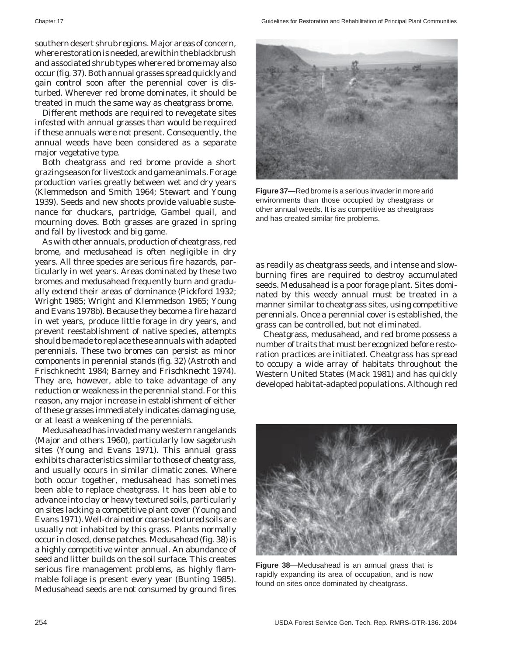southern desert shrub regions. Major areas of concern, where restoration is needed, are within the blackbrush and associated shrub types where red brome may also occur (fig. 37). Both annual grasses spread quickly and gain control soon after the perennial cover is disturbed. Wherever red brome dominates, it should be treated in much the same way as cheatgrass brome.

Different methods are required to revegetate sites infested with annual grasses than would be required if these annuals were not present. Consequently, the annual weeds have been considered as a separate major vegetative type.

Both cheatgrass and red brome provide a short grazing season for livestock and game animals. Forage production varies greatly between wet and dry years (Klemmedson and Smith 1964; Stewart and Young 1939). Seeds and new shoots provide valuable sustenance for chuckars, partridge, Gambel quail, and mourning doves. Both grasses are grazed in spring and fall by livestock and big game.

As with other annuals, production of cheatgrass, red brome, and medusahead is often negligible in dry years. All three species are serious fire hazards, particularly in wet years. Areas dominated by these two bromes and medusahead frequently burn and gradually extend their areas of dominance (Pickford 1932; Wright 1985; Wright and Klemmedson 1965; Young and Evans 1978b). Because they become a fire hazard in wet years, produce little forage in dry years, and prevent reestablishment of native species, attempts should be made to replace these annuals with adapted perennials. These two bromes can persist as minor components in perennial stands (fig. 32) (Astroth and Frischknecht 1984; Barney and Frischknecht 1974). They are, however, able to take advantage of any reduction or weakness in the perennial stand. For this reason, any major increase in establishment of either of these grasses immediately indicates damaging use, or at least a weakening of the perennials.

Medusahead has invaded many western rangelands (Major and others 1960), particularly low sagebrush sites (Young and Evans 1971). This annual grass exhibits characteristics similar to those of cheatgrass, and usually occurs in similar climatic zones. Where both occur together, medusahead has sometimes been able to replace cheatgrass. It has been able to advance into clay or heavy textured soils, particularly on sites lacking a competitive plant cover (Young and Evans 1971). Well-drained or coarse-textured soils are usually not inhabited by this grass. Plants normally occur in closed, dense patches. Medusahead (fig. 38) is a highly competitive winter annual. An abundance of seed and litter builds on the soil surface. This creates serious fire management problems, as highly flammable foliage is present every year (Bunting 1985). Medusahead seeds are not consumed by ground fires



**Figure 37**—Red brome is a serious invader in more arid environments than those occupied by cheatgrass or other annual weeds. It is as competitive as cheatgrass and has created similar fire problems.

as readily as cheatgrass seeds, and intense and slowburning fires are required to destroy accumulated seeds. Medusahead is a poor forage plant. Sites dominated by this weedy annual must be treated in a manner similar to cheatgrass sites, using competitive perennials. Once a perennial cover is established, the grass can be controlled, but not eliminated.

Cheatgrass, medusahead, and red brome possess a number of traits that must be recognized before restoration practices are initiated. Cheatgrass has spread to occupy a wide array of habitats throughout the Western United States (Mack 1981) and has quickly developed habitat-adapted populations. Although red



**Figure 38**—Medusahead is an annual grass that is rapidly expanding its area of occupation, and is now found on sites once dominated by cheatgrass.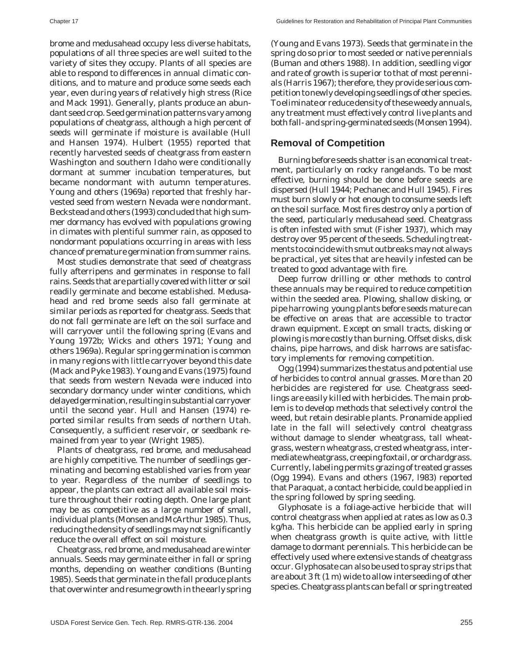brome and medusahead occupy less diverse habitats, populations of all three species are well suited to the variety of sites they occupy. Plants of all species are able to respond to differences in annual climatic conditions, and to mature and produce some seeds each year, even during years of relatively high stress (Rice and Mack 1991). Generally, plants produce an abundant seed crop. Seed germination patterns vary among populations of cheatgrass, although a high percent of seeds will germinate if moisture is available (Hull and Hansen 1974). Hulbert (1955) reported that recently harvested seeds of cheatgrass from eastern Washington and southern Idaho were conditionally dormant at summer incubation temperatures, but became nondormant with autumn temperatures. Young and others (1969a) reported that freshly harvested seed from western Nevada were nondormant. Beckstead and others (1993) concluded that high summer dormancy has evolved with populations growing in climates with plentiful summer rain, as opposed to nondormant populations occurring in areas with less chance of premature germination from summer rains.

Most studies demonstrate that seed of cheatgrass fully afterripens and germinates in response to fall rains. Seeds that are partially covered with litter or soil readily germinate and become established. Medusahead and red brome seeds also fall germinate at similar periods as reported for cheatgrass. Seeds that do not fall germinate are left on the soil surface and will carryover until the following spring (Evans and Young 1972b; Wicks and others 1971; Young and others 1969a). Regular spring germination is common in many regions with little carryover beyond this date (Mack and Pyke 1983). Young and Evans (1975) found that seeds from western Nevada were induced into secondary dormancy under winter conditions, which delayed germination, resulting in substantial carryover until the second year. Hull and Hansen (1974) reported similar results from seeds of northern Utah. Consequently, a sufficient reservoir, or seedbank remained from year to year (Wright 1985).

Plants of cheatgrass, red brome, and medusahead are highly competitive. The number of seedlings germinating and becoming established varies from year to year. Regardless of the number of seedlings to appear, the plants can extract all available soil moisture throughout their rooting depth. One large plant may be as competitive as a large number of small, individual plants (Monsen and McArthur 1985). Thus, reducing the density of seedlings may not significantly reduce the overall effect on soil moisture.

Cheatgrass, red brome, and medusahead are winter annuals. Seeds may germinate either in fall or spring months, depending on weather conditions (Bunting 1985). Seeds that germinate in the fall produce plants that overwinter and resume growth in the early spring (Young and Evans 1973). Seeds that germinate in the spring do so prior to most seeded or native perennials (Buman and others 1988). In addition, seedling vigor and rate of growth is superior to that of most perennials (Harris 1967); therefore, they provide serious competition to newly developing seedlings of other species. To eliminate or reduce density of these weedy annuals, any treatment must effectively control live plants and both fall- and spring-germinated seeds (Monsen 1994).

### **Removal of Competition**

Burning before seeds shatter is an economical treatment, particularly on rocky rangelands. To be most effective, burning should be done before seeds are dispersed (Hull 1944; Pechanec and Hull 1945). Fires must burn slowly or hot enough to consume seeds left on the soil surface. Most fires destroy only a portion of the seed, particularly medusahead seed. Cheatgrass is often infested with smut (Fisher 1937), which may destroy over 95 percent of the seeds. Scheduling treatments to coincide with smut outbreaks may not always be practical, yet sites that are heavily infested can be treated to good advantage with fire.

Deep furrow drilling or other methods to control these annuals may be required to reduce competition within the seeded area. Plowing, shallow disking, or pipe harrowing young plants before seeds mature can be effective on areas that are accessible to tractor drawn equipment. Except on small tracts, disking or plowing is more costly than burning. Offset disks, disk chains, pipe harrows, and disk harrows are satisfactory implements for removing competition.

Ogg (1994) summarizes the status and potential use of herbicides to control annual grasses. More than 20 herbicides are registered for use. Cheatgrass seedlings are easily killed with herbicides. The main problem is to develop methods that selectively control the weed, but retain desirable plants. Pronamide applied late in the fall will selectively control cheatgrass without damage to slender wheatgrass, tall wheatgrass, western wheatgrass, crested wheatgrass, intermediate wheatgrass, creeping foxtail, or orchardgrass. Currently, labeling permits grazing of treated grasses (Ogg 1994). Evans and others (1967, l983) reported that Paraquat, a contact herbicide, could be applied in the spring followed by spring seeding.

Glyphosate is a foliage-active herbicide that will control cheatgrass when applied at rates as low as 0.3 kg/ha. This herbicide can be applied early in spring when cheatgrass growth is quite active, with little damage to dormant perennials. This herbicide can be effectively used where extensive stands of cheatgrass occur. Glyphosate can also be used to spray strips that are about 3 ft (1 m) wide to allow interseeding of other species. Cheatgrass plants can be fall or spring treated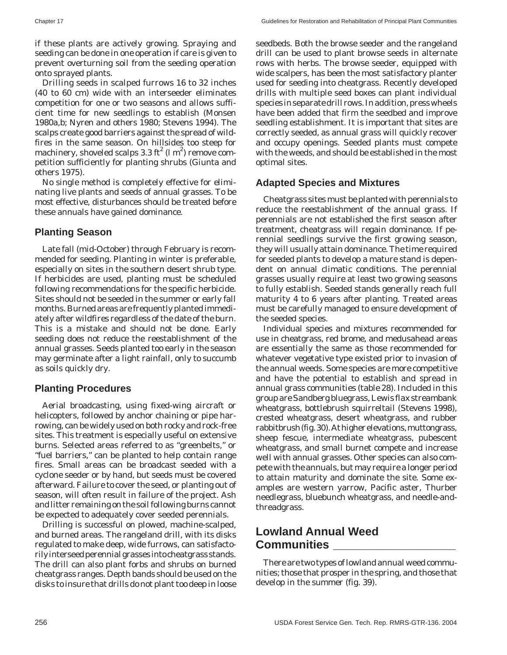Chapter 17 Guidelines for Restoration and Rehabilitation of Principal Plant Communities

if these plants are actively growing. Spraying and seeding can be done in one operation if care is given to prevent overturning soil from the seeding operation onto sprayed plants.

Drilling seeds in scalped furrows 16 to 32 inches (40 to 60 cm) wide with an interseeder eliminates competition for one or two seasons and allows sufficient time for new seedlings to establish (Monsen 1980a,b; Nyren and others 1980; Stevens 1994). The scalps create good barriers against the spread of wildfires in the same season. On hillsides too steep for machinery, shoveled scalps 3.3 ft $^2$  (l m $^2$ ) remove competition sufficiently for planting shrubs (Giunta and others 1975).

No single method is completely effective for eliminating live plants and seeds of annual grasses. To be most effective, disturbances should be treated before these annuals have gained dominance.

#### **Planting Season**

Late fall (mid-October) through February is recommended for seeding. Planting in winter is preferable, especially on sites in the southern desert shrub type. If herbicides are used, planting must be scheduled following recommendations for the specific herbicide. Sites should not be seeded in the summer or early fall months. Burned areas are frequently planted immediately after wildfires regardless of the date of the burn. This is a mistake and should not be done. Early seeding does not reduce the reestablishment of the annual grasses. Seeds planted too early in the season may germinate after a light rainfall, only to succumb as soils quickly dry.

#### **Planting Procedures**

Aerial broadcasting, using fixed-wing aircraft or helicopters, followed by anchor chaining or pipe harrowing, can be widely used on both rocky and rock-free sites. This treatment is especially useful on extensive burns. Selected areas referred to as "greenbelts," or "fuel barriers," can be planted to help contain range fires. Small areas can be broadcast seeded with a cyclone seeder or by hand, but seeds must be covered afterward. Failure to cover the seed, or planting out of season, will often result in failure of the project. Ash and litter remaining on the soil following burns cannot be expected to adequately cover seeded perennials.

Drilling is successful on plowed, machine-scalped, and burned areas. The rangeland drill, with its disks regulated to make deep, wide furrows, can satisfactorily interseed perennial grasses into cheatgrass stands. The drill can also plant forbs and shrubs on burned cheatgrass ranges. Depth bands should be used on the disks to insure that drills do not plant too deep in loose seedbeds. Both the browse seeder and the rangeland drill can be used to plant browse seeds in alternate rows with herbs. The browse seeder, equipped with wide scalpers, has been the most satisfactory planter used for seeding into cheatgrass. Recently developed drills with multiple seed boxes can plant individual species in separate drill rows. In addition, press wheels have been added that firm the seedbed and improve seedling establishment. It is important that sites are correctly seeded, as annual grass will quickly recover and occupy openings. Seeded plants must compete with the weeds, and should be established in the most optimal sites.

#### **Adapted Species and Mixtures**

Cheatgrass sites must be planted with perennials to reduce the reestablishment of the annual grass. If perennials are not established the first season after treatment, cheatgrass will regain dominance. If perennial seedlings survive the first growing season, they will usually attain dominance. The time required for seeded plants to develop a mature stand is dependent on annual climatic conditions. The perennial grasses usually require at least two growing seasons to fully establish. Seeded stands generally reach full maturity 4 to 6 years after planting. Treated areas must be carefully managed to ensure development of the seeded species.

Individual species and mixtures recommended for use in cheatgrass, red brome, and medusahead areas are essentially the same as those recommended for whatever vegetative type existed prior to invasion of the annual weeds. Some species are more competitive and have the potential to establish and spread in annual grass communities (table 28). Included in this group are Sandberg bluegrass, Lewis flax streambank wheatgrass, bottlebrush squirreltail (Stevens 1998), crested wheatgrass, desert wheatgrass, and rubber rabbitbrush (fig. 30). At higher elevations, muttongrass, sheep fescue, intermediate wheatgrass, pubescent wheatgrass, and small burnet compete and increase well with annual grasses. Other species can also compete with the annuals, but may require a longer period to attain maturity and dominate the site. Some examples are western yarrow, Pacific aster, Thurber needlegrass, bluebunch wheatgrass, and needle-andthreadgrass.

## **Lowland Annual Weed Communities \_\_\_\_\_\_\_\_\_\_\_\_\_\_\_\_\_\_\_**

There are two types of lowland annual weed communities; those that prosper in the spring, and those that develop in the summer (fig. 39).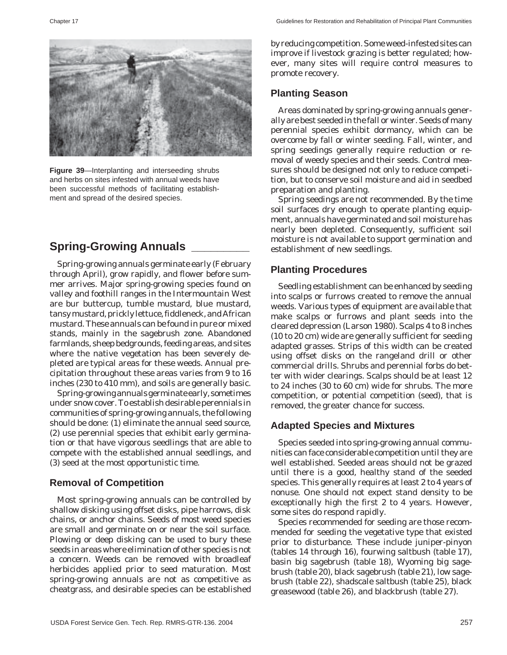

**Figure 39**—Interplanting and interseeding shrubs and herbs on sites infested with annual weeds have been successful methods of facilitating establishment and spread of the desired species.

# **Spring-Growing Annuals \_\_\_\_\_\_\_\_\_**

Spring-growing annuals germinate early (February through April), grow rapidly, and flower before summer arrives. Major spring-growing species found on valley and foothill ranges in the Intermountain West are bur buttercup, tumble mustard, blue mustard, tansy mustard, prickly lettuce, fiddleneck, and African mustard. These annuals can be found in pure or mixed stands, mainly in the sagebrush zone. Abandoned farmlands, sheep bedgrounds, feeding areas, and sites where the native vegetation has been severely depleted are typical areas for these weeds. Annual precipitation throughout these areas varies from 9 to 16 inches (230 to 410 mm), and soils are generally basic.

Spring-growing annuals germinate early, sometimes under snow cover. To establish desirable perennials in communities of spring-growing annuals, the following should be done: (1) eliminate the annual seed source, (2) use perennial species that exhibit early germination or that have vigorous seedlings that are able to compete with the established annual seedlings, and (3) seed at the most opportunistic time.

#### **Removal of Competition**

Most spring-growing annuals can be controlled by shallow disking using offset disks, pipe harrows, disk chains, or anchor chains. Seeds of most weed species are small and germinate on or near the soil surface. Plowing or deep disking can be used to bury these seeds in areas where elimination of other species is not a concern. Weeds can be removed with broadleaf herbicides applied prior to seed maturation. Most spring-growing annuals are not as competitive as cheatgrass, and desirable species can be established by reducing competition. Some weed-infested sites can improve if livestock grazing is better regulated; however, many sites will require control measures to promote recovery.

## **Planting Season**

Areas dominated by spring-growing annuals generally are best seeded in the fall or winter. Seeds of many perennial species exhibit dormancy, which can be overcome by fall or winter seeding. Fall, winter, and spring seedings generally require reduction or removal of weedy species and their seeds. Control measures should be designed not only to reduce competition, but to conserve soil moisture and aid in seedbed preparation and planting.

Spring seedings are not recommended. By the time soil surfaces dry enough to operate planting equipment, annuals have germinated and soil moisture has nearly been depleted. Consequently, sufficient soil moisture is not available to support germination and establishment of new seedlings.

#### **Planting Procedures**

Seedling establishment can be enhanced by seeding into scalps or furrows created to remove the annual weeds. Various types of equipment are available that make scalps or furrows and plant seeds into the cleared depression (Larson 1980). Scalps 4 to 8 inches (10 to 20 cm) wide are generally sufficient for seeding adapted grasses. Strips of this width can be created using offset disks on the rangeland drill or other commercial drills. Shrubs and perennial forbs do better with wider clearings. Scalps should be at least 12 to 24 inches (30 to 60 cm) wide for shrubs. The more competition, or potential competition (seed), that is removed, the greater chance for success.

#### **Adapted Species and Mixtures**

Species seeded into spring-growing annual communities can face considerable competition until they are well established. Seeded areas should not be grazed until there is a good, healthy stand of the seeded species. This generally requires at least 2 to 4 years of nonuse. One should not expect stand density to be exceptionally high the first 2 to 4 years. However, some sites do respond rapidly.

Species recommended for seeding are those recommended for seeding the vegetative type that existed prior to disturbance. These include juniper-pinyon (tables 14 through 16), fourwing saltbush (table 17), basin big sagebrush (table 18), Wyoming big sagebrush (table 20), black sagebrush (table 21), low sagebrush (table 22), shadscale saltbush (table 25), black greasewood (table 26), and blackbrush (table 27).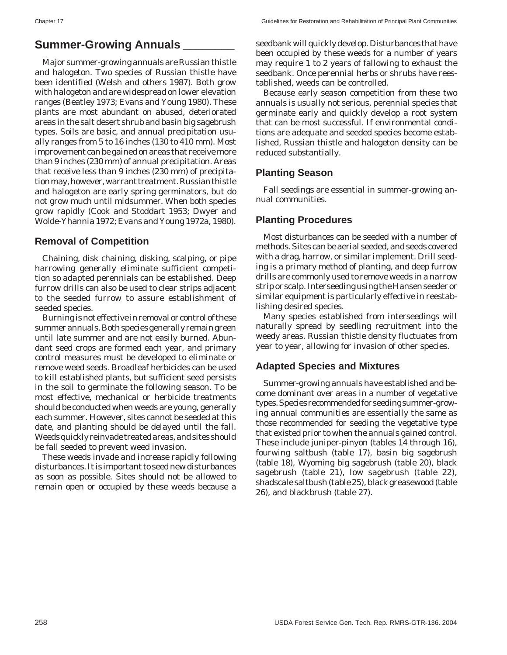## **Summer-Growing Annuals \_\_\_\_\_\_\_\_**

Major summer-growing annuals are Russian thistle and halogeton. Two species of Russian thistle have been identified (Welsh and others 1987). Both grow with halogeton and are widespread on lower elevation ranges (Beatley 1973; Evans and Young 1980). These plants are most abundant on abused, deteriorated areas in the salt desert shrub and basin big sagebrush types. Soils are basic, and annual precipitation usually ranges from 5 to 16 inches (130 to 410 mm). Most improvement can be gained on areas that receive more than 9 inches (230 mm) of annual precipitation. Areas that receive less than 9 inches (230 mm) of precipitation may, however, warrant treatment. Russian thistle and halogeton are early spring germinators, but do not grow much until midsummer. When both species grow rapidly (Cook and Stoddart 1953; Dwyer and Wolde-Yhannia 1972; Evans and Young 1972a, 1980).

#### **Removal of Competition**

Chaining, disk chaining, disking, scalping, or pipe harrowing generally eliminate sufficient competition so adapted perennials can be established. Deep furrow drills can also be used to clear strips adjacent to the seeded furrow to assure establishment of seeded species.

Burning is not effective in removal or control of these summer annuals. Both species generally remain green until late summer and are not easily burned. Abundant seed crops are formed each year, and primary control measures must be developed to eliminate or remove weed seeds. Broadleaf herbicides can be used to kill established plants, but sufficient seed persists in the soil to germinate the following season. To be most effective, mechanical or herbicide treatments should be conducted when weeds are young, generally each summer. However, sites cannot be seeded at this date, and planting should be delayed until the fall. Weeds quickly reinvade treated areas, and sites should be fall seeded to prevent weed invasion.

These weeds invade and increase rapidly following disturbances. It is important to seed new disturbances as soon as possible. Sites should not be allowed to remain open or occupied by these weeds because a

seedbank will quickly develop. Disturbances that have been occupied by these weeds for a number of years may require 1 to 2 years of fallowing to exhaust the seedbank. Once perennial herbs or shrubs have reestablished, weeds can be controlled.

Because early season competition from these two annuals is usually not serious, perennial species that germinate early and quickly develop a root system that can be most successful. If environmental conditions are adequate and seeded species become established, Russian thistle and halogeton density can be reduced substantially.

### **Planting Season**

Fall seedings are essential in summer-growing annual communities.

### **Planting Procedures**

Most disturbances can be seeded with a number of methods. Sites can be aerial seeded, and seeds covered with a drag, harrow, or similar implement. Drill seeding is a primary method of planting, and deep furrow drills are commonly used to remove weeds in a narrow strip or scalp. Interseeding using the Hansen seeder or similar equipment is particularly effective in reestablishing desired species.

Many species established from interseedings will naturally spread by seedling recruitment into the weedy areas. Russian thistle density fluctuates from year to year, allowing for invasion of other species.

## **Adapted Species and Mixtures**

Summer-growing annuals have established and become dominant over areas in a number of vegetative types. Species recommended for seeding summer-growing annual communities are essentially the same as those recommended for seeding the vegetative type that existed prior to when the annuals gained control. These include juniper-pinyon (tables 14 through 16), fourwing saltbush (table 17), basin big sagebrush (table 18), Wyoming big sagebrush (table 20), black sagebrush (table 21), low sagebrush (table 22), shadscale saltbush (table 25), black greasewood (table 26), and blackbrush (table 27).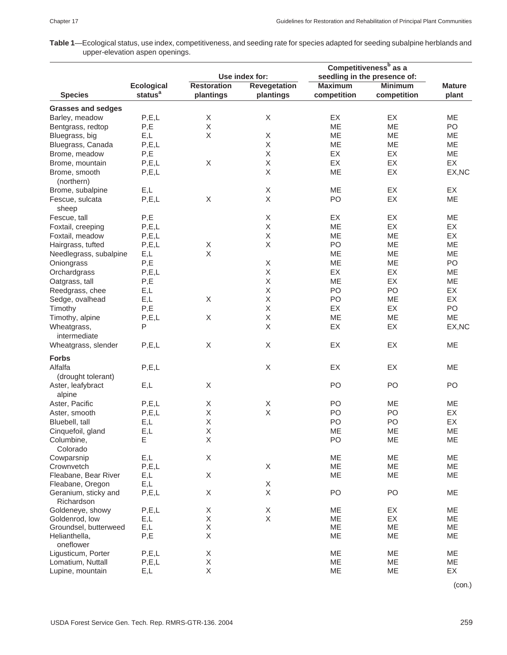**Table 1**—Ecological status, use index, competitiveness, and seeding rate for species adapted for seeding subalpine herblands and upper-elevation aspen openings.

|                                    |                                          | Use index for:     |                                  | Competitiveness <sup>b</sup> as a<br>seedling in the presence of: |                               |               |  |
|------------------------------------|------------------------------------------|--------------------|----------------------------------|-------------------------------------------------------------------|-------------------------------|---------------|--|
|                                    |                                          |                    |                                  |                                                                   |                               |               |  |
| <b>Species</b>                     | <b>Ecological</b><br>status <sup>a</sup> | <b>Restoration</b> | <b>Revegetation</b><br>plantings | <b>Maximum</b><br>competition                                     | <b>Minimum</b><br>competition | <b>Mature</b> |  |
|                                    |                                          | plantings          |                                  |                                                                   |                               | plant         |  |
| <b>Grasses and sedges</b>          |                                          |                    |                                  |                                                                   |                               |               |  |
| Barley, meadow                     | P, E, L                                  | Χ                  | Χ                                | EX                                                                | EX                            | <b>ME</b>     |  |
| Bentgrass, redtop                  | P,E                                      | X                  |                                  | <b>ME</b>                                                         | ME                            | PO            |  |
| Bluegrass, big                     | E,L                                      | Χ                  | Χ                                | ME                                                                | ME                            | ME            |  |
| Bluegrass, Canada                  | P, E, L                                  |                    | Χ                                | ME                                                                | ME                            | ME            |  |
| Brome, meadow                      | P,E                                      |                    | X                                | EX                                                                | EX                            | ME            |  |
| Brome, mountain                    | P, E, L                                  | $\mathsf X$        | Χ                                | EX                                                                | EX                            | EX            |  |
| Brome, smooth                      | P, E, L                                  |                    | $\mathsf X$                      | ME                                                                | EX                            | EX, NC        |  |
| (northern)                         |                                          |                    |                                  |                                                                   |                               |               |  |
| Brome, subalpine                   | E,L                                      |                    | X                                | ME                                                                | EX                            | EX            |  |
| Fescue, sulcata                    | P, E, L                                  | $\mathsf X$        | $\mathsf X$                      | PO                                                                | EX                            | ME            |  |
| sheep                              |                                          |                    |                                  |                                                                   |                               |               |  |
| Fescue, tall                       | P,E                                      |                    | Χ                                | EX                                                                | EX                            | ME            |  |
| Foxtail, creeping                  | P, E, L                                  |                    | $\mathsf X$                      | ME                                                                | EX                            | EX            |  |
| Foxtail, meadow                    | P, E, L                                  |                    | X                                | ME                                                                | <b>ME</b>                     | EX            |  |
| Hairgrass, tufted                  | P, E, L                                  | Χ                  | X                                | PO                                                                | ME                            | ME            |  |
| Needlegrass, subalpine             | E,L                                      | $\mathsf X$        |                                  | ME                                                                | <b>ME</b>                     | ME            |  |
| Oniongrass                         | P,E                                      |                    | X                                | ME                                                                | ME                            | PO            |  |
| Orchardgrass                       | P, E, L                                  |                    | X                                | EX                                                                | EX                            | ME            |  |
|                                    | P,E                                      |                    | $\mathsf X$                      | ME                                                                | EX                            | ME            |  |
| Oatgrass, tall                     |                                          |                    | $\mathsf X$                      |                                                                   |                               |               |  |
| Reedgrass, chee                    | E,L                                      |                    |                                  | PO                                                                | PO                            | EX            |  |
| Sedge, ovalhead                    | E,L                                      | Χ                  | Χ                                | PO                                                                | ME                            | EX            |  |
| Timothy                            | P,E                                      |                    | Χ                                | EX                                                                | <b>EX</b>                     | PO            |  |
| Timothy, alpine                    | P, E, L                                  | Χ                  | $\mathsf X$                      | ME                                                                | ME                            | ME            |  |
| Wheatgrass,<br>intermediate        | P                                        |                    | $\mathsf X$                      | EX                                                                | EX                            | EX, NC        |  |
| Wheatgrass, slender                | P, E, L                                  | X                  | X                                | EX                                                                | EX                            | ME            |  |
| <b>Forbs</b>                       |                                          |                    |                                  |                                                                   |                               |               |  |
| Alfalfa                            | P, E, L                                  |                    | X                                | EX                                                                | EX                            | ME            |  |
| (drought tolerant)                 |                                          |                    |                                  |                                                                   |                               |               |  |
|                                    |                                          | Χ                  |                                  |                                                                   |                               |               |  |
| Aster, leafybract                  | E,L                                      |                    |                                  | PO                                                                | PO                            | PO            |  |
| alpine                             |                                          |                    |                                  |                                                                   |                               |               |  |
| Aster, Pacific                     | P, E, L                                  | Χ                  | X                                | PO                                                                | ME                            | ME            |  |
| Aster, smooth                      | P, E, L                                  | $\mathsf X$        | $\mathsf X$                      | PO                                                                | PO                            | EX            |  |
| Bluebell, tall                     | E,L                                      | $\sf X$            |                                  | PO                                                                | PO                            | EX            |  |
| Cinquefoil, gland                  | E,L                                      | X                  |                                  | ME                                                                | ME                            | ME            |  |
| Columbine,                         | Ε                                        | Χ                  |                                  | PO                                                                | ME                            | ME            |  |
| Colorado                           |                                          |                    |                                  |                                                                   |                               |               |  |
| Cowparsnip                         | E,L                                      | Χ                  |                                  | ME                                                                | ME                            | ME            |  |
| Crownvetch                         | P, E, L                                  |                    | X                                | ME                                                                | ME                            | ME            |  |
| Fleabane, Bear River               | E,L                                      | Χ                  |                                  | ME                                                                | ME                            | ME            |  |
| Fleabane, Oregon                   | E,L                                      |                    | X                                |                                                                   |                               |               |  |
| Geranium, sticky and<br>Richardson | P, E, L                                  | Χ                  | X                                | PO                                                                | PO                            | ME            |  |
| Goldeneye, showy                   | P, E, L                                  | Χ                  | $\mathsf X$                      | ME                                                                | EX                            | ME            |  |
| Goldenrod, low                     | E,L                                      | $\mathsf X$        | $\mathsf{X}$                     | ME                                                                | EX                            | ME            |  |
| Groundsel, butterweed              | E,L                                      | Χ                  |                                  | ME                                                                | ME                            | ME            |  |
| Helianthella,                      | P,E                                      | $\mathsf X$        |                                  | ME                                                                | ME                            | ME            |  |
| oneflower                          |                                          |                    |                                  |                                                                   |                               |               |  |
| Ligusticum, Porter                 | P, E, L                                  | Χ                  |                                  | ME                                                                | ME                            | ME            |  |
| Lomatium, Nuttall                  | P, E, L                                  | $\mathsf X$        |                                  | ME                                                                | ME                            | ME            |  |
| Lupine, mountain                   | E,L                                      | X                  |                                  | ME                                                                | ME                            | EX            |  |

(con.)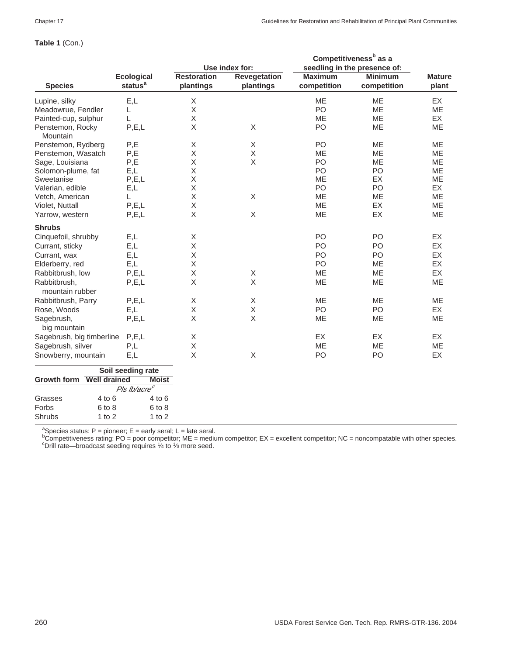|                                           |                          |                    |                     |                | Competitiveness <sup>b</sup> as a |               |
|-------------------------------------------|--------------------------|--------------------|---------------------|----------------|-----------------------------------|---------------|
|                                           |                          |                    | Use index for:      |                | seedling in the presence of:      |               |
|                                           | <b>Ecological</b>        | <b>Restoration</b> | <b>Revegetation</b> | <b>Maximum</b> | <b>Minimum</b>                    | <b>Mature</b> |
| <b>Species</b>                            | status <sup>a</sup>      | plantings          | plantings           | competition    | competition                       | plant         |
| Lupine, silky                             | E,L                      | X                  |                     | <b>ME</b>      | <b>ME</b>                         | EX            |
| Meadowrue, Fendler                        | L                        | Χ                  |                     | PO             | <b>ME</b>                         | ME            |
| Painted-cup, sulphur                      | L                        | Χ                  |                     | ME             | MЕ                                | EX            |
| Penstemon, Rocky<br>Mountain              | P, E, L                  | Χ                  | $\mathsf X$         | P <sub>O</sub> | ME                                | <b>ME</b>     |
| Penstemon, Rydberg                        | P,E                      | X                  | X                   | PO             | <b>ME</b>                         | ME            |
| Penstemon, Wasatch                        | P,E                      | $\mathsf X$        | X                   | <b>ME</b>      | <b>ME</b>                         | ME            |
| Sage, Louisiana                           | P,E                      | X                  | X                   | PO             | ME                                | <b>ME</b>     |
| Solomon-plume, fat                        | E,L                      | X                  |                     | PO             | PO                                | <b>ME</b>     |
| Sweetanise                                | P, E, L                  | X                  |                     | ME             | EX                                | ME            |
| Valerian, edible                          | E,L                      | Χ                  |                     | P <sub>O</sub> | PO                                | EX            |
| Vetch, American                           | L                        | X                  | X                   | <b>ME</b>      | <b>ME</b>                         | ME            |
| Violet, Nuttall                           | P, E, L                  | $\mathsf X$        |                     | ME             | EX                                | ME            |
| Yarrow, western                           | P, E, L                  | $\mathsf X$        | $\mathsf X$         | ME             | EX                                | ME            |
| <b>Shrubs</b>                             |                          |                    |                     |                |                                   |               |
| Cinquefoil, shrubby                       | E,L                      | X                  |                     | P <sub>O</sub> | PO                                | EX            |
| Currant, sticky                           | E,L                      | X                  |                     | PO             | PO                                | EX            |
| Currant, wax                              | E.L                      | X                  |                     | P <sub>O</sub> | PO                                | EX            |
| Elderberry, red                           | E,L                      | $\mathsf X$        |                     | PO             | ME                                | EX            |
| Rabbitbrush, low                          | P, E, L                  | Χ                  | X                   | ME             | <b>ME</b>                         | EX            |
| Rabbitbrush,                              | P, E, L                  | X                  | X                   | ME             | <b>ME</b>                         | <b>ME</b>     |
| mountain rubber                           |                          |                    |                     |                |                                   |               |
| Rabbitbrush, Parry                        | P, E, L                  | Χ                  | $\mathsf X$         | ME             | ME                                | ME            |
| Rose, Woods                               | E,L                      | $\mathsf X$        | X                   | PO             | PO                                | EX            |
| Sagebrush,                                | P, E, L                  | $\mathsf X$        | X                   | ME             | ME                                | ME            |
| big mountain                              |                          |                    |                     |                |                                   |               |
| Sagebrush, big timberline                 | P.E.L                    | Χ                  |                     | EX             | EX                                | EX            |
| Sagebrush, silver                         | P,L                      | $\mathsf X$        |                     | <b>ME</b>      | <b>ME</b>                         | <b>ME</b>     |
| Snowberry, mountain                       | E,L                      | X                  | $\sf X$             | PO             | PO                                | EX            |
|                                           | Soil seeding rate        |                    |                     |                |                                   |               |
| <b>Well drained</b><br><b>Growth form</b> | <b>Moist</b>             |                    |                     |                |                                   |               |
|                                           | Pls Ib/acre <sup>c</sup> |                    |                     |                |                                   |               |
| $4$ to $6$<br>Grasses                     | 4 to 6                   |                    |                     |                |                                   |               |
| Forbs<br>6 to 8                           | 6 to 8                   |                    |                     |                |                                   |               |
| Shrubs                                    | $1$ to $2$<br>1 to $2$   |                    |                     |                |                                   |               |

**Table 1** (Con.)

<sup>a</sup>Species status: P = pioneer; E = early seral; L = late seral.<br><sup>b</sup>Competitiveness rating: PO = poor competitor; ME = medium competitor; EX = excellent competitor; NC = noncompatable with other species.<br><sup>c</sup>Drill rate, sha  $\degree$ Drill rate—broadcast seeding requires  $\frac{1}{4}$  to  $\frac{1}{3}$  more seed.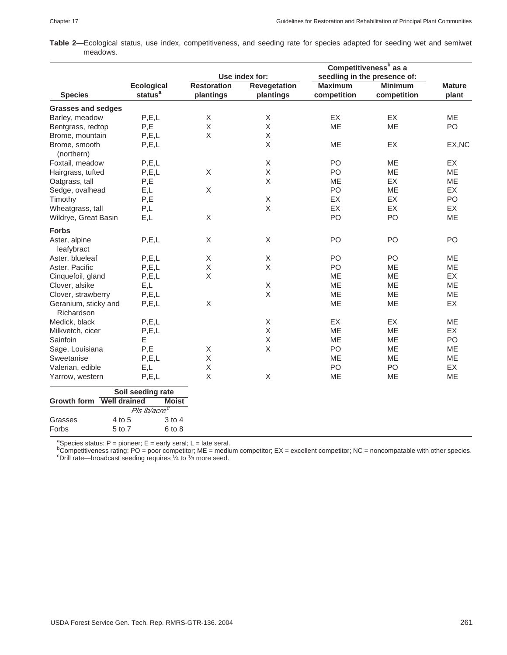**Table 2**—Ecological status, use index, competitiveness, and seeding rate for species adapted for seeding wet and semiwet meadows.

|                                    |                          |                    |                     | Competitiveness <sup>b</sup> as a |                              |               |  |
|------------------------------------|--------------------------|--------------------|---------------------|-----------------------------------|------------------------------|---------------|--|
|                                    |                          |                    | Use index for:      |                                   | seedling in the presence of: |               |  |
|                                    | <b>Ecological</b>        | <b>Restoration</b> | <b>Revegetation</b> | <b>Maximum</b>                    | <b>Minimum</b>               | <b>Mature</b> |  |
| <b>Species</b>                     | status <sup>a</sup>      | plantings          | plantings           | competition                       | competition                  | plant         |  |
| <b>Grasses and sedges</b>          |                          |                    |                     |                                   |                              |               |  |
| Barley, meadow                     | P, E, L                  | Χ                  | Χ                   | EX                                | <b>EX</b>                    | <b>ME</b>     |  |
| Bentgrass, redtop                  | P,E                      | X                  | X                   | ME                                | <b>ME</b>                    | PO            |  |
| Brome, mountain                    | P, E, L                  | $\mathsf X$        | $\mathsf X$         |                                   |                              |               |  |
| Brome, smooth<br>(northern)        | P, E, L                  |                    | $\mathsf X$         | ME                                | EX                           | EX, NC        |  |
| Foxtail, meadow                    | P, E, L                  |                    | X                   | P <sub>O</sub>                    | <b>ME</b>                    | EX            |  |
| Hairgrass, tufted                  | P, E, L                  | X                  | $\mathsf X$         | P <sub>O</sub>                    | ME                           | <b>ME</b>     |  |
| Oatgrass, tall                     | P,E                      |                    | $\mathsf X$         | <b>ME</b>                         | <b>EX</b>                    | ME            |  |
| Sedge, ovalhead                    | E,L                      | $\mathsf X$        |                     | PO                                | <b>ME</b>                    | EX            |  |
| Timothy                            | P,E                      |                    | $\mathsf X$         | EX                                | EX                           | PO            |  |
| Wheatgrass, tall                   | P,L                      |                    | X                   | EX                                | EX                           | EX            |  |
| Wildrye, Great Basin               | E,L                      | Χ                  |                     | PO                                | PO                           | ME            |  |
| <b>Forbs</b>                       |                          |                    |                     |                                   |                              |               |  |
| Aster, alpine<br>leafybract        | P, E, L                  | X                  | X                   | PO                                | PO                           | PO            |  |
| Aster, blueleaf                    | P, E, L                  | Χ                  | $\mathsf X$         | PO                                | PO                           | ME            |  |
| Aster, Pacific                     | P, E, L                  | $\mathsf X$        | X                   | P <sub>O</sub>                    | ME                           | <b>ME</b>     |  |
| Cinquefoil, gland                  | P.E.L                    | X                  |                     | ME                                | ME                           | EX            |  |
| Clover, alsike                     | E,L                      |                    | $\mathsf X$         | ME                                | ME                           | ME            |  |
| Clover, strawberry                 | P, E, L                  |                    | X                   | ME                                | <b>ME</b>                    | ME            |  |
| Geranium, sticky and<br>Richardson | P, E, L                  | Χ                  |                     | ME                                | ME                           | EX            |  |
| Medick, black                      | P, E, L                  |                    | $\mathsf X$         | EX                                | <b>EX</b>                    | <b>ME</b>     |  |
| Milkvetch, cicer                   | P, E, L                  |                    | X                   | <b>ME</b>                         | <b>ME</b>                    | EX            |  |
| Sainfoin                           | E                        |                    | $\mathsf X$         | ME                                | <b>ME</b>                    | PO            |  |
| Sage, Louisiana                    | P,E                      | X                  | X                   | PO                                | <b>ME</b>                    | <b>ME</b>     |  |
| Sweetanise                         | P, E, L                  | $\mathsf X$        |                     | ME                                | <b>ME</b>                    | ME            |  |
| Valerian, edible                   | E,L                      | Χ                  |                     | PO                                | PO                           | EX            |  |
| Yarrow, western                    | P, E, L                  | Χ                  | X                   | ME                                | ME                           | ME            |  |
|                                    | Soil seeding rate        |                    |                     |                                   |                              |               |  |
| Growth form Well drained           | <b>Moist</b>             |                    |                     |                                   |                              |               |  |
|                                    | Pls Ib/acre <sup>c</sup> |                    |                     |                                   |                              |               |  |
| Grasses                            | 4 to 5<br>$3$ to $4$     |                    |                     |                                   |                              |               |  |
| Forbs                              | 5 to 7<br>6 to 8         |                    |                     |                                   |                              |               |  |

ªSpecies status: P = pioneer; E = early seral; L = late seral.<br><sup>b</sup>Competitiveness rating: PO = poor competitor; ME = medium competitor; EX = excellent competitor; NC = noncompatable with other species.<br>°Drill rate—broadca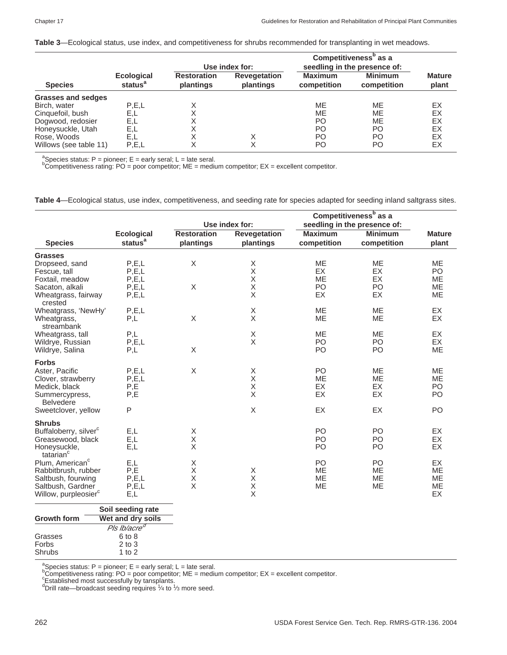**Table 3**—Ecological status, use index, and competitiveness for shrubs recommended for transplanting in wet meadows.

|                           |                                          | Use index for:                  |                                  | Competitiveness <sup>b</sup> as a<br>seedling in the presence of: |                               |                        |
|---------------------------|------------------------------------------|---------------------------------|----------------------------------|-------------------------------------------------------------------|-------------------------------|------------------------|
| <b>Species</b>            | <b>Ecological</b><br>status <sup>a</sup> | <b>Restoration</b><br>plantings | <b>Revegetation</b><br>plantings | <b>Maximum</b><br>competition                                     | <b>Minimum</b><br>competition | <b>Mature</b><br>plant |
| <b>Grasses and sedges</b> |                                          |                                 |                                  |                                                                   |                               |                        |
| Birch, water              | P.E.L                                    | Χ                               |                                  | <b>ME</b>                                                         | ME                            | EX                     |
| Cinquefoil, bush          | E,L                                      | Χ                               |                                  | ME                                                                | ME                            | EX                     |
| Dogwood, redosier         | E,L                                      | X                               |                                  | PO.                                                               | ME                            | EX                     |
| Honeysuckle, Utah         | E.L                                      | X                               |                                  | PO.                                                               | PΟ                            | ЕX                     |
| Rose, Woods               | E.L                                      | X                               |                                  | PO.                                                               | PΟ                            | ЕX                     |
| Willows (see table 11)    | P, E, L                                  |                                 |                                  | PO                                                                | PΟ                            | ЕX                     |

<sup>a</sup>Species status: P = pioneer; E = early seral; L = late seral.

 ${}^{\text{b}}$ Competitiveness rating: PO = poor competitor; ME = medium competitor; EX = excellent competitor.

**Table 4**—Ecological status, use index, competitiveness, and seeding rate for species adapted for seeding inland saltgrass sites.

|                                                                                                                                                            |                                                                                                        |                                 |                                                                   |                                   | Competitiveness <sup>b</sup> as a |                                   |
|------------------------------------------------------------------------------------------------------------------------------------------------------------|--------------------------------------------------------------------------------------------------------|---------------------------------|-------------------------------------------------------------------|-----------------------------------|-----------------------------------|-----------------------------------|
|                                                                                                                                                            |                                                                                                        |                                 | Use index for:                                                    |                                   | seedling in the presence of:      |                                   |
| <b>Species</b>                                                                                                                                             | <b>Ecological</b><br>status <sup>a</sup>                                                               | <b>Restoration</b><br>plantings | <b>Revegetation</b><br>plantings                                  | <b>Maximum</b><br>competition     | <b>Minimum</b><br>competition     | <b>Mature</b><br>plant            |
| <b>Grasses</b><br>Dropseed, sand<br>Fescue, tall                                                                                                           | P, E, L<br>P, E, L                                                                                     | X                               | X<br>$\mathsf X$                                                  | <b>ME</b><br>EX                   | ME<br>EX                          | <b>ME</b><br>PO                   |
| Foxtail, meadow<br>Sacaton, alkali<br>Wheatgrass, fairway                                                                                                  | P, E, L<br>P, E, L<br>P, E, L                                                                          | $\mathsf X$                     | $\mathsf X$<br>Χ<br>$\mathsf X$                                   | <b>ME</b><br>PO<br>EX             | <b>EX</b><br>PO<br>EX             | ME<br>ME<br>ME                    |
| crested<br>Wheatgrass, 'NewHy'<br>Wheatgrass,<br>streambank                                                                                                | P, E, L<br>P,L                                                                                         | $\mathsf X$                     | $\mathsf X$<br>$\boldsymbol{\mathsf{X}}$                          | <b>ME</b><br>ME                   | <b>ME</b><br>ME                   | EX<br>EX                          |
| Wheatgrass, tall<br>Wildrye, Russian<br>Wildrye, Salina                                                                                                    | P,L<br>P, E, L<br>P,L                                                                                  | X                               | $\mathsf X$<br>$\mathsf X$                                        | ME<br>P <sub>O</sub><br>PO        | ME<br>PO<br>P <sub>O</sub>        | EX<br>EX<br><b>ME</b>             |
| <b>Forbs</b><br>Aster, Pacific<br>Clover, strawberry<br>Medick, black<br>Summercypress,<br><b>Belvedere</b><br>Sweetclover, yellow                         | P, E, L<br>P, E, L<br>$\mathsf{P},\mathsf{E}$<br>P,E<br>$\mathsf{P}$                                   | $\mathsf X$                     | $\mathsf X$<br>Χ<br>$\mathsf X$<br>X<br>$\boldsymbol{\mathsf{X}}$ | PO<br><b>ME</b><br>EX<br>EX<br>EX | ME<br><b>ME</b><br>EX<br>EX<br>EX | ME<br>ME<br>PO<br>PO<br>PO        |
| <b>Shrubs</b><br>Buffaloberry, silver <sup>c</sup><br>Greasewood, black<br>Honeysuckle,                                                                    | E,L<br>E, L<br>E,L                                                                                     | X<br>Χ<br>X                     |                                                                   | PO<br>PO<br>PO                    | PO<br>PO<br>P <sub>O</sub>        | EX<br>EX<br>EX                    |
| tatarian <sup>c</sup><br>Plum, American <sup>c</sup><br>Rabbitbrush, rubber<br>Saltbush, fourwing<br>Saltbush, Gardner<br>Willow, purpleosier <sup>c</sup> | E,L<br>P,E<br>P, E, L<br>P, E, L<br>E,L                                                                | Χ<br>X<br>Χ<br>X                | X<br>$\mathsf X$<br>$\mathsf X$<br>X                              | PO<br>ME<br><b>ME</b><br>ME       | PO<br>ME<br>ME<br>ME              | EX<br><b>ME</b><br>ME<br>ME<br>EX |
| <b>Growth form</b><br>Grasses<br>Forbs<br>Shrubs                                                                                                           | Soil seeding rate<br>Wet and dry soils<br>Pls Ib/acre <sup>d</sup><br>6 to 8<br>$2$ to $3$<br>1 to $2$ |                                 |                                                                   |                                   |                                   |                                   |

<sup>a</sup>Species status: P = pioneer; E = early seral; L = late seral.

b<br>
Competitiveness rating: PO = poor competitor; ME = medium competitor; EX = excellent competitor.<br>
"Established most successfully by tansplants.

<sup>d</sup>Drill rate—broadcast seeding requires 1/4 to 1/3 more seed.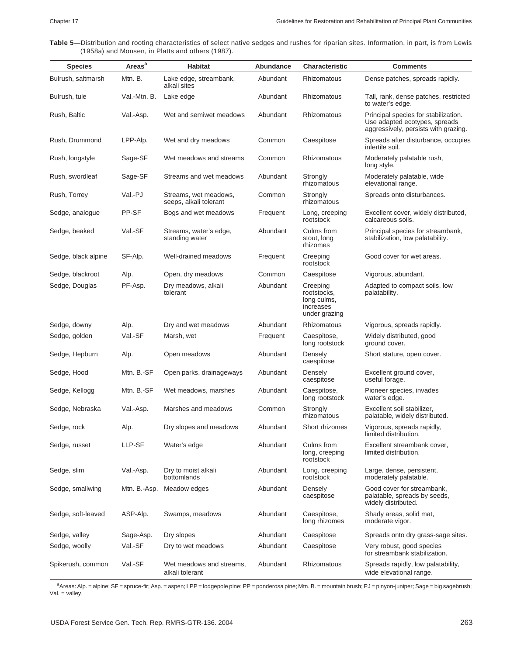**Table 5**—Distribution and rooting characteristics of select native sedges and rushes for riparian sites. Information, in part, is from Lewis (1958a) and Monsen, in Platts and others (1987).

| <b>Species</b>      | Areas <sup>a</sup> | <b>Habitat</b>                                  | Abundance | Characteristic                                                       | <b>Comments</b>                                                                                               |
|---------------------|--------------------|-------------------------------------------------|-----------|----------------------------------------------------------------------|---------------------------------------------------------------------------------------------------------------|
| Bulrush, saltmarsh  | Mtn. B.            | Lake edge, streambank,<br>alkali sites          | Abundant  | Rhizomatous                                                          | Dense patches, spreads rapidly.                                                                               |
| Bulrush, tule       | Val.-Mtn. B.       | Lake edge                                       | Abundant  | Rhizomatous                                                          | Tall, rank, dense patches, restricted<br>to water's edge.                                                     |
| Rush, Baltic        | Val.-Asp.          | Wet and semiwet meadows                         | Abundant  | <b>Rhizomatous</b>                                                   | Principal species for stabilization.<br>Use adapted ecotypes, spreads<br>aggressively, persists with grazing. |
| Rush, Drummond      | LPP-Alp.           | Wet and dry meadows                             | Common    | Caespitose                                                           | Spreads after disturbance, occupies<br>infertile soil.                                                        |
| Rush, longstyle     | Sage-SF            | Wet meadows and streams                         | Common    | Rhizomatous                                                          | Moderately palatable rush,<br>long style.                                                                     |
| Rush, swordleaf     | Sage-SF            | Streams and wet meadows                         | Abundant  | Strongly<br>rhizomatous                                              | Moderately palatable, wide<br>elevational range.                                                              |
| Rush, Torrey        | Val.-PJ            | Streams, wet meadows,<br>seeps, alkali tolerant | Common    | Strongly<br>rhizomatous                                              | Spreads onto disturbances.                                                                                    |
| Sedge, analogue     | PP-SF              | Bogs and wet meadows                            | Frequent  | Long, creeping<br>rootstock                                          | Excellent cover, widely distributed,<br>calcareous soils.                                                     |
| Sedge, beaked       | Val.-SF            | Streams, water's edge,<br>standing water        | Abundant  | Culms from<br>stout, long<br>rhizomes                                | Principal species for streambank,<br>stabilization, low palatability.                                         |
| Sedge, black alpine | SF-Alp.            | Well-drained meadows                            | Frequent  | Creeping<br>rootstock                                                | Good cover for wet areas.                                                                                     |
| Sedge, blackroot    | Alp.               | Open, dry meadows                               | Common    | Caespitose                                                           | Vigorous, abundant.                                                                                           |
| Sedge, Douglas      | PF-Asp.            | Dry meadows, alkali<br>tolerant                 | Abundant  | Creeping<br>rootstocks,<br>long culms,<br>increases<br>under grazing | Adapted to compact soils, low<br>palatability.                                                                |
| Sedge, downy        | Alp.               | Dry and wet meadows                             | Abundant  | <b>Rhizomatous</b>                                                   | Vigorous, spreads rapidly.                                                                                    |
| Sedge, golden       | Val.-SF            | Marsh, wet                                      | Frequent  | Caespitose,<br>long rootstock                                        | Widely distributed, good<br>ground cover.                                                                     |
| Sedge, Hepburn      | Alp.               | Open meadows                                    | Abundant  | Densely<br>caespitose                                                | Short stature, open cover.                                                                                    |
| Sedge, Hood         | Mtn. B.-SF         | Open parks, drainageways                        | Abundant  | Densely<br>caespitose                                                | Excellent ground cover,<br>useful forage.                                                                     |
| Sedge, Kellogg      | Mtn. B.-SF         | Wet meadows, marshes                            | Abundant  | Caespitose,<br>long rootstock                                        | Pioneer species, invades<br>water's edge.                                                                     |
| Sedge, Nebraska     | Val.-Asp.          | Marshes and meadows                             | Common    | Strongly<br>rhizomatous                                              | Excellent soil stabilizer,<br>palatable, widely distributed.                                                  |
| Sedge, rock         | Alp.               | Dry slopes and meadows                          | Abundant  | Short rhizomes                                                       | Vigorous, spreads rapidly,<br>limited distribution.                                                           |
| Sedge, russet       | LLP-SF             | Water's edge                                    | Abundant  | Culms from<br>long, creeping<br>rootstock                            | Excellent streambank cover,<br>limited distribution.                                                          |
| Sedge, slim         | Val.-Asp.          | Dry to moist alkali<br>bottomlands              | Abundant  | Long, creeping<br>rootstock                                          | Large, dense, persistent,<br>moderately palatable.                                                            |
| Sedge, smallwing    | Mtn. B.-Asp.       | Meadow edges                                    | Abundant  | Densely<br>caespitose                                                | Good cover for streambank.<br>palatable, spreads by seeds,<br>widely distributed.                             |
| Sedge, soft-leaved  | ASP-Alp.           | Swamps, meadows                                 | Abundant  | Caespitose,<br>long rhizomes                                         | Shady areas, solid mat,<br>moderate vigor.                                                                    |
| Sedge, valley       | Sage-Asp.          | Dry slopes                                      | Abundant  | Caespitose                                                           | Spreads onto dry grass-sage sites.                                                                            |
| Sedge, woolly       | Val.-SF            | Dry to wet meadows                              | Abundant  | Caespitose                                                           | Very robust, good species<br>for streambank stabilization.                                                    |
| Spikerush, common   | Val.-SF            | Wet meadows and streams,<br>alkali tolerant     | Abundant  | Rhizomatous                                                          | Spreads rapidly, low palatability,<br>wide elevational range.                                                 |

a<br>Areas: Alp. = alpine; SF = spruce-fir; Asp. = aspen; LPP = lodgepole pine; PP = ponderosa pine; Mtn. B. = mountain brush; PJ = pinyon-juniper; Sage = big sagebrush; Val. = valley.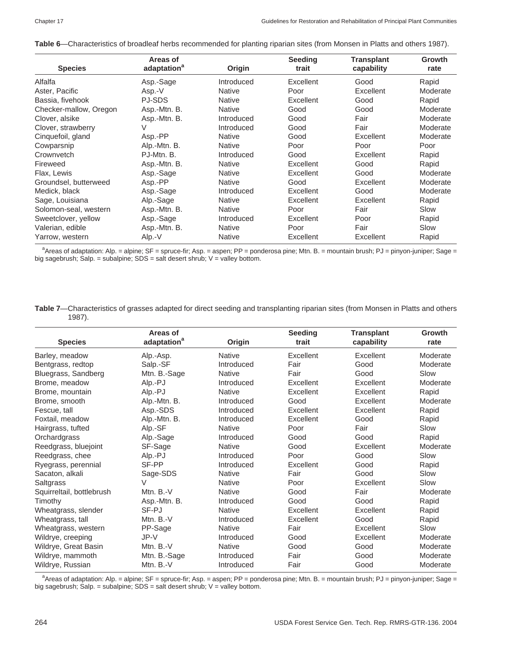|  | Table 6—Characteristics of broadleaf herbs recommended for planting riparian sites (from Monsen in Platts and others 1987). |
|--|-----------------------------------------------------------------------------------------------------------------------------|
|--|-----------------------------------------------------------------------------------------------------------------------------|

|                        | Areas of                |               | <b>Seeding</b> | <b>Transplant</b> | Growth   |
|------------------------|-------------------------|---------------|----------------|-------------------|----------|
| <b>Species</b>         | adaptation <sup>a</sup> | Origin        | trait          | capability        | rate     |
| Alfalfa                | Asp.-Sage               | Introduced    | Excellent      | Good              | Rapid    |
| Aster, Pacific         | Asp.-V                  | <b>Native</b> | Poor           | Excellent         | Moderate |
| Bassia, fivehook       | PJ-SDS                  | <b>Native</b> | Excellent      | Good              | Rapid    |
| Checker-mallow, Oregon | Asp.-Mtn. B.            | <b>Native</b> | Good           | Good              | Moderate |
| Clover, alsike         | Asp.-Mtn. B.            | Introduced    | Good           | Fair              | Moderate |
| Clover, strawberry     | V                       | Introduced    | Good           | Fair              | Moderate |
| Cinquefoil, gland      | Asp.-PP                 | <b>Native</b> | Good           | Excellent         | Moderate |
| Cowparsnip             | Alp.-Mtn. B.            | <b>Native</b> | Poor           | Poor              | Poor     |
| Crownvetch             | PJ-Mtn. B.              | Introduced    | Good           | Excellent         | Rapid    |
| Fireweed               | Asp.-Mtn. B.            | <b>Native</b> | Excellent      | Good              | Rapid    |
| Flax, Lewis            | Asp.-Sage               | <b>Native</b> | Excellent      | Good              | Moderate |
| Groundsel, butterweed  | Asp.-PP                 | <b>Native</b> | Good           | Excellent         | Moderate |
| Medick, black          | Asp.-Sage               | Introduced    | Excellent      | Good              | Moderate |
| Sage, Louisiana        | Alp.-Sage               | <b>Native</b> | Excellent      | Excellent         | Rapid    |
| Solomon-seal, western  | Asp.-Mtn. B.            | Native        | Poor           | Fair              | Slow     |
| Sweetclover, yellow    | Asp.-Sage               | Introduced    | Excellent      | Poor              | Rapid    |
| Valerian, edible       | Asp.-Mtn. B.            | <b>Native</b> | Poor           | Fair              | Slow     |
| Yarrow, western        | Alp.-V                  | <b>Native</b> | Excellent      | Excellent         | Rapid    |

a<br>Areas of adaptation: Alp. = alpine; SF = spruce-fir; Asp. = aspen; PP = ponderosa pine; Mtn. B. = mountain brush; PJ = pinyon-juniper; Sage = big sagebrush; Salp. = subalpine; SDS = salt desert shrub; V = valley bottom.

| Table 7-Characteristics of grasses adapted for direct seeding and transplanting riparian sites (from Monsen in Platts and others |  |  |
|----------------------------------------------------------------------------------------------------------------------------------|--|--|
| $1987$ ).                                                                                                                        |  |  |

|                           | Areas of                |               | <b>Seeding</b> | <b>Transplant</b> | Growth   |
|---------------------------|-------------------------|---------------|----------------|-------------------|----------|
| <b>Species</b>            | adaptation <sup>a</sup> | Origin        | trait          | capability        | rate     |
| Barley, meadow            | Alp.-Asp.               | <b>Native</b> | Excellent      | Excellent         | Moderate |
| Bentgrass, redtop         | Salp.-SF                | Introduced    | Fair           | Good              | Moderate |
| Bluegrass, Sandberg       | Mtn. B.-Sage            | <b>Native</b> | Fair           | Good              | Slow     |
| Brome, meadow             | Alp.-PJ                 | Introduced    | Excellent      | Excellent         | Moderate |
| Brome, mountain           | Alp.-PJ                 | <b>Native</b> | Excellent      | Excellent         | Rapid    |
| Brome, smooth             | Alp.-Mtn. B.            | Introduced    | Good           | Excellent         | Moderate |
| Fescue, tall              | Asp.-SDS                | Introduced    | Excellent      | Excellent         | Rapid    |
| Foxtail, meadow           | Alp.-Mtn. B.            | Introduced    | Excellent      | Good              | Rapid    |
| Hairgrass, tufted         | Alp.-SF                 | <b>Native</b> | Poor           | Fair              | Slow     |
| Orchardgrass              | Alp.-Sage               | Introduced    | Good           | Good              | Rapid    |
| Reedgrass, bluejoint      | SF-Sage                 | <b>Native</b> | Good           | Excellent         | Moderate |
| Reedgrass, chee           | Alp.-PJ                 | Introduced    | Poor           | Good              | Slow     |
| Ryegrass, perennial       | SF-PP                   | Introduced    | Excellent      | Good              | Rapid    |
| Sacaton, alkali           | Sage-SDS                | <b>Native</b> | Fair           | Good              | Slow     |
| Saltgrass                 | V                       | <b>Native</b> | Poor           | Excellent         | Slow     |
| Squirreltail, bottlebrush | Mtn. $B.-V$             | <b>Native</b> | Good           | Fair              | Moderate |
| Timothy                   | Asp.-Mtn. B.            | Introduced    | Good           | Good              | Rapid    |
| Wheatgrass, slender       | SF-PJ                   | <b>Native</b> | Excellent      | Excellent         | Rapid    |
| Wheatgrass, tall          | Mtn. $B.-V$             | Introduced    | Excellent      | Good              | Rapid    |
| Wheatgrass, western       | PP-Sage                 | <b>Native</b> | Fair           | Excellent         | Slow     |
| Wildrye, creeping         | $JP-V$                  | Introduced    | Good           | Excellent         | Moderate |
| Wildrye, Great Basin      | Mtn. B.-V               | <b>Native</b> | Good           | Good              | Moderate |
| Wildrye, mammoth          | Mtn. B.-Sage            | Introduced    | Fair           | Good              | Moderate |
| Wildrye, Russian          | Mtn. B.-V               | Introduced    | Fair           | Good              | Moderate |

a<br>Areas of adaptation: Alp. = alpine; SF = spruce-fir; Asp. = aspen; PP = ponderosa pine; Mtn. B. = mountain brush; PJ = pinyon-juniper; Sage = big sagebrush; Salp. = subalpine;  $SDS$  = salt desert shrub;  $V$  = valley bottom.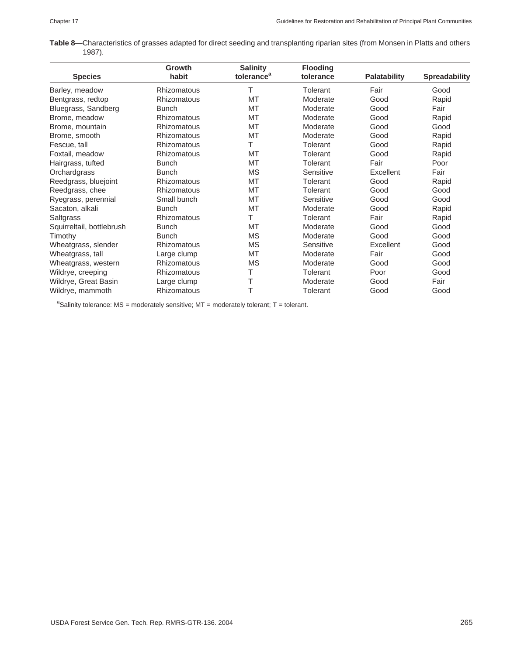|           | Table 8-Characteristics of grasses adapted for direct seeding and transplanting riparian sites (from Monsen in Platts and others |  |  |  |
|-----------|----------------------------------------------------------------------------------------------------------------------------------|--|--|--|
| $1987$ ). |                                                                                                                                  |  |  |  |

|                           | Growth             | <b>Salinity</b>        | <b>Flooding</b> |                     |                      |
|---------------------------|--------------------|------------------------|-----------------|---------------------|----------------------|
| <b>Species</b>            | habit              | tolerance <sup>a</sup> | tolerance       | <b>Palatability</b> | <b>Spreadability</b> |
| Barley, meadow            | <b>Rhizomatous</b> | Т                      | Tolerant        | Fair                | Good                 |
| Bentgrass, redtop         | <b>Rhizomatous</b> | MT                     | Moderate        | Good                | Rapid                |
| Bluegrass, Sandberg       | <b>Bunch</b>       | <b>MT</b>              | Moderate        | Good                | Fair                 |
| Brome, meadow             | <b>Rhizomatous</b> | <b>MT</b>              | Moderate        | Good                | Rapid                |
| Brome, mountain           | <b>Rhizomatous</b> | MT                     | Moderate        | Good                | Good                 |
| Brome, smooth             | <b>Rhizomatous</b> | MT                     | Moderate        | Good                | Rapid                |
| Fescue, tall              | <b>Rhizomatous</b> | Τ                      | Tolerant        | Good                | Rapid                |
| Foxtail, meadow           | Rhizomatous        | MT                     | Tolerant        | Good                | Rapid                |
| Hairgrass, tufted         | <b>Bunch</b>       | MT                     | Tolerant        | Fair                | Poor                 |
| Orchardgrass              | <b>Bunch</b>       | <b>MS</b>              | Sensitive       | Excellent           | Fair                 |
| Reedgrass, bluejoint      | <b>Rhizomatous</b> | MT                     | Tolerant        | Good                | Rapid                |
| Reedgrass, chee           | Rhizomatous        | <b>MT</b>              | Tolerant        | Good                | Good                 |
| Ryegrass, perennial       | Small bunch        | <b>MT</b>              | Sensitive       | Good                | Good                 |
| Sacaton, alkali           | <b>Bunch</b>       | MT                     | Moderate        | Good                | Rapid                |
| Saltgrass                 | Rhizomatous        | Τ                      | Tolerant        | Fair                | Rapid                |
| Squirreltail, bottlebrush | <b>Bunch</b>       | MT                     | Moderate        | Good                | Good                 |
| Timothy                   | <b>Bunch</b>       | MS                     | Moderate        | Good                | Good                 |
| Wheatgrass, slender       | <b>Rhizomatous</b> | <b>MS</b>              | Sensitive       | Excellent           | Good                 |
| Wheatgrass, tall          | Large clump        | MT                     | Moderate        | Fair                | Good                 |
| Wheatgrass, western       | <b>Rhizomatous</b> | <b>MS</b>              | Moderate        | Good                | Good                 |
| Wildrye, creeping         | <b>Rhizomatous</b> | Т                      | Tolerant        | Poor                | Good                 |
| Wildrye, Great Basin      | Large clump        | Τ                      | Moderate        | Good                | Fair                 |
| Wildrye, mammoth          | Rhizomatous        | T                      | Tolerant        | Good                | Good                 |

<sup>a</sup>Salinity tolerance: MS = moderately sensitive; MT = moderately tolerant; T = tolerant.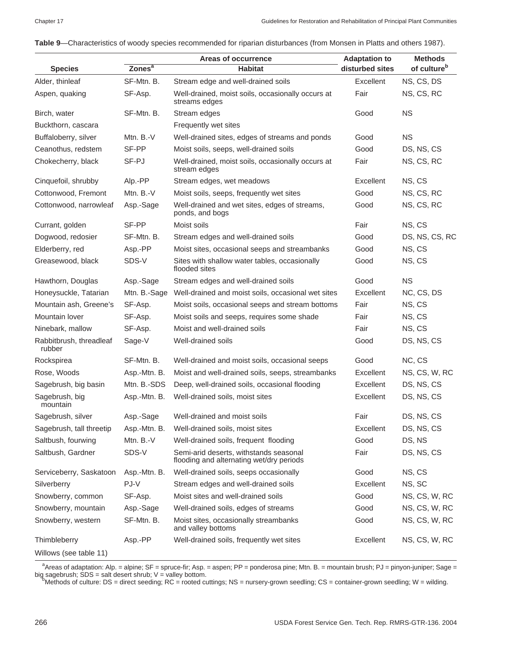|                                   |                    | Areas of occurrence                                                                | <b>Adaptation to</b> | <b>Methods</b><br>of culture <sup>b</sup> |  |
|-----------------------------------|--------------------|------------------------------------------------------------------------------------|----------------------|-------------------------------------------|--|
| <b>Species</b>                    | Zones <sup>a</sup> | <b>Habitat</b>                                                                     | disturbed sites      |                                           |  |
| Alder, thinleaf                   | SF-Mtn. B.         | Stream edge and well-drained soils                                                 | Excellent            | NS, CS, DS                                |  |
| Aspen, quaking                    | SF-Asp.            | Well-drained, moist soils, occasionally occurs at<br>streams edges                 | Fair                 | NS, CS, RC                                |  |
| Birch, water                      | SF-Mtn. B.         | Stream edges                                                                       | Good                 | <b>NS</b>                                 |  |
| Buckthorn, cascara                |                    | Frequently wet sites                                                               |                      |                                           |  |
| Buffaloberry, silver              | Mtn. $B.-V$        | Well-drained sites, edges of streams and ponds                                     | Good                 | <b>NS</b>                                 |  |
| Ceanothus, redstem                | SF-PP              | Moist soils, seeps, well-drained soils                                             | Good                 | DS, NS, CS                                |  |
| Chokecherry, black                | SF-PJ              | Well-drained, moist soils, occasionally occurs at<br>stream edges                  | Fair                 | NS, CS, RC                                |  |
| Cinquefoil, shrubby               | Alp.-PP            | Stream edges, wet meadows                                                          | Excellent            | NS, CS                                    |  |
| Cottonwood, Fremont               | Mtn. $B.-V$        | Moist soils, seeps, frequently wet sites                                           | Good                 | NS, CS, RC                                |  |
| Cottonwood, narrowleaf            | Asp.-Sage          | Well-drained and wet sites, edges of streams,<br>ponds, and bogs                   | Good                 | NS, CS, RC                                |  |
| Currant, golden                   | SF-PP              | Moist soils                                                                        | Fair                 | NS, CS                                    |  |
| Dogwood, redosier                 | SF-Mtn. B.         | Stream edges and well-drained soils                                                | Good                 | DS, NS, CS, RC                            |  |
| Elderberry, red                   | Asp.-PP            | Moist sites, occasional seeps and streambanks                                      | Good                 | NS, CS                                    |  |
| Greasewood, black                 | SDS-V              | Sites with shallow water tables, occasionally<br>flooded sites                     | Good                 | NS, CS                                    |  |
| Hawthorn, Douglas                 | Asp.-Sage          | Stream edges and well-drained soils                                                | Good                 | <b>NS</b>                                 |  |
| Honeysuckle, Tatarian             | Mtn. B.-Sage       | Well-drained and moist soils, occasional wet sites                                 | Excellent            | NC, CS, DS                                |  |
| Mountain ash, Greene's            | SF-Asp.            | Moist soils, occasional seeps and stream bottoms                                   | Fair                 | NS, CS                                    |  |
| Mountain lover                    | SF-Asp.            | Moist soils and seeps, requires some shade                                         | Fair                 | NS, CS                                    |  |
| Ninebark, mallow                  | SF-Asp.            | Moist and well-drained soils                                                       | Fair                 | NS, CS                                    |  |
| Rabbitbrush, threadleaf<br>rubber | Sage-V             | Well-drained soils                                                                 | Good                 | DS, NS, CS                                |  |
| Rockspirea                        | SF-Mtn. B.         | Well-drained and moist soils, occasional seeps                                     | Good                 | NC, CS                                    |  |
| Rose, Woods                       | Asp.-Mtn. B.       | Moist and well-drained soils, seeps, streambanks                                   | Excellent            | NS, CS, W, RC                             |  |
| Sagebrush, big basin              | Mtn. B.-SDS        | Deep, well-drained soils, occasional flooding                                      | Excellent            | DS, NS, CS                                |  |
| Sagebrush, big<br>mountain        | Asp.-Mtn. B.       | Well-drained soils, moist sites                                                    | Excellent            | DS, NS, CS                                |  |
| Sagebrush, silver                 | Asp.-Sage          | Well-drained and moist soils                                                       | Fair                 | DS, NS, CS                                |  |
| Sagebrush, tall threetip          | Asp.-Mtn. B.       | Well-drained soils, moist sites                                                    | Excellent            | DS, NS, CS                                |  |
| Saltbush, fourwing                | Mtn. B.-V          | Well-drained soils, frequent flooding                                              | Good                 | DS, NS                                    |  |
| Saltbush, Gardner                 | SDS-V              | Semi-arid deserts, withstands seasonal<br>flooding and alternating wet/dry periods | Fair                 | DS, NS, CS                                |  |
| Serviceberry, Saskatoon           | Asp.-Mtn. B.       | Well-drained soils, seeps occasionally                                             | Good                 | NS, CS                                    |  |
| Silverberry                       | PJ-V               | Stream edges and well-drained soils                                                | Excellent            | NS, SC                                    |  |
| Snowberry, common                 | SF-Asp.            | Moist sites and well-drained soils                                                 | Good                 | NS, CS, W, RC                             |  |
| Snowberry, mountain               | Asp.-Sage          | Well-drained soils, edges of streams                                               | Good                 | NS, CS, W, RC                             |  |
| Snowberry, western                | SF-Mtn. B.         | Moist sites, occasionally streambanks<br>and valley bottoms                        | Good                 | NS, CS, W, RC                             |  |
| Thimbleberry                      | Asp.-PP            | Well-drained soils, frequently wet sites                                           | Excellent            | NS, CS, W, RC                             |  |
| Willows (see table 11)            |                    |                                                                                    |                      |                                           |  |

#### **Table 9**—Characteristics of woody species recommended for riparian disturbances (from Monsen in Platts and others 1987).

a<br>Areas of adaptation: Alp. = alpine; SF = spruce-fir; Asp. = aspen; PP = ponderosa pine; Mtn. B. = mountain brush; PJ = pinyon-juniper; Sage = big sagebrush; SDS = salt desert shrub; V = valley bottom.<br><sup>b</sup>Methods of culture: DS = direct seeding; RC = rooted cuttings; NS = nursery-grown seedling; CS = container-grown seedling; W = wilding.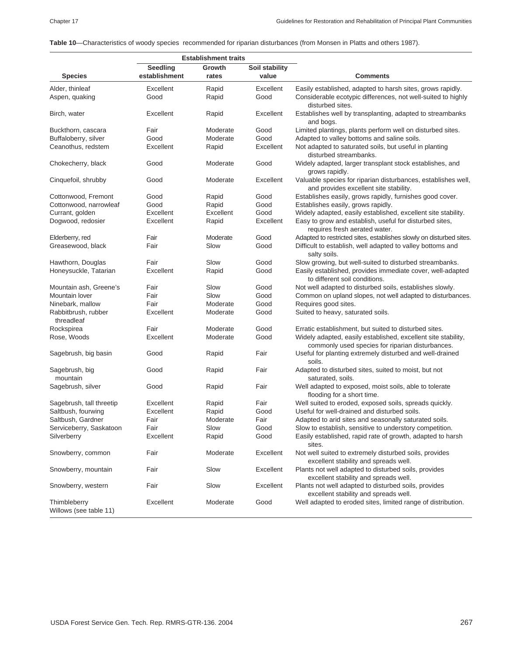**Table 10**—Characteristics of woody species recommended for riparian disturbances (from Monsen in Platts and others 1987).

|                                        | <b>Establishment traits</b> |                 |                         |                                                                                                                   |
|----------------------------------------|-----------------------------|-----------------|-------------------------|-------------------------------------------------------------------------------------------------------------------|
| <b>Species</b>                         | Seedling<br>establishment   | Growth<br>rates | Soil stability<br>value | <b>Comments</b>                                                                                                   |
| Alder, thinleaf                        | Excellent                   | Rapid           | Excellent               | Easily established, adapted to harsh sites, grows rapidly.                                                        |
| Aspen, quaking                         | Good                        | Rapid           | Good                    | Considerable ecotypic differences, not well-suited to highly<br>disturbed sites.                                  |
| Birch, water                           | Excellent                   | Rapid           | Excellent               | Establishes well by transplanting, adapted to streambanks<br>and bogs.                                            |
| Buckthorn, cascara                     | Fair                        | Moderate        | Good                    | Limited plantings, plants perform well on disturbed sites.                                                        |
| Buffaloberry, silver                   | Good                        | Moderate        | Good                    | Adapted to valley bottoms and saline soils.                                                                       |
| Ceanothus, redstem                     | Excellent                   | Rapid           | Excellent               | Not adapted to saturated soils, but useful in planting<br>disturbed streambanks.                                  |
| Chokecherry, black                     | Good                        | Moderate        | Good                    | Widely adapted, larger transplant stock establishes, and<br>grows rapidly.                                        |
| Cinquefoil, shrubby                    | Good                        | Moderate        | Excellent               | Valuable species for riparian disturbances, establishes well,<br>and provides excellent site stability.           |
| Cottonwood, Fremont                    | Good                        | Rapid           | Good                    | Establishes easily, grows rapidly, furnishes good cover.                                                          |
| Cottonwood, narrowleaf                 | Good                        | Rapid           | Good                    | Establishes easily, grows rapidly.                                                                                |
| Currant, golden                        | Excellent                   | Excellent       | Good                    | Widely adapted, easily established, excellent site stability.                                                     |
| Dogwood, redosier                      | Excellent                   | Rapid           | Excellent               | Easy to grow and establish, useful for disturbed sites,<br>requires fresh aerated water.                          |
| Elderberry, red                        | Fair                        | Moderate        | Good                    | Adapted to restricted sites, establishes slowly on disturbed sites.                                               |
| Greasewood, black                      | Fair                        | Slow            | Good                    | Difficult to establish, well adapted to valley bottoms and<br>salty soils.                                        |
| Hawthorn, Douglas                      | Fair                        | Slow            | Good                    | Slow growing, but well-suited to disturbed streambanks.                                                           |
| Honeysuckle, Tatarian                  | Excellent                   | Rapid           | Good                    | Easily established, provides immediate cover, well-adapted<br>to different soil conditions.                       |
| Mountain ash, Greene's                 | Fair                        | Slow            | Good                    | Not well adapted to disturbed soils, establishes slowly.                                                          |
| Mountain lover                         | Fair                        | Slow            | Good                    | Common on upland slopes, not well adapted to disturbances.                                                        |
| Ninebark, mallow                       | Fair                        | Moderate        | Good                    | Requires good sites.                                                                                              |
| Rabbitbrush, rubber<br>threadleaf      | Excellent                   | Moderate        | Good                    | Suited to heavy, saturated soils.                                                                                 |
| Rockspirea                             | Fair                        | Moderate        | Good                    | Erratic establishment, but suited to disturbed sites.                                                             |
| Rose, Woods                            | Excellent                   | Moderate        | Good                    | Widely adapted, easily established, excellent site stability,<br>commonly used species for riparian disturbances. |
| Sagebrush, big basin                   | Good                        | Rapid           | Fair                    | Useful for planting extremely disturbed and well-drained<br>soils.                                                |
| Sagebrush, big<br>mountain             | Good                        | Rapid           | Fair                    | Adapted to disturbed sites, suited to moist, but not<br>saturated, soils.                                         |
| Sagebrush, silver                      | Good                        | Rapid           | Fair                    | Well adapted to exposed, moist soils, able to tolerate<br>flooding for a short time.                              |
| Sagebrush, tall threetip               | Excellent                   | Rapid           | Fair                    | Well suited to eroded, exposed soils, spreads quickly.                                                            |
| Saltbush, fourwing                     | Excellent                   | Rapid           | Good                    | Useful for well-drained and disturbed soils.                                                                      |
| Saltbush, Gardner                      | Fair                        | Moderate        | Fair                    | Adapted to arid sites and seasonally saturated soils.                                                             |
| Serviceberry, Saskatoon                | Fair                        | Slow            | Good                    | Slow to establish, sensitive to understory competition.                                                           |
| Silverberry                            | Excellent                   | Rapid           | Good                    | Easily established, rapid rate of growth, adapted to harsh<br>sites.                                              |
| Snowberry, common                      | Fair                        | Moderate        | Excellent               | Not well suited to extremely disturbed soils, provides<br>excellent stability and spreads well.                   |
| Snowberry, mountain                    | Fair                        | Slow            | Excellent               | Plants not well adapted to disturbed soils, provides<br>excellent stability and spreads well.                     |
| Snowberry, western                     | Fair                        | Slow            | Excellent               | Plants not well adapted to disturbed soils, provides<br>excellent stability and spreads well.                     |
| Thimbleberry<br>Willows (see table 11) | Excellent                   | Moderate        | Good                    | Well adapted to eroded sites, limited range of distribution.                                                      |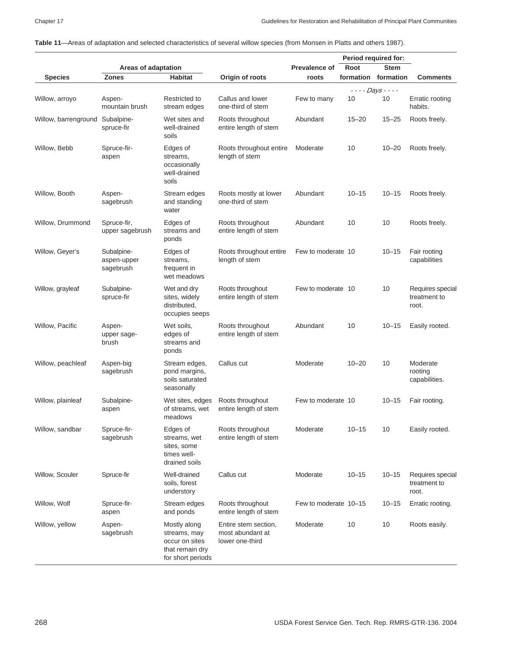**Table 11**—Areas of adaptation and selected characteristics of several willow species (from Monsen in Platts and others 1987).

|                                 |                                        |                                                                                        |                                                             |                       |           | Period required for:     |                                           |
|---------------------------------|----------------------------------------|----------------------------------------------------------------------------------------|-------------------------------------------------------------|-----------------------|-----------|--------------------------|-------------------------------------------|
|                                 | Areas of adaptation                    |                                                                                        |                                                             | Prevalence of         | Root      | <b>Stem</b>              |                                           |
| <b>Species</b>                  | <b>Zones</b>                           | Habitat                                                                                | Origin of roots                                             | roots                 |           | formation formation      | <b>Comments</b>                           |
| Willow, arroyo                  | Aspen-<br>mountain brush               | Restricted to<br>stream edges                                                          | Callus and lower<br>one-third of stem                       | Few to many           | 10        | $- - -$ Days $- -$<br>10 | Erratic rooting<br>habits.                |
| Willow, barrenground Subalpine- | spruce-fir                             | Wet sites and<br>well-drained<br>soils                                                 | Roots throughout<br>entire length of stem                   | Abundant              | $15 - 20$ | $15 - 25$                | Roots freely.                             |
| Willow, Bebb                    | Spruce-fir-<br>aspen                   | Edges of<br>streams,<br>occasionally<br>well-drained<br>soils                          | Roots throughout entire<br>length of stem                   | Moderate              | 10        | $10 - 20$                | Roots freely.                             |
| Willow, Booth                   | Aspen-<br>sagebrush                    | Stream edges<br>and standing<br>water                                                  | Roots mostly at lower<br>one-third of stem                  | Abundant              | $10 - 15$ | $10 - 15$                | Roots freely.                             |
| Willow, Drummond                | Spruce-fir,<br>upper sagebrush         | Edges of<br>streams and<br>ponds                                                       | Roots throughout<br>entire length of stem                   | Abundant              | 10        | 10                       | Roots freely.                             |
| Willow, Geyer's                 | Subalpine-<br>aspen-upper<br>sagebrush | Edges of<br>streams,<br>frequent in<br>wet meadows                                     | Roots throughout entire<br>length of stem                   | Few to moderate 10    |           | $10 - 15$                | Fair rooting<br>capabilities              |
| Willow, grayleaf                | Subalpine-<br>spruce-fir               | Wet and dry<br>sites, widely<br>distributed,<br>occupies seeps                         | Roots throughout<br>entire length of stem                   | Few to moderate 10    |           | 10                       | Requires special<br>treatment to<br>root. |
| Willow, Pacific                 | Aspen-<br>upper sage-<br>brush         | Wet soils,<br>edges of<br>streams and<br>ponds                                         | Roots throughout<br>entire length of stem                   | Abundant              | 10        | $10 - 15$                | Easily rooted.                            |
| Willow, peachleaf               | Aspen-big<br>sagebrush                 | Stream edges,<br>pond margins,<br>soils saturated<br>seasonally                        | Callus cut                                                  | Moderate              | $10 - 20$ | 10                       | Moderate<br>rooting<br>capabilities.      |
| Willow, plainleaf               | Subalpine-<br>aspen                    | Wet sites, edges<br>of streams, wet<br>meadows                                         | Roots throughout<br>entire length of stem                   | Few to moderate 10    |           | $10 - 15$                | Fair rooting.                             |
| Willow, sandbar                 | Spruce-fir-<br>sagebrush               | Edges of<br>streams, wet<br>sites, some<br>times well-<br>drained soils                | Roots throughout<br>entire length of stem                   | Moderate              | $10 - 15$ | 10                       | Easily rooted.                            |
| Willow, Scouler                 | Spruce-fir                             | Well-drained<br>soils, forest<br>understory                                            | Callus cut                                                  | Moderate              | $10 - 15$ | $10 - 15$                | Requires special<br>treatment to<br>root. |
| Willow, Wolf                    | Spruce-fir-<br>aspen                   | Stream edges<br>and ponds                                                              | Roots throughout<br>entire length of stem                   | Few to moderate 10-15 |           | $10 - 15$                | Erratic rooting.                          |
| Willow, yellow                  | Aspen-<br>sagebrush                    | Mostly along<br>streams, may<br>occur on sites<br>that remain dry<br>for short periods | Entire stem section,<br>most abundant at<br>lower one-third | Moderate              | 10        | 10                       | Roots easily.                             |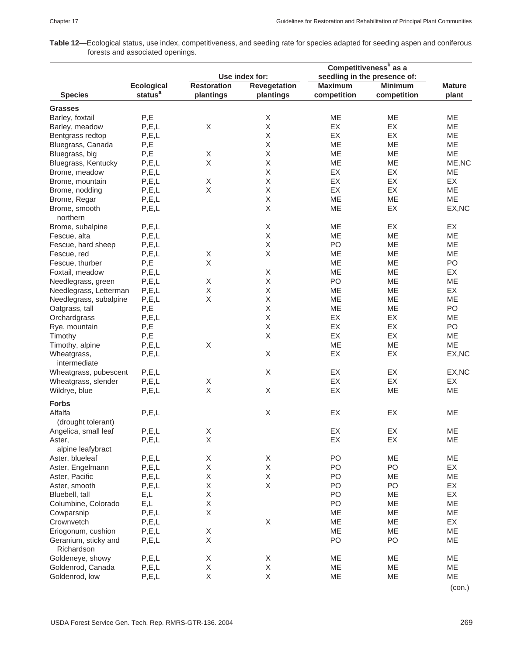**Table 12**—Ecological status, use index, competitiveness, and seeding rate for species adapted for seeding aspen and coniferous forests and associated openings.

|                             |                     | Use index for:     |                           | Competitiveness <sup>b</sup> as a<br>seedling in the presence of: |                |               |
|-----------------------------|---------------------|--------------------|---------------------------|-------------------------------------------------------------------|----------------|---------------|
|                             |                     |                    |                           |                                                                   |                |               |
|                             | <b>Ecological</b>   | <b>Restoration</b> | <b>Revegetation</b>       | <b>Maximum</b>                                                    | <b>Minimum</b> | <b>Mature</b> |
| <b>Species</b>              | status <sup>a</sup> | plantings          | plantings                 | competition                                                       | competition    | plant         |
| <b>Grasses</b>              |                     |                    |                           |                                                                   |                |               |
| Barley, foxtail             | P,E                 |                    | Χ                         | ME                                                                | ME             | ME            |
| Barley, meadow              | P, E, L             | Χ                  | $\mathsf X$               | EX                                                                | EX             | ME            |
| Bentgrass redtop            | P, E, L             |                    | X                         | EX                                                                | EX             | ME            |
| Bluegrass, Canada           | P,E                 |                    | Χ                         | ME                                                                | ME             | ME            |
| Bluegrass, big              | P,E                 | Χ                  | $\mathsf X$               | ME                                                                | ME             | ME            |
| Bluegrass, Kentucky         | P, E, L             | X                  | Χ                         | ME                                                                | ME             | ME, NC        |
| Brome, meadow               | P, E, L             |                    | $\mathsf X$               | EX                                                                | EX             | ME            |
| Brome, mountain             | P, E, L             | Χ                  | $\mathsf X$               | EX                                                                | EX             | EX            |
| Brome, nodding              | P, E, L             | Χ                  | X                         | EX                                                                | EX             | ME            |
|                             |                     |                    |                           |                                                                   |                |               |
| Brome, Regar                | P, E, L             |                    | Χ                         | ME                                                                | ME             | ME            |
| Brome, smooth<br>northern   | P, E, L             |                    | $\mathsf X$               | ME                                                                | EX             | EX, NC        |
| Brome, subalpine            | P, E, L             |                    | Χ                         | ME                                                                | EX             | EX            |
| Fescue, alta                | P, E, L             |                    | $\mathsf X$               | ME                                                                | ME             | ME            |
| Fescue, hard sheep          | P, E, L             |                    | X                         | PO                                                                | ME             | ME            |
| Fescue, red                 | P, E, L             | X                  | $\mathsf X$               | ME                                                                | ME             | ME            |
| Fescue, thurber             | P,E                 | $\mathsf X$        |                           | ME                                                                | ME             | PO            |
| Foxtail, meadow             | P, E, L             |                    | $\mathsf X$               | ME                                                                | ME             | EX            |
| Needlegrass, green          | P, E, L             | Χ                  | Χ                         | PO                                                                | ME             | ME            |
| Needlegrass, Letterman      | P, E, L             | Χ                  | $\mathsf X$               | ME                                                                | ME             | EX            |
| Needlegrass, subalpine      | P, E, L             | Χ                  | Χ                         | ME                                                                | ME             | ME            |
| Oatgrass, tall              | P,E                 |                    | Χ                         | ME                                                                | ME             | PO            |
| Orchardgrass                | P, E, L             |                    | $\mathsf X$               | EX                                                                | EX             | ME            |
| Rye, mountain               | P,E                 |                    | X                         | EX                                                                | EX             | PO            |
|                             |                     |                    | $\mathsf X$               | EX                                                                | EX             |               |
| Timothy                     | P,E                 |                    |                           |                                                                   |                | ME            |
| Timothy, alpine             | P, E, L             | Χ                  |                           | ME                                                                | ME             | ME            |
| Wheatgrass,<br>intermediate | P, E, L             |                    | $\mathsf X$               | EX                                                                | EX             | EX, NC        |
| Wheatgrass, pubescent       | P, E, L             |                    | $\boldsymbol{\mathsf{X}}$ | EX                                                                | EX             | EX, NC        |
| Wheatgrass, slender         | P, E, L             | Χ                  |                           | EX                                                                | EX             | EX            |
| Wildrye, blue               | P, E, L             | $\mathsf X$        | $\mathsf X$               | EX                                                                | ME             | ME            |
| <b>Forbs</b>                |                     |                    |                           |                                                                   |                |               |
| Alfalfa                     | P, E, L             |                    | Χ                         | EX                                                                | EX             | ME            |
| (drought tolerant)          |                     |                    |                           |                                                                   |                |               |
|                             | P, E, L             | X                  |                           | EX                                                                | EX             | ME            |
| Angelica, small leaf        |                     |                    |                           |                                                                   |                |               |
| Aster,                      | P, E, L             | $\mathsf X$        |                           | EX                                                                | EX             | ME            |
| alpine leafybract           |                     |                    |                           |                                                                   |                |               |
| Aster, blueleaf             | P, E, L             | Χ                  | X                         | PO                                                                | ME             | ME            |
| Aster, Engelmann            | P, E, L             | Χ                  | Χ                         | PO                                                                | PO             | EX            |
| Aster, Pacific              | P, E, L             | Χ                  | Χ                         | PO                                                                | ME             | ME            |
| Aster, smooth               | P, E, L             | Χ                  | X                         | PO                                                                | PO             | EX            |
| Bluebell, tall              | E,L                 | $\mathsf X$        |                           | PO                                                                | ME             | EX            |
| Columbine, Colorado         | E,L                 | $\mathsf X$        |                           | PO                                                                | ME             | ME            |
| Cowparsnip                  | P, E, L             | Χ                  |                           | ME                                                                | ME             | ME            |
| Crownvetch                  | P, E, L             |                    | Χ                         | ME                                                                | ME             | EX            |
| Eriogonum, cushion          | P, E, L             | Χ                  |                           | ME                                                                | ME             | ME            |
| Geranium, sticky and        | P, E, L             | X                  |                           | PO                                                                | PO             | ME            |
| Richardson                  |                     |                    |                           |                                                                   |                |               |
| Goldeneye, showy            | P, E, L             | Χ                  | X                         | ME                                                                | ME             | ME            |
| Goldenrod, Canada           | P, E, L             | $\mathsf X$        | Χ                         | ME                                                                | ME             | ME            |
| Goldenrod, low              | P, E, L             | $\mathsf X$        | X                         | ME                                                                | ME             | ME            |
|                             |                     |                    |                           |                                                                   |                |               |

(con.)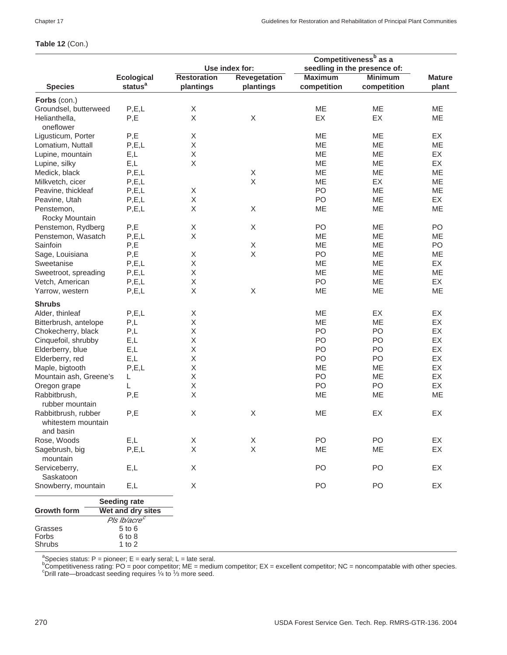#### **Table 12** (Con.)

|                                         |                          | Competitiveness <sup>b</sup> as a              |                     |                |                |               |
|-----------------------------------------|--------------------------|------------------------------------------------|---------------------|----------------|----------------|---------------|
|                                         |                          | seedling in the presence of:<br>Use index for: |                     |                |                |               |
|                                         | <b>Ecological</b>        | <b>Restoration</b>                             | <b>Revegetation</b> | <b>Maximum</b> | <b>Minimum</b> | <b>Mature</b> |
| <b>Species</b>                          | status <sup>a</sup>      | plantings                                      | plantings           | competition    | competition    | plant         |
| Forbs (con.)                            |                          |                                                |                     |                |                |               |
| Groundsel, butterweed                   | P, E, L                  | Χ                                              |                     | ME             | ME             | ME            |
| Helianthella,                           | P,E                      | X                                              | X                   | EX             | EX             | ME            |
| oneflower                               |                          |                                                |                     |                |                |               |
| Ligusticum, Porter                      | P,E                      | X                                              |                     | ME             | ME             | EX            |
| Lomatium, Nuttall                       | P, E, L                  | Χ                                              |                     | ME             | ME             | ME            |
| Lupine, mountain                        | E,L                      | Χ                                              |                     | ME             | ME             | EX            |
| Lupine, silky                           | E,L                      | X                                              |                     | ME             | ME             | EX            |
| Medick, black                           | P, E, L                  |                                                | X                   | ME             | ME             | ME            |
| Milkvetch, cicer                        | P, E, L                  |                                                | $\mathsf X$         | ME             | EX             | ME            |
| Peavine, thickleaf                      | P, E, L                  | X                                              |                     | PO             | ME             | ME            |
| Peavine, Utah                           | P, E, L                  | Χ                                              |                     | P <sub>O</sub> | ME             | EX            |
|                                         |                          | Χ                                              | X                   |                | ME             | ME            |
| Penstemon,                              | P, E, L                  |                                                |                     | ME             |                |               |
| Rocky Mountain                          |                          |                                                |                     |                |                |               |
| Penstemon, Rydberg                      | P,E                      | X                                              | X                   | PO             | ME             | PO            |
| Penstemon, Wasatch                      | P, E, L                  | Χ                                              |                     | ME             | ME             | ME            |
| Sainfoin                                | $\mathsf{P},\mathsf{E}$  |                                                | $\mathsf X$         | ME             | ME             | PO            |
| Sage, Louisiana                         | P,E                      | X                                              | $\mathsf X$         | PO             | ME             | ME            |
| Sweetanise                              | P, E, L                  | Χ                                              |                     | ME             | ME             | EX            |
| Sweetroot, spreading                    | P, E, L                  | Χ                                              |                     | ME             | ME             | ME            |
| Vetch, American                         | P, E, L                  | Χ                                              |                     | PO             | <b>ME</b>      | EX            |
| Yarrow, western                         | P, E, L                  | X                                              | $\mathsf X$         | ME             | ME             | ME            |
| <b>Shrubs</b>                           |                          |                                                |                     |                |                |               |
| Alder, thinleaf                         | P, E, L                  | Χ                                              |                     | ME             | EX             | EX            |
| Bitterbrush, antelope                   | P,L                      | Χ                                              |                     | ME             | ME             | EX            |
| Chokecherry, black                      | P,L                      | Χ                                              |                     | P <sub>O</sub> | P <sub>O</sub> | EX            |
| Cinquefoil, shrubby                     | E,L                      | Χ                                              |                     | PO             | PO             | EX            |
| Elderberry, blue                        | E,L                      | Χ                                              |                     | PO             | PO             | EX            |
| Elderberry, red                         | E,L                      | Χ                                              |                     | PO             | PO             | EX            |
| Maple, bigtooth                         | P, E, L                  | Χ                                              |                     | ME             | ME             | EX            |
| Mountain ash, Greene's                  | L                        | Χ                                              |                     | PO             | ME             | EX            |
| Oregon grape                            | L                        | Χ                                              |                     | PO             | PO             | EX            |
| Rabbitbrush,                            | P,E                      | Χ                                              |                     | ME             | ME             | ME            |
|                                         |                          |                                                |                     |                |                |               |
| rubber mountain                         |                          |                                                |                     |                |                |               |
| Rabbitbrush, rubber                     | P,E                      | X                                              | X                   | ME             | EX             | EX            |
| whitestem mountain                      |                          |                                                |                     |                |                |               |
| and basin                               |                          |                                                |                     |                |                |               |
| Rose, Woods                             | E,L                      | Χ                                              | X                   | PO             | PO             | EX            |
| Sagebrush, big                          | P, E, L                  | X                                              | X                   | ME             | ME             | EX            |
| mountain                                |                          |                                                |                     |                |                |               |
| Serviceberry,                           | E,L                      | X                                              |                     | PO             | PO             | EX            |
| Saskatoon                               |                          |                                                |                     |                |                |               |
| Snowberry, mountain                     | E,L                      | Χ                                              |                     | PO             | PO             | EX            |
| <b>Seeding rate</b>                     |                          |                                                |                     |                |                |               |
| <b>Growth form</b><br>Wet and dry sites |                          |                                                |                     |                |                |               |
|                                         | Pls Ib/acre <sup>c</sup> |                                                |                     |                |                |               |
| Grasses                                 | 5 to 6                   |                                                |                     |                |                |               |
| Forbs                                   | 6 to 8                   |                                                |                     |                |                |               |
| Shrubs                                  | 1 to $2$                 |                                                |                     |                |                |               |

ªSpecies status: P = pioneer; E = early seral; L = late seral.<br><sup>b</sup>Competitiveness rating: PO = poor competitor; ME = medium competitor; EX = excellent competitor; NC = noncompatable with other species.<br>°Drill rate—broadca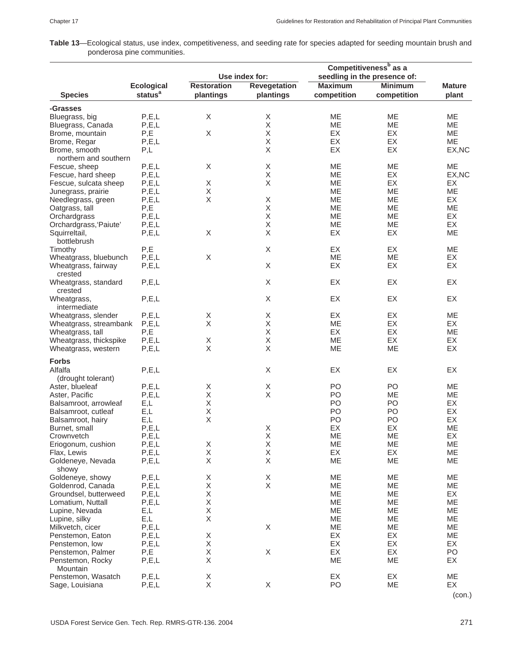**Table 13**—Ecological status, use index, competitiveness, and seeding rate for species adapted for seeding mountain brush and ponderosa pine communities.

|                                      |                                    |                    |                     |                 | Competitiveness <sup>b</sup> as a |               |
|--------------------------------------|------------------------------------|--------------------|---------------------|-----------------|-----------------------------------|---------------|
|                                      |                                    |                    | Use index for:      |                 | seedling in the presence of:      |               |
|                                      | <b>Ecological</b>                  | <b>Restoration</b> | <b>Revegetation</b> | <b>Maximum</b>  | <b>Minimum</b>                    | <b>Mature</b> |
| <b>Species</b>                       | status <sup>a</sup>                | plantings          | plantings           | competition     | competition                       | plant         |
| -Grasses                             |                                    |                    |                     |                 |                                   |               |
| Bluegrass, big                       | P, E, L                            | X                  | Χ                   | <b>ME</b>       | ME.                               | <b>ME</b>     |
| Bluegrass, Canada                    | P, E, L                            |                    | X                   | ME              | <b>ME</b>                         | ME            |
| Brome, mountain                      | P,E                                | $\mathsf X$        | X                   | <b>EX</b>       | EX                                | ME            |
| Brome, Regar                         | P, E, L                            |                    | X                   | EX              | EX                                | <b>ME</b>     |
| Brome, smooth                        | P,L                                |                    | Χ                   | EX              | EX                                | EX, NC        |
| northern and southern                |                                    |                    |                     |                 |                                   |               |
| Fescue, sheep                        | P, E, L                            | Χ                  | Χ                   | <b>ME</b>       | <b>ME</b>                         | ME            |
| Fescue, hard sheep                   | P, E, L                            |                    | Χ<br>$\mathsf X$    | ME              | EX<br>EX                          | EX, NC        |
| Fescue, sulcata sheep                | P, E, L                            | Χ<br>Χ             |                     | МE<br><b>ME</b> | <b>ME</b>                         | EX<br>ME      |
| Junegrass, prairie                   | P, E, L<br>P, E, L                 | Χ                  | X                   | ME              | ME                                | EX            |
| Needlegrass, green<br>Oatgrass, tall | P,E                                |                    | Χ                   | МE              | ME                                | ME            |
| Orchardgrass                         | P, E, L                            |                    | X                   | <b>ME</b>       | <b>ME</b>                         | EX            |
| Orchardgrass, 'Paiute'               | P, E, L                            |                    | X                   | ME              | <b>ME</b>                         | EX            |
| Squirreltail,                        | P, E, L                            | Χ                  | X                   | EX              | EX                                | ME            |
| bottlebrush                          |                                    |                    |                     |                 |                                   |               |
| Timothy                              | P,E                                |                    | X                   | EX              | EX                                | ME            |
| Wheatgrass, bluebunch                | P, E, L                            | Χ                  |                     | ME              | ME                                | EX            |
| Wheatgrass, fairway                  | P, E, L                            |                    | X                   | EX              | EX                                | EX            |
| crested                              |                                    |                    |                     |                 |                                   |               |
| Wheatgrass, standard                 | P, E, L                            |                    | X                   | EX              | EX                                | EX            |
| crested                              |                                    |                    |                     |                 |                                   |               |
| Wheatgrass,                          | P, E, L                            |                    | X                   | EX              | EX                                | EX            |
| intermediate                         |                                    |                    |                     |                 |                                   |               |
| Wheatgrass, slender                  | P, E, L                            | X                  | X                   | EX              | EX                                | ME            |
| Wheatgrass, streambank               | P, E, L                            | Χ                  | Χ                   | ME              | EX                                | EX            |
| Wheatgrass, tall                     | P,E                                |                    | X                   | <b>EX</b>       | EX                                | ME            |
| Wheatgrass, thickspike               | P, E, L                            | X                  | X                   | <b>ME</b>       | EX                                | EX            |
| Wheatgrass, western                  | P, E, L                            | Χ                  | X                   | ME              | ME                                | EX            |
| <b>Forbs</b>                         |                                    |                    |                     |                 |                                   |               |
| Alfalfa                              | P, E, L                            |                    | X                   | EX              | EX                                | EX            |
| (drought tolerant)                   |                                    |                    |                     |                 |                                   |               |
| Aster, blueleaf                      | P, E, L                            | Χ                  | $\mathsf X$         | P <sub>O</sub>  | P <sub>O</sub>                    | ME            |
| Aster, Pacific                       | P, E, L                            | Χ                  | X                   | P <sub>O</sub>  | ME                                | ME            |
| Balsamroot, arrowleaf                | E,L                                | X                  |                     | PO              | PO                                | EX            |
| Balsamroot, cutleaf                  | E,L                                | X                  |                     | PO              | PO                                | EX            |
| Balsamroot, hairy                    | E,L                                | X                  |                     | PO              | PO                                | EX            |
| Burnet, small                        | P, E, L                            |                    | X                   | EX              | EX                                | ME            |
| Crownvetch                           | P, E, L                            |                    | X                   | ME              | ME                                | EX            |
| Eriogonum, cushion                   | $\mathsf{P},\mathsf{E},\mathsf{L}$ | Χ                  | X                   | ME              | ME                                | ME            |
| Flax, Lewis                          | P, E, L                            | Χ                  | Χ                   | EX              | EX                                | ME            |
| Goldeneye, Nevada                    | P, E, L                            | Χ                  | X                   | ME              | ME                                | ME            |
| showy                                |                                    |                    |                     |                 |                                   |               |
| Goldeneye, showy                     | P, E, L                            | X                  | X                   | ME              | ME                                | ME            |
| Goldenrod, Canada                    | P, E, L                            | X                  | $\times$            | ME              | ME                                | ME            |
| Groundsel, butterweed                | P, E, L                            | X                  |                     | ME              | ME                                | EX            |
| Lomatium, Nuttall                    | P, E, L                            | Χ                  |                     | ME              | ME                                | ME            |
| Lupine, Nevada                       | E,L                                | Χ<br>Χ             |                     | ME              | ME                                | ME<br>ME      |
| Lupine, silky                        | E,L                                |                    | $\mathsf X$         | ME<br>ME        | ME<br>ME                          | ME            |
| Milkvetch, cicer                     | P, E, L                            | Χ                  |                     | EX              | EX                                | ME            |
| Penstemon, Eaton                     | P, E, L                            | X                  |                     | EX              | EX                                | EX            |
| Penstemon, low<br>Penstemon, Palmer  | P, E, L<br>P,E                     | Χ                  | X                   | EX              | EX                                | PO            |
| Penstemon, Rocky                     | P, E, L                            | Χ                  |                     | ME              | ME                                | EX            |
| Mountain                             |                                    |                    |                     |                 |                                   |               |
| Penstemon, Wasatch                   | P, E, L                            | X                  |                     | EX              | EX                                | ME            |
| Sage, Louisiana                      | P, E, L                            | Χ                  | X                   | PO              | ME                                | EX            |
|                                      |                                    |                    |                     |                 |                                   |               |

(con.)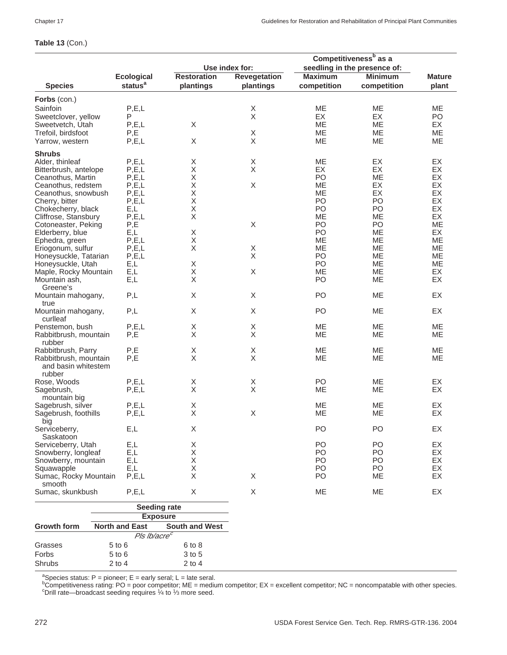# **Table 13** (Con.)

|                                |                          |                       | Competitiveness <sup>b</sup> as a |                |                              |               |
|--------------------------------|--------------------------|-----------------------|-----------------------------------|----------------|------------------------------|---------------|
|                                |                          |                       | Use index for:                    |                | seedling in the presence of: |               |
|                                | <b>Ecological</b>        | <b>Restoration</b>    | <b>Revegetation</b>               | <b>Maximum</b> | <b>Minimum</b>               | <b>Mature</b> |
| <b>Species</b>                 | status <sup>a</sup>      | plantings             | plantings                         | competition    | competition                  | plant         |
| Forbs (con.)                   |                          |                       |                                   |                |                              |               |
| Sainfoin                       | P, E, L                  |                       | X                                 | ME             | ME                           | ME            |
| Sweetclover, yellow            | P                        |                       | $\sf X$                           | EX             | EX                           | PO            |
| Sweetvetch, Utah               | P, E, L                  | X                     |                                   | ME             | ME                           | EX            |
| Trefoil, birdsfoot             | P,E                      |                       | X                                 | ME             | ME                           | ME            |
| Yarrow, western                | P, E, L                  | X                     | X                                 | ME             | ME                           | ME            |
| <b>Shrubs</b>                  |                          |                       |                                   |                |                              |               |
| Alder, thinleaf                | P, E, L                  | X                     | X                                 | ME             | EX                           | EX            |
| Bitterbrush, antelope          | P, E, L                  | Χ                     | X                                 | EX             | EX                           | EX            |
| Ceanothus, Martin              | P, E, L                  | X                     |                                   | PO             | ME                           | EX            |
| Ceanothus, redstem             | P, E, L                  | $\mathsf X$           | X                                 | ME             | EX                           | EX            |
| Ceanothus, snowbush            | P, E, L                  | Χ                     |                                   | МE             | EX                           | EX            |
| Cherry, bitter                 | P, E, L                  | Χ                     |                                   | P <sub>O</sub> | P <sub>O</sub>               | EX            |
| Chokecherry, black             | E,L                      | Χ                     |                                   | PO             | PO                           | EX            |
| Cliffrose, Stansbury           | P, E, L                  | X                     |                                   | ME             | ME                           | EX            |
| Cotoneaster, Peking            | P,E                      |                       | $\boldsymbol{\mathsf{X}}$         | PO             | PO                           | ME            |
| Elderberry, blue               | E,L                      | Χ                     |                                   | PO             | ME                           | EX            |
| Ephedra, green                 | P, E, L                  | Χ                     |                                   | <b>ME</b>      | <b>ME</b>                    | <b>ME</b>     |
| Eriogonum, sulfur              | P, E, L                  | X                     | X                                 | MЕ             | ME                           | ME            |
| Honeysuckle, Tatarian          | P, E, L                  |                       | $\overline{\mathsf{X}}$           | PO             | ME                           | ME            |
| Honeysuckle, Utah              | E,L                      | X                     |                                   | P <sub>O</sub> | МE                           | ME            |
| Maple, Rocky Mountain          | E,L                      | Χ                     | $\boldsymbol{\mathsf{X}}$         | ME             | ME                           | EX            |
| Mountain ash,                  | E,L                      | X                     |                                   | PO             | ME                           | EX            |
| Greene's                       |                          |                       |                                   |                |                              |               |
| Mountain mahogany,             | P,L                      | X                     | X                                 | P <sub>O</sub> | <b>ME</b>                    | EX            |
| true                           |                          |                       |                                   |                |                              |               |
| Mountain mahogany,<br>curlleaf | P,L                      | X                     | $\boldsymbol{\mathsf{X}}$         | P <sub>O</sub> | ME                           | EX            |
| Penstemon, bush                | P, E, L                  | X                     | X                                 | ME             | ME                           | ME            |
| Rabbitbrush, mountain          | P,E                      | X                     | X                                 | ME             | ME                           | ME            |
| rubber                         |                          |                       |                                   |                |                              |               |
| Rabbitbrush, Parry             | P,E                      | Χ                     | X                                 | ME             | ME                           | ME            |
| Rabbitbrush, mountain          | P,E                      | X                     | X                                 | ME             | ME                           | ME            |
| and basin whitestem            |                          |                       |                                   |                |                              |               |
| rubber                         |                          |                       |                                   |                |                              |               |
| Rose, Woods                    | P, E, L                  | X                     | X                                 | PO             | МE                           | EX            |
| Sagebrush,                     | P, E, L                  | X                     | $\boldsymbol{\mathsf{X}}$         | ME             | ME                           | EX            |
| mountain big                   |                          |                       |                                   |                |                              |               |
| Sagebrush, silver              | P, E, L                  | X                     |                                   | <b>ME</b>      | ME                           | EX            |
| Sagebrush, foothills           | P, E, L                  | $\sf X$               | X                                 | ME             | МE                           | EX            |
| big                            |                          |                       |                                   |                |                              |               |
| Serviceberry,                  | E,L                      | Χ                     |                                   | PO             | PO                           | EX            |
| Saskatoon                      |                          |                       |                                   |                |                              |               |
| Serviceberry, Utah             | E,L                      | Χ                     |                                   | PO             | PO.                          | EX            |
| Snowberry, longleaf            | E,L                      | Χ                     |                                   | PO.            | PO                           | EX            |
| Snowberry, mountain            | E,L                      | Χ                     |                                   | PO             | PO.                          | EX            |
| Squawapple                     | E,L                      | Χ                     |                                   | PO             | PO                           | EX            |
| Sumac, Rocky Mountain          | P, E, L                  | X                     | X                                 | PO             | MЕ                           | EX            |
| smooth                         |                          |                       |                                   |                |                              |               |
| Sumac, skunkbush               | P, E, L                  | X                     | X                                 | ME             | ME                           | EX            |
|                                | <b>Seeding rate</b>      |                       |                                   |                |                              |               |
|                                | <b>Exposure</b>          |                       |                                   |                |                              |               |
|                                |                          |                       |                                   |                |                              |               |
| <b>Growth form</b>             | <b>North and East</b>    | <b>South and West</b> |                                   |                |                              |               |
|                                | Pls Ib/acre <sup>c</sup> |                       |                                   |                |                              |               |
| Grasses                        | $5$ to $6$               | 6 to 8                |                                   |                |                              |               |
| Forbs                          | 5 to 6                   | 3 to 5                |                                   |                |                              |               |
| Shrubs                         | $2$ to $4$               | $2$ to $4$            |                                   |                |                              |               |

ªSpecies status: P = pioneer; E = early seral; L = late seral.<br><sup>b</sup>Competitiveness rating: PO = poor competitor; ME = medium competitor; EX = excellent competitor; NC = noncompatable with other species.<br><sup>b</sup>Competitiveness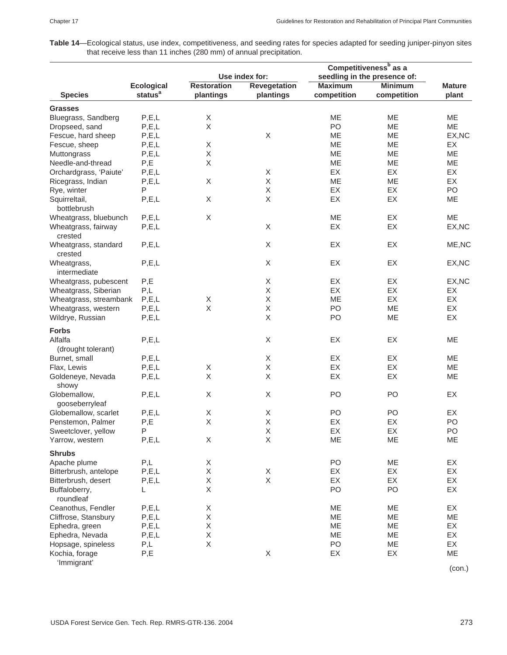**Table 14**—Ecological status, use index, competitiveness, and seeding rates for species adapted for seeding juniper-pinyon sites that receive less than 11 inches (280 mm) of annual precipitation.

|                        |                     | Use index for:     |                     | Competitiveness <sup>b</sup> as a<br>seedling in the presence of: |                |               |  |
|------------------------|---------------------|--------------------|---------------------|-------------------------------------------------------------------|----------------|---------------|--|
|                        | <b>Ecological</b>   | <b>Restoration</b> | <b>Revegetation</b> | <b>Maximum</b>                                                    | <b>Minimum</b> | <b>Mature</b> |  |
| <b>Species</b>         | status <sup>a</sup> | plantings          | plantings           | competition                                                       | competition    | plant         |  |
| <b>Grasses</b>         |                     |                    |                     |                                                                   |                |               |  |
| Bluegrass, Sandberg    | P, E, L             | $\mathsf X$        |                     | ME                                                                | ME             | ME            |  |
| Dropseed, sand         | P, E, L             | X                  |                     | PO                                                                | ME             | ME            |  |
| Fescue, hard sheep     | P, E, L             |                    | X                   | ME                                                                | ME             | EX, NC        |  |
| Fescue, sheep          | P, E, L             | Χ                  |                     | ME                                                                | ME             | EX            |  |
| Muttongrass            | P, E, L             | Χ                  |                     | ME                                                                | ME             | ME            |  |
| Needle-and-thread      | P,E                 | X                  |                     | ME                                                                | ME             | ME            |  |
| Orchardgrass, 'Paiute' | P, E, L             |                    | X                   | EX                                                                | EX             | EX            |  |
| Ricegrass, Indian      | P, E, L             | Χ                  | X                   | ME                                                                | ME             | EX            |  |
| Rye, winter            | P                   |                    | X                   | EX                                                                | EX             | PO            |  |
| Squirreltail,          | P, E, L             | Χ                  | X                   | EX                                                                | EX             | ME            |  |
| bottlebrush            |                     |                    |                     |                                                                   |                |               |  |
| Wheatgrass, bluebunch  | P, E, L             | $\mathsf X$        |                     | ME                                                                | EX             | <b>ME</b>     |  |
| Wheatgrass, fairway    | P, E, L             |                    | $\mathsf X$         | EX                                                                | EX             | EX, NC        |  |
| crested                |                     |                    |                     |                                                                   |                |               |  |
| Wheatgrass, standard   | P, E, L             |                    | X                   | EX                                                                | EX             | ME, NC        |  |
| crested                |                     |                    |                     |                                                                   |                |               |  |
| Wheatgrass,            | P, E, L             |                    | X                   | EX                                                                | EX             | EX, NC        |  |
| intermediate           |                     |                    |                     |                                                                   |                |               |  |
| Wheatgrass, pubescent  | P,E                 |                    | X                   | EX                                                                | EX             | EX, NC        |  |
| Wheatgrass, Siberian   | P,L                 |                    | X                   | EX                                                                | EX             | EX            |  |
| Wheatgrass, streambank | P, E, L             | X                  | X                   | ME                                                                | EX             | EX            |  |
| Wheatgrass, western    | P, E, L             | $\mathsf X$        | X                   | PO                                                                | ME             | EX            |  |
| Wildrye, Russian       | P, E, L             |                    | X                   | PO                                                                | ME             | EX            |  |
| <b>Forbs</b>           |                     |                    |                     |                                                                   |                |               |  |
| Alfalfa                | P, E, L             |                    | $\mathsf X$         | EX                                                                | EX             | ME            |  |
|                        |                     |                    |                     |                                                                   |                |               |  |
| (drought tolerant)     |                     |                    |                     |                                                                   |                |               |  |
| Burnet, small          | P, E, L             |                    | X                   | EX                                                                | EX             | ME            |  |
| Flax, Lewis            | P, E, L             | X                  | Χ                   | EX                                                                | EX             | ME            |  |
| Goldeneye, Nevada      | P, E, L             | $\mathsf X$        | X                   | EX                                                                | EX             | ME            |  |
| showy                  |                     |                    |                     |                                                                   |                |               |  |
| Globemallow,           | P, E, L             | Χ                  | $\mathsf X$         | PO                                                                | PO             | EX            |  |
| gooseberryleaf         |                     |                    |                     |                                                                   |                |               |  |
| Globemallow, scarlet   | P, E, L             | X                  | X                   | PO                                                                | PO             | EX            |  |
| Penstemon, Palmer      | P,E                 | $\mathsf X$        | X                   | EX                                                                | EX             | PO            |  |
| Sweetclover, yellow    | Ρ                   |                    | Χ                   | EX                                                                | EX             | PO            |  |
| Yarrow, western        | P, E, L             | Χ                  | $\mathsf X$         | ME                                                                | ME             | ME            |  |
| <b>Shrubs</b>          |                     |                    |                     |                                                                   |                |               |  |
| Apache plume           | P,L                 | Χ                  |                     | PO                                                                | ME             | EX            |  |
| Bitterbrush, antelope  | P, E, L             | $\mathsf X$        | X                   | EX                                                                | EX             | EX            |  |
| Bitterbrush, desert    | P, E, L             | Χ                  | X                   | EX                                                                | EX             | EX            |  |
| Buffaloberry,          | L                   | Χ                  |                     | PO                                                                | PO             | EX            |  |
| roundleaf              |                     |                    |                     |                                                                   |                |               |  |
| Ceanothus, Fendler     | P, E, L             | Χ                  |                     | ME                                                                | ME             | EX            |  |
| Cliffrose, Stansbury   | P, E, L             | Χ                  |                     | ME                                                                | ME             | ME            |  |
| Ephedra, green         | P, E, L             | Χ                  |                     | ME                                                                | ME             | EX            |  |
| Ephedra, Nevada        | P, E, L             | Χ                  |                     | ME                                                                | ME             | EX            |  |
| Hopsage, spineless     | P,L                 | Χ                  |                     | PO                                                                | ME             | EX            |  |
| Kochia, forage         | P,E                 |                    | X                   | EX                                                                | EX             | ME            |  |
| 'Immigrant'            |                     |                    |                     |                                                                   |                |               |  |
|                        |                     |                    |                     |                                                                   |                | (con.)        |  |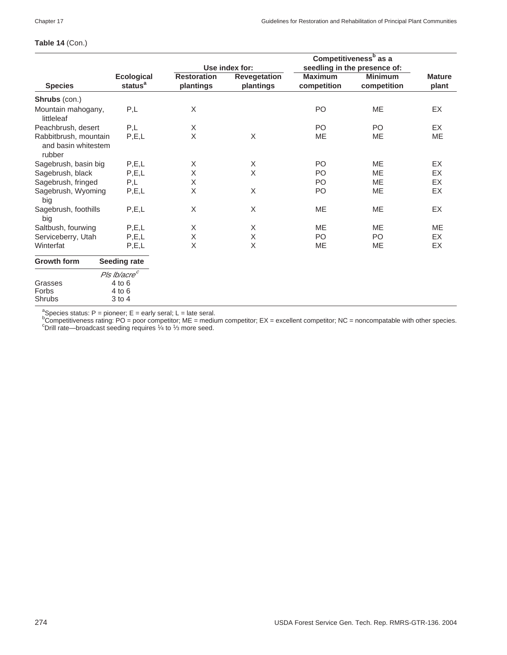## **Table 14** (Con.)

|                                                        |                                          | Use index for:                  |                           | Competitiveness <sup>b</sup> as a<br>seedling in the presence of: |                               |                        |
|--------------------------------------------------------|------------------------------------------|---------------------------------|---------------------------|-------------------------------------------------------------------|-------------------------------|------------------------|
| <b>Species</b>                                         | <b>Ecological</b><br>status <sup>a</sup> | <b>Restoration</b><br>plantings | Revegetation<br>plantings | <b>Maximum</b><br>competition                                     | <b>Minimum</b><br>competition | <b>Mature</b><br>plant |
| Shrubs (con.)                                          |                                          |                                 |                           |                                                                   |                               |                        |
| Mountain mahogany,<br>littleleaf                       | P,L                                      | X                               |                           | P <sub>O</sub>                                                    | <b>ME</b>                     | EX                     |
| Peachbrush, desert                                     | P,L                                      | X                               |                           | PO                                                                | PO.                           | EX                     |
| Rabbitbrush, mountain<br>and basin whitestem<br>rubber | P, E, L                                  | X                               | X                         | ME                                                                | ME                            | ME                     |
| Sagebrush, basin big                                   | P, E, L                                  | X                               | X                         | P <sub>O</sub>                                                    | <b>ME</b>                     | EX                     |
| Sagebrush, black                                       | P, E, L                                  | X                               | $\times$                  | P <sub>O</sub>                                                    | <b>ME</b>                     | EX                     |
| Sagebrush, fringed                                     | P,L                                      | X                               |                           | PO                                                                | ME                            | EX                     |
| Sagebrush, Wyoming<br>big                              | P, E, L                                  | X                               | X                         | P <sub>O</sub>                                                    | ME                            | EX                     |
| Sagebrush, foothills<br>big                            | P, E, L                                  | X                               | X                         | <b>ME</b>                                                         | <b>ME</b>                     | EX                     |
| Saltbush, fourwing                                     | P, E, L                                  | X                               | X                         | ME                                                                | <b>ME</b>                     | ME                     |
| Serviceberry, Utah                                     | P, E, L                                  | $\mathsf X$                     | Χ                         | P <sub>O</sub>                                                    | P <sub>O</sub>                | EX                     |
| Winterfat                                              | P, E, L                                  | X                               | X                         | <b>ME</b>                                                         | <b>ME</b>                     | <b>EX</b>              |
| <b>Growth form</b>                                     | <b>Seeding rate</b>                      |                                 |                           |                                                                   |                               |                        |
|                                                        | Pls lb/acre <sup>c</sup>                 |                                 |                           |                                                                   |                               |                        |
| Grasses                                                | $4$ to $6$                               |                                 |                           |                                                                   |                               |                        |
| Forbs                                                  | $4$ to $6$                               |                                 |                           |                                                                   |                               |                        |
| Shrubs                                                 | 3 to 4                                   |                                 |                           |                                                                   |                               |                        |
|                                                        |                                          |                                 |                           |                                                                   |                               |                        |

<sup>a</sup>Species status: P = pioneer; E = early seral; L = late seral.<br><sup>b</sup>Competitiveness rating: PO = poor competitor; ME = medium competitor; EX = excellent competitor; NC = noncompatable with other species.<br><sup>c</sup>Drill rate, pro <sup>o</sup>Drill rate—broadcast seeding requires <sup>1</sup>/<sub>4</sub> to <sup>1</sup>/<sub>3</sub> more seed.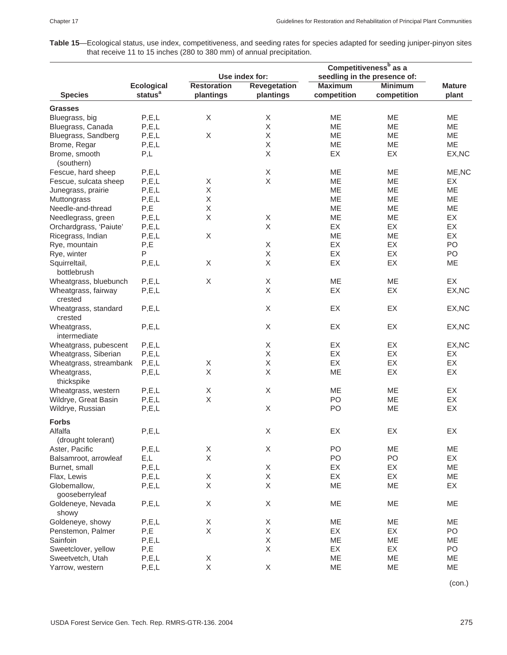**Table 15**—Ecological status, use index, competitiveness, and seeding rates for species adapted for seeding juniper-pinyon sites that receive 11 to 15 inches (280 to 380 mm) of annual precipitation.

|                                 |                     |                    |                     |                | Competitiveness <sup>b</sup> as a |               |
|---------------------------------|---------------------|--------------------|---------------------|----------------|-----------------------------------|---------------|
|                                 |                     |                    | Use index for:      |                | seedling in the presence of:      |               |
|                                 | <b>Ecological</b>   | <b>Restoration</b> | <b>Revegetation</b> | <b>Maximum</b> | <b>Minimum</b>                    | <b>Mature</b> |
| <b>Species</b>                  | status <sup>a</sup> | plantings          | plantings           | competition    | competition                       | plant         |
| <b>Grasses</b>                  |                     |                    |                     |                |                                   |               |
| Bluegrass, big                  | P, E, L             | Χ                  | Χ                   | ME             | ME                                | ME            |
| Bluegrass, Canada               | P, E, L             |                    | X                   | ME             | ME                                | ME            |
| Bluegrass, Sandberg             | P, E, L             | Χ                  | X                   | ME             | ME                                | ME            |
| Brome, Regar                    | P, E, L             |                    | $\mathsf X$         | ME             | ME                                | ME            |
| Brome, smooth                   | P,L                 |                    | X                   | EX             | EX                                | EX, NC        |
| (southern)                      |                     |                    |                     |                |                                   |               |
| Fescue, hard sheep              | P, E, L             |                    | Χ                   | ME             | ME                                | ME, NC        |
| Fescue, sulcata sheep           | P, E, L             | X                  | X                   | ME             | ME                                | EX            |
| Junegrass, prairie              | P, E, L             | Χ                  |                     | ME             | ME                                | ME            |
| Muttongrass                     | P, E, L             | Χ                  |                     | ME             | <b>ME</b>                         | ME            |
| Needle-and-thread               | P,E                 | X                  |                     | ME             | ME                                | ME            |
| Needlegrass, green              | P, E, L             | Χ                  | Χ                   | ME             | ME                                | EX            |
| Orchardgrass, 'Paiute'          | P, E, L             |                    | $\mathsf X$         | EX             | EX                                | EX            |
| Ricegrass, Indian               | P, E, L             | Χ                  |                     | ME             | ME                                | EX            |
| Rye, mountain                   | P,E                 |                    | Χ                   | EX             | EX                                | PO            |
| Rye, winter                     | P                   |                    | Χ                   | EX             | EX                                | PO            |
| Squirreltail,                   | P, E, L             | X                  | X                   | EX             | EX                                | ME            |
| bottlebrush                     |                     |                    |                     |                |                                   |               |
| Wheatgrass, bluebunch           | P, E, L             | $\mathsf X$        | Χ                   | ME             | ME                                | EX            |
| Wheatgrass, fairway<br>crested  | P, E, L             |                    | X                   | EX             | EX                                | EX, NC        |
| Wheatgrass, standard<br>crested | P, E, L             |                    | Χ                   | EX             | EX                                | EX, NC        |
| Wheatgrass,<br>intermediate     | P, E, L             |                    | $\mathsf X$         | EX             | EX                                | EX, NC        |
| Wheatgrass, pubescent           | P, E, L             |                    | X                   | EX             | EX                                | EX, NC        |
| Wheatgrass, Siberian            | P, E, L             |                    | X                   | EX             | EX                                | EX            |
| Wheatgrass, streambank          | P, E, L             | X                  | Χ                   | EX             | EX                                | EX            |
| Wheatgrass,                     | P, E, L             | X                  | X                   | ME             | EX                                | EX            |
| thickspike                      |                     |                    |                     |                |                                   |               |
| Wheatgrass, western             | P, E, L             | Χ                  | X                   | ME             | ME                                | EX            |
| Wildrye, Great Basin            | P, E, L             | $\mathsf X$        |                     | PO             | ME                                | EX            |
| Wildrye, Russian                | P, E, L             |                    | X                   | PO             | ME                                | EX            |
| <b>Forbs</b>                    |                     |                    |                     |                |                                   |               |
| Alfalfa                         | P, E, L             |                    | Χ                   | EX             | EX                                | EX            |
| (drought tolerant)              |                     |                    |                     |                |                                   |               |
| Aster, Pacific                  | P, E, L             | X                  | X                   | PO             | <b>ME</b>                         | ME            |
| Balsamroot, arrowleaf           | E,L                 | $\mathsf X$        |                     | PO             | PO                                | EX            |
|                                 |                     |                    |                     |                |                                   |               |
| Burnet, small                   | P, E, L             |                    | X                   | EX             | EX                                | ME            |
| Flax, Lewis                     | P, E, L             | X                  | X                   | EX             | EX                                | ME            |
| Globemallow,                    | P, E, L             | X                  | X                   | ME             | ME                                | EX            |
| gooseberryleaf                  |                     |                    |                     |                |                                   |               |
| Goldeneye, Nevada<br>showy      | P, E, L             | X                  | X                   | ME             | ME                                | ME            |
| Goldeneye, showy                | P, E, L             | Χ                  | X                   | ME             | ME                                | ME            |
| Penstemon, Palmer               | P,E                 | X                  | X                   | EX             | EX                                | PO            |
| Sainfoin                        | P, E, L             |                    | $\mathsf X$         | ME             | ME                                | ME            |
| Sweetclover, yellow             | P,E                 |                    | X                   | EX             | EX                                | PO            |
| Sweetvetch, Utah                | P, E, L             | X                  |                     | ME             | ME                                | ME            |
| Yarrow, western                 | P, E, L             | X                  | X                   | ME             | ME                                | ME            |

(con.)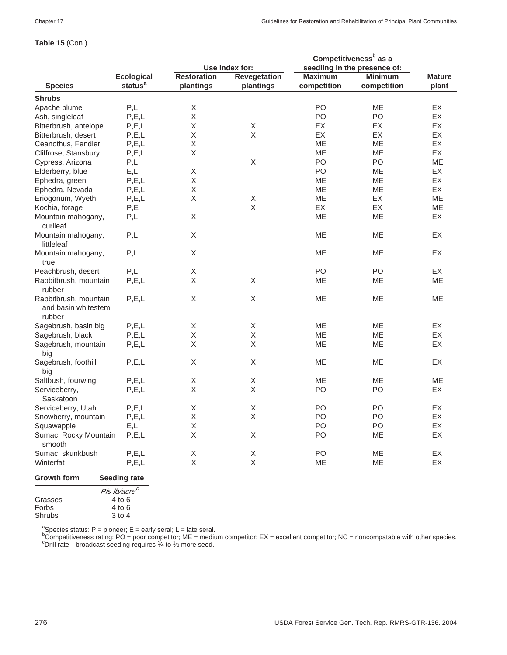# **Table 15** (Con.)

|                                 | Competitiveness <sup>b</sup> as a |                    |                           |                |                              |               |
|---------------------------------|-----------------------------------|--------------------|---------------------------|----------------|------------------------------|---------------|
|                                 |                                   |                    | Use index for:            |                | seedling in the presence of: |               |
|                                 | <b>Ecological</b>                 | <b>Restoration</b> | <b>Revegetation</b>       | <b>Maximum</b> | <b>Minimum</b>               | <b>Mature</b> |
| <b>Species</b>                  | status <sup>a</sup>               | plantings          | plantings                 | competition    | competition                  | plant         |
| <b>Shrubs</b>                   |                                   |                    |                           |                |                              |               |
| Apache plume                    | P,L                               | X                  |                           | PO             | <b>ME</b>                    | EX            |
| Ash, singleleaf                 | P, E, L                           | X                  |                           | PO             | PO                           | EX            |
| Bitterbrush, antelope           | P, E, L                           | Χ                  | X                         | EX             | EX                           | EX            |
| Bitterbrush, desert             | P, E, L                           | Χ                  | X                         | EX             | EX                           | EX            |
| Ceanothus, Fendler              | P, E, L                           | Χ                  |                           | ME             | ME                           | EX            |
| Cliffrose, Stansbury            | P, E, L                           | X                  |                           | ME             | ME                           | EX            |
| Cypress, Arizona                | P,L                               |                    | X                         | PO             | PO                           | ME            |
| Elderberry, blue                | E,L                               | Χ                  |                           | PO             | ME                           | EX            |
| Ephedra, green                  | P, E, L                           | Χ                  |                           | ME             | ME                           | EX            |
| Ephedra, Nevada                 | P, E, L                           | Χ                  |                           | ME             | ME                           | EX            |
| Eriogonum, Wyeth                | P, E, L                           | X                  | X                         | ME             | EX                           | ME            |
| Kochia, forage                  | P,E                               |                    | $\boldsymbol{\mathsf{X}}$ | EX             | EX                           | ME            |
| Mountain mahogany,              | P,L                               | Χ                  |                           | ME             | ME                           | EX            |
| curlleaf                        |                                   |                    |                           |                |                              |               |
| Mountain mahogany,              | P,L                               | Χ                  |                           | ME             | ME                           | EX            |
| littleleaf                      |                                   |                    |                           |                |                              |               |
| Mountain mahogany,              | P,L                               | X                  |                           | ME             | ME                           | EX            |
| true                            |                                   |                    |                           |                |                              |               |
| Peachbrush, desert              | P,L                               | Χ                  |                           | PO             | PO                           | EX            |
| Rabbitbrush, mountain           | P, E, L                           | X                  | X                         | ME             | ME                           | ME            |
| rubber                          |                                   |                    |                           |                |                              |               |
| Rabbitbrush, mountain           | P, E, L                           | X                  | $\mathsf X$               | ME             | ME                           | ME            |
| and basin whitestem             |                                   |                    |                           |                |                              |               |
| rubber                          |                                   |                    |                           |                |                              |               |
| Sagebrush, basin big            | P, E, L                           | Χ                  | X                         | ME             | ME                           | EX            |
| Sagebrush, black                | P, E, L                           | Χ                  | X                         | ME             | ME                           | EX            |
| Sagebrush, mountain             | P, E, L                           | Χ                  | X                         | ME             | ME                           | EX            |
| big                             |                                   |                    |                           |                |                              |               |
| Sagebrush, foothill             | P, E, L                           | X                  | X                         | ME             | ME                           | EX            |
| big                             |                                   |                    |                           |                |                              |               |
| Saltbush, fourwing              | P, E, L                           | Χ                  | X                         | ME             | ME                           | ME            |
| Serviceberry,                   | P, E, L                           | X                  | $\mathsf X$               | PO             | P <sub>O</sub>               | EX            |
| Saskatoon                       |                                   |                    |                           |                |                              |               |
| Serviceberry, Utah              | P, E, L                           | Χ                  | Χ                         | PO             | PO                           | EX            |
| Snowberry, mountain             | P, E, L                           | Χ                  | $\mathsf X$               | PO             | PO                           | EX            |
| Squawapple                      | E,L                               | X                  |                           | PO             | PO                           | EX            |
| Sumac, Rocky Mountain<br>smooth | P, E, L                           | Χ                  | X                         | PO             | ME                           | EX            |
| Sumac, skunkbush                | P, E, L                           | X                  | X                         | PO             | ME                           | EX            |
| Winterfat                       | P, E, L                           | X                  | X                         | ME             | ME                           | EX            |
|                                 |                                   |                    |                           |                |                              |               |
| Growth form                     | <b>Seeding rate</b>               |                    |                           |                |                              |               |
|                                 | Pls Ib/acre <sup>c</sup>          |                    |                           |                |                              |               |
| Grasses                         | 4 to 6                            |                    |                           |                |                              |               |
| Forbs<br>Shrubs                 | 4 to 6<br>3 to 4                  |                    |                           |                |                              |               |
|                                 |                                   |                    |                           |                |                              |               |

ªSpecies status: P = pioneer; E = early seral; L = late seral.<br><sup>b</sup>Competitiveness rating: PO = poor competitor; ME = medium competitor; EX = excellent competitor; NC = noncompatable with other species.<br><sup>b</sup>Competitiveness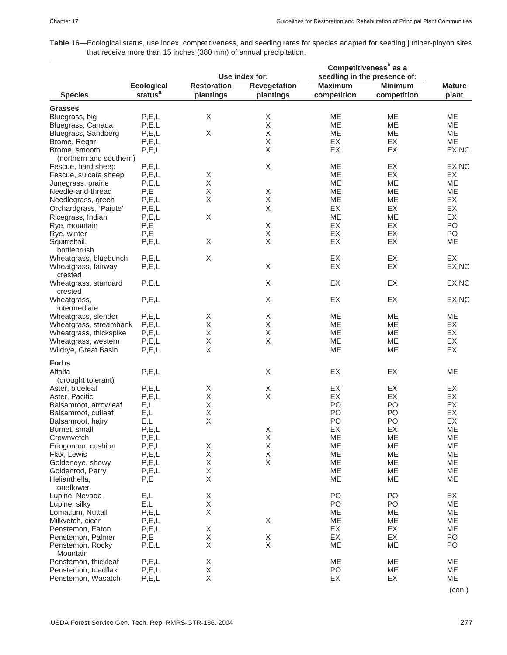**Table 16**—Ecological status, use index, competitiveness, and seeding rates for species adapted for seeding juniper-pinyon sites that receive more than 15 inches (380 mm) of annual precipitation.

|                         |                     |                    |                     | Competitiveness <sup>b</sup> as a |                              |               |  |
|-------------------------|---------------------|--------------------|---------------------|-----------------------------------|------------------------------|---------------|--|
|                         |                     |                    | Use index for:      |                                   | seedling in the presence of: |               |  |
|                         | <b>Ecological</b>   | <b>Restoration</b> | <b>Revegetation</b> | <b>Maximum</b>                    | <b>Minimum</b>               | <b>Mature</b> |  |
| <b>Species</b>          | status <sup>a</sup> | plantings          | plantings           | competition                       | competition                  | plant         |  |
| <b>Grasses</b>          |                     |                    |                     |                                   |                              |               |  |
| Bluegrass, big          | P, E, L             | $\mathsf X$        | Χ                   | <b>ME</b>                         | <b>ME</b>                    | <b>ME</b>     |  |
| Bluegrass, Canada       | P, E, L             |                    | Χ                   | ME                                | ME                           | ME            |  |
| Bluegrass, Sandberg     | P, E, L             | $\mathsf X$        | $\mathsf X$         | MЕ                                | МE                           | ME            |  |
| Brome, Regar            | P, E, L             |                    | $\mathsf X$         | EX                                | EX                           | ME            |  |
| Brome, smooth           | P, E, L             |                    | $\mathsf X$         | EX                                | EX                           | EX, NC        |  |
| (northern and southern) |                     |                    |                     |                                   |                              |               |  |
| Fescue, hard sheep      | P, E, L             |                    | X                   | <b>ME</b>                         | EX                           | EX, NC        |  |
| Fescue, sulcata sheep   | P, E, L             | Χ                  |                     | ME                                | EX                           | EX            |  |
| Junegrass, prairie      | P, E, L             | $\mathsf X$        |                     | MЕ                                | <b>ME</b>                    | ME            |  |
| Needle-and-thread       | P,E                 | $\mathsf X$        | Χ                   | ME                                | <b>ME</b>                    | ME            |  |
| Needlegrass, green      | P, E, L             | Χ                  | Χ                   | ME                                | ME                           | EX            |  |
| Orchardgrass, 'Paiute'  | P, E, L             |                    | $\mathsf X$         | EX                                | EX                           | EX            |  |
| Ricegrass, Indian       | P, E, L             | Χ                  |                     | ME                                | ME                           | EX            |  |
| Rye, mountain           | P,E                 |                    | Χ                   | EX                                | EX                           | PO            |  |
| Rye, winter             | P,E                 |                    | $\mathsf X$         | EX                                | EX                           | PO            |  |
| Squirreltail,           | P, E, L             | Χ                  | $\mathsf X$         | EX                                | EX                           | ME            |  |
| bottlebrush             |                     |                    |                     |                                   |                              |               |  |
| Wheatgrass, bluebunch   | P, E, L             | $\mathsf X$        |                     | EX                                | EX                           | EX            |  |
| Wheatgrass, fairway     | P, E, L             |                    | X                   | EX                                | EX                           | EX, NC        |  |
| crested                 |                     |                    |                     |                                   |                              |               |  |
| Wheatgrass, standard    | P, E, L             |                    | X                   | EX                                | EX                           | EX, NC        |  |
| crested                 |                     |                    |                     |                                   |                              |               |  |
| Wheatgrass,             | P, E, L             |                    | X                   | EX                                | EX                           | EX, NC        |  |
| intermediate            |                     |                    |                     |                                   |                              |               |  |
| Wheatgrass, slender     | P, E, L             | Χ                  | X                   | ME                                | ME                           | ME            |  |
| Wheatgrass, streambank  | P, E, L             | $\mathsf X$        | X                   | <b>ME</b>                         | <b>ME</b>                    | EX            |  |
| Wheatgrass, thickspike  | P, E, L             | Χ                  | $\mathsf X$         | <b>ME</b>                         | <b>ME</b>                    | EX            |  |
| Wheatgrass, western     | P, E, L             | Χ                  | $\mathsf X$         | ME                                | ME                           | EX            |  |
| Wildrye, Great Basin    | P, E, L             | $\sf X$            |                     | ME                                | ME                           | EX            |  |
| <b>Forbs</b>            |                     |                    |                     |                                   |                              |               |  |
| Alfalfa                 | P, E, L             |                    | X                   | EX                                | EX                           | ME            |  |
| (drought tolerant)      |                     |                    |                     |                                   |                              |               |  |
| Aster, blueleaf         | P, E, L             | X                  |                     | EX                                | EX                           | EX            |  |
| Aster, Pacific          | P, E, L             | $\mathsf X$        | $_{\rm X}^{\rm X}$  | EX                                | EX                           | EX            |  |
| Balsamroot, arrowleaf   | E,L                 | Χ                  |                     | PO                                | PO                           | EX            |  |
| Balsamroot, cutleaf     | E,L                 | $\mathsf X$        |                     | PO                                | PO                           | EX            |  |
| Balsamroot, hairy       | E,L                 | $\sf X$            |                     | PO                                | PO                           | EX            |  |
| Burnet, small           | P, E, L             |                    | $\mathsf X$         | EX                                | EX                           | <b>ME</b>     |  |
| Crownvetch              | P, E, L             |                    | Χ                   | ME                                | ME                           | ME            |  |
| Eriogonum, cushion      | P, E, L             | Χ                  | $\sf X$             | ME                                | ME                           | ME            |  |
| Flax, Lewis             | P, E, L             | Χ                  | $\mathsf X$         | ME                                | ME                           | ME            |  |
| Goldeneye, showy        | P, E, L             | Χ                  | X                   | ME                                | ME                           | ME            |  |
| Goldenrod, Parry        | P, E, L             | X                  |                     | ME                                | ME                           | ME            |  |
| Helianthella,           | P,E                 | $\mathsf X$        |                     | ME                                | ME                           | ME            |  |
| oneflower               |                     |                    |                     |                                   |                              |               |  |
| Lupine, Nevada          | E,L                 | Χ                  |                     | PO                                | PO                           | EX            |  |
| Lupine, silky           | E,L                 | Χ                  |                     | PO                                | PO                           | ME            |  |
| Lomatium, Nuttall       | P, E, L             | Χ                  |                     | ME                                | ME                           | ME            |  |
| Milkvetch, cicer        | P, E, L             |                    | X                   | ME                                | ME                           | ME            |  |
| Penstemon, Eaton        | P, E, L             | Χ                  |                     | EX                                | EX                           | ME            |  |
| Penstemon, Palmer       | P,E                 | Χ                  |                     | EX                                | EX                           | PO            |  |
| Penstemon, Rocky        | P, E, L             | $\mathsf X$        | $_{\rm X}^{\rm X}$  | ME                                | ME                           | PO            |  |
| Mountain                |                     |                    |                     |                                   |                              |               |  |
| Penstemon, thickleaf    | P, E, L             | Χ                  |                     | ME                                | ME                           | ME            |  |
| Penstemon, toadflax     | P, E, L             | Χ                  |                     | PO                                | ME                           | ME            |  |
| Penstemon, Wasatch      | P, E, L             | Χ                  |                     | EX                                | EX                           | ME            |  |
|                         |                     |                    |                     |                                   |                              |               |  |

(con.)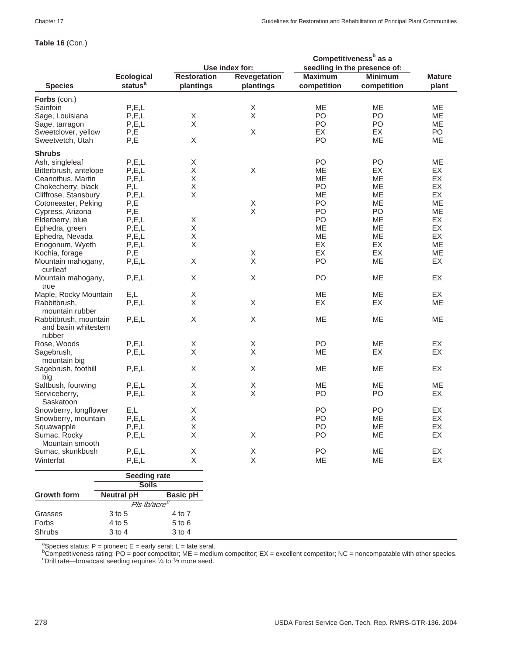# **Table 16** (Con.)

|                       |                          |                    |                     | Competitiveness <sup>b</sup> as a |                              |               |
|-----------------------|--------------------------|--------------------|---------------------|-----------------------------------|------------------------------|---------------|
|                       |                          | Use index for:     |                     |                                   | seedling in the presence of: |               |
|                       | <b>Ecological</b>        | <b>Restoration</b> | <b>Revegetation</b> | <b>Maximum</b>                    | <b>Minimum</b>               | <b>Mature</b> |
| <b>Species</b>        | status <sup>a</sup>      | plantings          | plantings           | competition                       | competition                  | plant         |
| Forbs (con.)          |                          |                    |                     |                                   |                              |               |
| Sainfoin              | P, E, L                  |                    | X                   | ME                                | ME                           | ME            |
| Sage, Louisiana       | P, E, L                  | X                  | X                   | PO                                | P <sub>O</sub>               | ME            |
| Sage, tarragon        | P, E, L                  | X                  |                     | PO                                | PO                           | ME            |
| Sweetclover, yellow   | P,E                      |                    | X                   | EX                                | EX                           | PO            |
| Sweetvetch, Utah      | P,E                      | $\mathsf X$        |                     | PO                                | ME                           | ME            |
|                       |                          |                    |                     |                                   |                              |               |
| <b>Shrubs</b>         |                          |                    |                     |                                   |                              |               |
| Ash, singleleaf       | P, E, L                  | Χ                  |                     | PO                                | PO                           | ME            |
| Bitterbrush, antelope | P, E, L                  | Χ                  | X                   | МE                                | EX                           | EX            |
| Ceanothus, Martin     | P, E, L                  | Χ                  |                     | ME                                | ME                           | EX            |
| Chokecherry, black    | P,L                      | $\mathsf X$        |                     | PO                                | ME                           | EX            |
| Cliffrose, Stansbury  | P, E, L                  | Χ                  |                     | ME                                | <b>ME</b>                    | EX            |
| Cotoneaster, Peking   | P,E                      |                    | X                   | PO                                | ME                           | ME            |
| Cypress, Arizona      | P,E                      |                    | $\sf X$             | PO                                | PO                           | ME            |
| Elderberry, blue      | P, E, L                  | Χ                  |                     | PO                                | МE                           | EX            |
|                       |                          | Χ                  |                     |                                   |                              | EX            |
| Ephedra, green        | P, E, L                  |                    |                     | ME                                | ME                           |               |
| Ephedra, Nevada       | P, E, L                  | Χ                  |                     | ME                                | ME                           | EX            |
| Eriogonum, Wyeth      | P, E, L                  | Χ                  |                     | EX                                | EX                           | ME            |
| Kochia, forage        | P,E                      |                    | X                   | EX                                | EX                           | ME            |
| Mountain mahogany,    | P, E, L                  | $\mathsf X$        | X                   | PO                                | ME                           | EX            |
| curlleaf              |                          |                    |                     |                                   |                              |               |
| Mountain mahogany,    | P, E, L                  | Χ                  | $\mathsf X$         | PO                                | ME                           | EX            |
| true                  |                          |                    |                     |                                   |                              |               |
| Maple, Rocky Mountain | E,L                      | Χ                  |                     | <b>ME</b>                         | <b>ME</b>                    | EX            |
| Rabbitbrush,          | P, E, L                  | X                  | $\mathsf X$         | EX                                | EX                           | ME            |
| mountain rubber       |                          |                    |                     |                                   |                              |               |
| Rabbitbrush, mountain | P, E, L                  | Χ                  | X                   | ME                                | ME                           | ME            |
| and basin whitestem   |                          |                    |                     |                                   |                              |               |
| rubber                |                          |                    |                     |                                   |                              |               |
|                       |                          |                    |                     |                                   |                              |               |
| Rose, Woods           | P, E, L                  | X                  | X                   | P <sub>O</sub>                    | <b>ME</b>                    | EX            |
| Sagebrush,            | P, E, L                  | X                  | Χ                   | ME                                | EX                           | EX            |
| mountain big          |                          |                    |                     |                                   |                              |               |
| Sagebrush, foothill   | P, E, L                  | Χ                  | X                   | ME                                | ME                           | EX            |
| big                   |                          |                    |                     |                                   |                              |               |
| Saltbush, fourwing    | P, E, L                  | Χ                  | $\mathsf X$         | ME                                | ME                           | ME            |
| Serviceberry,         | P, E, L                  | X                  | Χ                   | PO                                | PO                           | EX            |
| Saskatoon             |                          |                    |                     |                                   |                              |               |
| Snowberry, longflower | E,L                      | Χ                  |                     | PO                                | PO                           | EX            |
| Snowberry, mountain   | P, E, L                  | Χ                  |                     | PO                                | <b>ME</b>                    | EX            |
|                       |                          | X                  |                     |                                   |                              |               |
| Squawapple            | P, E, L                  |                    |                     | PO                                | MЕ                           | EХ            |
| Sumac, Rocky          | P, E, L                  | X                  | X                   | PO                                | ME                           | EX            |
| Mountain smooth       |                          |                    |                     |                                   |                              |               |
| Sumac, skunkbush      | P, E, L                  | Χ                  | X                   | PO                                | ME                           | EX            |
| Winterfat             | P, E, L                  | X                  | $\mathsf X$         | ME                                | ME                           | EX            |
|                       | <b>Seeding rate</b>      |                    |                     |                                   |                              |               |
|                       | <b>Soils</b>             |                    |                     |                                   |                              |               |
| <b>Growth form</b>    | <b>Neutral pH</b>        | <b>Basic pH</b>    |                     |                                   |                              |               |
|                       | Pls Ib/acre <sup>c</sup> |                    |                     |                                   |                              |               |
|                       |                          |                    |                     |                                   |                              |               |
| Grasses               | 3 to 5                   | 4 to 7             |                     |                                   |                              |               |
| Forbs                 | 4 to 5                   | 5 to 6             |                     |                                   |                              |               |
| Shrubs                | $3$ to $4$               | $3$ to $4$         |                     |                                   |                              |               |

ªSpecies status: P = pioneer; E = early seral; L = late seral.<br><sup>b</sup>Competitiveness rating: PO = poor competitor; ME = medium competitor; EX = excellent competitor; NC = noncompatable with other species.<br>°Drill rate—broadca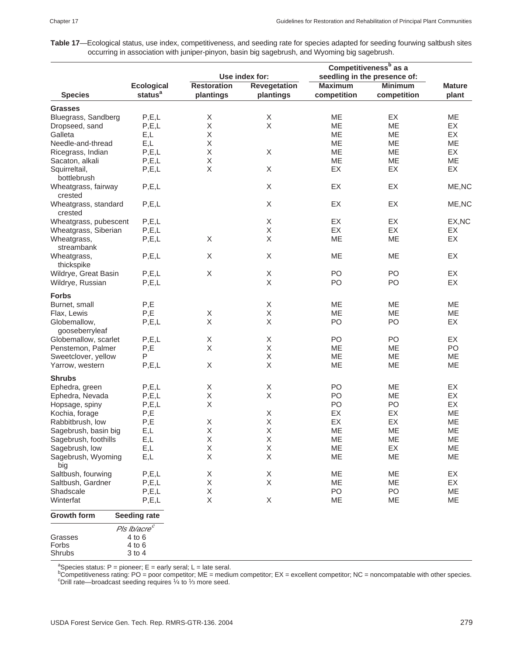**Table 17**—Ecological status, use index, competitiveness, and seeding rate for species adapted for seeding fourwing saltbush sites occurring in association with juniper-pinyon, basin big sagebrush, and Wyoming big sagebrush.

|                       |                          | Use index for:     |                           | Competitiveness <sup>b</sup> as a<br>seedling in the presence of: |                |               |
|-----------------------|--------------------------|--------------------|---------------------------|-------------------------------------------------------------------|----------------|---------------|
|                       |                          |                    |                           |                                                                   |                |               |
|                       | <b>Ecological</b>        | <b>Restoration</b> | <b>Revegetation</b>       | <b>Maximum</b>                                                    | <b>Minimum</b> | <b>Mature</b> |
| <b>Species</b>        | status <sup>a</sup>      | plantings          | plantings                 | competition                                                       | competition    | plant         |
| <b>Grasses</b>        |                          |                    |                           |                                                                   |                |               |
| Bluegrass, Sandberg   | P, E, L                  | X                  | X                         | ME                                                                | EX             | ME            |
| Dropseed, sand        | P, E, L                  | $\mathsf X$        | $\mathsf X$               | ME                                                                | ME             | EX            |
| Galleta               | E,L                      | X                  |                           | ME                                                                | ME             | EX            |
|                       |                          |                    |                           |                                                                   |                |               |
| Needle-and-thread     | E,L                      | Χ                  |                           | ME                                                                | ME             | ME            |
| Ricegrass, Indian     | P, E, L                  | X                  | X                         | ME                                                                | ME             | EX            |
| Sacaton, alkali       | P, E, L                  | Χ                  |                           | ME                                                                | ME             | ME            |
| Squirreltail,         | P, E, L                  | X                  | $\mathsf X$               | EX                                                                | EX             | EX            |
| bottlebrush           |                          |                    |                           |                                                                   |                |               |
| Wheatgrass, fairway   | P, E, L                  |                    | $\boldsymbol{\mathsf{X}}$ | EX                                                                | EX             | ME, NC        |
| crested               |                          |                    |                           |                                                                   |                |               |
| Wheatgrass, standard  | P, E, L                  |                    | $\boldsymbol{\mathsf{X}}$ | EX                                                                | EX             | ME, NC        |
| crested               |                          |                    |                           |                                                                   |                |               |
| Wheatgrass, pubescent | P, E, L                  |                    | X                         | EX                                                                | EX             | EX, NC        |
|                       |                          |                    | $\mathsf X$               |                                                                   | EX             |               |
| Wheatgrass, Siberian  | P, E, L                  |                    |                           | EX                                                                |                | EX            |
| Wheatgrass,           | P, E, L                  | X                  | $\mathsf X$               | ME                                                                | ME             | EX            |
| streambank            |                          |                    |                           |                                                                   |                |               |
| Wheatgrass,           | P, E, L                  | X                  | X                         | ME                                                                | ME             | EX            |
| thickspike            |                          |                    |                           |                                                                   |                |               |
| Wildrye, Great Basin  | P, E, L                  | X                  | $\boldsymbol{\mathsf{X}}$ | PO                                                                | PO             | EX            |
| Wildrye, Russian      | P, E, L                  |                    | $\mathsf X$               | PO                                                                | PO             | EX            |
|                       |                          |                    |                           |                                                                   |                |               |
| <b>Forbs</b>          |                          |                    |                           |                                                                   |                |               |
| Burnet, small         | P,E                      |                    | X                         | <b>ME</b>                                                         | ME             | ME            |
| Flax, Lewis           | P,E                      | X                  | $\mathsf X$               | ME                                                                | ME             | ME            |
| Globemallow,          | P, E, L                  | $\mathsf X$        | $\mathsf X$               | PO                                                                | PO             | EX            |
| gooseberryleaf        |                          |                    |                           |                                                                   |                |               |
| Globemallow, scarlet  | P, E, L                  | X                  | $\boldsymbol{\mathsf{X}}$ | PO                                                                | PO             | EX            |
| Penstemon, Palmer     | P,E                      | X                  | $\mathsf X$               | ME                                                                | ME             | PO            |
| Sweetclover, yellow   | P                        |                    | $\mathsf X$               | ME                                                                | ME             | ME            |
|                       |                          | X                  | $\mathsf X$               |                                                                   |                |               |
| Yarrow, western       | P, E, L                  |                    |                           | ME                                                                | ME             | ME            |
| <b>Shrubs</b>         |                          |                    |                           |                                                                   |                |               |
| Ephedra, green        | P, E, L                  | X                  | X                         | PO                                                                | ME             | EX            |
| Ephedra, Nevada       | P, E, L                  | X                  | $\times$                  | P <sub>O</sub>                                                    | ME             | EX            |
| Hopsage, spiny        | P, E, L                  | $\mathsf X$        |                           | PO                                                                | PO             | EX            |
| Kochia, forage        | P,E                      |                    | X                         | EX                                                                | EX             | ME            |
|                       |                          |                    | $\mathsf X$               |                                                                   |                |               |
| Rabbitbrush, low      | P,E                      | Χ                  |                           | EX                                                                | EX             | ME            |
| Sagebrush, basin big  | E,L                      | $\mathsf X$        | $\mathsf X$               | ME                                                                | ME             | ME            |
| Sagebrush, foothills  | E,L                      | $\mathsf X$        | X                         | ME                                                                | ME             | ME            |
| Sagebrush, low        | E,L                      | Χ                  | $\mathsf X$               | ME                                                                | EX             | ME            |
| Sagebrush, Wyoming    | E,L                      | X                  | X                         | ME                                                                | ME             | ME            |
| big                   |                          |                    |                           |                                                                   |                |               |
| Saltbush, fourwing    | P, E, L                  | X                  | X                         | ME                                                                | ME             | EX            |
| Saltbush, Gardner     | P, E, L                  | Χ                  | X                         | ME                                                                | ME             | EX            |
| Shadscale             | P, E, L                  | Χ                  |                           | PO                                                                | PO             | ME            |
| Winterfat             | P, E, L                  | X                  | X                         | ME                                                                | ME             | ME            |
|                       |                          |                    |                           |                                                                   |                |               |
| Growth form           | <b>Seeding rate</b>      |                    |                           |                                                                   |                |               |
|                       | Pls Ib/acre <sup>c</sup> |                    |                           |                                                                   |                |               |
| Grasses               | 4 to 6                   |                    |                           |                                                                   |                |               |
| Forbs                 | $4$ to $6$               |                    |                           |                                                                   |                |               |
| Shrubs                | 3 to 4                   |                    |                           |                                                                   |                |               |

<sup>a</sup>Species status: P = pioneer; E = early seral; L = late seral.<br><sup>b</sup>Competitiveness rating: PO = poor competitor; ME = medium competitor; EX = excellent competitor; NC = noncompatable with other species.<br><sup>b</sup>Competitivenes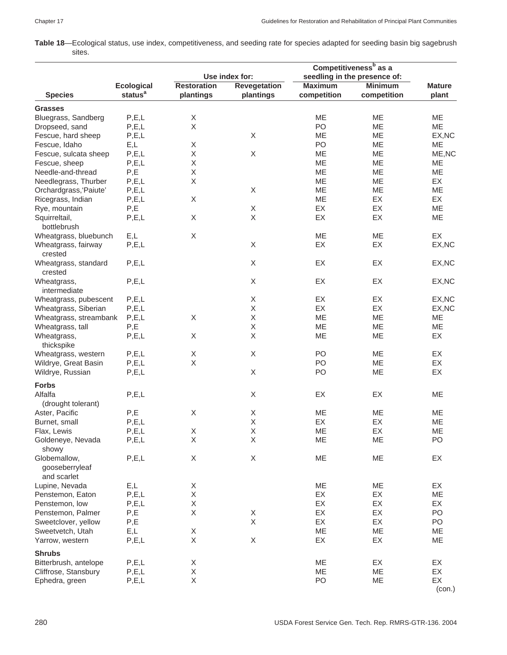**Table 18**—Ecological status, use index, competitiveness, and seeding rate for species adapted for seeding basin big sagebrush sites.

|                                         |                         |                    |                           | Competitiveness <sup>b</sup> as a |                              |                 |
|-----------------------------------------|-------------------------|--------------------|---------------------------|-----------------------------------|------------------------------|-----------------|
|                                         |                         |                    | Use index for:            |                                   | seedling in the presence of: |                 |
|                                         | <b>Ecological</b>       | <b>Restoration</b> | <b>Revegetation</b>       | <b>Maximum</b>                    | <b>Minimum</b>               | <b>Mature</b>   |
| <b>Species</b>                          | status <sup>a</sup>     | plantings          | plantings                 | competition                       | competition                  | plant           |
| <b>Grasses</b>                          |                         |                    |                           |                                   |                              |                 |
| Bluegrass, Sandberg                     | P, E, L                 | Χ                  |                           | <b>ME</b>                         | ME                           | ME              |
| Dropseed, sand                          | P, E, L                 | X                  |                           | PO                                | ME                           | ME              |
| Fescue, hard sheep                      | P, E, L                 |                    | X                         | ME                                | ME                           | EX, NC          |
| Fescue, Idaho                           | E,L                     | Χ                  |                           | PO                                | ME                           | ME              |
| Fescue, sulcata sheep                   | P, E, L                 | Χ                  | $\mathsf X$               | ME                                | ME                           | ME, NC          |
| Fescue, sheep                           | P, E, L                 | Χ                  |                           | ME                                | ME                           | ME              |
| Needle-and-thread                       | P,E                     | X                  |                           | ME                                | ME                           | ME              |
| Needlegrass, Thurber                    | P, E, L                 | X                  |                           | ME                                | ME                           | EX              |
| Orchardgrass, 'Paiute'                  | P, E, L                 |                    | X                         | ME                                | ME                           | ME              |
| Ricegrass, Indian                       | P, E, L                 | X                  |                           | <b>ME</b>                         | EX                           | EX              |
| Rye, mountain                           | P,E                     |                    | $\mathsf X$               | EX                                | EX                           | ME              |
|                                         | P, E, L                 | X                  | X                         | EX                                | EX                           | ME              |
| Squirreltail,                           |                         |                    |                           |                                   |                              |                 |
| bottlebrush                             |                         | Χ                  |                           |                                   |                              | EX              |
| Wheatgrass, bluebunch                   | E,L                     |                    |                           | ME                                | ME                           |                 |
| Wheatgrass, fairway<br>crested          | P, E, L                 |                    | X                         | EX                                | EX                           | EX, NC          |
| Wheatgrass, standard                    | P, E, L                 |                    | $\boldsymbol{\mathsf{X}}$ | EX                                | EX                           | EX, NC          |
| crested                                 |                         |                    |                           |                                   |                              |                 |
| Wheatgrass,<br>intermediate             | P, E, L                 |                    | X                         | EX                                | EX                           | EX, NC          |
| Wheatgrass, pubescent                   | P, E, L                 |                    | $\mathsf X$               | EX                                | EX                           | EX, NC          |
| Wheatgrass, Siberian                    | P, E, L                 |                    | X                         | EX                                | EX                           | EX, NC          |
| Wheatgrass, streambank                  | P, E, L                 | X                  | X                         | ME                                | ME                           | ME              |
| Wheatgrass, tall                        | P,E                     |                    | X                         | ME                                | ME                           | ME              |
| Wheatgrass,                             | P, E, L                 | Χ                  | X                         | ME                                | ME                           | EX              |
| thickspike                              |                         |                    |                           |                                   |                              |                 |
| Wheatgrass, western                     | P, E, L                 | Χ                  | X                         | PO                                | ME                           | EX              |
| Wildrye, Great Basin                    | P, E, L                 | Χ                  |                           | PO                                | ME                           | EX              |
| Wildrye, Russian                        | P, E, L                 |                    | X                         | PO                                | ME                           | EX              |
| <b>Forbs</b>                            |                         |                    |                           |                                   |                              |                 |
| Alfalfa                                 | P, E, L                 |                    | X                         | EX                                | EX                           | ME              |
| (drought tolerant)                      |                         |                    |                           |                                   |                              |                 |
| Aster, Pacific                          | P,E                     | X                  | Χ                         | ME                                | ME                           | ME              |
|                                         |                         |                    | X                         | EX                                | EX                           |                 |
| Burnet, small                           | P, E, L                 |                    | X                         |                                   |                              | ME<br><b>ME</b> |
| Flax, Lewis                             | P, E, L                 | X                  |                           | ME                                | EX                           |                 |
| Goldeneye, Nevada                       | P, E, L                 | Χ                  | $\mathsf X$               | ME                                | ME                           | PO              |
| showy<br>Globemallow,<br>gooseberryleaf | P, E, L                 | X                  | $\mathsf X$               | ME                                | ME                           | EX              |
| and scarlet                             |                         |                    |                           |                                   |                              |                 |
| Lupine, Nevada                          | E,L                     | Χ                  |                           | ME                                | ME                           | EX              |
| Penstemon, Eaton                        | P, E, L                 | X                  |                           | EX                                | EX                           | ME              |
| Penstemon, low                          | P, E, L                 | Χ                  |                           | EX                                | EX                           | EX              |
| Penstemon, Palmer                       | $\mathsf{P},\mathsf{E}$ | Χ                  | X                         | EX                                | EX                           | PO              |
| Sweetclover, yellow                     | P,E                     |                    | X                         | EX                                | EX                           | PO              |
| Sweetvetch, Utah                        | E,L                     | Χ                  |                           | ME                                | ME                           | ME              |
| Yarrow, western                         | P, E, L                 | X                  | $\mathsf X$               | EX                                | EX                           | ME              |
| <b>Shrubs</b>                           |                         |                    |                           |                                   |                              |                 |
| Bitterbrush, antelope                   | P, E, L                 | X                  |                           | ME                                | EX                           | EX              |
| Cliffrose, Stansbury                    | P, E, L                 | Χ                  |                           | ME                                | ME                           | EX              |
| Ephedra, green                          | P, E, L                 | Χ                  |                           | PO                                | ME                           | EX<br>(con.)    |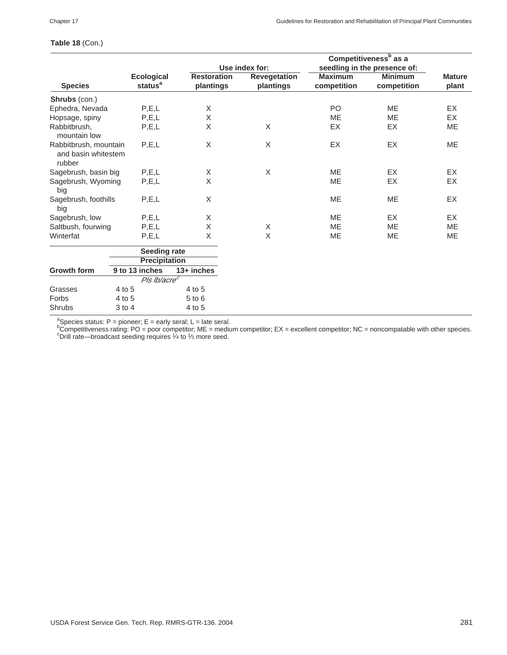### **Table 18** (Con.)

|                                                        |                                          |                                 | Use index for:            |                               | Competitiveness <sup>b</sup> as a<br>seedling in the presence of: |                        |
|--------------------------------------------------------|------------------------------------------|---------------------------------|---------------------------|-------------------------------|-------------------------------------------------------------------|------------------------|
| <b>Species</b>                                         | <b>Ecological</b><br>status <sup>a</sup> | <b>Restoration</b><br>plantings | Revegetation<br>plantings | <b>Maximum</b><br>competition | <b>Minimum</b><br>competition                                     | <b>Mature</b><br>plant |
| Shrubs (con.)                                          |                                          |                                 |                           |                               |                                                                   |                        |
| Ephedra, Nevada                                        | P, E, L                                  | X                               |                           | PO                            | <b>ME</b>                                                         | <b>EX</b>              |
| Hopsage, spiny                                         | P, E, L                                  | $\sf X$                         |                           | <b>ME</b>                     | <b>ME</b>                                                         | EX                     |
| Rabbitbrush,<br>mountain low                           | P, E, L                                  | X                               | X                         | EX                            | <b>EX</b>                                                         | <b>ME</b>              |
| Rabbitbrush, mountain<br>and basin whitestem<br>rubber | P, E, L                                  | Χ                               | $\sf X$                   | EX                            | EX                                                                | <b>ME</b>              |
| Sagebrush, basin big                                   | P, E, L                                  | X                               | $\sf X$                   | ME                            | EX                                                                | <b>EX</b>              |
| Sagebrush, Wyoming<br>big                              | P, E, L                                  | $\overline{\mathsf{x}}$         |                           | <b>ME</b>                     | <b>EX</b>                                                         | <b>EX</b>              |
| Sagebrush, foothills<br>big                            | P, E, L                                  | X                               |                           | ME                            | ME                                                                | EX                     |
| Sagebrush, low                                         | P, E, L                                  | Χ                               |                           | <b>ME</b>                     | EX                                                                | EX                     |
| Saltbush, fourwing                                     | P, E, L                                  | $\mathsf X$                     | X                         | <b>ME</b>                     | <b>ME</b>                                                         | <b>ME</b>              |
| Winterfat                                              | P, E, L                                  | X                               | X                         | <b>ME</b>                     | <b>ME</b>                                                         | <b>ME</b>              |
|                                                        | Seeding rate                             |                                 |                           |                               |                                                                   |                        |
|                                                        | <b>Precipitation</b>                     |                                 |                           |                               |                                                                   |                        |
| <b>Growth form</b>                                     | 9 to 13 inches                           | $13+$ inches                    |                           |                               |                                                                   |                        |
|                                                        | Pls Ib/acre <sup>c</sup>                 |                                 |                           |                               |                                                                   |                        |
| Grasses                                                | 4 to 5                                   | 4 to 5                          |                           |                               |                                                                   |                        |
| Forbs                                                  | 4 to 5                                   | $5$ to $6$                      |                           |                               |                                                                   |                        |
| Shrubs                                                 | 3 to 4                                   | 4 to 5                          |                           |                               |                                                                   |                        |

ªSpecies status: P = pioneer; E = early seral; L = late seral.<br><sup>b</sup>Competitiveness rating: PO = poor competitor; ME = medium competitor; EX = excellent competitor; NC = noncompatable with other species.<br>°Drill rate—broadca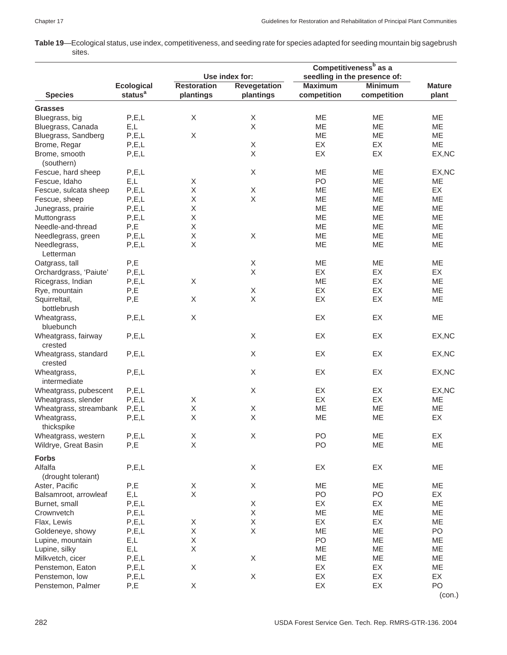**Table 19**—Ecological status, use index, competitiveness, and seeding rate for species adapted for seeding mountain big sagebrush sites.

|                                  |                     |                    |                           | Competitiveness <sup>b</sup> as a |                              |               |
|----------------------------------|---------------------|--------------------|---------------------------|-----------------------------------|------------------------------|---------------|
|                                  |                     | Use index for:     |                           |                                   | seedling in the presence of: |               |
|                                  | <b>Ecological</b>   | <b>Restoration</b> | <b>Revegetation</b>       | <b>Maximum</b>                    | <b>Minimum</b>               | <b>Mature</b> |
| <b>Species</b>                   | status <sup>a</sup> | plantings          | plantings                 | competition                       | competition                  | plant         |
| <b>Grasses</b>                   |                     |                    |                           |                                   |                              |               |
| Bluegrass, big                   | P, E, L             | $\mathsf X$        | $\mathsf X$               | <b>ME</b>                         | <b>ME</b>                    | <b>ME</b>     |
|                                  | E,L                 |                    | $\mathsf X$               | ME                                | ME                           | ME            |
| Bluegrass, Canada                |                     |                    |                           |                                   |                              |               |
| Bluegrass, Sandberg              | P, E, L             | X                  |                           | ME                                | ME                           | ME            |
| Brome, Regar                     | P, E, L             |                    | X                         | <b>EX</b>                         | EX                           | <b>ME</b>     |
| Brome, smooth<br>(southern)      | P, E, L             |                    | $\mathsf X$               | EX                                | EX                           | EX, NC        |
| Fescue, hard sheep               | P, E, L             |                    | X                         | <b>ME</b>                         | ME                           | EX, NC        |
| Fescue, Idaho                    | E,L                 | X                  |                           | PO                                | ME                           | ME            |
| Fescue, sulcata sheep            | P, E, L             | Χ                  | $\mathsf X$               | ME                                | ME                           | EX            |
|                                  | P, E, L             | Χ                  | X                         | ME                                | <b>ME</b>                    | ME            |
| Fescue, sheep                    |                     |                    |                           |                                   |                              |               |
| Junegrass, prairie               | P, E, L             | Χ                  |                           | ME                                | ME                           | ME            |
| Muttongrass                      | P, E, L             | Χ                  |                           | ME                                | ME                           | ME            |
| Needle-and-thread                | P,E                 | Χ                  |                           | ME                                | ME                           | ME            |
| Needlegrass, green               | P, E, L             | X                  | X                         | ME                                | ME                           | ME            |
| Needlegrass,<br>Letterman        | P, E, L             | Χ                  |                           | ME                                | ME                           | ME            |
| Oatgrass, tall                   | P,E                 |                    | X                         | ME                                | ME                           | ME            |
| Orchardgrass, 'Paiute'           | P, E, L             |                    | $\boldsymbol{\mathsf{X}}$ | EX                                | EX                           | EX            |
| Ricegrass, Indian                | P, E, L             | Χ                  |                           | ME                                | EX                           | ME            |
|                                  | P,E                 |                    | $\mathsf X$               | EX                                | EX                           | ME            |
| Rye, mountain                    |                     |                    |                           |                                   |                              |               |
| Squirreltail,<br>bottlebrush     | P,E                 | X                  | X                         | EX                                | EX                           | ME            |
| Wheatgrass,                      | P, E, L             | Χ                  |                           | EX                                | EX                           | ME            |
| bluebunch<br>Wheatgrass, fairway | P, E, L             |                    | X                         | EX                                | EX                           | EX, NC        |
| crested                          |                     |                    |                           |                                   |                              |               |
| Wheatgrass, standard<br>crested  | P, E, L             |                    | $\mathsf X$               | EX                                | EX                           | EX, NC        |
| Wheatgrass,                      | P, E, L             |                    | X                         | EX                                | EX                           | EX, NC        |
| intermediate                     |                     |                    |                           |                                   |                              |               |
| Wheatgrass, pubescent            | P, E, L             |                    | X                         | EX                                | EX                           | EX, NC        |
| Wheatgrass, slender              | P, E, L             | X                  |                           | EX                                | EX                           | ME            |
| Wheatgrass, streambank           | P, E, L             | Χ                  | X                         | ME                                | ME                           | ME            |
| Wheatgrass,                      | P, E, L             | X                  | $\mathsf X$               | ME                                | ME                           | EX            |
| thickspike                       |                     |                    |                           |                                   |                              |               |
| Wheatgrass, western              | P, E, L             | X                  | X                         | PO                                | ME                           | EX            |
| Wildrye, Great Basin             | P,E                 | $\mathsf X$        |                           | PO                                | ME                           | ME            |
| <b>Forbs</b>                     |                     |                    |                           |                                   |                              |               |
| Alfalfa                          | P, E, L             |                    | X                         | EX                                | EX                           | ME            |
| (drought tolerant)               |                     |                    |                           |                                   |                              |               |
|                                  |                     |                    |                           |                                   |                              |               |
| Aster, Pacific                   | P,E                 | Χ                  | $\boldsymbol{\mathsf{X}}$ | ME                                | ME                           | ME            |
| Balsamroot, arrowleaf            | E,L                 | Χ                  |                           | PO                                | PO                           | EX            |
| Burnet, small                    | P, E, L             |                    | $\mathsf X$               | EX                                | EX                           | ME            |
| Crownvetch                       | P, E, L             |                    | X                         | ME                                | ME                           | ME            |
| Flax, Lewis                      | P, E, L             | X                  | Χ                         | EX                                | EX                           | ME            |
| Goldeneye, showy                 | P, E, L             | Χ                  | Χ                         | ME                                | ME                           | PO            |
| Lupine, mountain                 | E,L                 | Χ                  |                           | PO                                | ME                           | ME            |
| Lupine, silky                    | E,L                 | Χ                  |                           | ME                                | ME                           | ME            |
| Milkvetch, cicer                 | P, E, L             |                    | $\mathsf X$               | ME                                | ME                           | ME            |
| Penstemon, Eaton                 | P, E, L             | Χ                  |                           | EX                                | EX                           | ME            |
| Penstemon, low                   | P, E, L             |                    | Χ                         | EX                                | EX                           | EX            |
| Penstemon, Palmer                | P,E                 | X                  |                           | EX                                | EX                           | PO            |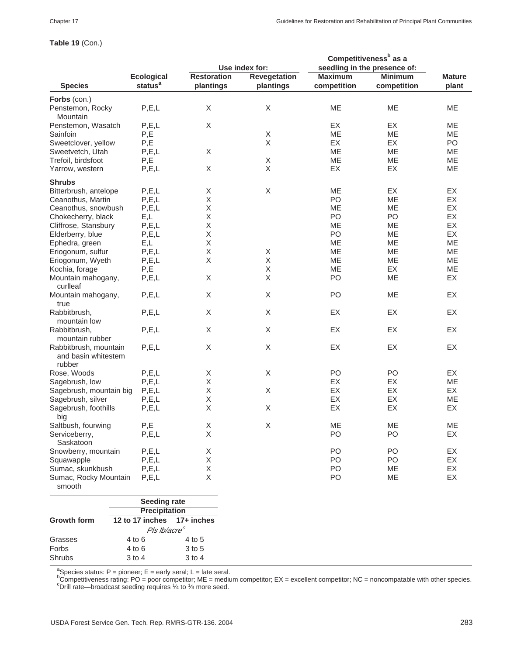**Table 19** (Con.)

### Penstemon, Rocky P,E,L X X X ME ME ME **Mountain** Penstemon, Wasatch P,E,L X X EX EX EX ME Sainfoin P,E X ME ME ME Sweetclover, yellow P,E X X EX EX PO Sweetvetch, Utah P,E,L X X ME ME ME ME Trefoil, birdsfoot P,E NE X ME ME ME ME Yarrow, western P,E,L X X EX EX ME **Shrubs** Bitterbrush, antelope P,E,L  $X$  X X ME EX EX EX<br>
Ceanothus, Martin P,E,L X X PO ME EX Ceanothus, Martin P,E,L X<br>Ceanothus, snowbush P,E,L X Ceanothus, snowbush P,E,L  $X$  ME ME EX<br>Chokecherry, black E,L X X PO PO EX Chokecherry, black E,L X<br>Cliffrose. Stansbury P.E.L X X ME ME ME EX Cliffrose, Stansbury P,E,L X ME ME EX Elderberry, blue P,E,L X<br>Expedia, areen E.L X Report States are ME ME ME ME Ephedra, green E,L X ME ME ME Eriogonum, sulfur P,E,L X X ME ME ME Eriogonum, Wyeth P,E,L X X X ME ME ME ME<br>Kochia. forage P.E X ME EX ME Kochia, forage P,E X ME EX ME Mountain mahogany, P,E,L X X X PO ME EX curlleaf Mountain mahogany, P,E,L X X X PO ME EX true Rabbitbrush, P,E,L X X EX EX EX mountain low Rabbitbrush, P,E,L X X EX EX EX mountain rubber Rabbitbrush, mountain P.E.L X X X EX EX EX EX and basin whitestem rubber Rose, Woods P,E,L X X PO PO EX Sagebrush, Iow P,E,L X<br>
Sagebrush, mountain big P,E,L X X X EX EX EX EX Sagebrush, mountain big P,E,L  $X$  X  $X$  EX EX EX EX Sagebrush, silver P, E, L X Contract P, EX EX ME Sagebrush, foothills P,E,L X X EX EX EX EX big Saltbush, fourwing P,E X X WE ME ME Serviceberry, P,E,L X PO PO EX Saskatoon Snowberry, mountain P,E,L  $X$  PO PO EX<br>Squawapple P.E.L X PO PO EX Squawapple P,E,L X PO PO EX Sumac, skunkbush P,E,L X PO ME EX Sumac, Rocky Mountain P,E,L  $X$  And B AND ME EX smooth **Seeding rate Precipitation Growth form 12 to 17 inches 17+ inches** Pls lb/acre' Grasses 4 to 6 4 to 5 **Competitiveness<sup>b</sup> as a Use index for: seedling in the presence of: Ecological Restoration Revegetation Maximum Minimum Mature Species status<sup>a</sup> plantings plantings competition competition plant Forbs** (con.)

<sup>a</sup>Species status: P = pioneer; E = early seral; L = late seral.

Forbs 4 to 6 3 to 5 Shrubs 3 to 4 3 to 4

 ${}^{\text{b}}$ Competitiveness rating: PO = poor competitor; ME = medium competitor; EX = excellent competitor; NC = noncompatable with other species.  $\textdegree$ Drill rate—broadcast seeding requires  $\frac{1}{4}$  to  $\frac{1}{3}$  more seed.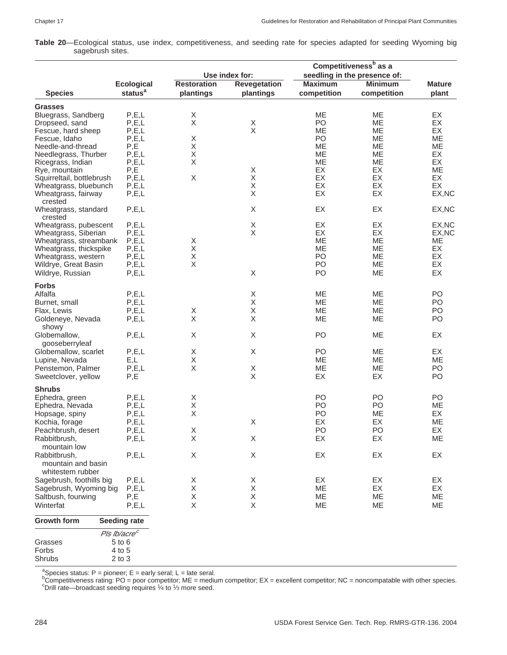**Table 20**—Ecological status, use index, competitiveness, and seeding rate for species adapted for seeding Wyoming big sagebrush sites.

|                                                    |                          | Use index for:     |                     | Competitiveness <sup>b</sup> as a<br>seedling in the presence of: |                |                |
|----------------------------------------------------|--------------------------|--------------------|---------------------|-------------------------------------------------------------------|----------------|----------------|
|                                                    | <b>Ecological</b>        | <b>Restoration</b> | <b>Revegetation</b> | <b>Maximum</b>                                                    | <b>Minimum</b> | <b>Mature</b>  |
| <b>Species</b>                                     | status <sup>a</sup>      | plantings          | plantings           | competition                                                       | competition    | plant          |
| <b>Grasses</b>                                     |                          |                    |                     |                                                                   |                |                |
| Bluegrass, Sandberg                                | P, E, L                  | X                  |                     | <b>ME</b>                                                         | MЕ             | EX             |
| Dropseed, sand                                     | P, E, L                  | $\mathsf X$        | X                   | PO                                                                | ME             | EX             |
| Fescue, hard sheep                                 | P, E, L                  |                    | $\sf X$             | ME                                                                | <b>ME</b>      | EX             |
| Fescue, Idaho                                      | P, E, L                  | Χ                  |                     | PO                                                                | МE             | ME             |
| Needle-and-thread                                  | P,E                      | X                  |                     | <b>ME</b>                                                         | ME             | ME             |
| Needlegrass, Thurber                               | P, E, L                  | X                  |                     | MЕ                                                                | МE             | EX             |
| Ricegrass, Indian                                  | P, E, L                  | X                  |                     | ME                                                                | МE             | EX             |
| Rye, mountain                                      | P,E                      |                    | X                   | EX                                                                | EX             | <b>ME</b>      |
| Squirreltail, bottlebrush                          | P, E, L                  | Χ                  | Χ                   | EX                                                                | EX             | <b>EX</b>      |
| Wheatgrass, bluebunch                              | P, E, L                  |                    | $\mathsf X$         | EX                                                                | EX             | EX             |
| Wheatgrass, fairway<br>crested                     | P, E, L                  |                    | $\sf X$             | EX                                                                | EX             | EX, NC         |
| Wheatgrass, standard<br>crested                    | P, E, L                  |                    | X                   | EX                                                                | EX             | EX, NC         |
| Wheatgrass, pubescent                              | P, E, L                  |                    | Χ                   | EX                                                                | EX             | EX, NC         |
| Wheatgrass, Siberian                               | P, E, L                  |                    | X                   | EX                                                                | EX             | EX, NC         |
| Wheatgrass, streambank                             | P, E, L                  | Χ                  |                     | ME                                                                | ME             | ME             |
| Wheatgrass, thickspike                             | P, E, L                  | X                  |                     | ME                                                                | ME             | EX             |
| Wheatgrass, western                                | P, E, L                  | $\mathsf X$        |                     | PO                                                                | МE             | EX             |
| Wildrye, Great Basin                               | P, E, L                  | $\mathsf X$        |                     | PO                                                                | ME             | EX             |
| Wildrye, Russian                                   | P, E, L                  |                    | $\mathsf X$         | PO                                                                | ME             | EX             |
|                                                    |                          |                    |                     |                                                                   |                |                |
| <b>Forbs</b>                                       |                          |                    |                     |                                                                   |                |                |
| Alfalfa                                            | P, E, L                  |                    | X                   | ME                                                                | МE             | PO             |
| Burnet, small                                      | P, E, L                  |                    | Χ                   | <b>ME</b>                                                         | <b>ME</b>      | PO             |
| Flax, Lewis                                        | P, E, L                  | Χ                  | Χ                   | ME                                                                | <b>ME</b>      | P <sub>O</sub> |
| Goldeneye, Nevada<br>showy                         | P, E, L                  | X                  | $\mathsf X$         | ME                                                                | <b>ME</b>      | PO             |
| Globemallow,<br>gooseberryleaf                     | P, E, L                  | X                  | $\mathsf X$         | PO                                                                | <b>ME</b>      | EX             |
| Globemallow, scarlet                               | P, E, L                  | X                  | X                   | P <sub>O</sub>                                                    | МE             | EX             |
| Lupine, Nevada                                     | E,L                      | X                  |                     | ME                                                                | <b>ME</b>      | ME             |
| Penstemon, Palmer                                  | P, E, L                  | X                  | X                   | ME                                                                | ME             | PO             |
| Sweetclover, yellow                                | P,E                      |                    | X                   | EX                                                                | EX             | PO             |
| <b>Shrubs</b>                                      |                          |                    |                     |                                                                   |                |                |
|                                                    | P, E, L                  | Χ                  |                     | P <sub>O</sub>                                                    | P <sub>O</sub> | PO             |
| Ephedra, green                                     |                          | Χ                  |                     |                                                                   |                |                |
| Ephedra, Nevada                                    | P, E, L                  |                    |                     | PO                                                                | PO             | ME             |
| Hopsage, spiny                                     | P, E, L                  | X                  |                     | PO                                                                | ME             | EX             |
| Kochia, forage                                     | P, E, L                  |                    | X                   | EX                                                                | EX             | <b>ME</b>      |
| Peachbrush, desert                                 | P.E.L                    | X                  |                     | PO                                                                | PO             | EX             |
| Rabbitbrush,                                       | P, E, L                  | Χ                  | X                   | EX                                                                | EX             | ME             |
| mountain low<br>Rabbitbrush,<br>mountain and basin | P, E, L                  | Χ                  | X                   | EX                                                                | EX             | EX             |
| whitestem rubber                                   |                          |                    |                     |                                                                   |                |                |
| Sagebrush, foothills big                           | P, E, L                  | X                  | X                   | EX                                                                | EX             | EX             |
| Sagebrush, Wyoming big                             | P, E, L                  | X                  | X                   | ME                                                                | EX             | EX             |
| Saltbush, fourwing                                 | P,E                      | Χ                  | X                   | ME                                                                | ME             | ME             |
| Winterfat                                          | P, E, L                  | $\mathsf X$        | $\mathsf X$         | ME                                                                | ME             | ME             |
| <b>Growth form</b>                                 | <b>Seeding rate</b>      |                    |                     |                                                                   |                |                |
|                                                    | Pls lb/acre <sup>c</sup> |                    |                     |                                                                   |                |                |
| Grasses                                            | $5$ to $6$               |                    |                     |                                                                   |                |                |
| Forbs                                              | 4 to 5                   |                    |                     |                                                                   |                |                |
| Shrubs                                             | $2$ to $3$               |                    |                     |                                                                   |                |                |

ªSpecies status: P = pioneer; E = early seral; L = late seral.<br><sup>b</sup>Competitiveness rating: PO = poor competitor; ME = medium competitor; EX = excellent competitor; NC = noncompatable with other species.<br><sup>b</sup>Competitiveness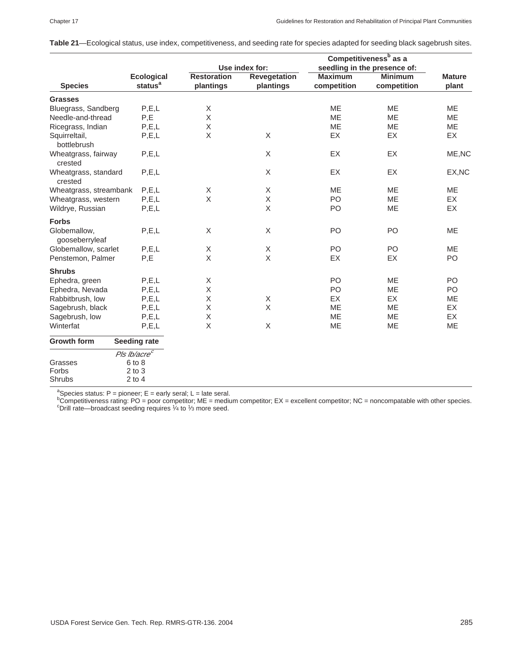|                                 |                                          | Competitiveness <sup>b</sup> as a |                                  |                               |                               |                        |  |
|---------------------------------|------------------------------------------|-----------------------------------|----------------------------------|-------------------------------|-------------------------------|------------------------|--|
|                                 |                                          |                                   | Use index for:                   | seedling in the presence of:  |                               |                        |  |
| <b>Species</b>                  | <b>Ecological</b><br>status <sup>a</sup> | <b>Restoration</b><br>plantings   | <b>Revegetation</b><br>plantings | <b>Maximum</b><br>competition | <b>Minimum</b><br>competition | <b>Mature</b><br>plant |  |
| <b>Grasses</b>                  |                                          |                                   |                                  |                               |                               |                        |  |
| Bluegrass, Sandberg             | P, E, L                                  | X                                 |                                  | <b>ME</b>                     | <b>ME</b>                     | <b>ME</b>              |  |
| Needle-and-thread               | P,E                                      | Χ                                 |                                  | <b>ME</b>                     | ME                            | <b>ME</b>              |  |
| Ricegrass, Indian               | P, E, L                                  | Χ                                 |                                  | <b>ME</b>                     | ME                            | ME                     |  |
| Squirreltail,<br>bottlebrush    | P, E, L                                  | Χ                                 | X                                | EX                            | EX                            | EX                     |  |
| Wheatgrass, fairway<br>crested  | P, E, L                                  |                                   | X                                | EX                            | EX                            | ME, NC                 |  |
| Wheatgrass, standard<br>crested | P, E, L                                  |                                   | X                                | EX                            | EX                            | EX, NC                 |  |
| Wheatgrass, streambank          | P, E, L                                  | Χ                                 | X                                | <b>ME</b>                     | <b>ME</b>                     | <b>ME</b>              |  |
| Wheatgrass, western             | P, E, L                                  | X                                 | $\mathsf X$                      | PO                            | ME                            | EX                     |  |
| Wildrye, Russian                | P, E, L                                  |                                   | X                                | PO                            | <b>ME</b>                     | EX                     |  |
| <b>Forbs</b>                    |                                          |                                   |                                  |                               |                               |                        |  |
| Globemallow,<br>gooseberryleaf  | P, E, L                                  | X                                 | X                                | PO                            | PO                            | ME                     |  |
| Globemallow, scarlet            | P, E, L                                  | X                                 | X                                | PO                            | PO                            | <b>ME</b>              |  |
| Penstemon, Palmer               | P,E                                      | $\mathsf X$                       | X                                | EX                            | EX                            | PO                     |  |
| <b>Shrubs</b>                   |                                          |                                   |                                  |                               |                               |                        |  |
| Ephedra, green                  | P, E, L                                  | $\mathsf X$                       |                                  | PO                            | <b>ME</b>                     | PO                     |  |
| Ephedra, Nevada                 | P, E, L                                  | X                                 |                                  | PO                            | ME                            | PO                     |  |
| Rabbitbrush, low                | P, E, L                                  | Χ                                 | X                                | EX                            | <b>EX</b>                     | ME                     |  |
| Sagebrush, black                | P, E, L                                  | Χ                                 | X                                | <b>ME</b>                     | <b>ME</b>                     | <b>EX</b>              |  |
| Sagebrush, low                  | P, E, L                                  | Χ                                 |                                  | <b>ME</b>                     | <b>ME</b>                     | EX                     |  |
| Winterfat                       | P, E, L                                  | X                                 | X                                | ME                            | ME                            | ME                     |  |
| <b>Growth form</b>              | <b>Seeding rate</b>                      |                                   |                                  |                               |                               |                        |  |
|                                 | Pls lb/acre <sup>c</sup>                 |                                   |                                  |                               |                               |                        |  |
| Grasses                         | $6$ to $8$                               |                                   |                                  |                               |                               |                        |  |
| Forbs                           | $2$ to $3$                               |                                   |                                  |                               |                               |                        |  |
| Shrubs                          | $2$ to $4$                               |                                   |                                  |                               |                               |                        |  |

**Table 21**—Ecological status, use index, competitiveness, and seeding rate for species adapted for seeding black sagebrush sites.

<sup>a</sup>Species status: P = pioneer; E = early seral; L = late seral.<br><sup>b</sup>Competitiveness rating: PO = poor competitor; ME = medium competitor; EX = excellent competitor; NC = noncompatable with other species.<br><sup>c</sup>Drill rate, pre  $^{\circ}$ Drill rate—broadcast seeding requires  $\frac{1}{4}$  to  $\frac{1}{3}$  more seed.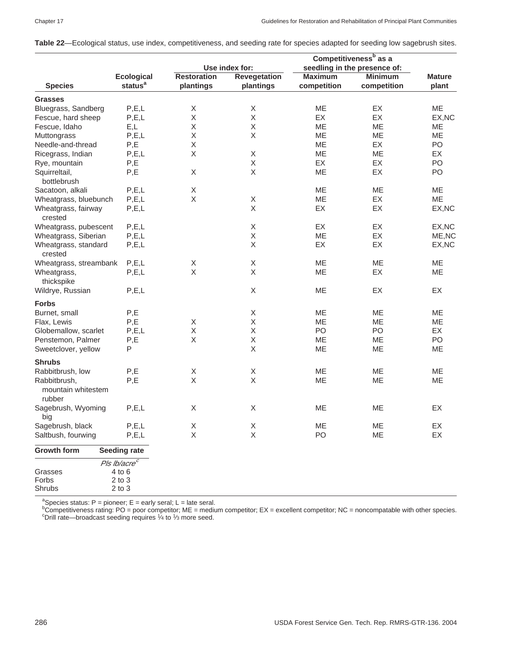| Table 22—Ecological status, use index, competitiveness, and seeding rate for species adapted for seeding low sagebrush sites. |  |
|-------------------------------------------------------------------------------------------------------------------------------|--|
|-------------------------------------------------------------------------------------------------------------------------------|--|

|                                              |                                                                | Competitiveness <sup>b</sup> as a |                           |                              |                |               |
|----------------------------------------------|----------------------------------------------------------------|-----------------------------------|---------------------------|------------------------------|----------------|---------------|
|                                              |                                                                | Use index for:                    |                           | seedling in the presence of: |                |               |
|                                              | <b>Ecological</b>                                              | <b>Restoration</b>                | <b>Revegetation</b>       | <b>Maximum</b>               | <b>Minimum</b> | <b>Mature</b> |
| <b>Species</b>                               | status <sup>a</sup>                                            | plantings                         | plantings                 | competition                  | competition    | plant         |
| <b>Grasses</b>                               |                                                                |                                   |                           |                              |                |               |
| Bluegrass, Sandberg                          | P, E, L                                                        | X                                 | X                         | ME                           | EX             | <b>ME</b>     |
| Fescue, hard sheep                           | P, E, L                                                        | X                                 | Χ                         | EX                           | EX             | EX, NC        |
| Fescue, Idaho                                | E,L                                                            | X                                 | X                         | ME                           | ME             | ME            |
| Muttongrass                                  | P, E, L                                                        | $\mathsf X$                       | $\boldsymbol{\mathsf{X}}$ | ME                           | ME             | ME            |
| Needle-and-thread                            | P,E                                                            | Χ                                 |                           | ME                           | EX             | PO            |
| Ricegrass, Indian                            | P, E, L                                                        | X                                 | $\boldsymbol{\mathsf{X}}$ | ME                           | ME             | EX            |
| Rye, mountain                                | P,E                                                            |                                   | X                         | EX                           | EX             | PO            |
|                                              |                                                                | Χ                                 | $\mathsf X$               |                              | EX             | PO            |
| Squirreltail,                                | P,E                                                            |                                   |                           | ME                           |                |               |
| bottlebrush                                  |                                                                |                                   |                           |                              |                |               |
| Sacatoon, alkali                             | P, E, L                                                        | X                                 |                           | ME                           | ME             | ME            |
| Wheatgrass, bluebunch                        | P, E, L                                                        | X                                 | X                         | ME                           | EX             | <b>ME</b>     |
| Wheatgrass, fairway<br>crested               | P, E, L                                                        |                                   | X                         | EX                           | EX             | EX, NC        |
| Wheatgrass, pubescent                        | P, E, L                                                        |                                   | $\boldsymbol{\mathsf{X}}$ | EX                           | EX             | EX, NC        |
| Wheatgrass, Siberian                         | P, E, L                                                        |                                   | X                         | ME                           | EX             | ME, NC        |
| Wheatgrass, standard<br>crested              | P, E, L                                                        |                                   | X                         | EX                           | EX             | EX, NC        |
| Wheatgrass, streambank                       | P, E, L                                                        | X                                 | X                         | ME                           | ME             | ME            |
| Wheatgrass,<br>thickspike                    | P, E, L                                                        | $\mathsf X$                       | X                         | ME                           | EX             | ME            |
| Wildrye, Russian                             | P, E, L                                                        |                                   | $\boldsymbol{\mathsf{X}}$ | ME                           | EX             | EX            |
| <b>Forbs</b>                                 |                                                                |                                   |                           |                              |                |               |
| Burnet, small                                | P,E                                                            |                                   | X                         | ME                           | ME             | ME            |
| Flax, Lewis                                  | P,E                                                            | X                                 | X                         | ME                           | ME             | ME            |
| Globemallow, scarlet                         | P, E, L                                                        | Χ                                 | $\mathsf X$               | PO                           | PO             | EX            |
| Penstemon, Palmer                            | P,E                                                            | X                                 | $\mathsf X$               | ME                           | ME             | PO            |
| Sweetclover, yellow                          | P                                                              |                                   | $\boldsymbol{\mathsf{X}}$ | ME                           | ME             | ME            |
| <b>Shrubs</b>                                |                                                                |                                   |                           |                              |                |               |
| Rabbitbrush, low                             | P,E                                                            | Χ                                 | $\mathsf X$               | ME                           | ME             | ME            |
| Rabbitbrush,<br>mountain whitestem<br>rubber | P,E                                                            | $\mathsf X$                       | $\mathsf X$               | ME                           | ME             | ME            |
| Sagebrush, Wyoming<br>big                    | P, E, L                                                        | X                                 | X                         | ME                           | ME             | EX            |
| Sagebrush, black                             | P, E, L                                                        | Χ                                 | Χ                         | ME                           | ME             | EX            |
| Saltbush, fourwing                           | P, E, L                                                        | Χ                                 | Χ                         | PO                           | ME             | EX            |
| <b>Growth form</b>                           | <b>Seeding rate</b>                                            |                                   |                           |                              |                |               |
| Grasses<br>Forbs<br>Shrubs                   | Pls Ib/acre <sup>c</sup><br>4 to 6<br>$2$ to $3$<br>$2$ to $3$ |                                   |                           |                              |                |               |

ªSpecies status: P = pioneer; E = early seral; L = late seral.<br><sup>b</sup>Competitiveness rating: PO = poor competitor; ME = medium competitor; EX = excellent competitor; NC = noncompatable with other species.<br>°Drill rate—broadca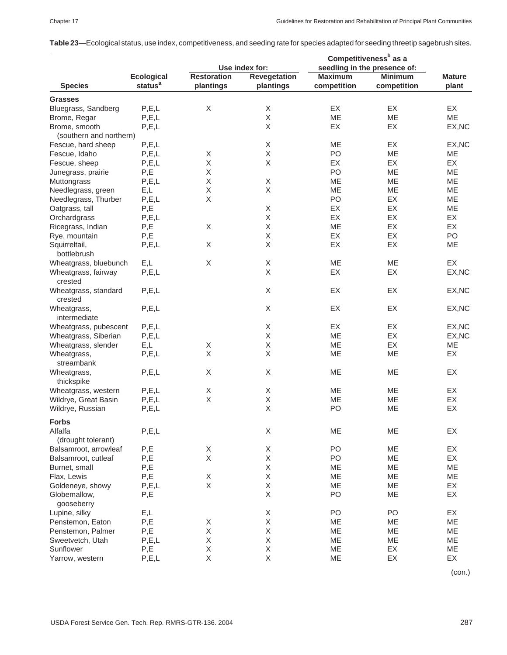|  |  |  |  |  | Table 23—Ecological status, use index, competitiveness, and seeding rate for species adapted for seeding threetip sagebrush sites. |
|--|--|--|--|--|------------------------------------------------------------------------------------------------------------------------------------|
|--|--|--|--|--|------------------------------------------------------------------------------------------------------------------------------------|

|                                 |                                          | Use index for:     |                                  | Competitiveness <sup>b</sup> as a |                                                |               |
|---------------------------------|------------------------------------------|--------------------|----------------------------------|-----------------------------------|------------------------------------------------|---------------|
|                                 |                                          | <b>Restoration</b> |                                  | <b>Maximum</b>                    | seedling in the presence of:<br><b>Minimum</b> | <b>Mature</b> |
| <b>Species</b>                  | <b>Ecological</b><br>status <sup>a</sup> | plantings          | <b>Revegetation</b><br>plantings | competition                       | competition                                    | plant         |
|                                 |                                          |                    |                                  |                                   |                                                |               |
| <b>Grasses</b>                  |                                          |                    |                                  |                                   |                                                |               |
| Bluegrass, Sandberg             | P, E, L                                  | X                  | X                                | EX                                | <b>EX</b>                                      | EX            |
| Brome, Regar                    | P, E, L                                  |                    | X                                | ME                                | ME                                             | <b>ME</b>     |
| Brome, smooth                   | P, E, L                                  |                    | X                                | EX                                | EX                                             | EX, NC        |
| (southern and northern)         |                                          |                    |                                  |                                   |                                                |               |
| Fescue, hard sheep              | P, E, L                                  |                    | X                                | ME                                | EX                                             | EX, NC        |
| Fescue, Idaho                   | P, E, L                                  | X                  | X                                | PO                                | ME                                             | ME            |
| Fescue, sheep                   | P, E, L                                  | Χ                  | X                                | EX                                | EX                                             | EX            |
| Junegrass, prairie              | P,E                                      | X                  |                                  | PO                                | ME                                             | ME            |
| Muttongrass                     | P, E, L                                  | $\mathsf X$        | X                                | ME                                | ME                                             | ME            |
| Needlegrass, green              | E,L                                      | Χ                  | X                                | ME                                | ME                                             | ME            |
| Needlegrass, Thurber            | P, E, L                                  | Χ                  |                                  | PO                                | EX                                             | ME            |
| Oatgrass, tall                  | P,E                                      |                    | $\mathsf X$                      | EX                                | EX                                             | ME            |
| Orchardgrass                    | P, E, L                                  |                    | X                                | EX                                | EX                                             | EX            |
| Ricegrass, Indian               | P,E                                      | Χ                  | $\mathsf X$                      | ME                                | EX                                             | EX            |
| Rye, mountain                   | P,E                                      |                    | X                                | EX                                | EX                                             | PO            |
| Squirreltail,                   | P, E, L                                  | X                  | X                                | EX                                | EX                                             | ME            |
| bottlebrush                     |                                          |                    |                                  |                                   |                                                |               |
| Wheatgrass, bluebunch           | E,L                                      | $\mathsf X$        | $\mathsf X$                      | ME                                | ME                                             | EX            |
| Wheatgrass, fairway<br>crested  | P, E, L                                  |                    | X                                | EX                                | EX                                             | EX, NC        |
| Wheatgrass, standard<br>crested | P, E, L                                  |                    | X                                | EX                                | EX                                             | EX, NC        |
| Wheatgrass,<br>intermediate     | P, E, L                                  |                    | Χ                                | EX                                | EX                                             | EX, NC        |
| Wheatgrass, pubescent           | P, E, L                                  |                    | X                                | EX                                | EX                                             | EX, NC        |
| Wheatgrass, Siberian            | P, E, L                                  |                    | X                                | ME                                | EX                                             | EX, NC        |
| Wheatgrass, slender             | E,L                                      | $\mathsf X$        | X                                | ME                                | EX                                             | ME            |
| Wheatgrass,                     | P, E, L                                  | Χ                  | X                                | ME                                | ME                                             | EX            |
| streambank                      |                                          |                    |                                  |                                   |                                                |               |
| Wheatgrass,<br>thickspike       | P, E, L                                  | Χ                  | X                                | ME                                | ME                                             | EX            |
| Wheatgrass, western             | P, E, L                                  | Χ                  | X                                | ME                                | ME                                             | EX            |
| Wildrye, Great Basin            | P, E, L                                  | X                  | $\mathsf X$                      | ME                                | ME                                             | EX            |
| Wildrye, Russian                | P, E, L                                  |                    | X                                | PO                                | ME                                             | EX            |
| <b>Forbs</b>                    |                                          |                    |                                  |                                   |                                                |               |
| Alfalfa<br>(drought tolerant)   | P, E, L                                  |                    | $\mathsf X$                      | ME                                | ME                                             | EX            |
| Balsamroot, arrowleaf           | P,E                                      | Χ                  | $\mathsf X$                      | PO                                | ME                                             | EX            |
| Balsamroot, cutleaf             | $\mathsf{P},\mathsf{E}$                  | $\mathsf X$        | Χ                                | PO                                | ME                                             | EX            |
| Burnet, small                   | P,E                                      |                    | Χ                                | ME                                | ME                                             | ME            |
| Flax, Lewis                     | P,E                                      | $\mathsf X$        | Χ                                | ME                                | ME                                             | ME            |
| Goldeneye, showy                | P, E, L                                  | $\mathsf X$        | Χ                                | ME                                | ME                                             | EX            |
| Globemallow,<br>gooseberry      | P,E                                      |                    | $\mathsf X$                      | PO                                | ME                                             | EX            |
| Lupine, silky                   | E,L                                      |                    | Χ                                | PO                                | PO                                             | EX            |
| Penstemon, Eaton                | P,E                                      | X                  | Χ                                | ME                                | ME                                             | ME            |
| Penstemon, Palmer               | P,E                                      | $\mathsf X$        | Χ                                | ME                                | ME                                             | ME            |
| Sweetvetch, Utah                | P, E, L                                  | Χ                  | X                                | ME                                | ME                                             | ME            |
| Sunflower                       | P,E                                      | $\mathsf X$        | Χ                                | ME                                | EX                                             | ME            |
| Yarrow, western                 | P, E, L                                  | Χ                  | X                                | ME                                | EX                                             | EX            |

(con.)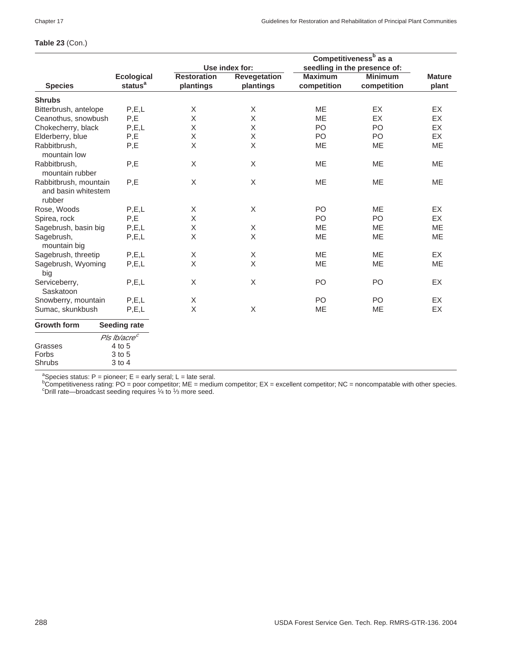|                                                        |                                                        | Competitiveness <sup>b</sup> as a |                     |                |                              |               |  |
|--------------------------------------------------------|--------------------------------------------------------|-----------------------------------|---------------------|----------------|------------------------------|---------------|--|
|                                                        |                                                        |                                   | Use index for:      |                | seedling in the presence of: |               |  |
|                                                        | <b>Ecological</b>                                      | <b>Restoration</b>                | <b>Revegetation</b> | <b>Maximum</b> | <b>Minimum</b>               | <b>Mature</b> |  |
| <b>Species</b>                                         | status <sup>a</sup>                                    | plantings                         | plantings           | competition    | competition                  | plant         |  |
| <b>Shrubs</b>                                          |                                                        |                                   |                     |                |                              |               |  |
| Bitterbrush, antelope                                  | P, E, L                                                | X                                 | X                   | <b>ME</b>      | EX                           | EX            |  |
| Ceanothus, snowbush                                    | P,E                                                    | X                                 | $\mathsf X$         | <b>ME</b>      | EX                           | EX            |  |
| Chokecherry, black                                     | P, E, L                                                | Χ                                 | X                   | PO             | PO                           | EX            |  |
| Elderberry, blue                                       | P,E                                                    | X                                 | $\mathsf X$         | PO             | PO                           | EX            |  |
| Rabbitbrush,<br>mountain low                           | P,E                                                    | Χ                                 | X                   | ME             | <b>ME</b>                    | ME            |  |
| Rabbitbrush,<br>mountain rubber                        | P,E                                                    | Χ                                 | X                   | ME             | <b>ME</b>                    | <b>ME</b>     |  |
| Rabbitbrush, mountain<br>and basin whitestem<br>rubber | P,E                                                    | $\mathsf X$                       | X                   | ME             | ME                           | ME            |  |
| Rose, Woods                                            | P, E, L                                                | X                                 | X                   | P <sub>O</sub> | <b>ME</b>                    | EX            |  |
| Spirea, rock                                           | P,E                                                    | X                                 |                     | PO             | P <sub>O</sub>               | EX            |  |
| Sagebrush, basin big                                   | P, E, L                                                | X                                 | X                   | <b>ME</b>      | <b>ME</b>                    | <b>ME</b>     |  |
| Sagebrush,<br>mountain big                             | P, E, L                                                | Χ                                 | X                   | ME             | <b>ME</b>                    | ME            |  |
| Sagebrush, threetip                                    | P, E, L                                                | X                                 | X                   | <b>ME</b>      | <b>ME</b>                    | EX            |  |
| Sagebrush, Wyoming<br>big                              | P, E, L                                                | X                                 | X                   | ME             | <b>ME</b>                    | ME            |  |
| Serviceberry,<br>Saskatoon                             | P, E, L                                                | X                                 | X                   | PO             | PO                           | EX            |  |
| Snowberry, mountain                                    | P, E, L                                                | X                                 |                     | PO             | PO                           | EX            |  |
| Sumac, skunkbush                                       | P, E, L                                                | X                                 | X                   | <b>ME</b>      | <b>ME</b>                    | EX            |  |
| <b>Growth form</b>                                     | <b>Seeding rate</b>                                    |                                   |                     |                |                              |               |  |
| Grasses<br>Forbs<br>Shrubs                             | Pls lb/acre <sup>c</sup><br>4 to 5<br>3 to 5<br>3 to 4 |                                   |                     |                |                              |               |  |

#### **Table 23** (Con.)

ªSpecies status: P = pioneer; E = early seral; L = late seral.<br><sup>b</sup>Competitiveness rating: PO = poor competitor; ME = medium competitor; EX = excellent competitor; NC = noncompatable with other species.<br><sup>b</sup>Competitiveness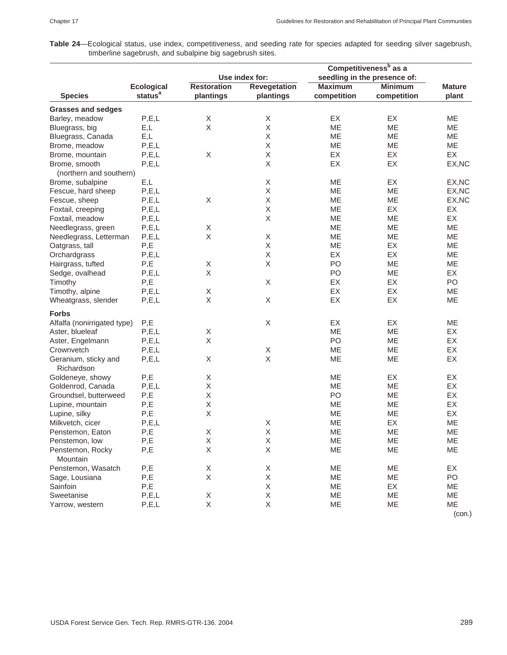**Table 24**—Ecological status, use index, competitiveness, and seeding rate for species adapted for seeding silver sagebrush, timberline sagebrush, and subalpine big sagebrush sites.

|                                    |                     | Competitiveness <sup>b</sup> as a |                           |                              |                |               |  |
|------------------------------------|---------------------|-----------------------------------|---------------------------|------------------------------|----------------|---------------|--|
|                                    |                     | Use index for:                    |                           | seedling in the presence of: |                |               |  |
|                                    | <b>Ecological</b>   | <b>Restoration</b>                | <b>Revegetation</b>       | <b>Maximum</b>               | <b>Minimum</b> | <b>Mature</b> |  |
| <b>Species</b>                     | status <sup>a</sup> | plantings                         | plantings                 | competition                  | competition    | plant         |  |
| <b>Grasses and sedges</b>          |                     |                                   |                           |                              |                |               |  |
| Barley, meadow                     | P, E, L             | X                                 | $\boldsymbol{\mathsf{X}}$ | EX                           | <b>EX</b>      | <b>ME</b>     |  |
| Bluegrass, big                     | E,L                 | $\mathsf X$                       | Χ                         | ME                           | ME             | ME            |  |
| Bluegrass, Canada                  | E,L                 |                                   | X                         | ME                           | ME             | <b>ME</b>     |  |
| Brome, meadow                      | P, E, L             |                                   | X                         | ME                           | ME             | <b>ME</b>     |  |
| Brome, mountain                    | P, E, L             | $\mathsf X$                       | Χ                         | EX                           | EX             | EX            |  |
| Brome, smooth                      | P, E, L             |                                   | X                         | EX                           | EX             | EX, NC        |  |
| (northern and southern)            |                     |                                   |                           |                              |                |               |  |
| Brome, subalpine                   | E,L                 |                                   | X                         | ME                           | EX             | EX, NC        |  |
| Fescue, hard sheep                 | P, E, L             |                                   | X                         | ME                           | ME             | EX, NC        |  |
| Fescue, sheep                      | P, E, L             | Χ                                 | X                         | ME                           | ME             | EX, NC        |  |
| Foxtail, creeping                  | P, E, L             |                                   | Χ                         | ME                           | EX             | EX            |  |
| Foxtail, meadow                    | P, E, L             |                                   | X                         | ME                           | ME             | EX            |  |
| Needlegrass, green                 | P, E, L             | Χ                                 |                           | ME                           | ME             | ME            |  |
| Needlegrass, Letterman             | P, E, L             | Χ                                 | $\mathsf X$               | ME                           | ME             | <b>ME</b>     |  |
| Oatgrass, tall                     | P,E                 |                                   | $\mathsf X$               | ME                           | EX             | ME            |  |
| Orchardgrass                       | P, E, L             |                                   | X                         | EX                           | <b>EX</b>      | ME            |  |
| Hairgrass, tufted                  | P,E                 | X                                 | $\boldsymbol{\mathsf{X}}$ | PO                           | ME             | ME            |  |
| Sedge, ovalhead                    | P, E, L             | $\mathsf X$                       |                           | PO                           | ME             | EX            |  |
| Timothy                            | P,E                 |                                   | X                         | EX                           | <b>EX</b>      | PO            |  |
| Timothy, alpine                    | P, E, L             | $\mathsf X$                       |                           | EX                           | EX             | ME            |  |
| Wheatgrass, slender                | P, E, L             | X                                 | $\boldsymbol{\mathsf{X}}$ | EX                           | EX             | <b>ME</b>     |  |
| <b>Forbs</b>                       |                     |                                   |                           |                              |                |               |  |
| Alfalfa (nonirrigated type)        | P,E                 |                                   | X                         | EX                           | EX             | ME            |  |
|                                    | P, E, L             | Χ                                 |                           | <b>ME</b>                    | ME             | EX            |  |
| Aster, blueleaf                    |                     |                                   |                           |                              |                |               |  |
| Aster, Engelmann                   | P, E, L             | Χ                                 |                           | PO                           | ME             | EX            |  |
| Crownvetch                         | P, E, L             |                                   | X                         | ME                           | ME             | EX            |  |
| Geranium, sticky and<br>Richardson | P, E, L             | X                                 | $\boldsymbol{\mathsf{X}}$ | ME                           | ME             | EX            |  |
| Goldeneye, showy                   | P,E                 | X                                 |                           | ME                           | EX             | EX            |  |
| Goldenrod, Canada                  | P, E, L             | X                                 |                           | <b>ME</b>                    | ME             | EX            |  |
| Groundsel, butterweed              | P,E                 | Χ                                 |                           | PO                           | ME             | EX            |  |
| Lupine, mountain                   | P,E                 | Χ                                 |                           | ME                           | ME             | EX            |  |
| Lupine, silky                      | P,E                 | X                                 |                           | ME                           | ME             | EX            |  |
| Milkvetch, cicer                   | P, E, L             |                                   | Χ                         | ME                           | EX             | ME            |  |
| Penstemon, Eaton                   | P,E                 | X                                 | X                         | ME                           | ME             | ME            |  |
| Penstemon, low                     | P,E                 | X                                 | $\mathsf X$               | ME                           | ME             | ME            |  |
| Penstemon, Rocky<br>Mountain       | P,E                 | X                                 | $\mathsf X$               | ME                           | ME             | ME            |  |
| Penstemon, Wasatch                 | P,E                 | X                                 | X                         | ME                           | ME             | EX            |  |
| Sage, Lousiana                     | P,E                 | Χ                                 | X                         | ME                           | ME             | PO            |  |
| Sainfoin                           | P,E                 |                                   | Χ                         | ME                           | EX             | ME            |  |
| Sweetanise                         | P, E, L             | $\mathsf X$                       | Χ                         | ME                           | ME             | ME            |  |
| Yarrow, western                    | P, E, L             | X                                 | $\mathsf X$               | ME                           | ME             | ME            |  |
|                                    |                     |                                   |                           |                              |                | (con.)        |  |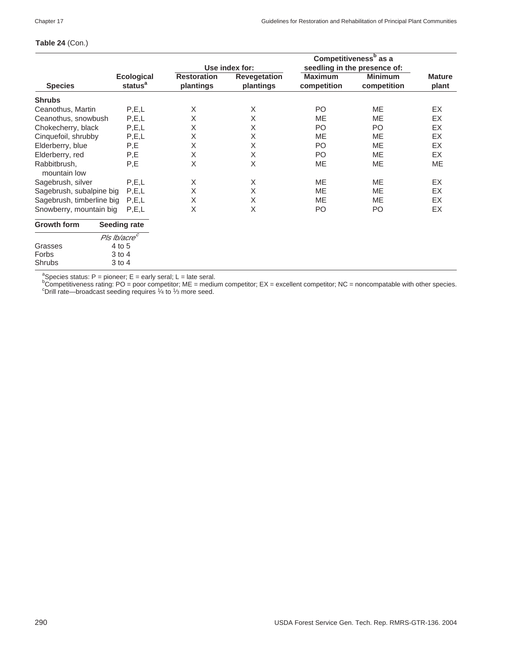## **Table 24** (Con.)

|                              |                          |                    |                     |                | Competitiveness <sup>b</sup> as a |               |
|------------------------------|--------------------------|--------------------|---------------------|----------------|-----------------------------------|---------------|
|                              |                          |                    | Use index for:      |                | seedling in the presence of:      |               |
|                              | <b>Ecological</b>        | <b>Restoration</b> | <b>Revegetation</b> | <b>Maximum</b> | <b>Minimum</b>                    | <b>Mature</b> |
| <b>Species</b>               | status <sup>a</sup>      | plantings          | plantings           | competition    | competition                       | plant         |
| <b>Shrubs</b>                |                          |                    |                     |                |                                   |               |
| Ceanothus, Martin            | P, E, L                  | X                  | X                   | P <sub>O</sub> | <b>ME</b>                         | EX            |
| Ceanothus, snowbush          | P, E, L                  | X                  | X                   | <b>ME</b>      | <b>ME</b>                         | EX            |
| Chokecherry, black           | P, E, L                  | X                  | X                   | PO.            | P <sub>O</sub>                    | EX            |
| Cinquefoil, shrubby          | P, E, L                  | Χ                  | X                   | ME             | ME                                | EX            |
| Elderberry, blue             | P,E                      | Χ                  | X                   | PO             | ME                                | EX            |
| Elderberry, red              | P,E                      | X                  | X                   | PO             | ME                                | EX            |
| Rabbitbrush,<br>mountain low | P,E                      | Χ                  | Χ                   | ME             | ME                                | ME            |
| Sagebrush, silver            | P, E, L                  | X                  | X                   | ME             | ME                                | EX            |
| Sagebrush, subalpine big     | P, E, L                  | Χ                  | X                   | ME             | ME                                | EX            |
| Sagebrush, timberline big    | P.E.L                    | X                  | X                   | ME             | ME                                | EX            |
| Snowberry, mountain big      | P.E.L                    | X                  | X                   | P <sub>O</sub> | PO                                | EX            |
| <b>Growth form</b>           | <b>Seeding rate</b>      |                    |                     |                |                                   |               |
|                              | Pls lb/acre <sup>c</sup> |                    |                     |                |                                   |               |
| Grasses                      | 4 to 5                   |                    |                     |                |                                   |               |
| Forbs                        | $3$ to $4$               |                    |                     |                |                                   |               |
| <b>Shrubs</b>                | $3$ to $4$               |                    |                     |                |                                   |               |

ªSpecies status: P = pioneer; E = early seral; L = late seral.<br><sup>b</sup>Competitiveness rating: PO = poor competitor; ME = medium competitor; EX = excellent competitor; NC = noncompatable with other species.<br>°Drill rate—broadca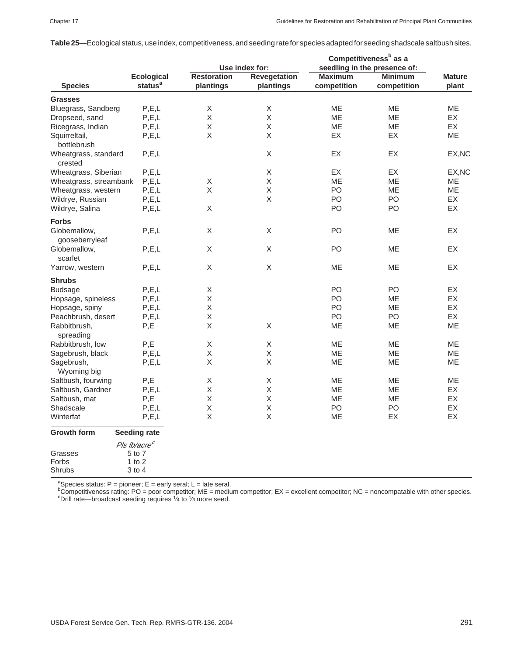|                                                                 |                          | Competitiveness <sup>b</sup> as a |                |                |                              |               |
|-----------------------------------------------------------------|--------------------------|-----------------------------------|----------------|----------------|------------------------------|---------------|
|                                                                 |                          |                                   | Use index for: |                | seedling in the presence of: |               |
|                                                                 | <b>Ecological</b>        | <b>Restoration</b>                | Revegetation   | <b>Maximum</b> | <b>Minimum</b>               | <b>Mature</b> |
| <b>Species</b>                                                  | status <sup>a</sup>      | plantings                         | plantings      | competition    | competition                  | plant         |
| <b>Grasses</b>                                                  |                          |                                   |                |                |                              |               |
| Bluegrass, Sandberg                                             | P, E, L                  | $\mathsf X$                       | Χ              | MЕ             | ME                           | ME            |
| Dropseed, sand                                                  | P, E, L                  | X                                 | X              | ME             | <b>ME</b>                    | <b>EX</b>     |
| Ricegrass, Indian                                               | P, E, L                  | $\mathsf X$                       | $\sf X$        | <b>ME</b>      | <b>ME</b>                    | <b>EX</b>     |
| Squirreltail,                                                   | P, E, L                  | X                                 | X              | <b>EX</b>      | <b>EX</b>                    | <b>ME</b>     |
| bottlebrush                                                     |                          |                                   |                |                |                              |               |
| Wheatgrass, standard<br>crested                                 | P, E, L                  |                                   | X              | EX             | EX                           | EX, NC        |
| Wheatgrass, Siberian                                            | P, E, L                  |                                   | X              | EX             | EX                           | EX, NC        |
| Wheatgrass, streambank                                          | P, E, L                  | $\mathsf X$                       | $\mathsf X$    | ME             | <b>ME</b>                    | ME            |
| Wheatgrass, western                                             | P, E, L                  | $\mathsf X$                       | $\mathsf X$    | PO             | ME                           | ME            |
| Wildrye, Russian                                                | P, E, L                  |                                   | X              | PO             | PO                           | <b>EX</b>     |
| Wildrye, Salina                                                 | P, E, L                  | $\mathsf X$                       |                | PO             | PO                           | EX            |
|                                                                 |                          |                                   |                |                |                              |               |
| <b>Forbs</b>                                                    |                          |                                   |                |                |                              |               |
| Globemallow,<br>gooseberryleaf                                  | P, E, L                  | $\mathsf X$                       | X              | PO             | ME                           | EX            |
| Globemallow,<br>scarlet                                         | P, E, L                  | $\mathsf X$                       | X              | PO             | <b>ME</b>                    | EX            |
| Yarrow, western                                                 | P, E, L                  | X                                 | X              | <b>ME</b>      | <b>ME</b>                    | <b>EX</b>     |
| <b>Shrubs</b>                                                   |                          |                                   |                |                |                              |               |
| <b>Budsage</b>                                                  | P, E, L                  | $\mathsf X$                       |                | PO             | PO                           | EX            |
| Hopsage, spineless                                              | P, E, L                  | $\sf X$                           |                | PO             | <b>ME</b>                    | <b>EX</b>     |
| Hopsage, spiny                                                  | P, E, L                  | Χ                                 |                | PO.            | <b>ME</b>                    | EX            |
| Peachbrush, desert                                              | P, E, L                  | $\mathsf X$                       |                | PO             | PO                           | EX            |
| Rabbitbrush,                                                    | P,E                      | X                                 | X              | ME             | <b>ME</b>                    | <b>ME</b>     |
| spreading                                                       |                          |                                   |                |                |                              |               |
| Rabbitbrush, low                                                | P,E                      | $\mathsf X$                       | X              | <b>ME</b>      | <b>ME</b>                    | ME            |
| Sagebrush, black                                                | P.E.L                    | $\mathsf X$                       | $\mathsf X$    | MЕ             | ME                           | ME            |
| Sagebrush,                                                      | P, E, L                  | Χ                                 | X              | ME             | ME                           | ME            |
| Wyoming big                                                     |                          |                                   |                |                |                              |               |
| Saltbush, fourwing                                              | P,E                      | X                                 | Χ              | ME             | ME                           | <b>ME</b>     |
| Saltbush, Gardner                                               | P, E, L                  | X                                 | $\sf X$        | ME             | ME                           | EX.           |
| Saltbush, mat                                                   | P,E                      | X                                 | X              | <b>ME</b>      | ME                           | <b>EX</b>     |
| Shadscale                                                       | P, E, L                  | Χ                                 | X              | PO             | PO                           | EX            |
| Winterfat                                                       | P, E, L                  | Χ                                 | X              | ME             | EX                           | EX            |
| <b>Growth form</b>                                              | <b>Seeding rate</b>      |                                   |                |                |                              |               |
|                                                                 | Pls Ib/acre <sup>c</sup> |                                   |                |                |                              |               |
| Grasses                                                         | 5 to 7                   |                                   |                |                |                              |               |
| Forbs                                                           | 1 to $2$                 |                                   |                |                |                              |               |
| Shrubs                                                          | $3$ to $4$               |                                   |                |                |                              |               |
| $^a$ Consistent proposed $F =$ sorth same $F =$ sorth same $^a$ |                          |                                   |                |                |                              |               |

<sup>a</sup>Species status: P = pioneer; E = early seral; L = late seral.<br><sup>b</sup>Competitiveness rating: PO = poor competitor; ME = medium competitor; EX = excellent competitor; NC = noncompatable with other species.<br><sup>b</sup>Competitivenes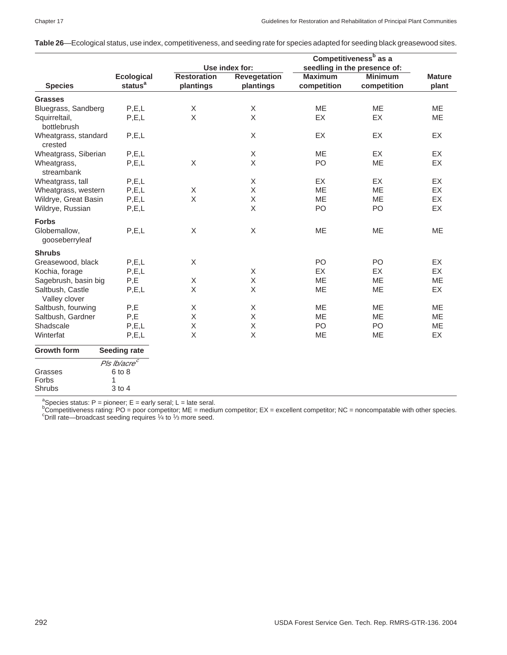| Table 26—Ecological status, use index, competitiveness, and seeding rate for species adapted for seeding black greasewood sites. |  |  |  |  |
|----------------------------------------------------------------------------------------------------------------------------------|--|--|--|--|
|----------------------------------------------------------------------------------------------------------------------------------|--|--|--|--|

|                                   |                                          |                                 |                                  |                               | Competitiveness <sup>b</sup> as a |                        |  |
|-----------------------------------|------------------------------------------|---------------------------------|----------------------------------|-------------------------------|-----------------------------------|------------------------|--|
|                                   |                                          | Use index for:                  |                                  | seedling in the presence of:  |                                   |                        |  |
| <b>Species</b>                    | <b>Ecological</b><br>status <sup>a</sup> | <b>Restoration</b><br>plantings | <b>Revegetation</b><br>plantings | <b>Maximum</b><br>competition | <b>Minimum</b><br>competition     | <b>Mature</b><br>plant |  |
| <b>Grasses</b>                    |                                          |                                 |                                  |                               |                                   |                        |  |
| Bluegrass, Sandberg               | P, E, L                                  | X                               | X                                | ME                            | <b>ME</b>                         | <b>ME</b>              |  |
| Squirreltail,<br>bottlebrush      | P, E, L                                  | X                               | X                                | EX                            | EX                                | ME                     |  |
| Wheatgrass, standard<br>crested   | P, E, L                                  |                                 | X                                | EX                            | EX                                | EX                     |  |
| Wheatgrass, Siberian              | P, E, L                                  |                                 | X                                | <b>ME</b>                     | EX                                | EX                     |  |
| Wheatgrass,<br>streambank         | P, E, L                                  | $\sf X$                         | X                                | PO                            | ME                                | EX                     |  |
| Wheatgrass, tall                  | P, E, L                                  |                                 | X                                | EX                            | EX                                | EX                     |  |
| Wheatgrass, western               | P, E, L                                  | X                               | X                                | ME                            | ME                                | EX                     |  |
| Wildrye, Great Basin              | P, E, L                                  | X                               | $\mathsf X$                      | <b>ME</b>                     | <b>ME</b>                         | EX                     |  |
| Wildrye, Russian                  | P, E, L                                  |                                 | X                                | PO                            | PO                                | EX                     |  |
| <b>Forbs</b>                      |                                          |                                 |                                  |                               |                                   |                        |  |
| Globemallow,<br>gooseberryleaf    | P, E, L                                  | X                               | X                                | <b>ME</b>                     | ME                                | ME                     |  |
| <b>Shrubs</b>                     |                                          |                                 |                                  |                               |                                   |                        |  |
| Greasewood, black                 | P, E, L                                  | X                               |                                  | P <sub>O</sub>                | PO                                | <b>EX</b>              |  |
| Kochia, forage                    | P, E, L                                  |                                 | X                                | EX                            | EX                                | EX                     |  |
| Sagebrush, basin big              | P,E                                      | X                               | X                                | ME                            | ME                                | ME                     |  |
| Saltbush, Castle<br>Valley clover | P, E, L                                  | X                               | X                                | <b>ME</b>                     | <b>ME</b>                         | EX                     |  |
| Saltbush, fourwing                | P,E                                      | X                               | X                                | <b>ME</b>                     | <b>ME</b>                         | ME                     |  |
| Saltbush, Gardner                 | P,E                                      | X                               | X                                | <b>ME</b>                     | <b>ME</b>                         | ME                     |  |
| Shadscale                         | P, E, L                                  | X                               | X                                | P <sub>O</sub>                | P <sub>O</sub>                    | ME                     |  |
| Winterfat                         | P, E, L                                  | X                               | X                                | ME                            | ME                                | EX                     |  |
| <b>Growth form</b>                | <b>Seeding rate</b>                      |                                 |                                  |                               |                                   |                        |  |
|                                   | Pls Ib/acre <sup>c</sup>                 |                                 |                                  |                               |                                   |                        |  |
| Grasses                           | 6 to 8                                   |                                 |                                  |                               |                                   |                        |  |
| Forbs                             | 1                                        |                                 |                                  |                               |                                   |                        |  |
| Shrubs                            | 3 to 4                                   |                                 |                                  |                               |                                   |                        |  |

<sup>a</sup>Species status: P = pioneer; E = early seral; L = late seral.<br><sup>b</sup>Competitiveness rating: PO = poor competitor; ME = medium competitor; EX = excellent competitor; NC = noncompatable with other species.<br><sup>c</sup>Drill rate, sha  $^{\circ}$ Drill rate—broadcast seeding requires  $\frac{1}{4}$  to  $\frac{1}{3}$  more seed.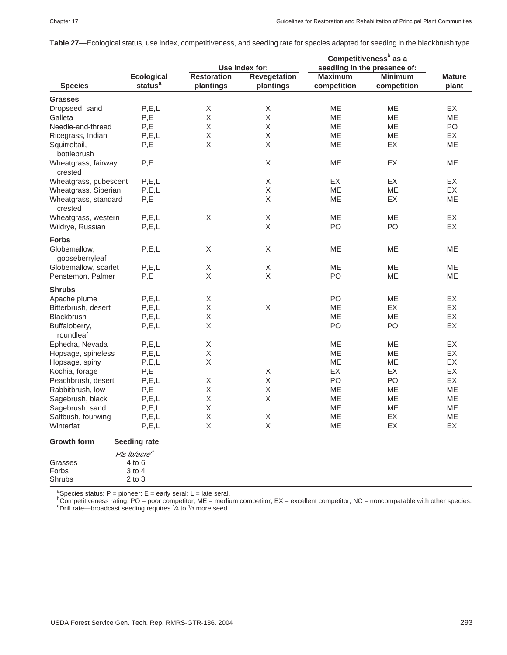|                                |                          |                            | Competitiveness <sup>b</sup> as a |                              |                |               |  |  |
|--------------------------------|--------------------------|----------------------------|-----------------------------------|------------------------------|----------------|---------------|--|--|
|                                |                          | Use index for:             |                                   | seedling in the presence of: |                |               |  |  |
|                                | <b>Ecological</b>        | <b>Restoration</b>         | <b>Revegetation</b>               | <b>Maximum</b>               | <b>Minimum</b> | <b>Mature</b> |  |  |
| <b>Species</b>                 | status <sup>a</sup>      | plantings                  | plantings                         | competition                  | competition    | plant         |  |  |
| <b>Grasses</b>                 |                          |                            |                                   |                              |                |               |  |  |
| Dropseed, sand                 | P, E, L                  | X                          | X                                 | <b>ME</b>                    | <b>ME</b>      | EX.           |  |  |
| Galleta                        | $\mathsf X$<br>P,E       |                            | $\mathsf X$                       | ME                           | ME             | ME            |  |  |
| Needle-and-thread              | P,E                      | $\mathsf X$                | $\mathsf X$                       | ME                           | <b>ME</b>      | PO            |  |  |
| Ricegrass, Indian              | P, E, L                  | Χ                          | X                                 | ME                           | ME             | EX            |  |  |
| Squirreltail,                  | P,E                      | Χ                          | $\mathsf X$                       | ME                           | EX             | ME            |  |  |
| bottlebrush                    |                          |                            |                                   |                              |                |               |  |  |
| Wheatgrass, fairway            | P,E                      |                            | X                                 | ME                           | EX             | ME            |  |  |
| crested                        |                          |                            |                                   |                              |                |               |  |  |
| Wheatgrass, pubescent          | P, E, L                  |                            | X                                 | EX                           | EX             | EX            |  |  |
| Wheatgrass, Siberian           | P, E, L                  |                            | X                                 | ME                           | ME             | EX            |  |  |
|                                |                          |                            | Χ                                 |                              | EX             |               |  |  |
| Wheatgrass, standard           | P,E                      |                            |                                   | ME                           |                | ME            |  |  |
| crested                        |                          |                            |                                   |                              |                |               |  |  |
| Wheatgrass, western            | P, E, L                  | X                          | $\mathsf X$                       | ME                           | ME             | EX            |  |  |
| Wildrye, Russian               | P, E, L                  |                            | $\mathsf X$                       | PO                           | PO             | EX            |  |  |
| <b>Forbs</b>                   |                          |                            |                                   |                              |                |               |  |  |
| Globemallow,<br>gooseberryleaf | P, E, L                  | Χ                          | Χ                                 | ME                           | ME             | ME            |  |  |
| Globemallow, scarlet           | P, E, L                  |                            | $\mathsf X$                       | ME                           | ME             | ME            |  |  |
| Penstemon, Palmer              | P,E                      | $\mathsf X$<br>$\mathsf X$ | X                                 | PO                           | ME             | ME            |  |  |
| <b>Shrubs</b>                  |                          |                            |                                   |                              |                |               |  |  |
| Apache plume                   | P, E, L                  | X                          |                                   | PO                           | ME             | EX            |  |  |
| Bitterbrush, desert            | P, E, L                  | Χ                          | X                                 | ME                           | EX             | EX            |  |  |
| <b>Blackbrush</b>              | P, E, L                  | Χ                          |                                   | ME                           | ME             | EX            |  |  |
| Buffaloberry,                  | P, E, L                  | Χ                          |                                   | PO                           | PO             | EX            |  |  |
| roundleaf                      |                          |                            |                                   |                              |                |               |  |  |
| Ephedra, Nevada                | P, E, L                  | X                          |                                   | ME                           | ME             | EX            |  |  |
| Hopsage, spineless             | P, E, L                  | Χ                          |                                   | ME                           | ME             | EX            |  |  |
|                                | P, E, L                  | $\mathsf X$                |                                   | ME                           | ME             | EX            |  |  |
| Hopsage, spiny                 |                          |                            | X                                 | EX                           | EX             | EX            |  |  |
| P,E<br>Kochia, forage          |                          |                            | $\mathsf X$                       |                              |                |               |  |  |
| P, E, L<br>Peachbrush, desert  |                          | Χ                          |                                   | PO                           | PO             | EX            |  |  |
| P,E<br>Rabbitbrush, low        |                          | Χ                          | $\mathsf X$                       | ME                           | ME             | ME            |  |  |
| P, E, L<br>Sagebrush, black    |                          | Χ                          | $\mathsf X$                       | ME                           | ME             | ME            |  |  |
| Sagebrush, sand<br>P, E, L     |                          | Χ                          |                                   | ME                           | ME             | ME            |  |  |
| Saltbush, fourwing<br>P, E, L  |                          | $\mathsf X$                | Χ                                 | ME                           | EX             | ME            |  |  |
| Winterfat                      | P, E, L                  | X                          | X                                 | ME                           | EX             | EX            |  |  |
| <b>Growth form</b>             | <b>Seeding rate</b>      |                            |                                   |                              |                |               |  |  |
|                                | Pls Ib/acre <sup>c</sup> |                            |                                   |                              |                |               |  |  |
| Grasses                        | $4$ to $6$               |                            |                                   |                              |                |               |  |  |
| Forbs                          | 3 to 4                   |                            |                                   |                              |                |               |  |  |
| Shrubs                         | $2$ to $3$               |                            |                                   |                              |                |               |  |  |

**Table 27**—Ecological status, use index, competitiveness, and seeding rate for species adapted for seeding in the blackbrush type.

ªSpecies status: P = pioneer; E = early seral; L = late seral.<br><sup>b</sup>Competitiveness rating: PO = poor competitor; ME = medium competitor; EX = excellent competitor; NC = noncompatable with other species.<br><sup>b</sup>Competitiveness